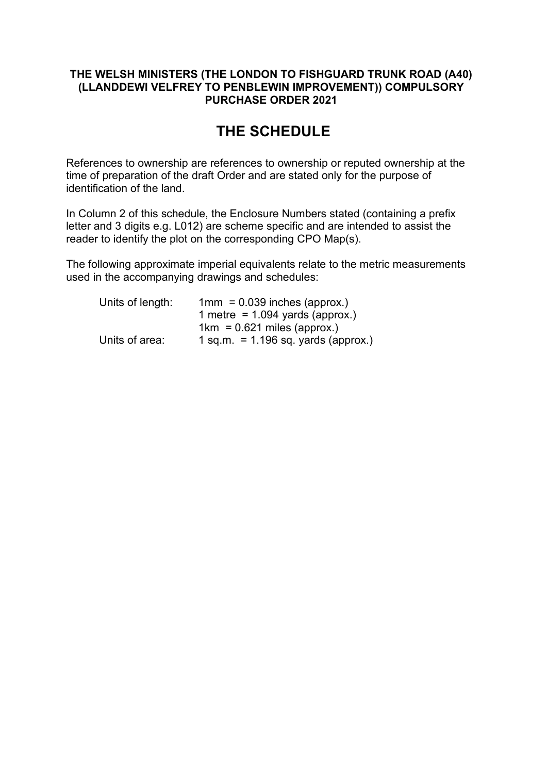## **THE WELSH MINISTERS (THE LONDON TO FISHGUARD TRUNK ROAD (A40) (LLANDDEWI VELFREY TO PENBLEWIN IMPROVEMENT)) COMPULSORY PURCHASE ORDER 2021**

# **THE SCHEDULE**

References to ownership are references to ownership or reputed ownership at the time of preparation of the draft Order and are stated only for the purpose of identification of the land.

In Column 2 of this schedule, the Enclosure Numbers stated (containing a prefix letter and 3 digits e.g. L012) are scheme specific and are intended to assist the reader to identify the plot on the corresponding CPO Map(s).

The following approximate imperial equivalents relate to the metric measurements used in the accompanying drawings and schedules:

| Units of length: | $1mm = 0.039$ inches (approx.)          |
|------------------|-----------------------------------------|
|                  | 1 metre = $1.094$ yards (approx.)       |
|                  | $1km = 0.621$ miles (approx.)           |
| Units of area:   | $1$ sq.m. $= 1.196$ sq. yards (approx.) |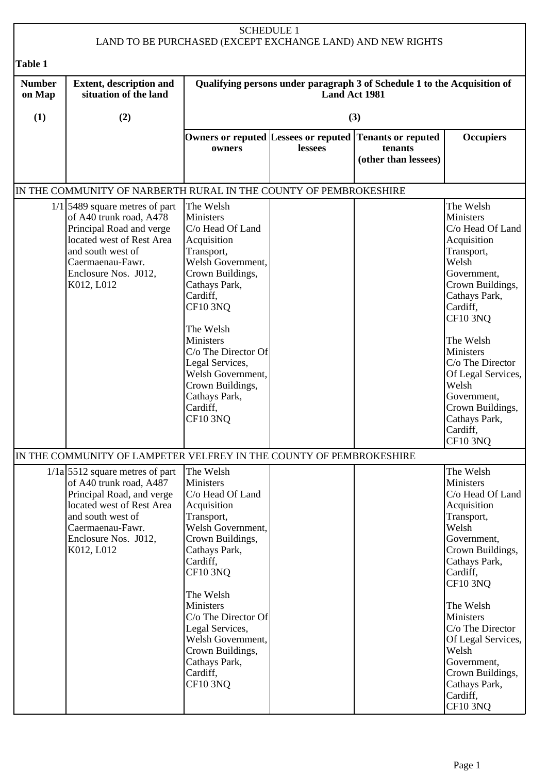| <b>SCHEDULE 1</b><br>LAND TO BE PURCHASED (EXCEPT EXCHANGE LAND) AND NEW RIGHTS                                                                                                                                                                                                                                                                                                                                                                                                                                                                                                                                                                                                                                                                                                                                                                                                                                                                    |                                                                                                                                                                                                       |                                                                                                                                                                                                                                                                                                                                      |               |                                                                                            |                                                                                                                                                                                                                                                                                                                              |
|----------------------------------------------------------------------------------------------------------------------------------------------------------------------------------------------------------------------------------------------------------------------------------------------------------------------------------------------------------------------------------------------------------------------------------------------------------------------------------------------------------------------------------------------------------------------------------------------------------------------------------------------------------------------------------------------------------------------------------------------------------------------------------------------------------------------------------------------------------------------------------------------------------------------------------------------------|-------------------------------------------------------------------------------------------------------------------------------------------------------------------------------------------------------|--------------------------------------------------------------------------------------------------------------------------------------------------------------------------------------------------------------------------------------------------------------------------------------------------------------------------------------|---------------|--------------------------------------------------------------------------------------------|------------------------------------------------------------------------------------------------------------------------------------------------------------------------------------------------------------------------------------------------------------------------------------------------------------------------------|
| <b>Table 1</b>                                                                                                                                                                                                                                                                                                                                                                                                                                                                                                                                                                                                                                                                                                                                                                                                                                                                                                                                     |                                                                                                                                                                                                       |                                                                                                                                                                                                                                                                                                                                      |               |                                                                                            |                                                                                                                                                                                                                                                                                                                              |
| <b>Number</b><br>on Map                                                                                                                                                                                                                                                                                                                                                                                                                                                                                                                                                                                                                                                                                                                                                                                                                                                                                                                            | <b>Extent, description and</b><br>situation of the land                                                                                                                                               |                                                                                                                                                                                                                                                                                                                                      | Land Act 1981 | Qualifying persons under paragraph 3 of Schedule 1 to the Acquisition of                   |                                                                                                                                                                                                                                                                                                                              |
| (1)                                                                                                                                                                                                                                                                                                                                                                                                                                                                                                                                                                                                                                                                                                                                                                                                                                                                                                                                                | (2)                                                                                                                                                                                                   |                                                                                                                                                                                                                                                                                                                                      |               | (3)                                                                                        |                                                                                                                                                                                                                                                                                                                              |
|                                                                                                                                                                                                                                                                                                                                                                                                                                                                                                                                                                                                                                                                                                                                                                                                                                                                                                                                                    |                                                                                                                                                                                                       | owners                                                                                                                                                                                                                                                                                                                               | lessees       | Owners or reputed Lessees or reputed Tenants or reputed<br>tenants<br>(other than lessees) | <b>Occupiers</b>                                                                                                                                                                                                                                                                                                             |
|                                                                                                                                                                                                                                                                                                                                                                                                                                                                                                                                                                                                                                                                                                                                                                                                                                                                                                                                                    |                                                                                                                                                                                                       |                                                                                                                                                                                                                                                                                                                                      |               |                                                                                            |                                                                                                                                                                                                                                                                                                                              |
| IN THE COMMUNITY OF NARBERTH RURAL IN THE COUNTY OF PEMBROKESHIRE<br>The Welsh<br>The Welsh<br>$1/1$ 5489 square metres of part<br>of A40 trunk road, A478<br><b>Ministers</b><br>Ministers<br>Principal Road and verge<br>C/o Head Of Land<br>C/o Head Of Land<br>located west of Rest Area<br>Acquisition<br>Acquisition<br>and south west of<br>Transport,<br>Transport,<br>Welsh Government,<br>Welsh<br>Caermaenau-Fawr.<br>Enclosure Nos. J012,<br>Crown Buildings,<br>Government,<br>Cathays Park,<br>K012, L012<br>Crown Buildings,<br>Cardiff,<br>Cathays Park,<br><b>CF10 3NQ</b><br>Cardiff,<br><b>CF10 3NQ</b><br>The Welsh<br>Ministers<br>The Welsh<br>C/o The Director Of<br>Ministers<br>Legal Services,<br>$C/O$ The Director<br>Welsh Government,<br>Of Legal Services,<br>Welsh<br>Crown Buildings,<br>Cathays Park,<br>Government,<br>Cardiff,<br>Crown Buildings,<br><b>CF10 3NQ</b><br>Cathays Park,<br>Cardiff,<br>CF10 3NQ |                                                                                                                                                                                                       |                                                                                                                                                                                                                                                                                                                                      |               |                                                                                            |                                                                                                                                                                                                                                                                                                                              |
|                                                                                                                                                                                                                                                                                                                                                                                                                                                                                                                                                                                                                                                                                                                                                                                                                                                                                                                                                    | IN THE COMMUNITY OF LAMPETER VELFREY IN THE COUNTY OF PEMBROKESHIRE                                                                                                                                   |                                                                                                                                                                                                                                                                                                                                      |               |                                                                                            |                                                                                                                                                                                                                                                                                                                              |
|                                                                                                                                                                                                                                                                                                                                                                                                                                                                                                                                                                                                                                                                                                                                                                                                                                                                                                                                                    | $1/1a$ 5512 square metres of part<br>of A40 trunk road, A487<br>Principal Road, and verge<br>located west of Rest Area<br>and south west of<br>Caermaenau-Fawr.<br>Enclosure Nos. J012,<br>K012, L012 | The Welsh<br><b>Ministers</b><br>C/o Head Of Land<br>Acquisition<br>Transport,<br>Welsh Government,<br>Crown Buildings,<br>Cathays Park,<br>Cardiff,<br><b>CF10 3NQ</b><br>The Welsh<br>Ministers<br>C/o The Director Of<br>Legal Services,<br>Welsh Government,<br>Crown Buildings,<br>Cathays Park,<br>Cardiff,<br><b>CF10 3NQ</b> |               |                                                                                            | The Welsh<br>Ministers<br>C/o Head Of Land<br>Acquisition<br>Transport,<br>Welsh<br>Government,<br>Crown Buildings,<br>Cathays Park,<br>Cardiff,<br>CF10 3NQ<br>The Welsh<br>Ministers<br>C/o The Director<br>Of Legal Services,<br>Welsh<br>Government,<br>Crown Buildings,<br>Cathays Park,<br>Cardiff,<br><b>CF10 3NQ</b> |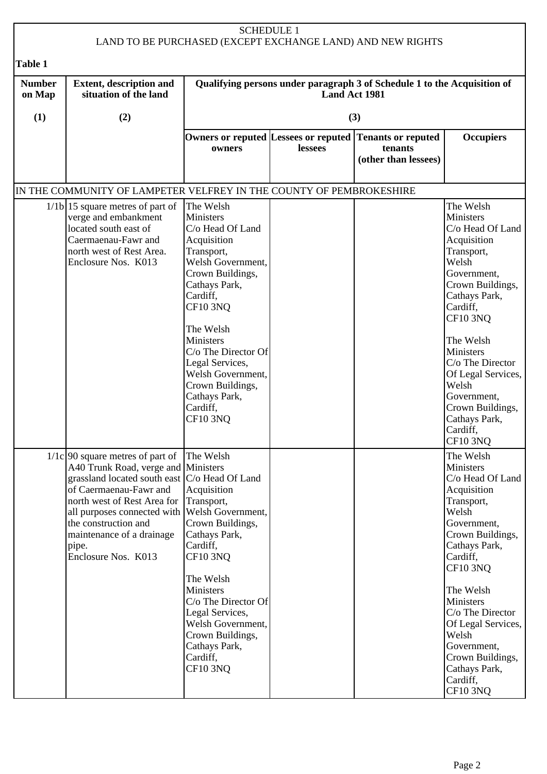| <b>SCHEDULE 1</b><br>LAND TO BE PURCHASED (EXCEPT EXCHANGE LAND) AND NEW RIGHTS |                                                                                                                                                                                                                                                                                                                                          |                                                                                                                                                                                                                                                                                                                                      |               |                                                                          |                                                                                                                                                                                                                                                                                                                              |  |
|---------------------------------------------------------------------------------|------------------------------------------------------------------------------------------------------------------------------------------------------------------------------------------------------------------------------------------------------------------------------------------------------------------------------------------|--------------------------------------------------------------------------------------------------------------------------------------------------------------------------------------------------------------------------------------------------------------------------------------------------------------------------------------|---------------|--------------------------------------------------------------------------|------------------------------------------------------------------------------------------------------------------------------------------------------------------------------------------------------------------------------------------------------------------------------------------------------------------------------|--|
| Table 1                                                                         |                                                                                                                                                                                                                                                                                                                                          |                                                                                                                                                                                                                                                                                                                                      |               |                                                                          |                                                                                                                                                                                                                                                                                                                              |  |
| <b>Number</b><br>on Map                                                         | <b>Extent, description and</b><br>situation of the land                                                                                                                                                                                                                                                                                  |                                                                                                                                                                                                                                                                                                                                      | Land Act 1981 | Qualifying persons under paragraph 3 of Schedule 1 to the Acquisition of |                                                                                                                                                                                                                                                                                                                              |  |
| (1)                                                                             | (2)                                                                                                                                                                                                                                                                                                                                      |                                                                                                                                                                                                                                                                                                                                      |               | (3)                                                                      |                                                                                                                                                                                                                                                                                                                              |  |
|                                                                                 |                                                                                                                                                                                                                                                                                                                                          | Owners or reputed Lessees or reputed<br>owners                                                                                                                                                                                                                                                                                       | lessees       | <b>Tenants or reputed</b><br>tenants<br>(other than lessees)             | <b>Occupiers</b>                                                                                                                                                                                                                                                                                                             |  |
|                                                                                 | IN THE COMMUNITY OF LAMPETER VELFREY IN THE COUNTY OF PEMBROKESHIRE                                                                                                                                                                                                                                                                      |                                                                                                                                                                                                                                                                                                                                      |               |                                                                          |                                                                                                                                                                                                                                                                                                                              |  |
|                                                                                 | $1/1b$ 15 square metres of part of<br>verge and embankment<br>located south east of<br>Caermaenau-Fawr and<br>north west of Rest Area.<br>Enclosure Nos. K013                                                                                                                                                                            | The Welsh<br>Ministers<br>C/o Head Of Land<br>Acquisition<br>Transport,<br>Welsh Government,<br>Crown Buildings,<br>Cathays Park,<br>Cardiff,<br><b>CF10 3NQ</b><br>The Welsh<br><b>Ministers</b><br>C/o The Director Of<br>Legal Services,<br>Welsh Government,<br>Crown Buildings,<br>Cathays Park,<br>Cardiff,<br><b>CF10 3NQ</b> |               |                                                                          | The Welsh<br>Ministers<br>C/o Head Of Land<br>Acquisition<br>Transport,<br>Welsh<br>Government,<br>Crown Buildings,<br>Cathays Park,<br>Cardiff,<br><b>CF10 3NQ</b><br>The Welsh<br>Ministers<br>C/o The Director<br>Of Legal Services,<br>Welsh<br>Government,<br>Crown Buildings,<br>Cathays Park,<br>Cardiff,<br>CF10 3NQ |  |
|                                                                                 | $1/1c$ 90 square metres of part of<br>A40 Trunk Road, verge and Ministers<br>grassland located south east $ C/O $ Head Of Land<br>of Caermaenau-Fawr and<br>north west of Rest Area for Transport,<br>all purposes connected with Welsh Government,<br>the construction and<br>maintenance of a drainage<br>pipe.<br>Enclosure Nos. K013 | The Welsh<br>Acquisition<br>Crown Buildings,<br>Cathays Park,<br>Cardiff,<br><b>CF10 3NQ</b><br>The Welsh<br>Ministers<br>C/o The Director Of<br>Legal Services,<br>Welsh Government,<br>Crown Buildings,<br>Cathays Park,<br>Cardiff,<br><b>CF10 3NQ</b>                                                                            |               |                                                                          | The Welsh<br>Ministers<br>C/o Head Of Land<br>Acquisition<br>Transport,<br>Welsh<br>Government,<br>Crown Buildings,<br>Cathays Park,<br>Cardiff,<br>CF10 3NQ<br>The Welsh<br>Ministers<br>C/o The Director<br>Of Legal Services,<br>Welsh<br>Government,<br>Crown Buildings,<br>Cathays Park,<br>Cardiff,<br><b>CF10 3NQ</b> |  |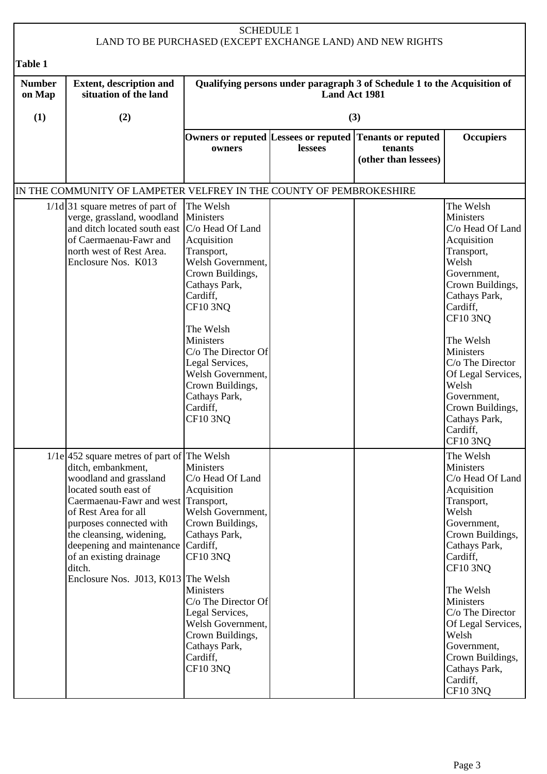|                                           |                                                                                                                                                                                                                                                                                                                                                       | <b>SCHEDULE 1</b>                                                                                                                                                                                                                                                                                         |                      | LAND TO BE PURCHASED (EXCEPT EXCHANGE LAND) AND NEW RIGHTS               |                                                                                                                                                                                                                                                                                                                                     |
|-------------------------------------------|-------------------------------------------------------------------------------------------------------------------------------------------------------------------------------------------------------------------------------------------------------------------------------------------------------------------------------------------------------|-----------------------------------------------------------------------------------------------------------------------------------------------------------------------------------------------------------------------------------------------------------------------------------------------------------|----------------------|--------------------------------------------------------------------------|-------------------------------------------------------------------------------------------------------------------------------------------------------------------------------------------------------------------------------------------------------------------------------------------------------------------------------------|
|                                           |                                                                                                                                                                                                                                                                                                                                                       |                                                                                                                                                                                                                                                                                                           |                      |                                                                          |                                                                                                                                                                                                                                                                                                                                     |
| <b>Table 1</b><br><b>Number</b><br>on Map | <b>Extent, description and</b><br>situation of the land                                                                                                                                                                                                                                                                                               |                                                                                                                                                                                                                                                                                                           | <b>Land Act 1981</b> | Qualifying persons under paragraph 3 of Schedule 1 to the Acquisition of |                                                                                                                                                                                                                                                                                                                                     |
| (1)                                       | (2)                                                                                                                                                                                                                                                                                                                                                   |                                                                                                                                                                                                                                                                                                           |                      | (3)                                                                      |                                                                                                                                                                                                                                                                                                                                     |
|                                           |                                                                                                                                                                                                                                                                                                                                                       | Owners or reputed Lessees or reputed<br>owners                                                                                                                                                                                                                                                            | lessees              | <b>Tenants or reputed</b><br>tenants<br>(other than lessees)             | <b>Occupiers</b>                                                                                                                                                                                                                                                                                                                    |
|                                           | IN THE COMMUNITY OF LAMPETER VELFREY IN THE COUNTY OF PEMBROKESHIRE                                                                                                                                                                                                                                                                                   |                                                                                                                                                                                                                                                                                                           |                      |                                                                          |                                                                                                                                                                                                                                                                                                                                     |
|                                           | $1/1d$ 31 square metres of part of<br>verge, grassland, woodland<br>and ditch located south east  C/o Head Of Land<br>of Caermaenau-Fawr and<br>north west of Rest Area.<br>Enclosure Nos. K013                                                                                                                                                       | The Welsh<br>Ministers<br>Acquisition<br>Transport,<br>Welsh Government,<br>Crown Buildings,<br>Cathays Park,<br>Cardiff,<br><b>CF10 3NQ</b><br>The Welsh<br>Ministers<br>C/o The Director Of<br>Legal Services,<br>Welsh Government,<br>Crown Buildings,<br>Cathays Park,<br>Cardiff,<br><b>CF10 3NQ</b> |                      |                                                                          | The Welsh<br>Ministers<br>C/o Head Of Land<br>Acquisition<br>Transport,<br>Welsh<br>Government,<br>Crown Buildings,<br>Cathays Park,<br>Cardiff,<br><b>CF10 3NQ</b><br>The Welsh<br>Ministers<br>C/o The Director<br>Of Legal Services,<br>Welsh<br>Government,<br>Crown Buildings,<br>Cathays Park,<br>Cardiff,<br>CF10 3NQ        |
|                                           | $1/1e$ 452 square metres of part of The Welsh<br>ditch, embankment,<br>woodland and grassland<br>located south east of<br>Caermaenau-Fawr and west Transport,<br>of Rest Area for all<br>purposes connected with<br>the cleansing, widening,<br>deepening and maintenance<br>of an existing drainage<br>ditch.<br>Enclosure Nos. J013, K013 The Welsh | <b>Ministers</b><br>C/o Head Of Land<br>Acquisition<br>Welsh Government,<br>Crown Buildings,<br>Cathays Park,<br>Cardiff,<br><b>CF10 3NQ</b><br>Ministers<br>C/o The Director Of<br>Legal Services,<br>Welsh Government,<br>Crown Buildings,<br>Cathays Park,<br>Cardiff,<br><b>CF10 3NQ</b>              |                      |                                                                          | The Welsh<br>Ministers<br>C/o Head Of Land<br>Acquisition<br>Transport,<br>Welsh<br>Government,<br>Crown Buildings,<br>Cathays Park,<br>Cardiff,<br><b>CF10 3NQ</b><br>The Welsh<br>Ministers<br>C/o The Director<br>Of Legal Services,<br>Welsh<br>Government,<br>Crown Buildings,<br>Cathays Park,<br>Cardiff,<br><b>CF10 3NQ</b> |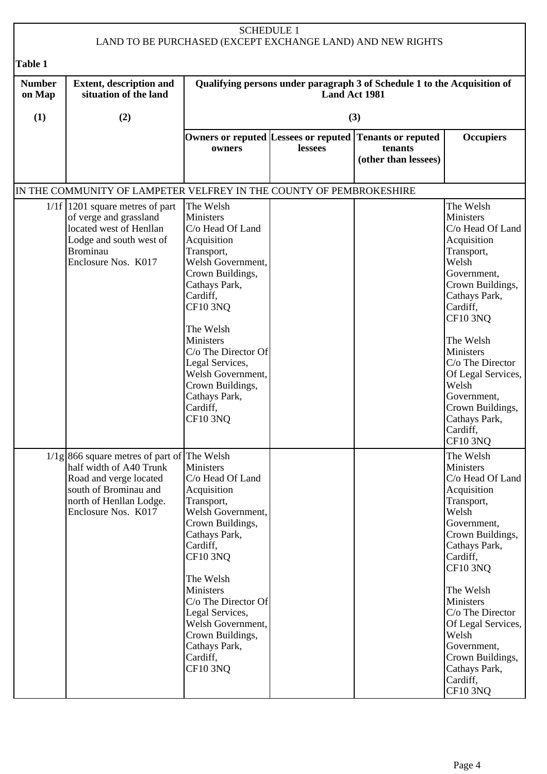| <b>SCHEDULE 1</b><br>LAND TO BE PURCHASED (EXCEPT EXCHANGE LAND) AND NEW RIGHTS |                                                                                                                                                                               |                                                                                                                                                                                                                                                                                                                                             |               |                                                                          |                                                                                                                                                                                                                                                                                                                                     |  |
|---------------------------------------------------------------------------------|-------------------------------------------------------------------------------------------------------------------------------------------------------------------------------|---------------------------------------------------------------------------------------------------------------------------------------------------------------------------------------------------------------------------------------------------------------------------------------------------------------------------------------------|---------------|--------------------------------------------------------------------------|-------------------------------------------------------------------------------------------------------------------------------------------------------------------------------------------------------------------------------------------------------------------------------------------------------------------------------------|--|
|                                                                                 |                                                                                                                                                                               |                                                                                                                                                                                                                                                                                                                                             |               |                                                                          |                                                                                                                                                                                                                                                                                                                                     |  |
| Table 1<br><b>Number</b><br>on Map                                              | <b>Extent, description and</b><br>situation of the land                                                                                                                       |                                                                                                                                                                                                                                                                                                                                             | Land Act 1981 | Qualifying persons under paragraph 3 of Schedule 1 to the Acquisition of |                                                                                                                                                                                                                                                                                                                                     |  |
| (1)                                                                             | (2)                                                                                                                                                                           |                                                                                                                                                                                                                                                                                                                                             |               | (3)                                                                      |                                                                                                                                                                                                                                                                                                                                     |  |
|                                                                                 |                                                                                                                                                                               | Owners or reputed Lessees or reputed<br>owners                                                                                                                                                                                                                                                                                              | lessees       | <b>Tenants or reputed</b><br>tenants<br>(other than lessees)             | <b>Occupiers</b>                                                                                                                                                                                                                                                                                                                    |  |
|                                                                                 | IN THE COMMUNITY OF LAMPETER VELFREY IN THE COUNTY OF PEMBROKESHIRE                                                                                                           |                                                                                                                                                                                                                                                                                                                                             |               |                                                                          |                                                                                                                                                                                                                                                                                                                                     |  |
|                                                                                 | $1/1f$ 1201 square metres of part<br>of verge and grassland<br>located west of Henllan<br>Lodge and south west of<br><b>Brominau</b><br>Enclosure Nos. K017                   | The Welsh<br><b>Ministers</b><br>C/o Head Of Land<br>Acquisition<br>Transport,<br>Welsh Government,<br>Crown Buildings,<br>Cathays Park,<br>Cardiff,<br><b>CF10 3NQ</b><br>The Welsh<br><b>Ministers</b><br>C/o The Director Of<br>Legal Services,<br>Welsh Government,<br>Crown Buildings,<br>Cathays Park,<br>Cardiff,<br><b>CF10 3NO</b> |               |                                                                          | The Welsh<br>Ministers<br>C/o Head Of Land<br>Acquisition<br>Transport,<br>Welsh<br>Government,<br>Crown Buildings,<br>Cathays Park,<br>Cardiff,<br><b>CF10 3NQ</b><br>The Welsh<br>Ministers<br>C/o The Director<br>Of Legal Services,<br>Welsh<br>Government,<br>Crown Buildings,<br>Cathays Park,<br>Cardiff,<br>CF10 3NQ        |  |
|                                                                                 | $1/1g$ 866 square metres of part of The Welsh<br>half width of A40 Trunk<br>Road and verge located<br>south of Brominau and<br>north of Henllan Lodge.<br>Enclosure Nos. K017 | <b>Ministers</b><br>C/o Head Of Land<br>Acquisition<br>Transport,<br>Welsh Government,<br>Crown Buildings,<br>Cathays Park,<br>Cardiff,<br><b>CF10 3NQ</b><br>The Welsh<br><b>Ministers</b><br>C/o The Director Of<br>Legal Services,<br>Welsh Government,<br>Crown Buildings,<br>Cathays Park,<br>Cardiff,<br><b>CF10 3NQ</b>              |               |                                                                          | The Welsh<br>Ministers<br>C/o Head Of Land<br>Acquisition<br>Transport,<br>Welsh<br>Government,<br>Crown Buildings,<br>Cathays Park,<br>Cardiff,<br><b>CF10 3NQ</b><br>The Welsh<br>Ministers<br>C/o The Director<br>Of Legal Services,<br>Welsh<br>Government,<br>Crown Buildings,<br>Cathays Park,<br>Cardiff,<br><b>CF10 3NQ</b> |  |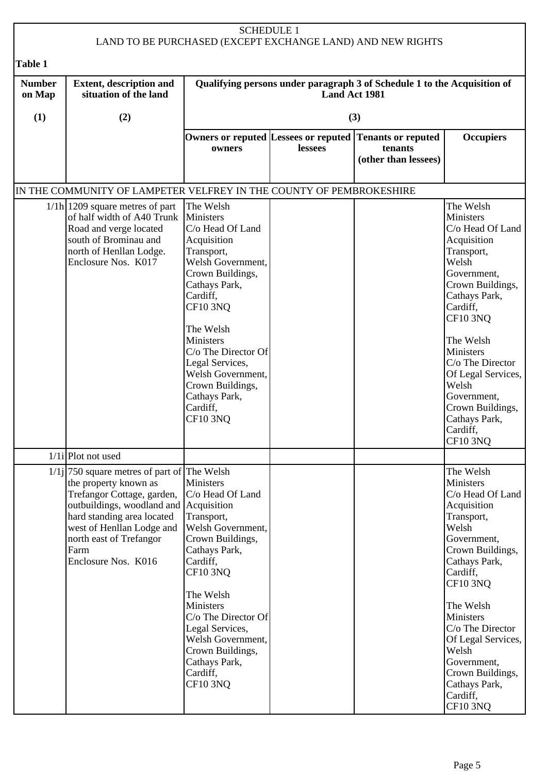| <b>SCHEDULE 1</b><br>LAND TO BE PURCHASED (EXCEPT EXCHANGE LAND) AND NEW RIGHTS |                                                                                                                                                                                                                                                                     |                                                                                                                                                                                                                                                                                                                         |               |                                                                          |                                                                                                                                                                                                                                                                                                                                |
|---------------------------------------------------------------------------------|---------------------------------------------------------------------------------------------------------------------------------------------------------------------------------------------------------------------------------------------------------------------|-------------------------------------------------------------------------------------------------------------------------------------------------------------------------------------------------------------------------------------------------------------------------------------------------------------------------|---------------|--------------------------------------------------------------------------|--------------------------------------------------------------------------------------------------------------------------------------------------------------------------------------------------------------------------------------------------------------------------------------------------------------------------------|
| Table 1                                                                         |                                                                                                                                                                                                                                                                     |                                                                                                                                                                                                                                                                                                                         |               |                                                                          |                                                                                                                                                                                                                                                                                                                                |
| <b>Number</b><br>on Map                                                         | <b>Extent, description and</b><br>situation of the land                                                                                                                                                                                                             |                                                                                                                                                                                                                                                                                                                         | Land Act 1981 | Qualifying persons under paragraph 3 of Schedule 1 to the Acquisition of |                                                                                                                                                                                                                                                                                                                                |
| (1)                                                                             | (2)                                                                                                                                                                                                                                                                 |                                                                                                                                                                                                                                                                                                                         |               | (3)                                                                      |                                                                                                                                                                                                                                                                                                                                |
|                                                                                 |                                                                                                                                                                                                                                                                     | Owners or reputed Lessees or reputed<br>owners                                                                                                                                                                                                                                                                          | lessees       | <b>Tenants or reputed</b><br>tenants<br>(other than lessees)             | <b>Occupiers</b>                                                                                                                                                                                                                                                                                                               |
|                                                                                 | IN THE COMMUNITY OF LAMPETER VELFREY IN THE COUNTY OF PEMBROKESHIRE                                                                                                                                                                                                 |                                                                                                                                                                                                                                                                                                                         |               |                                                                          |                                                                                                                                                                                                                                                                                                                                |
|                                                                                 | $1/1h$   1209 square metres of part<br>of half width of A40 Trunk Ministers<br>Road and verge located<br>south of Brominau and<br>north of Henllan Lodge.<br>Enclosure Nos. K017                                                                                    | The Welsh<br>C/o Head Of Land<br>Acquisition<br>Transport,<br>Welsh Government,<br>Crown Buildings,<br>Cathays Park,<br>Cardiff,<br><b>CF10 3NQ</b><br>The Welsh<br><b>Ministers</b><br>C/o The Director Of<br>Legal Services,<br>Welsh Government,<br>Crown Buildings,<br>Cathays Park,<br>Cardiff,<br><b>CF10 3NQ</b> |               |                                                                          | The Welsh<br>Ministers<br>C/o Head Of Land<br>Acquisition<br>Transport,<br>Welsh<br>Government,<br>Crown Buildings,<br>Cathays Park,<br>Cardiff,<br><b>CF10 3NQ</b><br>The Welsh<br>Ministers<br>C/o The Director<br>Of Legal Services,<br>Welsh<br>Government,<br>Crown Buildings,<br>Cathays Park,<br>Cardiff,<br>$CF10$ 3NQ |
|                                                                                 | $1/1i$ Plot not used                                                                                                                                                                                                                                                |                                                                                                                                                                                                                                                                                                                         |               |                                                                          |                                                                                                                                                                                                                                                                                                                                |
|                                                                                 | $1/1j$ 750 square metres of part of The Welsh<br>the property known as<br>Trefangor Cottage, garden,<br>outbuildings, woodland and Acquisition<br>hard standing area located<br>west of Henllan Lodge and<br>north east of Trefangor<br>Farm<br>Enclosure Nos. K016 | Ministers<br>C/o Head Of Land<br>Transport,<br>Welsh Government,<br>Crown Buildings,<br>Cathays Park,<br>Cardiff,<br><b>CF10 3NQ</b><br>The Welsh<br>Ministers<br>C/o The Director Of<br>Legal Services,<br>Welsh Government,<br>Crown Buildings,<br>Cathays Park,<br>Cardiff,<br><b>CF10 3NQ</b>                       |               |                                                                          | The Welsh<br>Ministers<br>C/o Head Of Land<br>Acquisition<br>Transport,<br>Welsh<br>Government,<br>Crown Buildings,<br>Cathays Park,<br>Cardiff,<br><b>CF10 3NQ</b><br>The Welsh<br>Ministers<br>C/o The Director<br>Of Legal Services,<br>Welsh<br>Government,<br>Crown Buildings,<br>Cathays Park,<br>Cardiff,<br>CF10 3NQ   |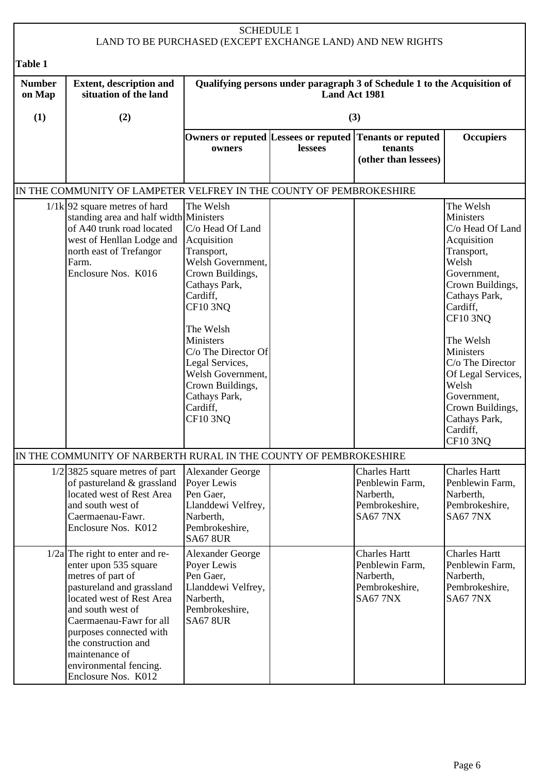| <b>SCHEDULE 1</b><br>LAND TO BE PURCHASED (EXCEPT EXCHANGE LAND) AND NEW RIGHTS                                                                                                                                                                                                                                                                                                                                                                                                                                                                                                                                                                                                                                                                                                                                                                                                                               |                                                                                                                                                                                                                                                                                                                 |                                                                                                                             |               |                                                                                            |                                                                                           |  |
|---------------------------------------------------------------------------------------------------------------------------------------------------------------------------------------------------------------------------------------------------------------------------------------------------------------------------------------------------------------------------------------------------------------------------------------------------------------------------------------------------------------------------------------------------------------------------------------------------------------------------------------------------------------------------------------------------------------------------------------------------------------------------------------------------------------------------------------------------------------------------------------------------------------|-----------------------------------------------------------------------------------------------------------------------------------------------------------------------------------------------------------------------------------------------------------------------------------------------------------------|-----------------------------------------------------------------------------------------------------------------------------|---------------|--------------------------------------------------------------------------------------------|-------------------------------------------------------------------------------------------|--|
| <b>Table 1</b>                                                                                                                                                                                                                                                                                                                                                                                                                                                                                                                                                                                                                                                                                                                                                                                                                                                                                                |                                                                                                                                                                                                                                                                                                                 |                                                                                                                             |               |                                                                                            |                                                                                           |  |
| <b>Number</b><br>on Map                                                                                                                                                                                                                                                                                                                                                                                                                                                                                                                                                                                                                                                                                                                                                                                                                                                                                       | <b>Extent, description and</b><br>situation of the land                                                                                                                                                                                                                                                         |                                                                                                                             | Land Act 1981 | Qualifying persons under paragraph 3 of Schedule 1 to the Acquisition of                   |                                                                                           |  |
| (1)                                                                                                                                                                                                                                                                                                                                                                                                                                                                                                                                                                                                                                                                                                                                                                                                                                                                                                           | (2)                                                                                                                                                                                                                                                                                                             |                                                                                                                             |               | (3)                                                                                        |                                                                                           |  |
|                                                                                                                                                                                                                                                                                                                                                                                                                                                                                                                                                                                                                                                                                                                                                                                                                                                                                                               |                                                                                                                                                                                                                                                                                                                 | owners                                                                                                                      | lessees       | Owners or reputed Lessees or reputed Tenants or reputed<br>tenants<br>(other than lessees) | <b>Occupiers</b>                                                                          |  |
|                                                                                                                                                                                                                                                                                                                                                                                                                                                                                                                                                                                                                                                                                                                                                                                                                                                                                                               |                                                                                                                                                                                                                                                                                                                 |                                                                                                                             |               |                                                                                            |                                                                                           |  |
| IN THE COMMUNITY OF LAMPETER VELFREY IN THE COUNTY OF PEMBROKESHIRE<br>The Welsh<br>The Welsh<br>$1/1k$ 92 square metres of hard<br>standing area and half width Ministers<br>Ministers<br>of A40 trunk road located<br>C/o Head Of Land<br>C/o Head Of Land<br>Acquisition<br>west of Henllan Lodge and<br>Acquisition<br>Transport,<br>Transport,<br>north east of Trefangor<br>Welsh Government,<br>Welsh<br>Farm.<br>Enclosure Nos. K016<br>Crown Buildings,<br>Government,<br>Cathays Park,<br>Crown Buildings,<br>Cardiff,<br>Cathays Park,<br><b>CF10 3NQ</b><br>Cardiff,<br><b>CF10 3NQ</b><br>The Welsh<br>Ministers<br>The Welsh<br>C/o The Director Of<br>Ministers<br>Legal Services,<br>C/o The Director<br>Welsh Government,<br>Of Legal Services,<br>Crown Buildings,<br>Welsh<br>Cathays Park,<br>Government,<br>Cardiff,<br>Crown Buildings,<br><b>CF10 3NQ</b><br>Cathays Park,<br>Cardiff, |                                                                                                                                                                                                                                                                                                                 |                                                                                                                             |               |                                                                                            |                                                                                           |  |
|                                                                                                                                                                                                                                                                                                                                                                                                                                                                                                                                                                                                                                                                                                                                                                                                                                                                                                               | IN THE COMMUNITY OF NARBERTH RURAL IN THE COUNTY OF PEMBROKESHIRE<br>$1/2$ 3825 square metres of part<br>of pastureland & grassland<br>located west of Rest Area<br>and south west of<br>Caermaenau-Fawr.<br>Enclosure Nos. K012                                                                                | <b>Alexander George</b><br>Poyer Lewis<br>Pen Gaer,<br>Llanddewi Velfrey,<br>Narberth,<br>Pembrokeshire,<br><b>SA67 8UR</b> |               | <b>Charles Hartt</b><br>Penblewin Farm,<br>Narberth,<br>Pembrokeshire,<br><b>SA67 7NX</b>  | <b>Charles Hartt</b><br>Penblewin Farm,<br>Narberth,<br>Pembrokeshire,<br><b>SA67 7NX</b> |  |
|                                                                                                                                                                                                                                                                                                                                                                                                                                                                                                                                                                                                                                                                                                                                                                                                                                                                                                               | $1/2a$ The right to enter and re-<br>enter upon 535 square<br>metres of part of<br>pastureland and grassland<br>located west of Rest Area<br>and south west of<br>Caermaenau-Fawr for all<br>purposes connected with<br>the construction and<br>maintenance of<br>environmental fencing.<br>Enclosure Nos. K012 | <b>Alexander George</b><br>Poyer Lewis<br>Pen Gaer,<br>Llanddewi Velfrey,<br>Narberth,<br>Pembrokeshire,<br><b>SA67 8UR</b> |               | <b>Charles Hartt</b><br>Penblewin Farm,<br>Narberth,<br>Pembrokeshire,<br><b>SA67 7NX</b>  | <b>Charles Hartt</b><br>Penblewin Farm,<br>Narberth,<br>Pembrokeshire,<br><b>SA67 7NX</b> |  |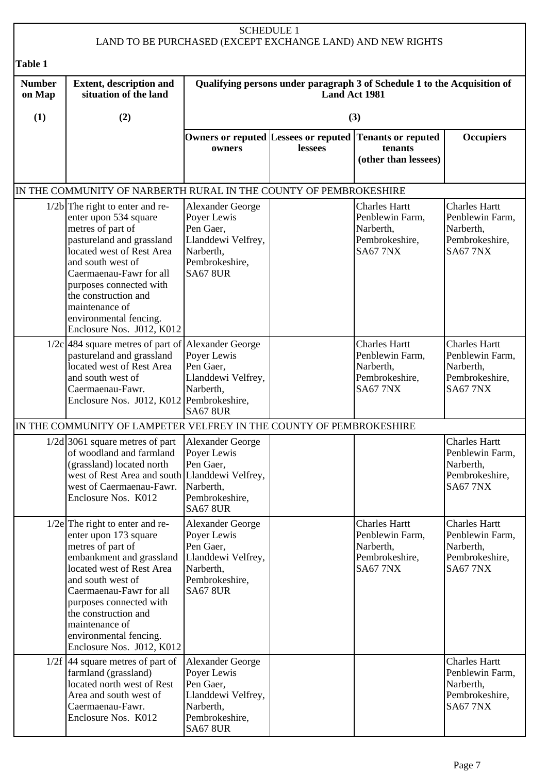| <b>SCHEDULE 1</b><br>LAND TO BE PURCHASED (EXCEPT EXCHANGE LAND) AND NEW RIGHTS |                                                                                                                                                                                                                                                                                                                       |                                                                                                                             |                      |                                                                                            |                                                                                           |
|---------------------------------------------------------------------------------|-----------------------------------------------------------------------------------------------------------------------------------------------------------------------------------------------------------------------------------------------------------------------------------------------------------------------|-----------------------------------------------------------------------------------------------------------------------------|----------------------|--------------------------------------------------------------------------------------------|-------------------------------------------------------------------------------------------|
| Table 1                                                                         |                                                                                                                                                                                                                                                                                                                       |                                                                                                                             |                      |                                                                                            |                                                                                           |
| <b>Number</b><br>on Map                                                         | <b>Extent, description and</b><br>situation of the land                                                                                                                                                                                                                                                               |                                                                                                                             | <b>Land Act 1981</b> | Qualifying persons under paragraph 3 of Schedule 1 to the Acquisition of                   |                                                                                           |
| (1)                                                                             | (2)                                                                                                                                                                                                                                                                                                                   |                                                                                                                             |                      | (3)                                                                                        |                                                                                           |
|                                                                                 |                                                                                                                                                                                                                                                                                                                       | owners                                                                                                                      | lessees              | Owners or reputed Lessees or reputed Tenants or reputed<br>tenants<br>(other than lessees) | <b>Occupiers</b>                                                                          |
|                                                                                 | IN THE COMMUNITY OF NARBERTH RURAL IN THE COUNTY OF PEMBROKESHIRE                                                                                                                                                                                                                                                     |                                                                                                                             |                      |                                                                                            |                                                                                           |
|                                                                                 | $1/2b$ The right to enter and re-<br>enter upon 534 square<br>metres of part of<br>pastureland and grassland<br>located west of Rest Area<br>and south west of<br>Caermaenau-Fawr for all<br>purposes connected with<br>the construction and<br>maintenance of<br>environmental fencing.<br>Enclosure Nos. J012, K012 | <b>Alexander George</b><br>Poyer Lewis<br>Pen Gaer,<br>Llanddewi Velfrey,<br>Narberth,<br>Pembrokeshire,<br><b>SA67 8UR</b> |                      | <b>Charles Hartt</b><br>Penblewin Farm,<br>Narberth,<br>Pembrokeshire,<br><b>SA67 7NX</b>  | <b>Charles Hartt</b><br>Penblewin Farm,<br>Narberth,<br>Pembrokeshire,<br><b>SA67 7NX</b> |
|                                                                                 | $1/2c$ 484 square metres of part of Alexander George<br>pastureland and grassland<br>located west of Rest Area<br>and south west of<br>Caermaenau-Fawr.<br>Enclosure Nos. J012, K012   Pembrokeshire,                                                                                                                 | Poyer Lewis<br>Pen Gaer,<br>Llanddewi Velfrey,<br>Narberth,<br><b>SA67 8UR</b>                                              |                      | <b>Charles Hartt</b><br>Penblewin Farm,<br>Narberth,<br>Pembrokeshire,<br><b>SA67 7NX</b>  | <b>Charles Hartt</b><br>Penblewin Farm,<br>Narberth,<br>Pembrokeshire,<br><b>SA67 7NX</b> |
|                                                                                 | IN THE COMMUNITY OF LAMPETER VELFREY IN THE COUNTY OF PEMBROKESHIRE                                                                                                                                                                                                                                                   |                                                                                                                             |                      |                                                                                            |                                                                                           |
|                                                                                 | $1/2d$ 3061 square metres of part<br>of woodland and farmland<br>(grassland) located north<br>west of Rest Area and south Llanddewi Velfrey,<br>west of Caermaenau-Fawr.<br>Enclosure Nos. K012                                                                                                                       | Alexander George<br>Poyer Lewis<br>Pen Gaer,<br>Narberth,<br>Pembrokeshire,<br><b>SA67 8UR</b>                              |                      |                                                                                            | <b>Charles Hartt</b><br>Penblewin Farm,<br>Narberth,<br>Pembrokeshire,<br><b>SA67 7NX</b> |
|                                                                                 | $1/2e$ The right to enter and re-<br>enter upon 173 square<br>metres of part of<br>embankment and grassland<br>located west of Rest Area<br>and south west of<br>Caermaenau-Fawr for all<br>purposes connected with<br>the construction and<br>maintenance of<br>environmental fencing.<br>Enclosure Nos. J012, K012  | Alexander George<br>Poyer Lewis<br>Pen Gaer,<br>Llanddewi Velfrey,<br>Narberth,<br>Pembrokeshire,<br><b>SA67 8UR</b>        |                      | <b>Charles Hartt</b><br>Penblewin Farm,<br>Narberth,<br>Pembrokeshire,<br><b>SA67 7NX</b>  | <b>Charles Hartt</b><br>Penblewin Farm,<br>Narberth,<br>Pembrokeshire,<br><b>SA67 7NX</b> |
|                                                                                 | $1/2f$ 44 square metres of part of<br>farmland (grassland)<br>located north west of Rest<br>Area and south west of<br>Caermaenau-Fawr.<br>Enclosure Nos. K012                                                                                                                                                         | <b>Alexander George</b><br>Poyer Lewis<br>Pen Gaer,<br>Llanddewi Velfrey,<br>Narberth,<br>Pembrokeshire,<br><b>SA67 8UR</b> |                      |                                                                                            | <b>Charles Hartt</b><br>Penblewin Farm,<br>Narberth,<br>Pembrokeshire,<br><b>SA67 7NX</b> |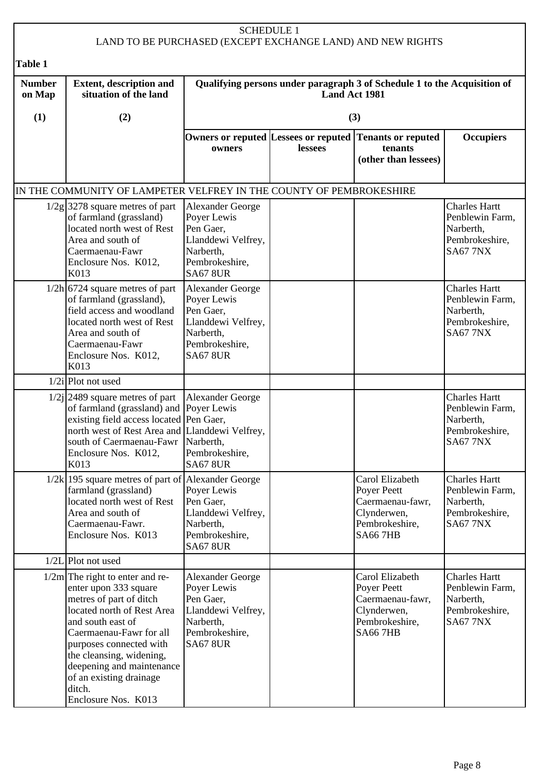|                         |                                                                                                                                                                                                                                                                                                                     |                                                                                                                             | <b>SCHEDULE 1</b>    | LAND TO BE PURCHASED (EXCEPT EXCHANGE LAND) AND NEW RIGHTS                                            |                                                                                           |
|-------------------------|---------------------------------------------------------------------------------------------------------------------------------------------------------------------------------------------------------------------------------------------------------------------------------------------------------------------|-----------------------------------------------------------------------------------------------------------------------------|----------------------|-------------------------------------------------------------------------------------------------------|-------------------------------------------------------------------------------------------|
| Table 1                 |                                                                                                                                                                                                                                                                                                                     |                                                                                                                             |                      |                                                                                                       |                                                                                           |
| <b>Number</b><br>on Map | <b>Extent, description and</b><br>situation of the land                                                                                                                                                                                                                                                             |                                                                                                                             | <b>Land Act 1981</b> | Qualifying persons under paragraph 3 of Schedule 1 to the Acquisition of                              |                                                                                           |
| (1)                     | (2)                                                                                                                                                                                                                                                                                                                 |                                                                                                                             |                      | (3)                                                                                                   |                                                                                           |
|                         |                                                                                                                                                                                                                                                                                                                     | owners                                                                                                                      | lessees              | Owners or reputed Lessees or reputed Tenants or reputed<br>tenants<br>(other than lessees)            | <b>Occupiers</b>                                                                          |
|                         | IN THE COMMUNITY OF LAMPETER VELFREY IN THE COUNTY OF PEMBROKESHIRE                                                                                                                                                                                                                                                 |                                                                                                                             |                      |                                                                                                       |                                                                                           |
|                         | $1/2g$ 3278 square metres of part<br>of farmland (grassland)<br>located north west of Rest<br>Area and south of<br>Caermaenau-Fawr<br>Enclosure Nos. K012,<br>K013                                                                                                                                                  | <b>Alexander George</b><br>Poyer Lewis<br>Pen Gaer,<br>Llanddewi Velfrey,<br>Narberth,<br>Pembrokeshire,<br><b>SA67 8UR</b> |                      |                                                                                                       | <b>Charles Hartt</b><br>Penblewin Farm,<br>Narberth,<br>Pembrokeshire,<br><b>SA67 7NX</b> |
|                         | $1/2h$ 6724 square metres of part<br>of farmland (grassland),<br>field access and woodland<br>located north west of Rest<br>Area and south of<br>Caermaenau-Fawr<br>Enclosure Nos. K012,<br>K013                                                                                                                    | Alexander George<br>Poyer Lewis<br>Pen Gaer,<br>Llanddewi Velfrey,<br>Narberth,<br>Pembrokeshire,<br><b>SA67 8UR</b>        |                      |                                                                                                       | <b>Charles Hartt</b><br>Penblewin Farm,<br>Narberth,<br>Pembrokeshire,<br><b>SA67 7NX</b> |
|                         | $1/2i$ Plot not used                                                                                                                                                                                                                                                                                                |                                                                                                                             |                      |                                                                                                       |                                                                                           |
|                         | $1/2j$ 2489 square metres of part<br>of farmland (grassland) and Poyer Lewis<br>existing field access located Pen Gaer,<br>north west of Rest Area and Llanddewi Velfrey,<br>south of Caermaenau-Fawr<br>Enclosure Nos. K012,<br>K013                                                                               | <b>Alexander George</b><br>Narberth,<br>Pembrokeshire,<br><b>SA67 8UR</b>                                                   |                      |                                                                                                       | <b>Charles Hartt</b><br>Penblewin Farm,<br>Narberth,<br>Pembrokeshire,<br><b>SA67 7NX</b> |
|                         | $1/2k$   195 square metres of part of Alexander George<br>farmland (grassland)<br>located north west of Rest<br>Area and south of<br>Caermaenau-Fawr.<br>Enclosure Nos. K013                                                                                                                                        | Poyer Lewis<br>Pen Gaer,<br>Llanddewi Velfrey,<br>Narberth,<br>Pembrokeshire,<br><b>SA67 8UR</b>                            |                      | Carol Elizabeth<br>Poyer Peett<br>Caermaenau-fawr,<br>Clynderwen,<br>Pembrokeshire,<br><b>SA667HB</b> | <b>Charles Hartt</b><br>Penblewin Farm,<br>Narberth,<br>Pembrokeshire,<br><b>SA67 7NX</b> |
|                         | $1/2L$  Plot not used                                                                                                                                                                                                                                                                                               |                                                                                                                             |                      |                                                                                                       |                                                                                           |
|                         | $1/2m$ The right to enter and re-<br>enter upon 333 square<br>metres of part of ditch<br>located north of Rest Area<br>and south east of<br>Caermaenau-Fawr for all<br>purposes connected with<br>the cleansing, widening,<br>deepening and maintenance<br>of an existing drainage<br>ditch.<br>Enclosure Nos. K013 | Alexander George<br>Poyer Lewis<br>Pen Gaer,<br>Llanddewi Velfrey,<br>Narberth,<br>Pembrokeshire,<br><b>SA67 8UR</b>        |                      | Carol Elizabeth<br>Poyer Peett<br>Caermaenau-fawr,<br>Clynderwen,<br>Pembrokeshire,<br><b>SA667HB</b> | <b>Charles Hartt</b><br>Penblewin Farm,<br>Narberth,<br>Pembrokeshire,<br><b>SA67 7NX</b> |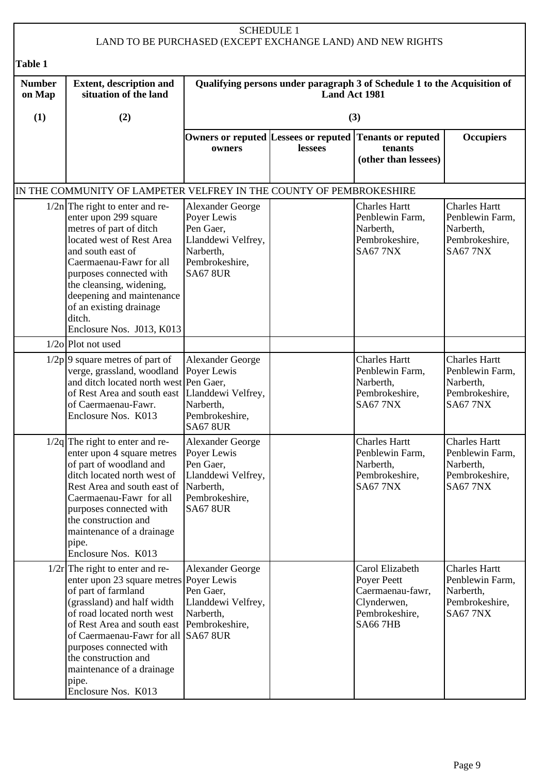|                         |                                                                                                                                                                                                                                                                                                                                                                      | <b>SCHEDULE 1</b>                                                                                                           |               | LAND TO BE PURCHASED (EXCEPT EXCHANGE LAND) AND NEW RIGHTS                                            |                                                                                           |
|-------------------------|----------------------------------------------------------------------------------------------------------------------------------------------------------------------------------------------------------------------------------------------------------------------------------------------------------------------------------------------------------------------|-----------------------------------------------------------------------------------------------------------------------------|---------------|-------------------------------------------------------------------------------------------------------|-------------------------------------------------------------------------------------------|
| Table 1                 |                                                                                                                                                                                                                                                                                                                                                                      |                                                                                                                             |               |                                                                                                       |                                                                                           |
| <b>Number</b><br>on Map | <b>Extent, description and</b><br>situation of the land                                                                                                                                                                                                                                                                                                              |                                                                                                                             | Land Act 1981 | Qualifying persons under paragraph 3 of Schedule 1 to the Acquisition of                              |                                                                                           |
| (1)                     | (2)                                                                                                                                                                                                                                                                                                                                                                  |                                                                                                                             |               | (3)                                                                                                   |                                                                                           |
|                         |                                                                                                                                                                                                                                                                                                                                                                      | owners                                                                                                                      | lessees       | Owners or reputed Lessees or reputed Tenants or reputed<br>tenants<br>(other than lessees)            | <b>Occupiers</b>                                                                          |
|                         | IN THE COMMUNITY OF LAMPETER VELFREY IN THE COUNTY OF PEMBROKESHIRE                                                                                                                                                                                                                                                                                                  |                                                                                                                             |               |                                                                                                       |                                                                                           |
|                         | $1/2n$ The right to enter and re-<br>enter upon 299 square<br>metres of part of ditch<br>located west of Rest Area<br>and south east of<br>Caermaenau-Fawr for all<br>purposes connected with<br>the cleansing, widening,<br>deepening and maintenance<br>of an existing drainage<br>ditch.<br>Enclosure Nos. J013, K013                                             | <b>Alexander George</b><br>Poyer Lewis<br>Pen Gaer,<br>Llanddewi Velfrey,<br>Narberth,<br>Pembrokeshire,<br><b>SA67 8UR</b> |               | <b>Charles Hartt</b><br>Penblewin Farm,<br>Narberth,<br>Pembrokeshire,<br><b>SA67 7NX</b>             | <b>Charles Hartt</b><br>Penblewin Farm,<br>Narberth,<br>Pembrokeshire,<br><b>SA67 7NX</b> |
|                         | $1/2$ o Plot not used                                                                                                                                                                                                                                                                                                                                                |                                                                                                                             |               |                                                                                                       |                                                                                           |
|                         | $1/2p$ 9 square metres of part of<br>verge, grassland, woodland Poyer Lewis<br>and ditch located north west Pen Gaer,<br>of Rest Area and south east   Llanddewi Velfrey,<br>of Caermaenau-Fawr.<br>Enclosure Nos. K013                                                                                                                                              | <b>Alexander George</b><br>Narberth,<br>Pembrokeshire,<br><b>SA67 8UR</b>                                                   |               | <b>Charles Hartt</b><br>Penblewin Farm,<br>Narberth,<br>Pembrokeshire,<br><b>SA67 7NX</b>             | <b>Charles Hartt</b><br>Penblewin Farm,<br>Narberth,<br>Pembrokeshire,<br><b>SA67 7NX</b> |
|                         | $1/2q$ The right to enter and re-<br>enter upon 4 square metres<br>of part of woodland and<br>ditch located north west of<br>Rest Area and south east of<br>Caermaenau-Fawr for all<br>purposes connected with<br>the construction and<br>maintenance of a drainage<br>pipe.<br>Enclosure Nos. K013                                                                  | Alexander George<br>Poyer Lewis<br>Pen Gaer,<br>Llanddewi Velfrey,<br>Narberth,<br>Pembrokeshire,<br><b>SA67 8UR</b>        |               | <b>Charles Hartt</b><br>Penblewin Farm,<br>Narberth,<br>Pembrokeshire,<br><b>SA67 7NX</b>             | <b>Charles Hartt</b><br>Penblewin Farm,<br>Narberth,<br>Pembrokeshire,<br><b>SA67 7NX</b> |
|                         | $1/2r$ The right to enter and re-<br>enter upon 23 square metres Poyer Lewis<br>of part of farmland<br>(grassland) and half width<br>of road located north west<br>of Rest Area and south east Pembrokeshire,<br>of Caermaenau-Fawr for all SA67 8UR<br>purposes connected with<br>the construction and<br>maintenance of a drainage<br>pipe.<br>Enclosure Nos. K013 | <b>Alexander George</b><br>Pen Gaer,<br>Llanddewi Velfrey,<br>Narberth,                                                     |               | Carol Elizabeth<br>Poyer Peett<br>Caermaenau-fawr,<br>Clynderwen,<br>Pembrokeshire,<br><b>SA667HB</b> | <b>Charles Hartt</b><br>Penblewin Farm,<br>Narberth,<br>Pembrokeshire,<br><b>SA67 7NX</b> |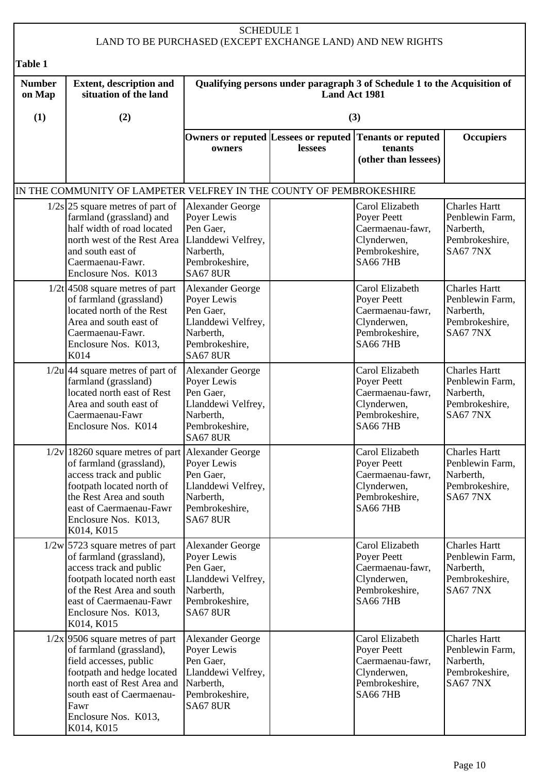## SCHEDULE 1 LAND TO BE PURCHASED (EXCEPT EXCHANGE LAND) AND NEW RIGHTS

| Table 1                 |                                                                                                                                                                                                                                 |                                                                                                                             |               |                                                                                                       |                                                                                           |
|-------------------------|---------------------------------------------------------------------------------------------------------------------------------------------------------------------------------------------------------------------------------|-----------------------------------------------------------------------------------------------------------------------------|---------------|-------------------------------------------------------------------------------------------------------|-------------------------------------------------------------------------------------------|
| <b>Number</b><br>on Map | <b>Extent, description and</b><br>situation of the land                                                                                                                                                                         |                                                                                                                             | Land Act 1981 | Qualifying persons under paragraph 3 of Schedule 1 to the Acquisition of                              |                                                                                           |
| (1)                     | (2)                                                                                                                                                                                                                             |                                                                                                                             |               | (3)                                                                                                   |                                                                                           |
|                         |                                                                                                                                                                                                                                 | owners                                                                                                                      | lessees       | Owners or reputed Lessees or reputed Tenants or reputed<br>tenants<br>(other than lessees)            | <b>Occupiers</b>                                                                          |
|                         | IN THE COMMUNITY OF LAMPETER VELFREY IN THE COUNTY OF PEMBROKESHIRE                                                                                                                                                             |                                                                                                                             |               |                                                                                                       |                                                                                           |
|                         | $1/2s$ 25 square metres of part of<br>farmland (grassland) and<br>half width of road located<br>north west of the Rest Area<br>and south east of<br>Caermaenau-Fawr.<br>Enclosure Nos. K013                                     | <b>Alexander George</b><br>Poyer Lewis<br>Pen Gaer,<br>Llanddewi Velfrey,<br>Narberth,<br>Pembrokeshire,<br><b>SA67 8UR</b> |               | Carol Elizabeth<br>Poyer Peett<br>Caermaenau-fawr,<br>Clynderwen,<br>Pembrokeshire,<br><b>SA667HB</b> | <b>Charles Hartt</b><br>Penblewin Farm,<br>Narberth,<br>Pembrokeshire,<br><b>SA67 7NX</b> |
|                         | $1/2t$ 4508 square metres of part<br>of farmland (grassland)<br>located north of the Rest<br>Area and south east of<br>Caermaenau-Fawr.<br>Enclosure Nos. K013,<br>K014                                                         | <b>Alexander George</b><br>Poyer Lewis<br>Pen Gaer,<br>Llanddewi Velfrey,<br>Narberth,<br>Pembrokeshire,<br><b>SA67 8UR</b> |               | Carol Elizabeth<br>Poyer Peett<br>Caermaenau-fawr,<br>Clynderwen,<br>Pembrokeshire,<br><b>SA667HB</b> | <b>Charles Hartt</b><br>Penblewin Farm,<br>Narberth,<br>Pembrokeshire,<br><b>SA67 7NX</b> |
|                         | $1/2u$ 44 square metres of part of<br>farmland (grassland)<br>located north east of Rest<br>Area and south east of<br>Caermaenau-Fawr<br>Enclosure Nos. K014                                                                    | <b>Alexander George</b><br>Poyer Lewis<br>Pen Gaer,<br>Llanddewi Velfrey,<br>Narberth,<br>Pembrokeshire,<br><b>SA67 8UR</b> |               | Carol Elizabeth<br>Poyer Peett<br>Caermaenau-fawr,<br>Clynderwen,<br>Pembrokeshire,<br><b>SA667HB</b> | <b>Charles Hartt</b><br>Penblewin Farm,<br>Narberth,<br>Pembrokeshire,<br><b>SA67 7NX</b> |
|                         | $1/2v$ 18260 square metres of part<br>of farmland (grassland),<br>access track and public<br>footpath located north of<br>the Rest Area and south<br>east of Caermaenau-Fawr<br>Enclosure Nos. K013,<br>K014, K015              | <b>Alexander George</b><br>Poyer Lewis<br>Pen Gaer,<br>Llanddewi Velfrey,<br>Narberth,<br>Pembrokeshire,<br><b>SA67 8UR</b> |               | Carol Elizabeth<br>Poyer Peett<br>Caermaenau-fawr,<br>Clynderwen,<br>Pembrokeshire,<br><b>SA667HB</b> | <b>Charles Hartt</b><br>Penblewin Farm,<br>Narberth,<br>Pembrokeshire,<br><b>SA67 7NX</b> |
|                         | $1/2w$ 5723 square metres of part<br>of farmland (grassland),<br>access track and public<br>footpath located north east<br>of the Rest Area and south<br>east of Caermaenau-Fawr<br>Enclosure Nos. K013,<br>K014, K015          | <b>Alexander George</b><br>Poyer Lewis<br>Pen Gaer,<br>Llanddewi Velfrey,<br>Narberth,<br>Pembrokeshire,<br><b>SA67 8UR</b> |               | Carol Elizabeth<br>Poyer Peett<br>Caermaenau-fawr,<br>Clynderwen,<br>Pembrokeshire,<br><b>SA667HB</b> | <b>Charles Hartt</b><br>Penblewin Farm,<br>Narberth,<br>Pembrokeshire,<br><b>SA67 7NX</b> |
|                         | $1/2x$ 9506 square metres of part<br>of farmland (grassland),<br>field accesses, public<br>footpath and hedge located<br>north east of Rest Area and<br>south east of Caermaenau-<br>Fawr<br>Enclosure Nos. K013,<br>K014, K015 | <b>Alexander George</b><br>Poyer Lewis<br>Pen Gaer,<br>Llanddewi Velfrey,<br>Narberth,<br>Pembrokeshire,<br><b>SA67 8UR</b> |               | Carol Elizabeth<br>Poyer Peett<br>Caermaenau-fawr,<br>Clynderwen,<br>Pembrokeshire,<br><b>SA667HB</b> | <b>Charles Hartt</b><br>Penblewin Farm,<br>Narberth,<br>Pembrokeshire,<br><b>SA67 7NX</b> |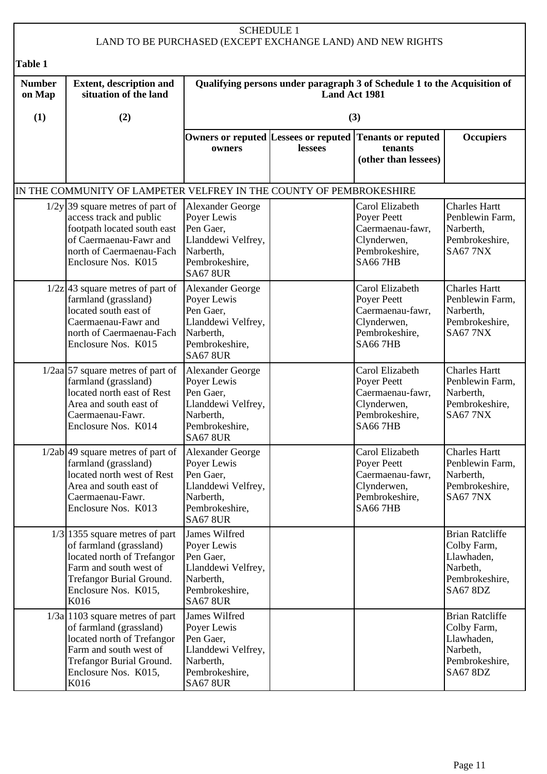## SCHEDULE 1 LAND TO BE PURCHASED (EXCEPT EXCHANGE LAND) AND NEW RIGHTS

| Table 1                 |                                                                                                                                                                                    |                                                                                                                             |                                                                                           |                                                                                                       |                                                                                                      |  |  |
|-------------------------|------------------------------------------------------------------------------------------------------------------------------------------------------------------------------------|-----------------------------------------------------------------------------------------------------------------------------|-------------------------------------------------------------------------------------------|-------------------------------------------------------------------------------------------------------|------------------------------------------------------------------------------------------------------|--|--|
| <b>Number</b><br>on Map | <b>Extent, description and</b><br>situation of the land                                                                                                                            |                                                                                                                             | Qualifying persons under paragraph 3 of Schedule 1 to the Acquisition of<br>Land Act 1981 |                                                                                                       |                                                                                                      |  |  |
| (1)                     | (2)                                                                                                                                                                                |                                                                                                                             |                                                                                           | (3)                                                                                                   |                                                                                                      |  |  |
|                         |                                                                                                                                                                                    | owners                                                                                                                      | lessees                                                                                   | Owners or reputed Lessees or reputed Tenants or reputed<br>tenants<br>(other than lessees)            | <b>Occupiers</b>                                                                                     |  |  |
|                         | IN THE COMMUNITY OF LAMPETER VELFREY IN THE COUNTY OF PEMBROKESHIRE                                                                                                                |                                                                                                                             |                                                                                           |                                                                                                       |                                                                                                      |  |  |
|                         | $1/2y$ 39 square metres of part of<br>access track and public<br>footpath located south east<br>of Caermaenau-Fawr and<br>north of Caermaenau-Fach<br>Enclosure Nos. K015          | <b>Alexander George</b><br>Poyer Lewis<br>Pen Gaer,<br>Llanddewi Velfrey,<br>Narberth,<br>Pembrokeshire,<br><b>SA67 8UR</b> |                                                                                           | Carol Elizabeth<br>Poyer Peett<br>Caermaenau-fawr,<br>Clynderwen,<br>Pembrokeshire,<br><b>SA667HB</b> | <b>Charles Hartt</b><br>Penblewin Farm,<br>Narberth,<br>Pembrokeshire,<br><b>SA67 7NX</b>            |  |  |
|                         | $1/2z$ 43 square metres of part of<br>farmland (grassland)<br>located south east of<br>Caermaenau-Fawr and<br>north of Caermaenau-Fach<br>Enclosure Nos. K015                      | <b>Alexander George</b><br>Poyer Lewis<br>Pen Gaer,<br>Llanddewi Velfrey,<br>Narberth,<br>Pembrokeshire,<br><b>SA67 8UR</b> |                                                                                           | Carol Elizabeth<br>Poyer Peett<br>Caermaenau-fawr,<br>Clynderwen,<br>Pembrokeshire,<br><b>SA667HB</b> | <b>Charles Hartt</b><br>Penblewin Farm,<br>Narberth,<br>Pembrokeshire,<br><b>SA67 7NX</b>            |  |  |
|                         | $1/2aa$ 57 square metres of part of<br>farmland (grassland)<br>located north east of Rest<br>Area and south east of<br>Caermaenau-Fawr.<br>Enclosure Nos. K014                     | Alexander George<br>Poyer Lewis<br>Pen Gaer,<br>Llanddewi Velfrey,<br>Narberth,<br>Pembrokeshire,<br><b>SA67 8UR</b>        |                                                                                           | Carol Elizabeth<br>Poyer Peett<br>Caermaenau-fawr,<br>Clynderwen,<br>Pembrokeshire,<br><b>SA667HB</b> | <b>Charles Hartt</b><br>Penblewin Farm,<br>Narberth,<br>Pembrokeshire,<br><b>SA67 7NX</b>            |  |  |
|                         | $1/2ab$ 49 square metres of part of<br>farmland (grassland)<br>located north west of Rest<br>Area and south east of<br>Caermaenau-Fawr.<br>Enclosure Nos. K013                     | Alexander George<br>Poyer Lewis<br>Pen Gaer,<br>Llanddewi Velfrey,<br>Narberth,<br>Pembrokeshire,<br><b>SA67 8UR</b>        |                                                                                           | Carol Elizabeth<br>Poyer Peett<br>Caermaenau-fawr,<br>Clynderwen,<br>Pembrokeshire,<br><b>SA667HB</b> | <b>Charles Hartt</b><br>Penblewin Farm,<br>Narberth,<br>Pembrokeshire,<br><b>SA67 7NX</b>            |  |  |
|                         | $1/3$ 1355 square metres of part<br>of farmland (grassland)<br>located north of Trefangor<br>Farm and south west of<br>Trefangor Burial Ground.<br>Enclosure Nos. K015,<br>K016    | James Wilfred<br>Poyer Lewis<br>Pen Gaer,<br>Llanddewi Velfrey,<br>Narberth,<br>Pembrokeshire,<br><b>SA67 8UR</b>           |                                                                                           |                                                                                                       | <b>Brian Ratcliffe</b><br>Colby Farm,<br>Llawhaden,<br>Narbeth,<br>Pembrokeshire,<br><b>SA67 8DZ</b> |  |  |
|                         | $1/3a$   1103 square metres of part<br>of farmland (grassland)<br>located north of Trefangor<br>Farm and south west of<br>Trefangor Burial Ground.<br>Enclosure Nos. K015,<br>K016 | James Wilfred<br>Poyer Lewis<br>Pen Gaer,<br>Llanddewi Velfrey,<br>Narberth,<br>Pembrokeshire,<br><b>SA67 8UR</b>           |                                                                                           |                                                                                                       | <b>Brian Ratcliffe</b><br>Colby Farm,<br>Llawhaden,<br>Narbeth,<br>Pembrokeshire,<br>SA67 8DZ        |  |  |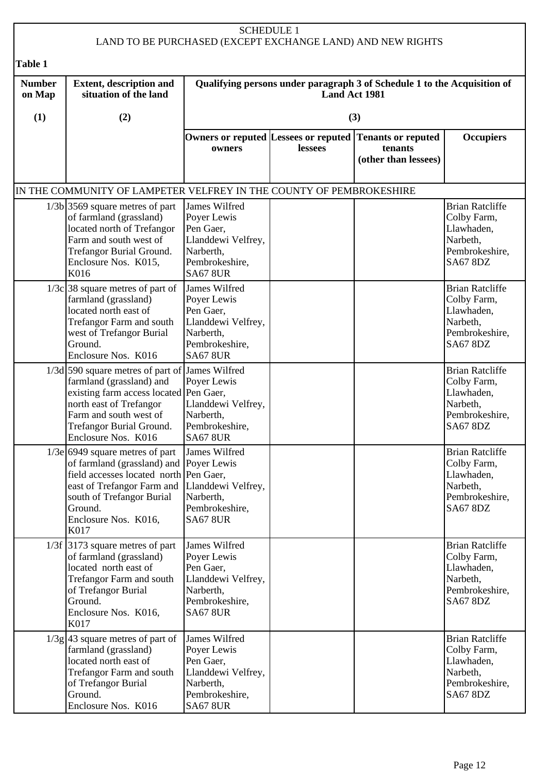#### SCHEDULE 1 LAND TO BE PURCHASED (EXCEPT EXCHANGE LAND) AND NEW RIGHTS **Table 1 Number on Map (1) Extent, description and situation of the land (2) Qualifying persons under paragraph 3 of Schedule 1 to the Acquisition of Land Act 1981 (3) Owners or reputed Lessees or reputed Tenants or reputed owners lessees tenants (other than lessees) Occupiers** IN THE COMMUNITY OF LAMPETER VELFREY IN THE COUNTY OF PEMBROKESHIRE  $1/3b$  3569 square metres of part of farmland (grassland) located north of Trefangor Farm and south west of Trefangor Burial Ground. Enclosure Nos. K015, K016 James Wilfred Poyer Lewis Pen Gaer, Llanddewi Velfrey, **Narberth** Pembrokeshire, SA67 8UR Brian Ratcliffe Colby Farm, Llawhaden, Narbeth, Pembrokeshire, SA67 8DZ  $1/3c$  38 square metres of part of farmland (grassland) located north east of Trefangor Farm and south west of Trefangor Burial Ground. Enclosure Nos. K016 James Wilfred Poyer Lewis Pen Gaer, Llanddewi Velfrey, Narberth, Pembrokeshire, SA67 8UR Brian Ratcliffe Colby Farm, Llawhaden, Narbeth, Pembrokeshire, SA67 8DZ 1/3d 590 square metres of part of James Wilfred farmland (grassland) and existing farm access located north east of Trefangor Farm and south west of Trefangor Burial Ground. Enclosure Nos. K016 Poyer Lewis Pen Gaer, Llanddewi Velfrey, Narberth, Pembrokeshire, SA67 8UR Brian Ratcliffe Colby Farm, Llawhaden, Narbeth, Pembrokeshire, SA67 8DZ  $1/3e$  6949 square metres of part of farmland (grassland) and Poyer Lewis field accesses located north Pen Gaer, east of Trefangor Farm and south of Trefangor Burial Ground. Enclosure Nos. K016, K017 James Wilfred Llanddewi Velfrey, Narberth, Pembrokeshire, SA67 8UR Brian Ratcliffe Colby Farm, Llawhaden, Narbeth, Pembrokeshire, SA67 8DZ 1/3f 3173 square metres of part of farmland (grassland) located north east of Trefangor Farm and south of Trefangor Burial Ground. Enclosure Nos. K016, K017 James Wilfred Poyer Lewis Pen Gaer, Llanddewi Velfrey, Narberth, Pembrokeshire, SA67 8UR Brian Ratcliffe Colby Farm, Llawhaden, Narbeth, Pembrokeshire, SA67 8DZ  $1/3g$  43 square metres of part of farmland (grassland) located north east of Trefangor Farm and south of Trefangor Burial Ground. Enclosure Nos. K016 James Wilfred Poyer Lewis Pen Gaer Llanddewi Velfrey, Narberth, Pembrokeshire, SA67 8UR Brian Ratcliffe Colby Farm, Llawhaden, Narbeth, Pembrokeshire, SA67 8DZ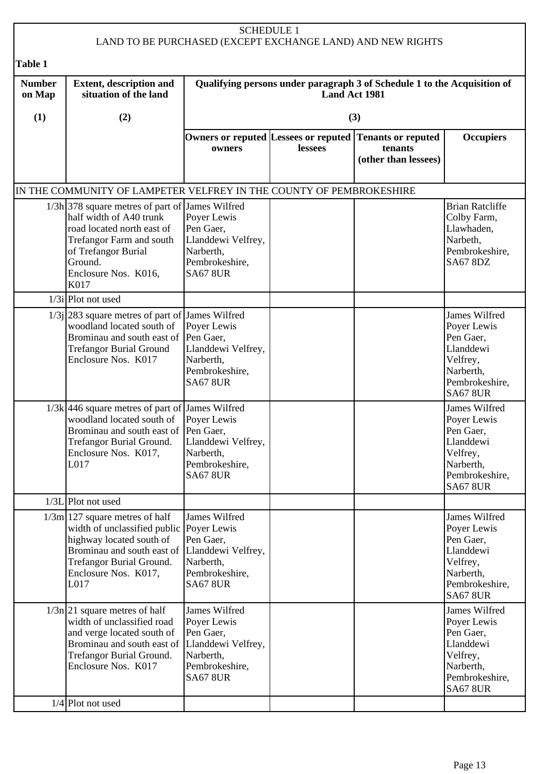|                         | <b>SCHEDULE 1</b><br>LAND TO BE PURCHASED (EXCEPT EXCHANGE LAND) AND NEW RIGHTS                                                                                                                            |                                                                                                                   |               |                                                                                            |                                                                                                                      |  |  |
|-------------------------|------------------------------------------------------------------------------------------------------------------------------------------------------------------------------------------------------------|-------------------------------------------------------------------------------------------------------------------|---------------|--------------------------------------------------------------------------------------------|----------------------------------------------------------------------------------------------------------------------|--|--|
| Table 1                 |                                                                                                                                                                                                            |                                                                                                                   |               |                                                                                            |                                                                                                                      |  |  |
| <b>Number</b><br>on Map | <b>Extent, description and</b><br>situation of the land                                                                                                                                                    |                                                                                                                   | Land Act 1981 | Qualifying persons under paragraph 3 of Schedule 1 to the Acquisition of                   |                                                                                                                      |  |  |
| (1)                     | (2)                                                                                                                                                                                                        |                                                                                                                   |               | (3)                                                                                        |                                                                                                                      |  |  |
|                         |                                                                                                                                                                                                            | owners                                                                                                            | lessees       | Owners or reputed Lessees or reputed Tenants or reputed<br>tenants<br>(other than lessees) | <b>Occupiers</b>                                                                                                     |  |  |
|                         | IN THE COMMUNITY OF LAMPETER VELFREY IN THE COUNTY OF PEMBROKESHIRE                                                                                                                                        |                                                                                                                   |               |                                                                                            |                                                                                                                      |  |  |
|                         | $1/3h$ 378 square metres of part of<br>half width of A40 trunk<br>road located north east of<br>Trefangor Farm and south<br>of Trefangor Burial<br>Ground.<br>Enclosure Nos. K016,<br>K017                 | James Wilfred<br>Poyer Lewis<br>Pen Gaer,<br>Llanddewi Velfrey,<br>Narberth,<br>Pembrokeshire,<br><b>SA67 8UR</b> |               |                                                                                            | <b>Brian Ratcliffe</b><br>Colby Farm,<br>Llawhaden,<br>Narbeth,<br>Pembrokeshire,<br><b>SA67 8DZ</b>                 |  |  |
|                         | $1/3i$ Plot not used                                                                                                                                                                                       |                                                                                                                   |               |                                                                                            |                                                                                                                      |  |  |
|                         | 1/3j 283 square metres of part of James Wilfred<br>woodland located south of<br>Brominau and south east of Pen Gaer,<br><b>Trefangor Burial Ground</b><br>Enclosure Nos. K017                              | Poyer Lewis<br>Llanddewi Velfrey,<br>Narberth,<br>Pembrokeshire,<br><b>SA67 8UR</b>                               |               |                                                                                            | James Wilfred<br>Poyer Lewis<br>Pen Gaer,<br>Llanddewi<br>Velfrey,<br>Narberth,<br>Pembrokeshire,<br><b>SA67 8UR</b> |  |  |
|                         | $1/3k$ 446 square metres of part of James Wilfred<br>woodland located south of<br>Brominau and south east of Pen Gaer,<br>Trefangor Burial Ground.<br>Enclosure Nos. K017,<br>L017                         | Poyer Lewis<br>Llanddewi Velfrey,<br>Narberth,<br>Pembrokeshire,<br><b>SA67 8UR</b>                               |               |                                                                                            | James Wilfred<br>Poyer Lewis<br>Pen Gaer,<br>Llanddewi<br>Velfrey,<br>Narberth,<br>Pembrokeshire,<br><b>SA67 8UR</b> |  |  |
|                         | $1/3L$ Plot not used                                                                                                                                                                                       |                                                                                                                   |               |                                                                                            |                                                                                                                      |  |  |
|                         | $1/3m$   127 square metres of half<br>width of unclassified public Poyer Lewis<br>highway located south of<br>Brominau and south east of<br>Trefangor Burial Ground.<br>Enclosure Nos. K017,<br>L017       | James Wilfred<br>Pen Gaer,<br>Llanddewi Velfrey,<br>Narberth,<br>Pembrokeshire,<br><b>SA67 8UR</b>                |               |                                                                                            | James Wilfred<br>Poyer Lewis<br>Pen Gaer,<br>Llanddewi<br>Velfrey,<br>Narberth,<br>Pembrokeshire,<br><b>SA67 8UR</b> |  |  |
|                         | $1/3n/21$ square metres of half<br>width of unclassified road<br>and verge located south of<br>Brominau and south east of<br><b>Trefangor Burial Ground.</b><br>Enclosure Nos. K017<br>$1/4$ Plot not used | James Wilfred<br>Poyer Lewis<br>Pen Gaer,<br>Llanddewi Velfrey,<br>Narberth,<br>Pembrokeshire,<br><b>SA67 8UR</b> |               |                                                                                            | James Wilfred<br>Poyer Lewis<br>Pen Gaer,<br>Llanddewi<br>Velfrey,<br>Narberth,<br>Pembrokeshire,<br><b>SA67 8UR</b> |  |  |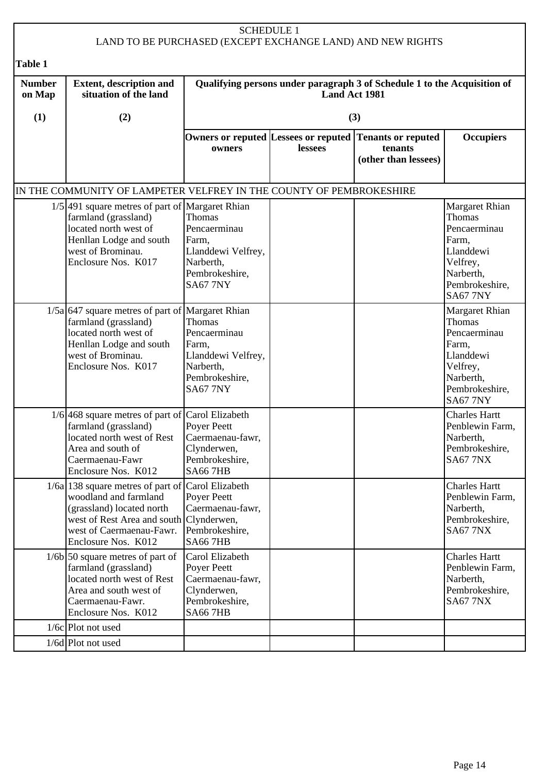|                         |                                                                                                                                                                                                                 |                                                                                                         | <b>SCHEDULE 1</b>    | LAND TO BE PURCHASED (EXCEPT EXCHANGE LAND) AND NEW RIGHTS               |                                                                                                                              |
|-------------------------|-----------------------------------------------------------------------------------------------------------------------------------------------------------------------------------------------------------------|---------------------------------------------------------------------------------------------------------|----------------------|--------------------------------------------------------------------------|------------------------------------------------------------------------------------------------------------------------------|
|                         |                                                                                                                                                                                                                 |                                                                                                         |                      |                                                                          |                                                                                                                              |
| <b>Table 1</b>          |                                                                                                                                                                                                                 |                                                                                                         |                      |                                                                          |                                                                                                                              |
| <b>Number</b><br>on Map | <b>Extent, description and</b><br>situation of the land                                                                                                                                                         |                                                                                                         | <b>Land Act 1981</b> | Qualifying persons under paragraph 3 of Schedule 1 to the Acquisition of |                                                                                                                              |
| (1)                     | (2)                                                                                                                                                                                                             |                                                                                                         |                      | (3)                                                                      |                                                                                                                              |
|                         |                                                                                                                                                                                                                 | Owners or reputed Lessees or reputed<br>owners                                                          | lessees              | Tenants or reputed<br>tenants<br>(other than lessees)                    | <b>Occupiers</b>                                                                                                             |
|                         | IN THE COMMUNITY OF LAMPETER VELFREY IN THE COUNTY OF PEMBROKESHIRE                                                                                                                                             |                                                                                                         |                      |                                                                          |                                                                                                                              |
|                         | $1/5$ 491 square metres of part of Margaret Rhian<br>farmland (grassland)<br>located north west of<br>Henllan Lodge and south<br>west of Brominau.<br>Enclosure Nos. K017                                       | Thomas<br>Pencaerminau<br>Farm,<br>Llanddewi Velfrey,<br>Narberth,<br>Pembrokeshire,<br><b>SA67 7NY</b> |                      |                                                                          | Margaret Rhian<br>Thomas<br>Pencaerminau<br>Farm,<br>Llanddewi<br>Velfrey,<br>Narberth,<br>Pembrokeshire,<br><b>SA67 7NY</b> |
|                         | $1/5a$ 647 square metres of part of Margaret Rhian<br>farmland (grassland)<br>located north west of<br>Henllan Lodge and south<br>west of Brominau.<br>Enclosure Nos. K017                                      | Thomas<br>Pencaerminau<br>Farm,<br>Llanddewi Velfrey,<br>Narberth,<br>Pembrokeshire,<br><b>SA67 7NY</b> |                      |                                                                          | Margaret Rhian<br>Thomas<br>Pencaerminau<br>Farm,<br>Llanddewi<br>Velfrey,<br>Narberth,<br>Pembrokeshire,<br><b>SA67 7NY</b> |
|                         | 1/6 468 square metres of part of Carol Elizabeth<br>farmland (grassland)<br>located north west of Rest<br>Area and south of<br>Caermaenau-Fawr<br>Enclosure Nos. K012                                           | <b>Poyer Peett</b><br>Caermaenau-fawr,<br>Clynderwen,<br>Pembrokeshire,<br><b>SA667HB</b>               |                      |                                                                          | <b>Charles Hartt</b><br>Penblewin Farm,<br>Narberth,<br>Pembrokeshire,<br><b>SA67 7NX</b>                                    |
|                         | $1/6a$ 138 square metres of part of $\vert$ Carol Elizabeth<br>woodland and farmland<br>(grassland) located north<br>west of Rest Area and south Clynderwen,<br>west of Caermaenau-Fawr.<br>Enclosure Nos. K012 | Poyer Peett<br>Caermaenau-fawr,<br>Pembrokeshire,<br><b>SA667HB</b>                                     |                      |                                                                          | <b>Charles Hartt</b><br>Penblewin Farm,<br>Narberth,<br>Pembrokeshire,<br><b>SA67 7NX</b>                                    |
|                         | $1/6b$ 50 square metres of part of<br>farmland (grassland)<br>located north west of Rest<br>Area and south west of<br>Caermaenau-Fawr.<br>Enclosure Nos. K012                                                   | Carol Elizabeth<br>Poyer Peett<br>Caermaenau-fawr,<br>Clynderwen,<br>Pembrokeshire,<br><b>SA667HB</b>   |                      |                                                                          | <b>Charles Hartt</b><br>Penblewin Farm,<br>Narberth,<br>Pembrokeshire,<br><b>SA67 7NX</b>                                    |
|                         | $1/6c$ Plot not used                                                                                                                                                                                            |                                                                                                         |                      |                                                                          |                                                                                                                              |
|                         | $1/6d$ Plot not used                                                                                                                                                                                            |                                                                                                         |                      |                                                                          |                                                                                                                              |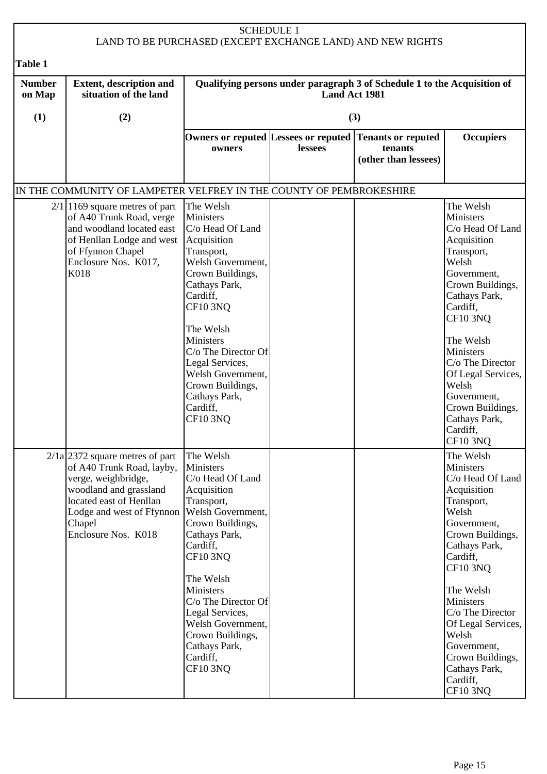|                                           |                                                                                                                                                                                                          | <b>SCHEDULE 1</b>                                                                                                                                                                                                                                                                                                             |               | LAND TO BE PURCHASED (EXCEPT EXCHANGE LAND) AND NEW RIGHTS               |                                                                                                                                                                                                                                                                                                                                |
|-------------------------------------------|----------------------------------------------------------------------------------------------------------------------------------------------------------------------------------------------------------|-------------------------------------------------------------------------------------------------------------------------------------------------------------------------------------------------------------------------------------------------------------------------------------------------------------------------------|---------------|--------------------------------------------------------------------------|--------------------------------------------------------------------------------------------------------------------------------------------------------------------------------------------------------------------------------------------------------------------------------------------------------------------------------|
|                                           |                                                                                                                                                                                                          |                                                                                                                                                                                                                                                                                                                               |               |                                                                          |                                                                                                                                                                                                                                                                                                                                |
| <b>Table 1</b><br><b>Number</b><br>on Map | <b>Extent, description and</b><br>situation of the land                                                                                                                                                  |                                                                                                                                                                                                                                                                                                                               | Land Act 1981 | Qualifying persons under paragraph 3 of Schedule 1 to the Acquisition of |                                                                                                                                                                                                                                                                                                                                |
| (1)                                       | (2)                                                                                                                                                                                                      |                                                                                                                                                                                                                                                                                                                               |               | (3)                                                                      |                                                                                                                                                                                                                                                                                                                                |
|                                           |                                                                                                                                                                                                          |                                                                                                                                                                                                                                                                                                                               | lessees       | Owners or reputed Lessees or reputed Tenants or reputed<br>tenants       | <b>Occupiers</b>                                                                                                                                                                                                                                                                                                               |
|                                           |                                                                                                                                                                                                          | owners                                                                                                                                                                                                                                                                                                                        |               | (other than lessees)                                                     |                                                                                                                                                                                                                                                                                                                                |
|                                           | IN THE COMMUNITY OF LAMPETER VELFREY IN THE COUNTY OF PEMBROKESHIRE                                                                                                                                      |                                                                                                                                                                                                                                                                                                                               |               |                                                                          |                                                                                                                                                                                                                                                                                                                                |
|                                           | $2/1$  1169 square metres of part<br>of A40 Trunk Road, verge<br>and woodland located east<br>of Henllan Lodge and west Acquisition<br>of Ffynnon Chapel<br>Enclosure Nos. K017,<br>K018                 | The Welsh<br>Ministers<br>C/o Head Of Land<br>Transport,<br>Welsh Government,<br>Crown Buildings,<br>Cathays Park,<br>Cardiff,<br><b>CF10 3NQ</b><br>The Welsh<br>Ministers<br>C/o The Director Of<br>Legal Services,<br>Welsh Government,<br>Crown Buildings,<br>Cathays Park,<br>Cardiff,<br><b>CF10 3NO</b>                |               |                                                                          | The Welsh<br>Ministers<br>C/o Head Of Land<br>Acquisition<br>Transport,<br>Welsh<br>Government,<br>Crown Buildings,<br>Cathays Park,<br>Cardiff,<br><b>CF10 3NQ</b><br>The Welsh<br>Ministers<br>C/o The Director<br>Of Legal Services,<br>Welsh<br>Government,<br>Crown Buildings,<br>Cathays Park,<br>Cardiff,<br>$CF10$ 3NQ |
|                                           | $2/1a$ 2372 square metres of part<br>of A40 Trunk Road, layby,<br>verge, weighbridge,<br>woodland and grassland<br>located east of Henllan<br>Lodge and west of Ffynnon<br>Chapel<br>Enclosure Nos. K018 | The Welsh<br>Ministers<br>C/o Head Of Land<br>Acquisition<br>Transport,<br>Welsh Government,<br>Crown Buildings,<br>Cathays Park,<br>Cardiff,<br><b>CF10 3NQ</b><br>The Welsh<br>Ministers<br>C/o The Director Of<br>Legal Services,<br>Welsh Government,<br>Crown Buildings,<br>Cathays Park,<br>Cardiff,<br><b>CF10 3NQ</b> |               |                                                                          | The Welsh<br>Ministers<br>C/o Head Of Land<br>Acquisition<br>Transport,<br>Welsh<br>Government,<br>Crown Buildings,<br>Cathays Park,<br>Cardiff,<br><b>CF10 3NQ</b><br>The Welsh<br>Ministers<br>C/o The Director<br>Of Legal Services,<br>Welsh<br>Government,<br>Crown Buildings,<br>Cathays Park,<br>Cardiff,<br>CF10 3NQ   |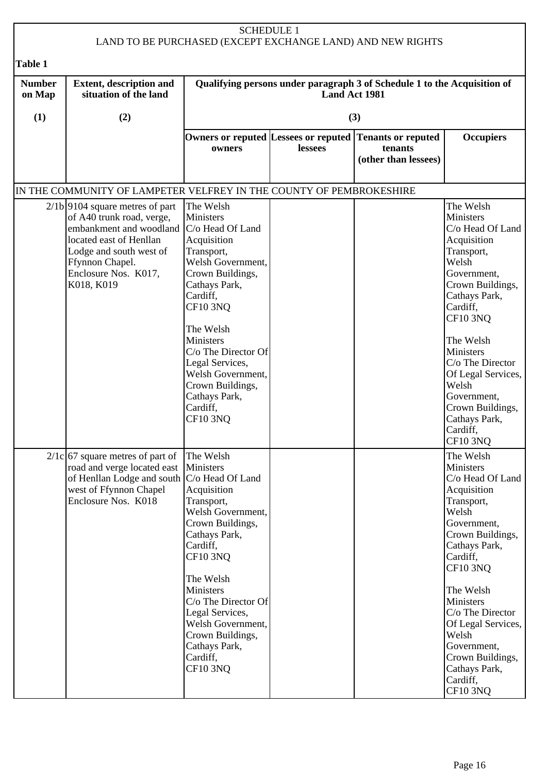| <b>SCHEDULE 1</b><br>LAND TO BE PURCHASED (EXCEPT EXCHANGE LAND) AND NEW RIGHTS |                                                                                                                                                                                                                              |                                                                                                                                                                                                                                                                                                                         |               |                                                                                            |                                                                                                                                                                                                                                                                                                                                     |  |
|---------------------------------------------------------------------------------|------------------------------------------------------------------------------------------------------------------------------------------------------------------------------------------------------------------------------|-------------------------------------------------------------------------------------------------------------------------------------------------------------------------------------------------------------------------------------------------------------------------------------------------------------------------|---------------|--------------------------------------------------------------------------------------------|-------------------------------------------------------------------------------------------------------------------------------------------------------------------------------------------------------------------------------------------------------------------------------------------------------------------------------------|--|
| Table 1                                                                         |                                                                                                                                                                                                                              |                                                                                                                                                                                                                                                                                                                         |               |                                                                                            |                                                                                                                                                                                                                                                                                                                                     |  |
| <b>Number</b><br>on Map                                                         | <b>Extent, description and</b><br>situation of the land                                                                                                                                                                      |                                                                                                                                                                                                                                                                                                                         | Land Act 1981 | Qualifying persons under paragraph 3 of Schedule 1 to the Acquisition of                   |                                                                                                                                                                                                                                                                                                                                     |  |
| (1)                                                                             | (2)                                                                                                                                                                                                                          |                                                                                                                                                                                                                                                                                                                         |               | (3)                                                                                        |                                                                                                                                                                                                                                                                                                                                     |  |
|                                                                                 |                                                                                                                                                                                                                              | owners                                                                                                                                                                                                                                                                                                                  | lessees       | Owners or reputed Lessees or reputed Tenants or reputed<br>tenants<br>(other than lessees) | <b>Occupiers</b>                                                                                                                                                                                                                                                                                                                    |  |
|                                                                                 | IN THE COMMUNITY OF LAMPETER VELFREY IN THE COUNTY OF PEMBROKESHIRE                                                                                                                                                          |                                                                                                                                                                                                                                                                                                                         |               |                                                                                            |                                                                                                                                                                                                                                                                                                                                     |  |
|                                                                                 | $2/1b$  9104 square metres of part<br>of A40 trunk road, verge,<br>embankment and woodland   C/o Head Of Land<br>located east of Henllan<br>Lodge and south west of<br>Ffynnon Chapel.<br>Enclosure Nos. K017,<br>K018, K019 | The Welsh<br><b>Ministers</b><br>Acquisition<br>Transport,<br>Welsh Government,<br>Crown Buildings,<br>Cathays Park,<br>Cardiff,<br><b>CF10 3NQ</b><br>The Welsh<br><b>Ministers</b><br>C/o The Director Of<br>Legal Services,<br>Welsh Government,<br>Crown Buildings,<br>Cathays Park,<br>Cardiff,<br><b>CF10 3NQ</b> |               |                                                                                            | The Welsh<br><b>Ministers</b><br>C/o Head Of Land<br>Acquisition<br>Transport,<br>Welsh<br>Government,<br>Crown Buildings,<br>Cathays Park,<br>Cardiff,<br><b>CF10 3NQ</b><br>The Welsh<br>Ministers<br>C/o The Director<br>Of Legal Services,<br>Welsh<br>Government,<br>Crown Buildings,<br>Cathays Park,<br>Cardiff,<br>CF10 3NQ |  |
|                                                                                 | $2/1c$ 67 square metres of part of<br>road and verge located east Ministers<br>of Henllan Lodge and south C/o Head Of Land<br>west of Ffynnon Chapel<br>Enclosure Nos. K018                                                  | The Welsh<br>Acquisition<br>Transport,<br>Welsh Government,<br>Crown Buildings,<br>Cathays Park,<br>Cardiff,<br><b>CF10 3NQ</b><br>The Welsh<br>Ministers<br>$C/O$ The Director Of<br>Legal Services,<br>Welsh Government,<br>Crown Buildings,<br>Cathays Park,<br>Cardiff,<br><b>CF10 3NQ</b>                          |               |                                                                                            | The Welsh<br>Ministers<br>C/o Head Of Land<br>Acquisition<br>Transport,<br>Welsh<br>Government,<br>Crown Buildings,<br>Cathays Park,<br>Cardiff,<br><b>CF10 3NQ</b><br>The Welsh<br>Ministers<br>C/o The Director<br>Of Legal Services,<br>Welsh<br>Government,<br>Crown Buildings,<br>Cathays Park,<br>Cardiff,<br><b>CF10 3NQ</b> |  |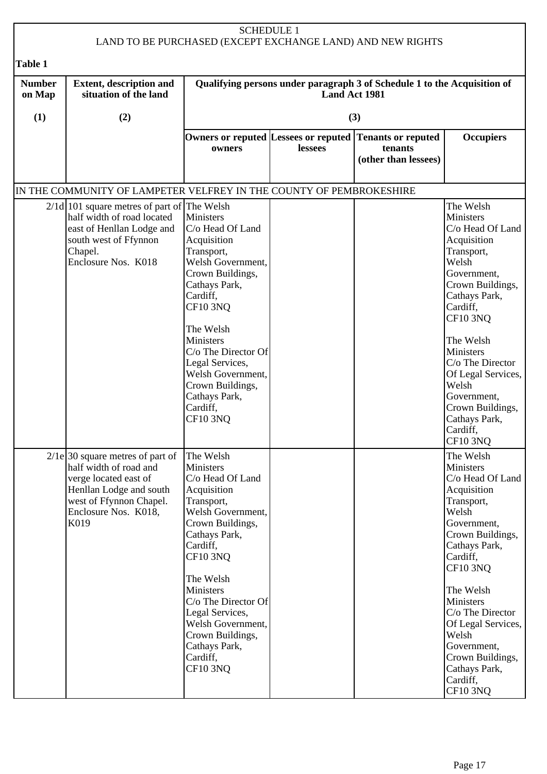|                         |                                                                                                                                                                             |                                                                                                                                                                                                                                                                                                                                      | <b>SCHEDULE 1</b> | LAND TO BE PURCHASED (EXCEPT EXCHANGE LAND) AND NEW RIGHTS                                 |                                                                                                                                                                                                                                                                                                                                     |
|-------------------------|-----------------------------------------------------------------------------------------------------------------------------------------------------------------------------|--------------------------------------------------------------------------------------------------------------------------------------------------------------------------------------------------------------------------------------------------------------------------------------------------------------------------------------|-------------------|--------------------------------------------------------------------------------------------|-------------------------------------------------------------------------------------------------------------------------------------------------------------------------------------------------------------------------------------------------------------------------------------------------------------------------------------|
| <b>Table 1</b>          |                                                                                                                                                                             |                                                                                                                                                                                                                                                                                                                                      |                   |                                                                                            |                                                                                                                                                                                                                                                                                                                                     |
| <b>Number</b><br>on Map | <b>Extent, description and</b><br>situation of the land                                                                                                                     |                                                                                                                                                                                                                                                                                                                                      | Land Act 1981     | Qualifying persons under paragraph 3 of Schedule 1 to the Acquisition of                   |                                                                                                                                                                                                                                                                                                                                     |
| (1)                     | (2)                                                                                                                                                                         |                                                                                                                                                                                                                                                                                                                                      |                   | (3)                                                                                        |                                                                                                                                                                                                                                                                                                                                     |
|                         |                                                                                                                                                                             | owners                                                                                                                                                                                                                                                                                                                               | lessees           | Owners or reputed Lessees or reputed Tenants or reputed<br>tenants<br>(other than lessees) | <b>Occupiers</b>                                                                                                                                                                                                                                                                                                                    |
|                         | IN THE COMMUNITY OF LAMPETER VELFREY IN THE COUNTY OF PEMBROKESHIRE                                                                                                         |                                                                                                                                                                                                                                                                                                                                      |                   |                                                                                            |                                                                                                                                                                                                                                                                                                                                     |
|                         | $2/1d$  101 square metres of part of The Welsh<br>half width of road located<br>east of Henllan Lodge and<br>south west of Ffynnon<br>Chapel.<br>Enclosure Nos. K018        | Ministers<br>C/o Head Of Land<br>Acquisition<br>Transport,<br>Welsh Government,<br>Crown Buildings,<br>Cathays Park,<br>Cardiff,<br><b>CF10 3NQ</b><br>The Welsh<br>Ministers<br>C/o The Director Of<br>Legal Services,<br>Welsh Government,<br>Crown Buildings,<br>Cathays Park,<br>Cardiff,<br><b>CF10 3NQ</b>                     |                   |                                                                                            | The Welsh<br>Ministers<br>C/o Head Of Land<br>Acquisition<br>Transport,<br>Welsh<br>Government,<br>Crown Buildings,<br>Cathays Park,<br>Cardiff,<br><b>CF10 3NQ</b><br>The Welsh<br>Ministers<br>C/o The Director<br>Of Legal Services,<br>Welsh<br>Government,<br>Crown Buildings,<br>Cathays Park,<br>Cardiff,<br>CF10 3NQ        |
|                         | $2/1e$ 30 square metres of part of<br>half width of road and<br>verge located east of<br>Henllan Lodge and south<br>west of Ffynnon Chapel.<br>Enclosure Nos. K018,<br>K019 | The Welsh<br><b>Ministers</b><br>C/o Head Of Land<br>Acquisition<br>Transport,<br>Welsh Government,<br>Crown Buildings,<br>Cathays Park,<br>Cardiff,<br><b>CF10 3NQ</b><br>The Welsh<br>Ministers<br>C/o The Director Of<br>Legal Services,<br>Welsh Government,<br>Crown Buildings,<br>Cathays Park,<br>Cardiff,<br><b>CF10 3NQ</b> |                   |                                                                                            | The Welsh<br>Ministers<br>C/o Head Of Land<br>Acquisition<br>Transport,<br>Welsh<br>Government,<br>Crown Buildings,<br>Cathays Park,<br>Cardiff,<br><b>CF10 3NQ</b><br>The Welsh<br>Ministers<br>C/o The Director<br>Of Legal Services,<br>Welsh<br>Government,<br>Crown Buildings,<br>Cathays Park,<br>Cardiff,<br><b>CF10 3NQ</b> |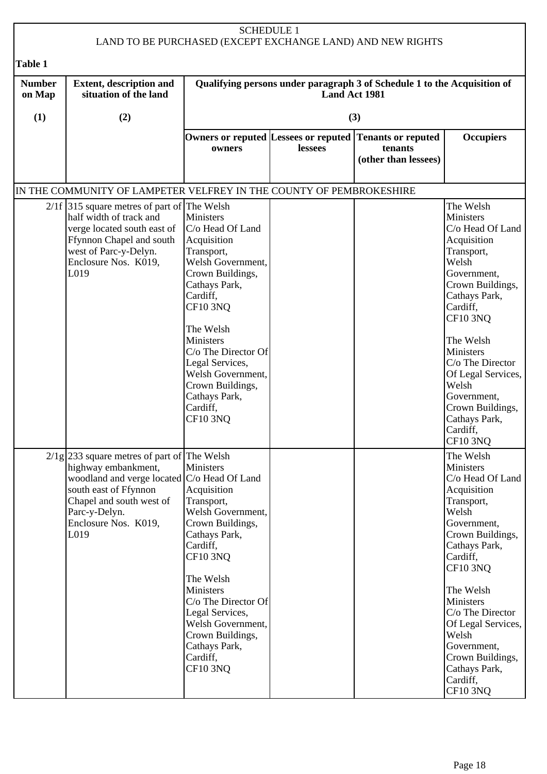|                         |                                                                                                                                                                                                                                    |                                                                                                                                                                                                                                                                                                                           | <b>SCHEDULE 1</b>    | LAND TO BE PURCHASED (EXCEPT EXCHANGE LAND) AND NEW RIGHTS               |                                                                                                                                                                                                                                                                                                                              |
|-------------------------|------------------------------------------------------------------------------------------------------------------------------------------------------------------------------------------------------------------------------------|---------------------------------------------------------------------------------------------------------------------------------------------------------------------------------------------------------------------------------------------------------------------------------------------------------------------------|----------------------|--------------------------------------------------------------------------|------------------------------------------------------------------------------------------------------------------------------------------------------------------------------------------------------------------------------------------------------------------------------------------------------------------------------|
| <b>Table 1</b>          |                                                                                                                                                                                                                                    |                                                                                                                                                                                                                                                                                                                           |                      |                                                                          |                                                                                                                                                                                                                                                                                                                              |
| <b>Number</b><br>on Map | <b>Extent, description and</b><br>situation of the land                                                                                                                                                                            |                                                                                                                                                                                                                                                                                                                           | <b>Land Act 1981</b> | Qualifying persons under paragraph 3 of Schedule 1 to the Acquisition of |                                                                                                                                                                                                                                                                                                                              |
| (1)                     | (2)                                                                                                                                                                                                                                |                                                                                                                                                                                                                                                                                                                           |                      | (3)                                                                      |                                                                                                                                                                                                                                                                                                                              |
|                         |                                                                                                                                                                                                                                    | Owners or reputed Lessees or reputed<br>owners                                                                                                                                                                                                                                                                            | lessees              | <b>Tenants or reputed</b><br>tenants<br>(other than lessees)             | <b>Occupiers</b>                                                                                                                                                                                                                                                                                                             |
|                         | IN THE COMMUNITY OF LAMPETER VELFREY IN THE COUNTY OF PEMBROKESHIRE                                                                                                                                                                |                                                                                                                                                                                                                                                                                                                           |                      |                                                                          |                                                                                                                                                                                                                                                                                                                              |
|                         | $2/1f$ 315 square metres of part of The Welsh<br>half width of track and<br>verge located south east of<br>Ffynnon Chapel and south<br>west of Parc-y-Delyn.<br>Enclosure Nos. K019,<br>L019                                       | <b>Ministers</b><br>C/o Head Of Land<br>Acquisition<br>Transport,<br>Welsh Government,<br>Crown Buildings,<br>Cathays Park,<br>Cardiff,<br><b>CF10 3NQ</b><br>The Welsh<br>Ministers<br>$C/O$ The Director Of<br>Legal Services,<br>Welsh Government,<br>Crown Buildings,<br>Cathays Park,<br>Cardiff,<br><b>CF10 3NQ</b> |                      |                                                                          | The Welsh<br>Ministers<br>C/o Head Of Land<br>Acquisition<br>Transport,<br>Welsh<br>Government,<br>Crown Buildings,<br>Cathays Park,<br>Cardiff,<br><b>CF10 3NQ</b><br>The Welsh<br>Ministers<br>C/o The Director<br>Of Legal Services,<br>Welsh<br>Government,<br>Crown Buildings,<br>Cathays Park,<br>Cardiff,<br>CF10 3NQ |
|                         | $2/\frac{1}{2}$ 233 square metres of part of The Welsh<br>highway embankment,<br>woodland and verge located C/o Head Of Land<br>south east of Ffynnon<br>Chapel and south west of<br>Parc-y-Delyn.<br>Enclosure Nos. K019,<br>L019 | <b>Ministers</b><br>Acquisition<br>Transport,<br>Welsh Government,<br>Crown Buildings,<br>Cathays Park,<br>Cardiff,<br><b>CF10 3NQ</b><br>The Welsh<br>Ministers<br>C/o The Director Of<br>Legal Services,<br>Welsh Government,<br>Crown Buildings,<br>Cathays Park,<br>Cardiff,<br><b>CF10 3NQ</b>                       |                      |                                                                          | The Welsh<br>Ministers<br>C/o Head Of Land<br>Acquisition<br>Transport,<br>Welsh<br>Government,<br>Crown Buildings,<br>Cathays Park,<br>Cardiff,<br><b>CF10 3NQ</b><br>The Welsh<br>Ministers<br>C/o The Director<br>Of Legal Services,<br>Welsh<br>Government,<br>Crown Buildings,<br>Cathays Park,<br>Cardiff,<br>CF10 3NQ |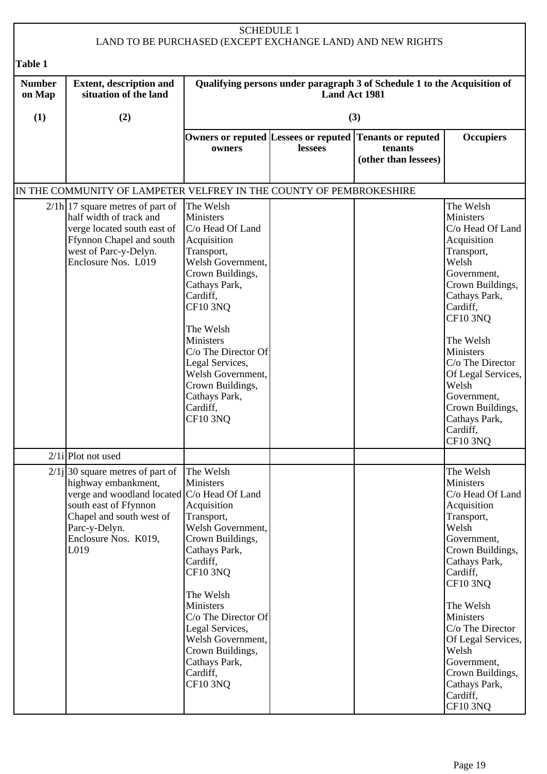|                         |                                                                                                                                                                                                                | <b>SCHEDULE 1</b>                                                                                                                                                                                                                                                                                                                    |               | LAND TO BE PURCHASED (EXCEPT EXCHANGE LAND) AND NEW RIGHTS               |                                                                                                                                                                                                                                                                                                                                |
|-------------------------|----------------------------------------------------------------------------------------------------------------------------------------------------------------------------------------------------------------|--------------------------------------------------------------------------------------------------------------------------------------------------------------------------------------------------------------------------------------------------------------------------------------------------------------------------------------|---------------|--------------------------------------------------------------------------|--------------------------------------------------------------------------------------------------------------------------------------------------------------------------------------------------------------------------------------------------------------------------------------------------------------------------------|
| Table 1                 |                                                                                                                                                                                                                |                                                                                                                                                                                                                                                                                                                                      |               |                                                                          |                                                                                                                                                                                                                                                                                                                                |
| <b>Number</b><br>on Map | <b>Extent, description and</b><br>situation of the land                                                                                                                                                        |                                                                                                                                                                                                                                                                                                                                      | Land Act 1981 | Qualifying persons under paragraph 3 of Schedule 1 to the Acquisition of |                                                                                                                                                                                                                                                                                                                                |
| (1)                     | (2)                                                                                                                                                                                                            |                                                                                                                                                                                                                                                                                                                                      |               | (3)                                                                      |                                                                                                                                                                                                                                                                                                                                |
|                         |                                                                                                                                                                                                                | Owners or reputed Lessees or reputed<br>owners                                                                                                                                                                                                                                                                                       | lessees       | <b>Tenants or reputed</b><br>tenants<br>(other than lessees)             | <b>Occupiers</b>                                                                                                                                                                                                                                                                                                               |
|                         | IN THE COMMUNITY OF LAMPETER VELFREY IN THE COUNTY OF PEMBROKESHIRE                                                                                                                                            |                                                                                                                                                                                                                                                                                                                                      |               |                                                                          |                                                                                                                                                                                                                                                                                                                                |
|                         | $2/\ln 17$ square metres of part of<br>half width of track and<br>verge located south east of<br>Ffynnon Chapel and south<br>west of Parc-y-Delyn.<br>Enclosure Nos. L019                                      | The Welsh<br>Ministers<br>C/o Head Of Land<br>Acquisition<br>Transport,<br>Welsh Government,<br>Crown Buildings,<br>Cathays Park,<br>Cardiff,<br><b>CF10 3NQ</b><br>The Welsh<br><b>Ministers</b><br>C/o The Director Of<br>Legal Services,<br>Welsh Government,<br>Crown Buildings,<br>Cathays Park,<br>Cardiff,<br><b>CF10 3NQ</b> |               |                                                                          | The Welsh<br>Ministers<br>C/o Head Of Land<br>Acquisition<br>Transport,<br>Welsh<br>Government,<br>Crown Buildings,<br>Cathays Park,<br>Cardiff,<br><b>CF10 3NQ</b><br>The Welsh<br>Ministers<br>C/o The Director<br>Of Legal Services,<br>Welsh<br>Government,<br>Crown Buildings,<br>Cathays Park,<br>Cardiff,<br>$CF10$ 3NQ |
|                         | $2/1i$ Plot not used                                                                                                                                                                                           |                                                                                                                                                                                                                                                                                                                                      |               |                                                                          |                                                                                                                                                                                                                                                                                                                                |
|                         | $2/1j$ 30 square metres of part of<br>highway embankment,<br>verge and woodland located C/o Head Of Land<br>south east of Ffynnon<br>Chapel and south west of<br>Parc-y-Delyn.<br>Enclosure Nos. K019,<br>L019 | The Welsh<br>Ministers<br>Acquisition<br>Transport,<br>Welsh Government,<br>Crown Buildings,<br>Cathays Park,<br>Cardiff,<br><b>CF10 3NQ</b><br>The Welsh<br>Ministers<br>C/o The Director Of<br>Legal Services,<br>Welsh Government,<br>Crown Buildings,<br>Cathays Park,<br>Cardiff,<br><b>CF10 3NQ</b>                            |               |                                                                          | The Welsh<br>Ministers<br>C/o Head Of Land<br>Acquisition<br>Transport,<br>Welsh<br>Government,<br>Crown Buildings,<br>Cathays Park,<br>Cardiff,<br><b>CF10 3NQ</b><br>The Welsh<br>Ministers<br>C/o The Director<br>Of Legal Services,<br>Welsh<br>Government,<br>Crown Buildings,<br>Cathays Park,<br>Cardiff,<br>CF10 3NQ   |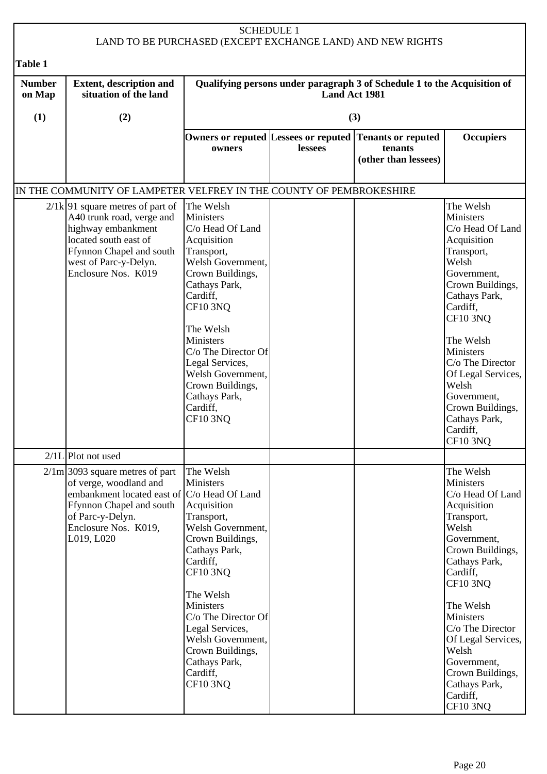|                         |                                                                                                                                                                                                         | <b>SCHEDULE 1</b>                                                                                                                                                                                                                                                                                                                    |               | LAND TO BE PURCHASED (EXCEPT EXCHANGE LAND) AND NEW RIGHTS               |                                                                                                                                                                                                                                                                                                                              |
|-------------------------|---------------------------------------------------------------------------------------------------------------------------------------------------------------------------------------------------------|--------------------------------------------------------------------------------------------------------------------------------------------------------------------------------------------------------------------------------------------------------------------------------------------------------------------------------------|---------------|--------------------------------------------------------------------------|------------------------------------------------------------------------------------------------------------------------------------------------------------------------------------------------------------------------------------------------------------------------------------------------------------------------------|
| Table 1                 |                                                                                                                                                                                                         |                                                                                                                                                                                                                                                                                                                                      |               |                                                                          |                                                                                                                                                                                                                                                                                                                              |
| <b>Number</b><br>on Map | <b>Extent, description and</b><br>situation of the land                                                                                                                                                 |                                                                                                                                                                                                                                                                                                                                      | Land Act 1981 | Qualifying persons under paragraph 3 of Schedule 1 to the Acquisition of |                                                                                                                                                                                                                                                                                                                              |
| (1)                     | (2)                                                                                                                                                                                                     |                                                                                                                                                                                                                                                                                                                                      |               | (3)                                                                      |                                                                                                                                                                                                                                                                                                                              |
|                         |                                                                                                                                                                                                         | Owners or reputed Lessees or reputed<br>owners                                                                                                                                                                                                                                                                                       | lessees       | <b>Tenants or reputed</b><br>tenants<br>(other than lessees)             | <b>Occupiers</b>                                                                                                                                                                                                                                                                                                             |
|                         | IN THE COMMUNITY OF LAMPETER VELFREY IN THE COUNTY OF PEMBROKESHIRE                                                                                                                                     |                                                                                                                                                                                                                                                                                                                                      |               |                                                                          |                                                                                                                                                                                                                                                                                                                              |
|                         | $2/1k$ 91 square metres of part of<br>A40 trunk road, verge and<br>highway embankment<br>located south east of<br>Ffynnon Chapel and south<br>west of Parc-y-Delyn.<br>Enclosure Nos. K019              | The Welsh<br><b>Ministers</b><br>C/o Head Of Land<br>Acquisition<br>Transport,<br>Welsh Government,<br>Crown Buildings,<br>Cathays Park,<br>Cardiff,<br><b>CF10 3NQ</b><br>The Welsh<br>Ministers<br>C/o The Director Of<br>Legal Services,<br>Welsh Government,<br>Crown Buildings,<br>Cathays Park,<br>Cardiff,<br><b>CF10 3NQ</b> |               |                                                                          | The Welsh<br>Ministers<br>C/o Head Of Land<br>Acquisition<br>Transport,<br>Welsh<br>Government,<br>Crown Buildings,<br>Cathays Park,<br>Cardiff,<br><b>CF10 3NQ</b><br>The Welsh<br>Ministers<br>C/o The Director<br>Of Legal Services,<br>Welsh<br>Government,<br>Crown Buildings,<br>Cathays Park,<br>Cardiff,<br>CF10 3NQ |
|                         | $2/1L$ Plot not used                                                                                                                                                                                    |                                                                                                                                                                                                                                                                                                                                      |               |                                                                          |                                                                                                                                                                                                                                                                                                                              |
|                         | $2/\text{1m}$ 3093 square metres of part<br>of verge, woodland and<br>embankment located east of C/o Head Of Land<br>Ffynnon Chapel and south<br>of Parc-y-Delyn.<br>Enclosure Nos. K019,<br>L019, L020 | The Welsh<br>Ministers<br>Acquisition<br>Transport,<br>Welsh Government,<br>Crown Buildings,<br>Cathays Park,<br>Cardiff,<br><b>CF10 3NQ</b><br>The Welsh<br>Ministers<br>C/o The Director Of<br>Legal Services,<br>Welsh Government,<br>Crown Buildings,<br>Cathays Park,<br>Cardiff,<br><b>CF10 3NQ</b>                            |               |                                                                          | The Welsh<br>Ministers<br>C/o Head Of Land<br>Acquisition<br>Transport,<br>Welsh<br>Government,<br>Crown Buildings,<br>Cathays Park,<br>Cardiff,<br><b>CF10 3NQ</b><br>The Welsh<br>Ministers<br>C/o The Director<br>Of Legal Services,<br>Welsh<br>Government,<br>Crown Buildings,<br>Cathays Park,<br>Cardiff,<br>CF10 3NQ |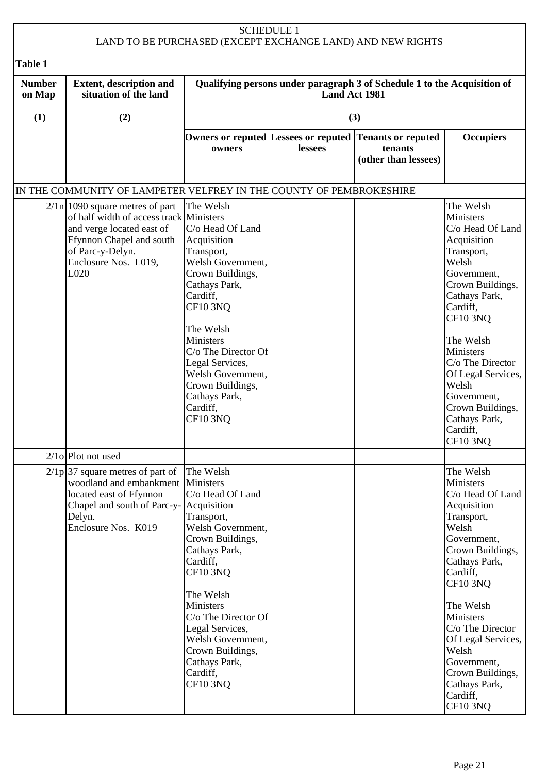|                         |                                                                                                                                                                                              | <b>SCHEDULE 1</b>                                                                                                                                                                                                                                                                                                  |                      | LAND TO BE PURCHASED (EXCEPT EXCHANGE LAND) AND NEW RIGHTS               |                                                                                                                                                                                                                                                                                                                                |
|-------------------------|----------------------------------------------------------------------------------------------------------------------------------------------------------------------------------------------|--------------------------------------------------------------------------------------------------------------------------------------------------------------------------------------------------------------------------------------------------------------------------------------------------------------------|----------------------|--------------------------------------------------------------------------|--------------------------------------------------------------------------------------------------------------------------------------------------------------------------------------------------------------------------------------------------------------------------------------------------------------------------------|
| Table 1                 |                                                                                                                                                                                              |                                                                                                                                                                                                                                                                                                                    |                      |                                                                          |                                                                                                                                                                                                                                                                                                                                |
| <b>Number</b><br>on Map | <b>Extent, description and</b><br>situation of the land                                                                                                                                      |                                                                                                                                                                                                                                                                                                                    | <b>Land Act 1981</b> | Qualifying persons under paragraph 3 of Schedule 1 to the Acquisition of |                                                                                                                                                                                                                                                                                                                                |
| (1)                     | (2)                                                                                                                                                                                          |                                                                                                                                                                                                                                                                                                                    |                      | (3)                                                                      |                                                                                                                                                                                                                                                                                                                                |
|                         |                                                                                                                                                                                              | Owners or reputed Lessees or reputed<br>owners                                                                                                                                                                                                                                                                     | lessees              | <b>Tenants or reputed</b><br>tenants<br>(other than lessees)             | <b>Occupiers</b>                                                                                                                                                                                                                                                                                                               |
|                         | IN THE COMMUNITY OF LAMPETER VELFREY IN THE COUNTY OF PEMBROKESHIRE                                                                                                                          |                                                                                                                                                                                                                                                                                                                    |                      |                                                                          |                                                                                                                                                                                                                                                                                                                                |
|                         | $2/\ln$   1090 square metres of part<br>of half width of access track Ministers<br>and verge located east of<br>Ffynnon Chapel and south<br>of Parc-y-Delyn.<br>Enclosure Nos. L019,<br>L020 | The Welsh<br>C/o Head Of Land<br>Acquisition<br>Transport,<br>Welsh Government,<br>Crown Buildings,<br>Cathays Park,<br>Cardiff,<br><b>CF10 3NQ</b><br>The Welsh<br>Ministers<br>$C/O$ The Director Of<br>Legal Services,<br>Welsh Government,<br>Crown Buildings,<br>Cathays Park,<br>Cardiff,<br><b>CF10 3NO</b> |                      |                                                                          | The Welsh<br>Ministers<br>C/o Head Of Land<br>Acquisition<br>Transport,<br>Welsh<br>Government,<br>Crown Buildings,<br>Cathays Park,<br>Cardiff,<br><b>CF10 3NQ</b><br>The Welsh<br>Ministers<br>C/o The Director<br>Of Legal Services,<br>Welsh<br>Government,<br>Crown Buildings,<br>Cathays Park,<br>Cardiff,<br>$CF10$ 3NQ |
|                         | $2/10$ Plot not used                                                                                                                                                                         |                                                                                                                                                                                                                                                                                                                    |                      |                                                                          |                                                                                                                                                                                                                                                                                                                                |
|                         | $2/1p$ 37 square metres of part of<br>woodland and embankment   Ministers<br>located east of Ffynnon<br>Chapel and south of Parc-y- Acquisition<br>Delyn.<br>Enclosure Nos. K019             | The Welsh<br>C/o Head Of Land<br>Transport,<br>Welsh Government,<br>Crown Buildings,<br>Cathays Park,<br>Cardiff,<br><b>CF10 3NQ</b><br>The Welsh<br>Ministers<br>C/o The Director Of<br>Legal Services,<br>Welsh Government,<br>Crown Buildings,<br>Cathays Park,<br>Cardiff,<br>CF10 3NQ                         |                      |                                                                          | The Welsh<br>Ministers<br>C/o Head Of Land<br>Acquisition<br>Transport,<br>Welsh<br>Government,<br>Crown Buildings,<br>Cathays Park,<br>Cardiff,<br>CF10 3NQ<br>The Welsh<br>Ministers<br>C/o The Director<br>Of Legal Services,<br>Welsh<br>Government,<br>Crown Buildings,<br>Cathays Park,<br>Cardiff,<br><b>CF10 3NQ</b>   |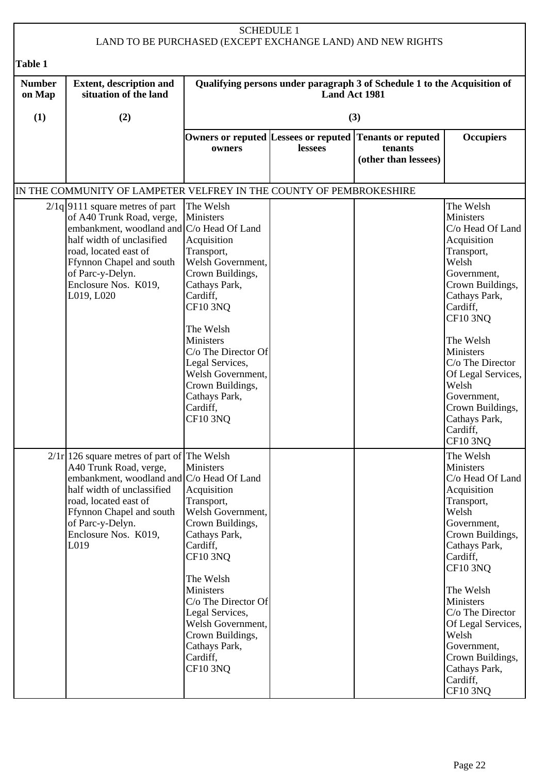|                         |                                                                                                                                                                                                                                                               | <b>SCHEDULE 1</b>                                                                                                                                                                                                                                                                                                         |                      | LAND TO BE PURCHASED (EXCEPT EXCHANGE LAND) AND NEW RIGHTS               |                                                                                                                                                                                                                                                                                                                                     |
|-------------------------|---------------------------------------------------------------------------------------------------------------------------------------------------------------------------------------------------------------------------------------------------------------|---------------------------------------------------------------------------------------------------------------------------------------------------------------------------------------------------------------------------------------------------------------------------------------------------------------------------|----------------------|--------------------------------------------------------------------------|-------------------------------------------------------------------------------------------------------------------------------------------------------------------------------------------------------------------------------------------------------------------------------------------------------------------------------------|
| <b>Table 1</b>          |                                                                                                                                                                                                                                                               |                                                                                                                                                                                                                                                                                                                           |                      |                                                                          |                                                                                                                                                                                                                                                                                                                                     |
| <b>Number</b><br>on Map | <b>Extent, description and</b><br>situation of the land                                                                                                                                                                                                       |                                                                                                                                                                                                                                                                                                                           | <b>Land Act 1981</b> | Qualifying persons under paragraph 3 of Schedule 1 to the Acquisition of |                                                                                                                                                                                                                                                                                                                                     |
| (1)                     | (2)                                                                                                                                                                                                                                                           |                                                                                                                                                                                                                                                                                                                           |                      | (3)                                                                      |                                                                                                                                                                                                                                                                                                                                     |
|                         |                                                                                                                                                                                                                                                               | Owners or reputed Lessees or reputed<br>owners                                                                                                                                                                                                                                                                            | lessees              | <b>Tenants or reputed</b><br>tenants<br>(other than lessees)             | <b>Occupiers</b>                                                                                                                                                                                                                                                                                                                    |
|                         | IN THE COMMUNITY OF LAMPETER VELFREY IN THE COUNTY OF PEMBROKESHIRE                                                                                                                                                                                           |                                                                                                                                                                                                                                                                                                                           |                      |                                                                          |                                                                                                                                                                                                                                                                                                                                     |
|                         | $2/1q$  9111 square metres of part<br>of A40 Trunk Road, verge,<br>embankment, woodland and C/o Head Of Land<br>half width of unclasified<br>road, located east of<br>Ffynnon Chapel and south<br>of Parc-y-Delyn.<br>Enclosure Nos. K019,<br>L019, L020      | The Welsh<br><b>Ministers</b><br>Acquisition<br>Transport,<br>Welsh Government,<br>Crown Buildings,<br>Cathays Park,<br>Cardiff,<br><b>CF10 3NQ</b><br>The Welsh<br><b>Ministers</b><br>$C/O$ The Director Of<br>Legal Services,<br>Welsh Government,<br>Crown Buildings,<br>Cathays Park,<br>Cardiff,<br><b>CF10 3NO</b> |                      |                                                                          | The Welsh<br>Ministers<br>C/o Head Of Land<br>Acquisition<br>Transport,<br>Welsh<br>Government,<br>Crown Buildings,<br>Cathays Park,<br>Cardiff,<br><b>CF10 3NQ</b><br>The Welsh<br>Ministers<br>C/o The Director<br>Of Legal Services,<br>Welsh<br>Government,<br>Crown Buildings,<br>Cathays Park,<br>Cardiff,<br>CF10 3NQ        |
|                         | $2/1r$   126 square metres of part of The Welsh<br>A40 Trunk Road, verge,<br>embankment, woodland and C/o Head Of Land<br>half width of unclassified<br>road, located east of<br>Ffynnon Chapel and south<br>of Parc-y-Delyn.<br>Enclosure Nos. K019,<br>L019 | <b>Ministers</b><br>Acquisition<br>Transport,<br>Welsh Government,<br>Crown Buildings,<br>Cathays Park,<br>Cardiff,<br><b>CF10 3NQ</b><br>The Welsh<br>Ministers<br>C/o The Director Of<br>Legal Services,<br>Welsh Government,<br>Crown Buildings,<br>Cathays Park,<br>Cardiff,<br><b>CF10 3NQ</b>                       |                      |                                                                          | The Welsh<br><b>Ministers</b><br>C/o Head Of Land<br>Acquisition<br>Transport,<br>Welsh<br>Government,<br>Crown Buildings,<br>Cathays Park,<br>Cardiff,<br><b>CF10 3NQ</b><br>The Welsh<br>Ministers<br>C/o The Director<br>Of Legal Services,<br>Welsh<br>Government,<br>Crown Buildings,<br>Cathays Park,<br>Cardiff,<br>CF10 3NQ |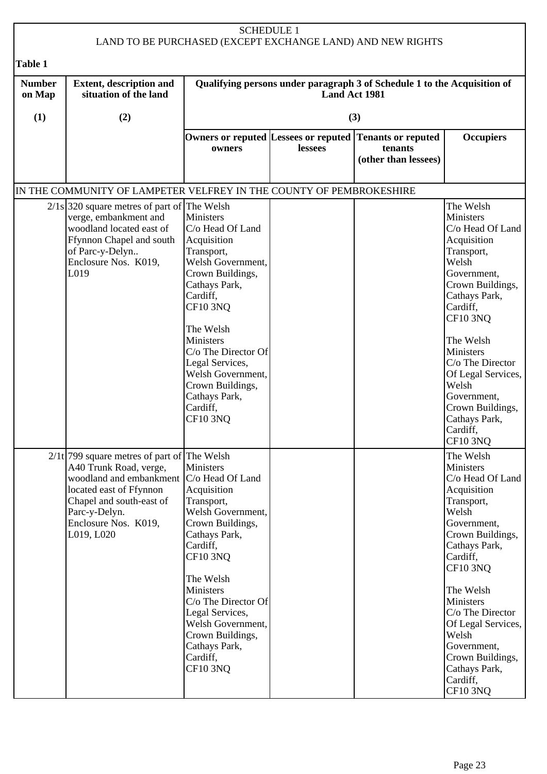| <b>SCHEDULE 1</b><br>LAND TO BE PURCHASED (EXCEPT EXCHANGE LAND) AND NEW RIGHTS |                                                                                                                                                                                                                                     |                                                                                                                                                                                                                                                                                                                         |               |                                                                          |                                                                                                                                                                                                                                                                                                                                     |  |
|---------------------------------------------------------------------------------|-------------------------------------------------------------------------------------------------------------------------------------------------------------------------------------------------------------------------------------|-------------------------------------------------------------------------------------------------------------------------------------------------------------------------------------------------------------------------------------------------------------------------------------------------------------------------|---------------|--------------------------------------------------------------------------|-------------------------------------------------------------------------------------------------------------------------------------------------------------------------------------------------------------------------------------------------------------------------------------------------------------------------------------|--|
|                                                                                 |                                                                                                                                                                                                                                     |                                                                                                                                                                                                                                                                                                                         |               |                                                                          |                                                                                                                                                                                                                                                                                                                                     |  |
| Table 1<br><b>Number</b><br>on Map                                              | <b>Extent, description and</b><br>situation of the land                                                                                                                                                                             |                                                                                                                                                                                                                                                                                                                         | Land Act 1981 | Qualifying persons under paragraph 3 of Schedule 1 to the Acquisition of |                                                                                                                                                                                                                                                                                                                                     |  |
| (1)                                                                             | (2)                                                                                                                                                                                                                                 |                                                                                                                                                                                                                                                                                                                         |               | (3)                                                                      |                                                                                                                                                                                                                                                                                                                                     |  |
|                                                                                 |                                                                                                                                                                                                                                     | Owners or reputed Lessees or reputed<br>owners                                                                                                                                                                                                                                                                          | lessees       | <b>Tenants or reputed</b><br>tenants<br>(other than lessees)             | <b>Occupiers</b>                                                                                                                                                                                                                                                                                                                    |  |
|                                                                                 | IN THE COMMUNITY OF LAMPETER VELFREY IN THE COUNTY OF PEMBROKESHIRE                                                                                                                                                                 |                                                                                                                                                                                                                                                                                                                         |               |                                                                          |                                                                                                                                                                                                                                                                                                                                     |  |
|                                                                                 | $2/1s$ 320 square metres of part of The Welsh<br>verge, embankment and<br>woodland located east of<br>Ffynnon Chapel and south<br>of Parc-y-Delyn<br>Enclosure Nos. K019,<br>L019                                                   | Ministers<br>C/o Head Of Land<br>Acquisition<br>Transport,<br>Welsh Government,<br>Crown Buildings,<br>Cathays Park,<br>Cardiff,<br><b>CF10 3NQ</b><br>The Welsh<br><b>Ministers</b><br>C/o The Director Of<br>Legal Services,<br>Welsh Government,<br>Crown Buildings,<br>Cathays Park,<br>Cardiff,<br><b>CF10 3NO</b> |               |                                                                          | The Welsh<br>Ministers<br>C/o Head Of Land<br>Acquisition<br>Transport,<br>Welsh<br>Government,<br>Crown Buildings,<br>Cathays Park,<br>Cardiff,<br><b>CF10 3NQ</b><br>The Welsh<br>Ministers<br>C/o The Director<br>Of Legal Services,<br>Welsh<br>Government,<br>Crown Buildings,<br>Cathays Park,<br>Cardiff,<br>CF10 3NQ        |  |
|                                                                                 | $2/1t$ 799 square metres of part of The Welsh<br>A40 Trunk Road, verge,<br>woodland and embankment   C/o Head Of Land<br>located east of Ffynnon<br>Chapel and south-east of<br>Parc-y-Delyn.<br>Enclosure Nos. K019,<br>L019, L020 | Ministers<br>Acquisition<br>Transport,<br>Welsh Government,<br>Crown Buildings,<br>Cathays Park,<br>Cardiff,<br>CF10 3NQ<br>The Welsh<br><b>Ministers</b><br>C/o The Director Of<br>Legal Services,<br>Welsh Government,<br>Crown Buildings,<br>Cathays Park,<br>Cardiff,<br><b>CF10 3NQ</b>                            |               |                                                                          | The Welsh<br>Ministers<br>C/o Head Of Land<br>Acquisition<br>Transport,<br>Welsh<br>Government,<br>Crown Buildings,<br>Cathays Park,<br>Cardiff,<br><b>CF10 3NQ</b><br>The Welsh<br>Ministers<br>C/o The Director<br>Of Legal Services,<br>Welsh<br>Government,<br>Crown Buildings,<br>Cathays Park,<br>Cardiff,<br><b>CF10 3NQ</b> |  |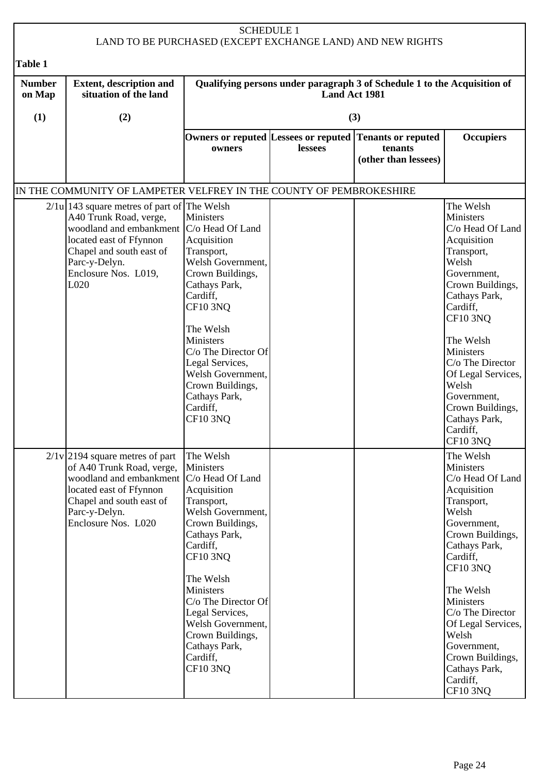|                         |                                                                                                                                                                                                                                             |                                                                                                                                                                                                                                                                                                                        | <b>SCHEDULE 1</b> | LAND TO BE PURCHASED (EXCEPT EXCHANGE LAND) AND NEW RIGHTS               |                                                                                                                                                                                                                                                                                                                                     |
|-------------------------|---------------------------------------------------------------------------------------------------------------------------------------------------------------------------------------------------------------------------------------------|------------------------------------------------------------------------------------------------------------------------------------------------------------------------------------------------------------------------------------------------------------------------------------------------------------------------|-------------------|--------------------------------------------------------------------------|-------------------------------------------------------------------------------------------------------------------------------------------------------------------------------------------------------------------------------------------------------------------------------------------------------------------------------------|
| <b>Table 1</b>          |                                                                                                                                                                                                                                             |                                                                                                                                                                                                                                                                                                                        |                   |                                                                          |                                                                                                                                                                                                                                                                                                                                     |
| <b>Number</b><br>on Map | <b>Extent, description and</b><br>situation of the land                                                                                                                                                                                     |                                                                                                                                                                                                                                                                                                                        | Land Act 1981     | Qualifying persons under paragraph 3 of Schedule 1 to the Acquisition of |                                                                                                                                                                                                                                                                                                                                     |
| (1)                     | (2)                                                                                                                                                                                                                                         |                                                                                                                                                                                                                                                                                                                        |                   | (3)                                                                      |                                                                                                                                                                                                                                                                                                                                     |
|                         |                                                                                                                                                                                                                                             | Owners or reputed Lessees or reputed<br>owners                                                                                                                                                                                                                                                                         | lessees           | <b>Tenants or reputed</b><br>tenants<br>(other than lessees)             | <b>Occupiers</b>                                                                                                                                                                                                                                                                                                                    |
|                         | IN THE COMMUNITY OF LAMPETER VELFREY IN THE COUNTY OF PEMBROKESHIRE                                                                                                                                                                         |                                                                                                                                                                                                                                                                                                                        |                   |                                                                          |                                                                                                                                                                                                                                                                                                                                     |
|                         | $2/1u$   143 square metres of part of The Welsh<br>A40 Trunk Road, verge,<br>woodland and embankment   C/o Head Of Land<br>located east of Ffynnon<br>Chapel and south east of<br>Parc-y-Delyn.<br>Enclosure Nos. L019,<br>L <sub>020</sub> | <b>Ministers</b><br>Acquisition<br>Transport,<br>Welsh Government,<br>Crown Buildings,<br>Cathays Park,<br>Cardiff,<br><b>CF10 3NQ</b><br>The Welsh<br>Ministers<br>C/o The Director Of<br>Legal Services,<br>Welsh Government,<br>Crown Buildings,<br>Cathays Park,<br>Cardiff,<br><b>CF10 3NQ</b>                    |                   |                                                                          | The Welsh<br>Ministers<br>C/o Head Of Land<br>Acquisition<br>Transport,<br>Welsh<br>Government,<br>Crown Buildings,<br>Cathays Park,<br>Cardiff,<br><b>CF10 3NQ</b><br>The Welsh<br>Ministers<br>C/o The Director<br>Of Legal Services,<br>Welsh<br>Government,<br>Crown Buildings,<br>Cathays Park,<br>Cardiff,<br>CF10 3NQ        |
|                         | $2/1$ v 2194 square metres of part<br>of A40 Trunk Road, verge,<br>woodland and embankment<br>located east of Ffynnon<br>Chapel and south east of<br>Parc-y-Delyn.<br>Enclosure Nos. L020                                                   | The Welsh<br>Ministers<br>C/o Head Of Land<br>Acquisition<br>Transport,<br>Welsh Government,<br>Crown Buildings,<br>Cathays Park,<br>Cardiff,<br>CF10 3NQ<br>The Welsh<br>Ministers<br>C/o The Director Of<br>Legal Services,<br>Welsh Government,<br>Crown Buildings,<br>Cathays Park,<br>Cardiff,<br><b>CF10 3NQ</b> |                   |                                                                          | The Welsh<br>Ministers<br>C/o Head Of Land<br>Acquisition<br>Transport,<br>Welsh<br>Government,<br>Crown Buildings,<br>Cathays Park,<br>Cardiff,<br><b>CF10 3NQ</b><br>The Welsh<br>Ministers<br>C/o The Director<br>Of Legal Services,<br>Welsh<br>Government,<br>Crown Buildings,<br>Cathays Park,<br>Cardiff,<br><b>CF10 3NQ</b> |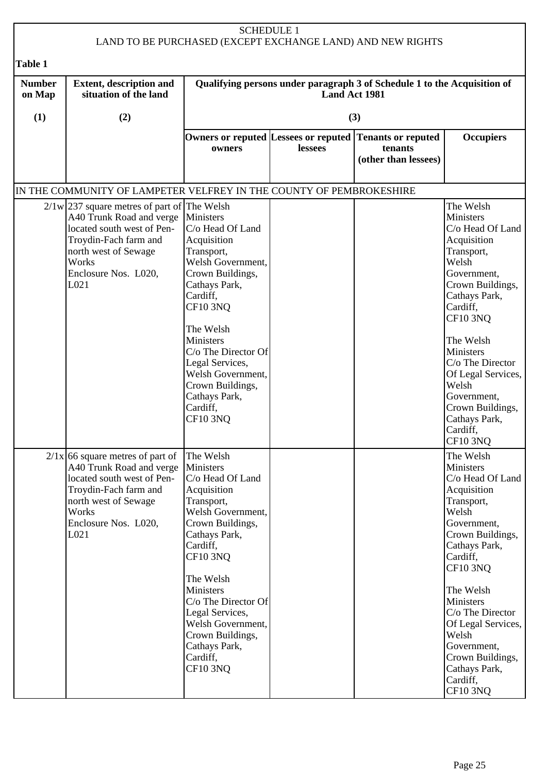|                         | <b>SCHEDULE 1</b><br>LAND TO BE PURCHASED (EXCEPT EXCHANGE LAND) AND NEW RIGHTS                                                                                                                    |                                                                                                                                                                                                                                                                                                                                  |                      |                                                                          |                                                                                                                                                                                                                                                                                                                                     |  |  |
|-------------------------|----------------------------------------------------------------------------------------------------------------------------------------------------------------------------------------------------|----------------------------------------------------------------------------------------------------------------------------------------------------------------------------------------------------------------------------------------------------------------------------------------------------------------------------------|----------------------|--------------------------------------------------------------------------|-------------------------------------------------------------------------------------------------------------------------------------------------------------------------------------------------------------------------------------------------------------------------------------------------------------------------------------|--|--|
| Table 1                 |                                                                                                                                                                                                    |                                                                                                                                                                                                                                                                                                                                  |                      |                                                                          |                                                                                                                                                                                                                                                                                                                                     |  |  |
| <b>Number</b><br>on Map | <b>Extent, description and</b><br>situation of the land                                                                                                                                            |                                                                                                                                                                                                                                                                                                                                  | <b>Land Act 1981</b> | Qualifying persons under paragraph 3 of Schedule 1 to the Acquisition of |                                                                                                                                                                                                                                                                                                                                     |  |  |
| (1)                     | (2)                                                                                                                                                                                                |                                                                                                                                                                                                                                                                                                                                  |                      | (3)                                                                      |                                                                                                                                                                                                                                                                                                                                     |  |  |
|                         |                                                                                                                                                                                                    | Owners or reputed Lessees or reputed<br>owners                                                                                                                                                                                                                                                                                   | lessees              | <b>Tenants or reputed</b><br>tenants<br>(other than lessees)             | <b>Occupiers</b>                                                                                                                                                                                                                                                                                                                    |  |  |
|                         | IN THE COMMUNITY OF LAMPETER VELFREY IN THE COUNTY OF PEMBROKESHIRE                                                                                                                                |                                                                                                                                                                                                                                                                                                                                  |                      |                                                                          |                                                                                                                                                                                                                                                                                                                                     |  |  |
|                         | $2/1 w$ 237 square metres of part of The Welsh<br>A40 Trunk Road and verge<br>located south west of Pen-<br>Troydin-Fach farm and<br>north west of Sewage<br>Works<br>Enclosure Nos. L020,<br>L021 | <b>Ministers</b><br>C/o Head Of Land<br>Acquisition<br>Transport,<br>Welsh Government,<br>Crown Buildings,<br>Cathays Park,<br>Cardiff,<br><b>CF10 3NQ</b><br>The Welsh<br><b>Ministers</b><br>$C/O$ The Director Of<br>Legal Services,<br>Welsh Government,<br>Crown Buildings,<br>Cathays Park,<br>Cardiff,<br><b>CF10 3NO</b> |                      |                                                                          | The Welsh<br>Ministers<br>C/o Head Of Land<br>Acquisition<br>Transport,<br>Welsh<br>Government,<br>Crown Buildings,<br>Cathays Park,<br>Cardiff,<br><b>CF10 3NQ</b><br>The Welsh<br>Ministers<br>C/o The Director<br>Of Legal Services,<br>Welsh<br>Government,<br>Crown Buildings,<br>Cathays Park,<br>Cardiff,<br>CF10 3NQ        |  |  |
|                         | $2/1x$ 66 square metres of part of<br>A40 Trunk Road and verge<br>located south west of Pen-<br>Troydin-Fach farm and<br>north west of Sewage<br>Works<br>Enclosure Nos. L020,<br>L021             | The Welsh<br>Ministers<br>C/o Head Of Land<br>Acquisition<br>Transport,<br>Welsh Government,<br>Crown Buildings,<br>Cathays Park,<br>Cardiff,<br><b>CF10 3NQ</b><br>The Welsh<br>Ministers<br>C/o The Director Of<br>Legal Services,<br>Welsh Government,<br>Crown Buildings,<br>Cathays Park,<br>Cardiff,<br><b>CF10 3NQ</b>    |                      |                                                                          | The Welsh<br>Ministers<br>C/o Head Of Land<br>Acquisition<br>Transport,<br>Welsh<br>Government,<br>Crown Buildings,<br>Cathays Park,<br>Cardiff,<br><b>CF10 3NQ</b><br>The Welsh<br>Ministers<br>C/o The Director<br>Of Legal Services,<br>Welsh<br>Government,<br>Crown Buildings,<br>Cathays Park,<br>Cardiff,<br><b>CF10 3NQ</b> |  |  |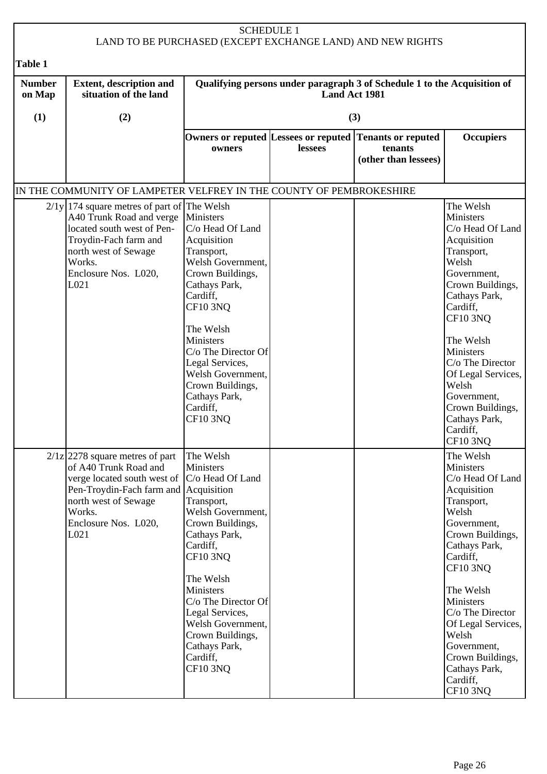|                         | <b>SCHEDULE 1</b><br>LAND TO BE PURCHASED (EXCEPT EXCHANGE LAND) AND NEW RIGHTS                                                                                                                            |                                                                                                                                                                                                                                                                                                                           |         |                                                              |                                                                                                                                                                                                                                                                                                                                     |  |  |
|-------------------------|------------------------------------------------------------------------------------------------------------------------------------------------------------------------------------------------------------|---------------------------------------------------------------------------------------------------------------------------------------------------------------------------------------------------------------------------------------------------------------------------------------------------------------------------|---------|--------------------------------------------------------------|-------------------------------------------------------------------------------------------------------------------------------------------------------------------------------------------------------------------------------------------------------------------------------------------------------------------------------------|--|--|
| Table 1                 |                                                                                                                                                                                                            |                                                                                                                                                                                                                                                                                                                           |         |                                                              |                                                                                                                                                                                                                                                                                                                                     |  |  |
| <b>Number</b><br>on Map | <b>Extent, description and</b><br>Qualifying persons under paragraph 3 of Schedule 1 to the Acquisition of<br>situation of the land<br><b>Land Act 1981</b>                                                |                                                                                                                                                                                                                                                                                                                           |         |                                                              |                                                                                                                                                                                                                                                                                                                                     |  |  |
| (1)                     | (2)                                                                                                                                                                                                        |                                                                                                                                                                                                                                                                                                                           |         | (3)                                                          |                                                                                                                                                                                                                                                                                                                                     |  |  |
|                         |                                                                                                                                                                                                            | Owners or reputed Lessees or reputed<br>owners                                                                                                                                                                                                                                                                            | lessees | <b>Tenants or reputed</b><br>tenants<br>(other than lessees) | <b>Occupiers</b>                                                                                                                                                                                                                                                                                                                    |  |  |
|                         | IN THE COMMUNITY OF LAMPETER VELFREY IN THE COUNTY OF PEMBROKESHIRE                                                                                                                                        |                                                                                                                                                                                                                                                                                                                           |         |                                                              |                                                                                                                                                                                                                                                                                                                                     |  |  |
|                         | $2/1y$   174 square metres of part of The Welsh<br>A40 Trunk Road and verge<br>located south west of Pen-<br>Troydin-Fach farm and<br>north west of Sewage<br>Works.<br>Enclosure Nos. L020,<br>L021       | Ministers<br>C/o Head Of Land<br>Acquisition<br>Transport,<br>Welsh Government,<br>Crown Buildings,<br>Cathays Park,<br>Cardiff,<br><b>CF10 3NQ</b><br>The Welsh<br><b>Ministers</b><br>$C/O$ The Director Of<br>Legal Services,<br>Welsh Government,<br>Crown Buildings,<br>Cathays Park,<br>Cardiff,<br><b>CF10 3NO</b> |         |                                                              | The Welsh<br>Ministers<br>C/o Head Of Land<br>Acquisition<br>Transport,<br>Welsh<br>Government,<br>Crown Buildings,<br>Cathays Park,<br>Cardiff,<br><b>CF10 3NQ</b><br>The Welsh<br>Ministers<br>C/o The Director<br>Of Legal Services,<br>Welsh<br>Government,<br>Crown Buildings,<br>Cathays Park,<br>Cardiff,<br>CF10 3NQ        |  |  |
|                         | $2/1z$ 2278 square metres of part<br>of A40 Trunk Road and<br>verge located south west of  C/o Head Of Land<br>Pen-Troydin-Fach farm and<br>north west of Sewage<br>Works.<br>Enclosure Nos. L020,<br>L021 | The Welsh<br><b>Ministers</b><br>Acquisition<br>Transport,<br>Welsh Government,<br>Crown Buildings,<br>Cathays Park,<br>Cardiff,<br><b>CF10 3NQ</b><br>The Welsh<br>Ministers<br>C/o The Director Of<br>Legal Services,<br>Welsh Government,<br>Crown Buildings,<br>Cathays Park,<br>Cardiff,<br><b>CF10 3NQ</b>          |         |                                                              | The Welsh<br>Ministers<br>C/o Head Of Land<br>Acquisition<br>Transport,<br>Welsh<br>Government,<br>Crown Buildings,<br>Cathays Park,<br>Cardiff,<br><b>CF10 3NQ</b><br>The Welsh<br>Ministers<br>C/o The Director<br>Of Legal Services,<br>Welsh<br>Government,<br>Crown Buildings,<br>Cathays Park,<br>Cardiff,<br><b>CF10 3NQ</b> |  |  |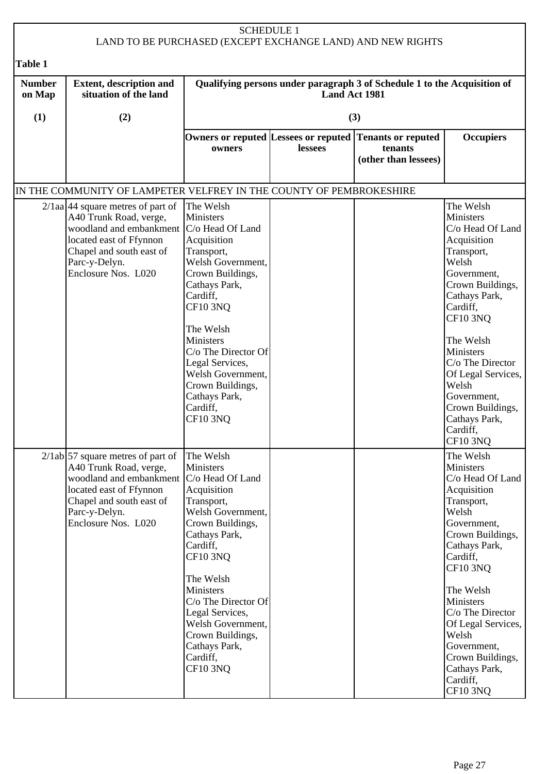|                         |                                                                                                                                                                                                             | <b>SCHEDULE 1</b>                                                                                                                                                                                                                                                                                                             |         | LAND TO BE PURCHASED (EXCEPT EXCHANGE LAND) AND NEW RIGHTS   |                                                                                                                                                                                                                                                                                                                                     |  |
|-------------------------|-------------------------------------------------------------------------------------------------------------------------------------------------------------------------------------------------------------|-------------------------------------------------------------------------------------------------------------------------------------------------------------------------------------------------------------------------------------------------------------------------------------------------------------------------------|---------|--------------------------------------------------------------|-------------------------------------------------------------------------------------------------------------------------------------------------------------------------------------------------------------------------------------------------------------------------------------------------------------------------------------|--|
| <b>Table 1</b>          |                                                                                                                                                                                                             |                                                                                                                                                                                                                                                                                                                               |         |                                                              |                                                                                                                                                                                                                                                                                                                                     |  |
| <b>Number</b><br>on Map | <b>Extent, description and</b><br>Qualifying persons under paragraph 3 of Schedule 1 to the Acquisition of<br>situation of the land<br>Land Act 1981                                                        |                                                                                                                                                                                                                                                                                                                               |         |                                                              |                                                                                                                                                                                                                                                                                                                                     |  |
| (1)                     | (2)                                                                                                                                                                                                         |                                                                                                                                                                                                                                                                                                                               |         | (3)                                                          |                                                                                                                                                                                                                                                                                                                                     |  |
|                         |                                                                                                                                                                                                             | Owners or reputed Lessees or reputed<br>owners                                                                                                                                                                                                                                                                                | lessees | <b>Tenants or reputed</b><br>tenants<br>(other than lessees) | <b>Occupiers</b>                                                                                                                                                                                                                                                                                                                    |  |
|                         | IN THE COMMUNITY OF LAMPETER VELFREY IN THE COUNTY OF PEMBROKESHIRE                                                                                                                                         |                                                                                                                                                                                                                                                                                                                               |         |                                                              |                                                                                                                                                                                                                                                                                                                                     |  |
|                         | $2/\tan 44$ square metres of part of<br>A40 Trunk Road, verge,<br>woodland and embankment   C/o Head Of Land<br>located east of Ffynnon<br>Chapel and south east of<br>Parc-y-Delyn.<br>Enclosure Nos. L020 | The Welsh<br>Ministers<br>Acquisition<br>Transport,<br>Welsh Government,<br>Crown Buildings,<br>Cathays Park,<br>Cardiff,<br><b>CF10 3NQ</b><br>The Welsh<br>Ministers<br>C/o The Director Of<br>Legal Services,<br>Welsh Government,<br>Crown Buildings,<br>Cathays Park,<br>Cardiff,<br><b>CF10 3NQ</b>                     |         |                                                              | The Welsh<br>Ministers<br>C/o Head Of Land<br>Acquisition<br>Transport,<br>Welsh<br>Government,<br>Crown Buildings,<br>Cathays Park,<br>Cardiff,<br><b>CF10 3NQ</b><br>The Welsh<br>Ministers<br>C/o The Director<br>Of Legal Services,<br>Welsh<br>Government,<br>Crown Buildings,<br>Cathays Park,<br>Cardiff,<br>CF10 3NQ        |  |
|                         | $2/\frac{1}{1}$ ab 57 square metres of part of<br>A40 Trunk Road, verge,<br>woodland and embankment<br>located east of Ffynnon<br>Chapel and south east of<br>Parc-y-Delyn.<br>Enclosure Nos. L020          | The Welsh<br><b>Ministers</b><br>C/o Head Of Land<br>Acquisition<br>Transport,<br>Welsh Government,<br>Crown Buildings,<br>Cathays Park,<br>Cardiff,<br>CF10 3NQ<br>The Welsh<br>Ministers<br>C/o The Director Of<br>Legal Services,<br>Welsh Government,<br>Crown Buildings,<br>Cathays Park,<br>Cardiff,<br><b>CF10 3NQ</b> |         |                                                              | The Welsh<br>Ministers<br>C/o Head Of Land<br>Acquisition<br>Transport,<br>Welsh<br>Government,<br>Crown Buildings,<br>Cathays Park,<br>Cardiff,<br><b>CF10 3NQ</b><br>The Welsh<br>Ministers<br>C/o The Director<br>Of Legal Services,<br>Welsh<br>Government,<br>Crown Buildings,<br>Cathays Park,<br>Cardiff,<br><b>CF10 3NQ</b> |  |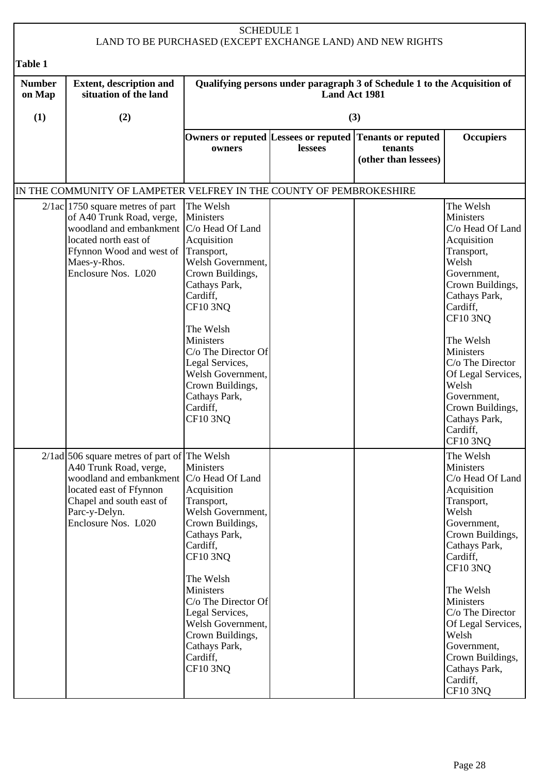|                         |                                                                                                                                                                                                                      |                                                                                                                                                                                                                                                                                                           | <b>SCHEDULE 1</b> | LAND TO BE PURCHASED (EXCEPT EXCHANGE LAND) AND NEW RIGHTS                                 |                                                                                                                                                                                                                                                                                                                                     |  |
|-------------------------|----------------------------------------------------------------------------------------------------------------------------------------------------------------------------------------------------------------------|-----------------------------------------------------------------------------------------------------------------------------------------------------------------------------------------------------------------------------------------------------------------------------------------------------------|-------------------|--------------------------------------------------------------------------------------------|-------------------------------------------------------------------------------------------------------------------------------------------------------------------------------------------------------------------------------------------------------------------------------------------------------------------------------------|--|
| Table 1                 |                                                                                                                                                                                                                      |                                                                                                                                                                                                                                                                                                           |                   |                                                                                            |                                                                                                                                                                                                                                                                                                                                     |  |
| <b>Number</b><br>on Map | Qualifying persons under paragraph 3 of Schedule 1 to the Acquisition of<br><b>Extent, description and</b><br>situation of the land<br>Land Act 1981                                                                 |                                                                                                                                                                                                                                                                                                           |                   |                                                                                            |                                                                                                                                                                                                                                                                                                                                     |  |
| (1)                     | (2)                                                                                                                                                                                                                  |                                                                                                                                                                                                                                                                                                           |                   | (3)                                                                                        |                                                                                                                                                                                                                                                                                                                                     |  |
|                         |                                                                                                                                                                                                                      | owners                                                                                                                                                                                                                                                                                                    | lessees           | Owners or reputed Lessees or reputed Tenants or reputed<br>tenants<br>(other than lessees) | <b>Occupiers</b>                                                                                                                                                                                                                                                                                                                    |  |
|                         | IN THE COMMUNITY OF LAMPETER VELFREY IN THE COUNTY OF PEMBROKESHIRE                                                                                                                                                  |                                                                                                                                                                                                                                                                                                           |                   |                                                                                            |                                                                                                                                                                                                                                                                                                                                     |  |
|                         | $2/1ac$ 1750 square metres of part<br>of A40 Trunk Road, verge,<br>woodland and embankment   C/o Head Of Land<br>located north east of<br>Ffynnon Wood and west of Transport,<br>Maes-y-Rhos.<br>Enclosure Nos. L020 | The Welsh<br><b>Ministers</b><br>Acquisition<br>Welsh Government,<br>Crown Buildings,<br>Cathays Park,<br>Cardiff,<br><b>CF10 3NQ</b><br>The Welsh<br>Ministers<br>C/o The Director Of<br>Legal Services,<br>Welsh Government,<br>Crown Buildings,<br>Cathays Park,<br>Cardiff,<br><b>CF10 3NQ</b>        |                   |                                                                                            | The Welsh<br>Ministers<br>C/o Head Of Land<br>Acquisition<br>Transport,<br>Welsh<br>Government,<br>Crown Buildings,<br>Cathays Park,<br>Cardiff,<br><b>CF10 3NQ</b><br>The Welsh<br>Ministers<br>C/o The Director<br>Of Legal Services,<br>Welsh<br>Government,<br>Crown Buildings,<br>Cathays Park,<br>Cardiff,<br>CF10 3NQ        |  |
|                         | $2/1$ ad 506 square metres of part of The Welsh<br>A40 Trunk Road, verge,<br>woodland and embankment<br>located east of Ffynnon<br>Chapel and south east of<br>Parc-y-Delyn.<br>Enclosure Nos. L020                  | Ministers<br>C/o Head Of Land<br>Acquisition<br>Transport,<br>Welsh Government,<br>Crown Buildings,<br>Cathays Park,<br>Cardiff,<br>CF10 3NQ<br>The Welsh<br>Ministers<br>C/o The Director Of<br>Legal Services,<br>Welsh Government,<br>Crown Buildings,<br>Cathays Park,<br>Cardiff,<br><b>CF10 3NQ</b> |                   |                                                                                            | The Welsh<br>Ministers<br>C/o Head Of Land<br>Acquisition<br>Transport,<br>Welsh<br>Government,<br>Crown Buildings,<br>Cathays Park,<br>Cardiff,<br><b>CF10 3NQ</b><br>The Welsh<br>Ministers<br>C/o The Director<br>Of Legal Services,<br>Welsh<br>Government,<br>Crown Buildings,<br>Cathays Park,<br>Cardiff,<br><b>CF10 3NQ</b> |  |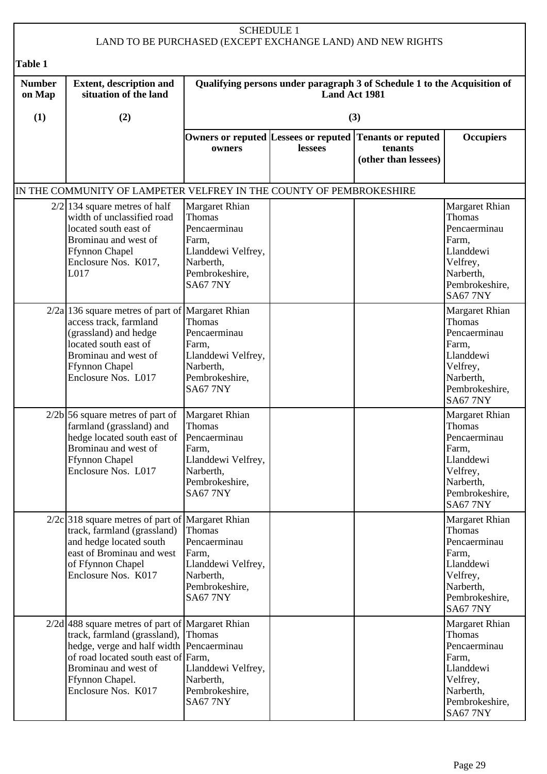| <b>SCHEDULE 1</b><br>LAND TO BE PURCHASED (EXCEPT EXCHANGE LAND) AND NEW RIGHTS |                                                                                                                                                                                                                                         |                                                                                                                           |               |                                                                          |                                                                                                                                     |  |
|---------------------------------------------------------------------------------|-----------------------------------------------------------------------------------------------------------------------------------------------------------------------------------------------------------------------------------------|---------------------------------------------------------------------------------------------------------------------------|---------------|--------------------------------------------------------------------------|-------------------------------------------------------------------------------------------------------------------------------------|--|
| <b>Table 1</b>                                                                  |                                                                                                                                                                                                                                         |                                                                                                                           |               |                                                                          |                                                                                                                                     |  |
| <b>Number</b><br>on Map                                                         | <b>Extent, description and</b><br>situation of the land                                                                                                                                                                                 |                                                                                                                           | Land Act 1981 | Qualifying persons under paragraph 3 of Schedule 1 to the Acquisition of |                                                                                                                                     |  |
| (1)                                                                             | (2)                                                                                                                                                                                                                                     |                                                                                                                           |               | (3)                                                                      |                                                                                                                                     |  |
|                                                                                 |                                                                                                                                                                                                                                         | Owners or reputed Lessees or reputed<br>owners                                                                            | lessees       | <b>Tenants or reputed</b><br>tenants<br>(other than lessees)             | <b>Occupiers</b>                                                                                                                    |  |
|                                                                                 | IN THE COMMUNITY OF LAMPETER VELFREY IN THE COUNTY OF PEMBROKESHIRE                                                                                                                                                                     |                                                                                                                           |               |                                                                          |                                                                                                                                     |  |
|                                                                                 | $2/2$   134 square metres of half<br>width of unclassified road<br>located south east of<br>Brominau and west of<br><b>Ffynnon Chapel</b><br>Enclosure Nos. K017,<br>L017                                                               | Margaret Rhian<br>Thomas<br>Pencaerminau<br>Farm,<br>Llanddewi Velfrey,<br>Narberth,<br>Pembrokeshire,<br><b>SA67 7NY</b> |               |                                                                          | Margaret Rhian<br>Thomas<br>Pencaerminau<br>Farm,<br>Llanddewi<br>Velfrey,<br>Narberth,<br>Pembrokeshire,<br><b>SA67 7NY</b>        |  |
|                                                                                 | $2/2a$ 136 square metres of part of Margaret Rhian<br>access track, farmland<br>(grassland) and hedge<br>located south east of<br>Brominau and west of<br><b>Ffynnon Chapel</b><br>Enclosure Nos. L017                                  | <b>Thomas</b><br>Pencaerminau<br>Farm,<br>Llanddewi Velfrey,<br>Narberth,<br>Pembrokeshire,<br><b>SA67 7NY</b>            |               |                                                                          | Margaret Rhian<br><b>Thomas</b><br>Pencaerminau<br>Farm,<br>Llanddewi<br>Velfrey,<br>Narberth,<br>Pembrokeshire,<br><b>SA67 7NY</b> |  |
|                                                                                 | $2/2b$ 56 square metres of part of<br>farmland (grassland) and<br>hedge located south east of Pencaerminau<br>Brominau and west of<br><b>Ffynnon Chapel</b><br>Enclosure Nos. L017                                                      | <b>Margaret Rhian</b><br>Thomas<br>Farm,<br>Llanddewi Velfrey,<br>Narberth,<br>Pembrokeshire,<br><b>SA67 7NY</b>          |               |                                                                          | Margaret Rhian<br>Thomas<br>Pencaerminau<br>Farm,<br>Llanddewi<br>Velfrey,<br>Narberth,<br>Pembrokeshire,<br><b>SA67 7NY</b>        |  |
|                                                                                 | $2/2c$ 318 square metres of part of Margaret Rhian<br>track, farmland (grassland)<br>and hedge located south<br>east of Brominau and west<br>of Ffynnon Chapel<br>Enclosure Nos. K017                                                   | <b>Thomas</b><br>Pencaerminau<br>Farm,<br>Llanddewi Velfrey,<br>Narberth,<br>Pembrokeshire,<br><b>SA67 7NY</b>            |               |                                                                          | Margaret Rhian<br><b>Thomas</b><br>Pencaerminau<br>Farm,<br>Llanddewi<br>Velfrey,<br>Narberth,<br>Pembrokeshire,<br><b>SA67 7NY</b> |  |
|                                                                                 | $2/2d$ 488 square metres of part of Margaret Rhian<br>track, farmland (grassland),<br>hedge, verge and half width Pencaerminau<br>of road located south east of Farm,<br>Brominau and west of<br>Ffynnon Chapel.<br>Enclosure Nos. K017 | Thomas<br>Llanddewi Velfrey,<br>Narberth,<br>Pembrokeshire,<br><b>SA67 7NY</b>                                            |               |                                                                          | Margaret Rhian<br>Thomas<br>Pencaerminau<br>Farm,<br>Llanddewi<br>Velfrey,<br>Narberth,<br>Pembrokeshire,<br><b>SA67 7NY</b>        |  |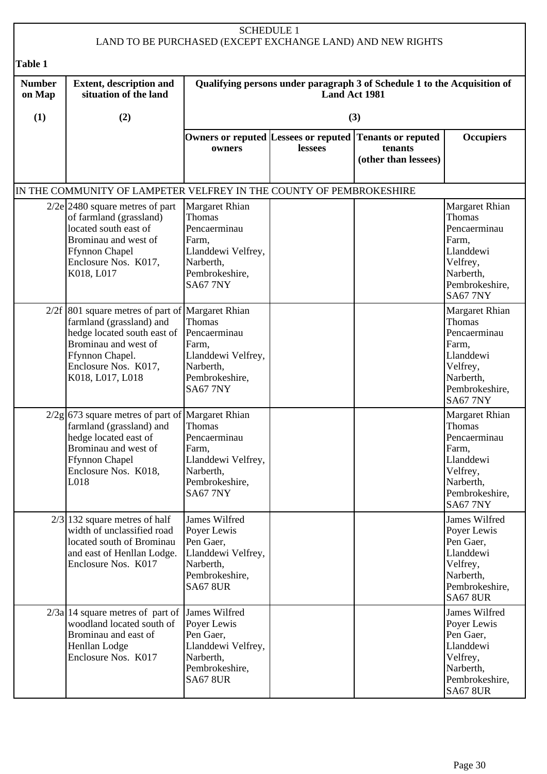|                         |                                                                                                                                                                                                                   |                                                                                                                                  | <b>SCHEDULE 1</b> | LAND TO BE PURCHASED (EXCEPT EXCHANGE LAND) AND NEW RIGHTS               |                                                                                                                                     |
|-------------------------|-------------------------------------------------------------------------------------------------------------------------------------------------------------------------------------------------------------------|----------------------------------------------------------------------------------------------------------------------------------|-------------------|--------------------------------------------------------------------------|-------------------------------------------------------------------------------------------------------------------------------------|
| Table 1                 |                                                                                                                                                                                                                   |                                                                                                                                  |                   |                                                                          |                                                                                                                                     |
| <b>Number</b><br>on Map | <b>Extent, description and</b><br>situation of the land                                                                                                                                                           |                                                                                                                                  | Land Act 1981     | Qualifying persons under paragraph 3 of Schedule 1 to the Acquisition of |                                                                                                                                     |
| (1)                     | (2)                                                                                                                                                                                                               |                                                                                                                                  |                   | (3)                                                                      |                                                                                                                                     |
|                         |                                                                                                                                                                                                                   | Owners or reputed Lessees or reputed<br>owners                                                                                   | lessees           | <b>Tenants or reputed</b><br>tenants<br>(other than lessees)             | <b>Occupiers</b>                                                                                                                    |
|                         | IN THE COMMUNITY OF LAMPETER VELFREY IN THE COUNTY OF PEMBROKESHIRE                                                                                                                                               |                                                                                                                                  |                   |                                                                          |                                                                                                                                     |
|                         | $2/2e$ 2480 square metres of part<br>of farmland (grassland)<br>located south east of<br>Brominau and west of<br><b>Ffynnon Chapel</b><br>Enclosure Nos. K017,<br>K018, L017                                      | Margaret Rhian<br><b>Thomas</b><br>Pencaerminau<br>Farm,<br>Llanddewi Velfrey,<br>Narberth,<br>Pembrokeshire,<br><b>SA67 7NY</b> |                   |                                                                          | Margaret Rhian<br>Thomas<br>Pencaerminau<br>Farm,<br>Llanddewi<br>Velfrey,<br>Narberth,<br>Pembrokeshire,<br><b>SA67 7NY</b>        |
|                         | $2/2f$ 801 square metres of part of Margaret Rhian<br>farmland (grassland) and<br>hedge located south east of Pencaerminau<br>Brominau and west of<br>Ffynnon Chapel.<br>Enclosure Nos. K017,<br>K018, L017, L018 | <b>Thomas</b><br>Farm,<br>Llanddewi Velfrey,<br>Narberth,<br>Pembrokeshire,<br><b>SA67 7NY</b>                                   |                   |                                                                          | Margaret Rhian<br><b>Thomas</b><br>Pencaerminau<br>Farm,<br>Llanddewi<br>Velfrey,<br>Narberth,<br>Pembrokeshire,<br><b>SA67 7NY</b> |
|                         | $2/2g$ 673 square metres of part of Margaret Rhian<br>farmland (grassland) and<br>hedge located east of<br>Brominau and west of<br><b>Ffynnon Chapel</b><br>Enclosure Nos. K018,<br>L018                          | <b>Thomas</b><br>Pencaerminau<br>Farm,<br>Llanddewi Velfrey,<br>Narberth,<br>Pembrokeshire,<br><b>SA67 7NY</b>                   |                   |                                                                          | Margaret Rhian<br>Thomas<br>Pencaerminau<br>Farm,<br>Llanddewi<br>Velfrey,<br>Narberth,<br>Pembrokeshire,<br><b>SA67 7NY</b>        |
|                         | $2/3$  132 square metres of half<br>width of unclassified road<br>located south of Brominau<br>and east of Henllan Lodge.<br>Enclosure Nos. K017                                                                  | James Wilfred<br>Poyer Lewis<br>Pen Gaer,<br>Llanddewi Velfrey,<br>Narberth,<br>Pembrokeshire,<br><b>SA67 8UR</b>                |                   |                                                                          | James Wilfred<br>Poyer Lewis<br>Pen Gaer,<br>Llanddewi<br>Velfrey,<br>Narberth,<br>Pembrokeshire,<br><b>SA67 8UR</b>                |
|                         | $2/3a$ 14 square metres of part of<br>woodland located south of<br>Brominau and east of<br>Henllan Lodge<br>Enclosure Nos. K017                                                                                   | James Wilfred<br>Poyer Lewis<br>Pen Gaer,<br>Llanddewi Velfrey,<br>Narberth,<br>Pembrokeshire,<br><b>SA67 8UR</b>                |                   |                                                                          | James Wilfred<br>Poyer Lewis<br>Pen Gaer,<br>Llanddewi<br>Velfrey,<br>Narberth,<br>Pembrokeshire,<br><b>SA67 8UR</b>                |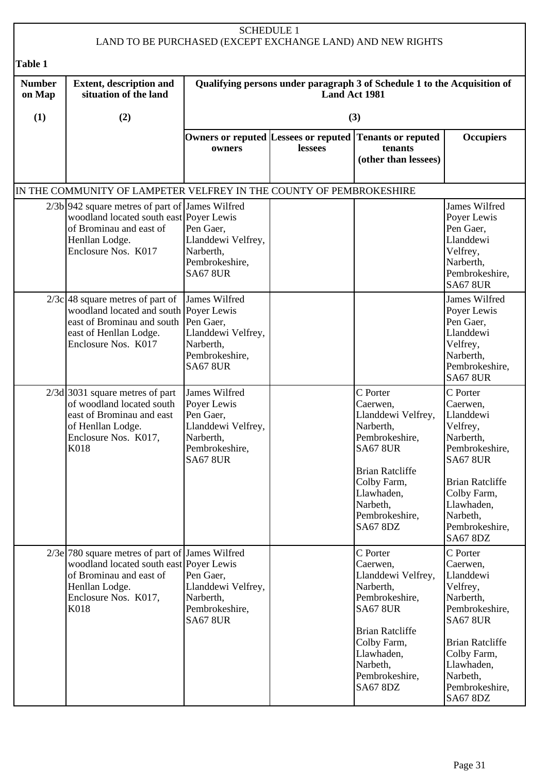|                         |                                                                                                                                                                           |                                                                                                                   | <b>SCHEDULE 1</b> | LAND TO BE PURCHASED (EXCEPT EXCHANGE LAND) AND NEW RIGHTS                                                                                                                                           |                                                                                                                                                                                                         |
|-------------------------|---------------------------------------------------------------------------------------------------------------------------------------------------------------------------|-------------------------------------------------------------------------------------------------------------------|-------------------|------------------------------------------------------------------------------------------------------------------------------------------------------------------------------------------------------|---------------------------------------------------------------------------------------------------------------------------------------------------------------------------------------------------------|
| Table 1                 |                                                                                                                                                                           |                                                                                                                   |                   |                                                                                                                                                                                                      |                                                                                                                                                                                                         |
| <b>Number</b><br>on Map | <b>Extent, description and</b><br>situation of the land                                                                                                                   |                                                                                                                   | Land Act 1981     | Qualifying persons under paragraph 3 of Schedule 1 to the Acquisition of                                                                                                                             |                                                                                                                                                                                                         |
| (1)                     | (2)                                                                                                                                                                       |                                                                                                                   |                   | (3)                                                                                                                                                                                                  |                                                                                                                                                                                                         |
|                         |                                                                                                                                                                           | Owners or reputed Lessees or reputed<br>owners                                                                    | lessees           | <b>Tenants or reputed</b><br>tenants<br>(other than lessees)                                                                                                                                         | <b>Occupiers</b>                                                                                                                                                                                        |
|                         | IN THE COMMUNITY OF LAMPETER VELFREY IN THE COUNTY OF PEMBROKESHIRE                                                                                                       |                                                                                                                   |                   |                                                                                                                                                                                                      |                                                                                                                                                                                                         |
|                         | $2/3b$ 942 square metres of part of James Wilfred<br>woodland located south east Poyer Lewis<br>of Brominau and east of<br>Henllan Lodge.<br>Enclosure Nos. K017          | Pen Gaer,<br>Llanddewi Velfrey,<br>Narberth,<br>Pembrokeshire,<br><b>SA67 8UR</b>                                 |                   |                                                                                                                                                                                                      | James Wilfred<br>Poyer Lewis<br>Pen Gaer,<br>Llanddewi<br>Velfrey,<br>Narberth,<br>Pembrokeshire,<br><b>SA67 8UR</b>                                                                                    |
|                         | $2/3c$ 48 square metres of part of<br>woodland located and south Poyer Lewis<br>east of Brominau and south<br>east of Henllan Lodge.<br>Enclosure Nos. K017               | James Wilfred<br>Pen Gaer,<br>Llanddewi Velfrey,<br>Narberth,<br>Pembrokeshire,<br><b>SA67 8UR</b>                |                   |                                                                                                                                                                                                      | James Wilfred<br>Poyer Lewis<br>Pen Gaer,<br>Llanddewi<br>Velfrey,<br>Narberth,<br>Pembrokeshire,<br><b>SA67 8UR</b>                                                                                    |
|                         | $2/3d$ 3031 square metres of part<br>of woodland located south<br>east of Brominau and east<br>of Henllan Lodge.<br>Enclosure Nos. K017,<br>K018                          | James Wilfred<br>Poyer Lewis<br>Pen Gaer,<br>Llanddewi Velfrey,<br>Narberth,<br>Pembrokeshire,<br><b>SA67 8UR</b> |                   | C Porter<br>Caerwen,<br>Llanddewi Velfrey,<br>Narberth,<br>Pembrokeshire,<br><b>SA67 8UR</b><br><b>Brian Ratcliffe</b><br>Colby Farm,<br>Llawhaden,<br>Narbeth,<br>Pembrokeshire,<br><b>SA67 8DZ</b> | C Porter<br>Caerwen,<br>Llanddewi<br>Velfrey,<br>Narberth,<br>Pembrokeshire,<br><b>SA67 8UR</b><br><b>Brian Ratcliffe</b><br>Colby Farm,<br>Llawhaden,<br>Narbeth,<br>Pembrokeshire,<br><b>SA67 8DZ</b> |
|                         | $2/3e$ 780 square metres of part of James Wilfred<br>woodland located south east Poyer Lewis<br>of Brominau and east of<br>Henllan Lodge.<br>Enclosure Nos. K017,<br>K018 | Pen Gaer,<br>Llanddewi Velfrey,<br>Narberth,<br>Pembrokeshire,<br><b>SA67 8UR</b>                                 |                   | C Porter<br>Caerwen,<br>Llanddewi Velfrey,<br>Narberth,<br>Pembrokeshire,<br><b>SA67 8UR</b><br><b>Brian Ratcliffe</b><br>Colby Farm,<br>Llawhaden,<br>Narbeth,<br>Pembrokeshire,<br><b>SA67 8DZ</b> | C Porter<br>Caerwen,<br>Llanddewi<br>Velfrey,<br>Narberth,<br>Pembrokeshire,<br><b>SA67 8UR</b><br><b>Brian Ratcliffe</b><br>Colby Farm,<br>Llawhaden,<br>Narbeth,<br>Pembrokeshire,<br><b>SA67 8DZ</b> |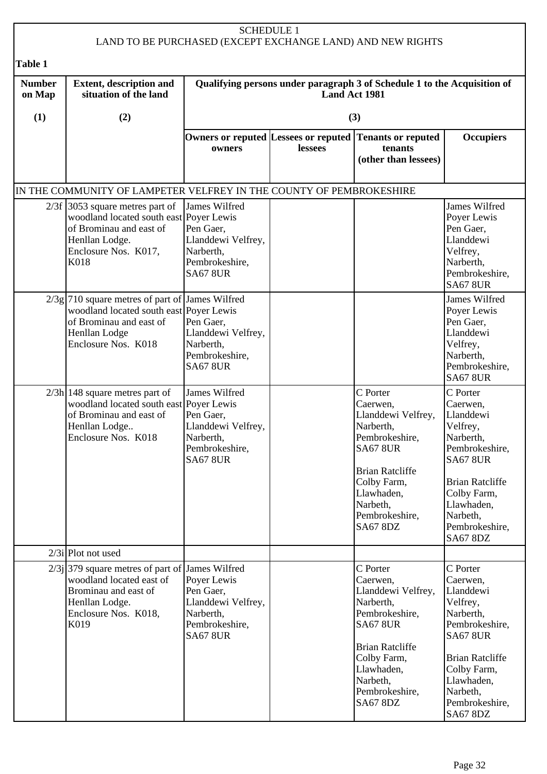|                         |                                                                                                                                                                 | <b>SCHEDULE 1</b>                                                                                  |               | LAND TO BE PURCHASED (EXCEPT EXCHANGE LAND) AND NEW RIGHTS                                                                                                                                           |                                                                                                                                                                                                         |
|-------------------------|-----------------------------------------------------------------------------------------------------------------------------------------------------------------|----------------------------------------------------------------------------------------------------|---------------|------------------------------------------------------------------------------------------------------------------------------------------------------------------------------------------------------|---------------------------------------------------------------------------------------------------------------------------------------------------------------------------------------------------------|
| Table 1                 |                                                                                                                                                                 |                                                                                                    |               |                                                                                                                                                                                                      |                                                                                                                                                                                                         |
| <b>Number</b><br>on Map | <b>Extent, description and</b><br>situation of the land                                                                                                         |                                                                                                    | Land Act 1981 | Qualifying persons under paragraph 3 of Schedule 1 to the Acquisition of                                                                                                                             |                                                                                                                                                                                                         |
| (1)                     | (2)                                                                                                                                                             |                                                                                                    |               | (3)                                                                                                                                                                                                  |                                                                                                                                                                                                         |
|                         |                                                                                                                                                                 | owners                                                                                             | lessees       | Owners or reputed Lessees or reputed Tenants or reputed<br>tenants<br>(other than lessees)                                                                                                           | <b>Occupiers</b>                                                                                                                                                                                        |
|                         | IN THE COMMUNITY OF LAMPETER VELFREY IN THE COUNTY OF PEMBROKESHIRE                                                                                             |                                                                                                    |               |                                                                                                                                                                                                      |                                                                                                                                                                                                         |
|                         | $2/3f$ 3053 square metres part of<br>woodland located south east Poyer Lewis<br>of Brominau and east of<br>Henllan Lodge.<br>Enclosure Nos. K017,<br>K018       | James Wilfred<br>Pen Gaer,<br>Llanddewi Velfrey,<br>Narberth,<br>Pembrokeshire,<br><b>SA67 8UR</b> |               |                                                                                                                                                                                                      | James Wilfred<br>Poyer Lewis<br>Pen Gaer,<br>Llanddewi<br>Velfrey,<br>Narberth,<br>Pembrokeshire,<br><b>SA67 8UR</b>                                                                                    |
|                         | $2/3g$ 710 square metres of part of James Wilfred<br>woodland located south east Poyer Lewis<br>of Brominau and east of<br>Henllan Lodge<br>Enclosure Nos. K018 | Pen Gaer,<br>Llanddewi Velfrey,<br>Narberth,<br>Pembrokeshire,<br><b>SA67 8UR</b>                  |               |                                                                                                                                                                                                      | James Wilfred<br>Poyer Lewis<br>Pen Gaer,<br>Llanddewi<br>Velfrey,<br>Narberth,<br>Pembrokeshire,<br><b>SA67 8UR</b>                                                                                    |
|                         | $2/3h$   148 square metres part of<br>woodland located south east Poyer Lewis<br>of Brominau and east of<br>Henllan Lodge<br>Enclosure Nos. K018                | James Wilfred<br>Pen Gaer,<br>Llanddewi Velfrey,<br>Narberth,<br>Pembrokeshire,<br><b>SA67 8UR</b> |               | C Porter<br>Caerwen,<br>Llanddewi Velfrey,<br>Narberth,<br>Pembrokeshire,<br><b>SA67 8UR</b><br><b>Brian Ratcliffe</b><br>Colby Farm,<br>Llawhaden,<br>Narbeth,<br>Pembrokeshire,<br><b>SA67 8DZ</b> | C Porter<br>Caerwen,<br>Llanddewi<br>Velfrey,<br>Narberth,<br>Pembrokeshire,<br><b>SA67 8UR</b><br><b>Brian Ratcliffe</b><br>Colby Farm,<br>Llawhaden,<br>Narbeth,<br>Pembrokeshire,<br><b>SA67 8DZ</b> |
|                         | $2/3i$ Plot not used                                                                                                                                            |                                                                                                    |               |                                                                                                                                                                                                      |                                                                                                                                                                                                         |
|                         | $2/3$ j 379 square metres of part of James Wilfred<br>woodland located east of<br>Brominau and east of<br>Henllan Lodge.<br>Enclosure Nos. K018,<br>K019        | Poyer Lewis<br>Pen Gaer,<br>Llanddewi Velfrey,<br>Narberth,<br>Pembrokeshire,<br><b>SA67 8UR</b>   |               | C Porter<br>Caerwen,<br>Llanddewi Velfrey,<br>Narberth,<br>Pembrokeshire,<br><b>SA67 8UR</b><br><b>Brian Ratcliffe</b><br>Colby Farm,<br>Llawhaden,<br>Narbeth,<br>Pembrokeshire,<br><b>SA67 8DZ</b> | C Porter<br>Caerwen,<br>Llanddewi<br>Velfrey,<br>Narberth,<br>Pembrokeshire,<br><b>SA67 8UR</b><br><b>Brian Ratcliffe</b><br>Colby Farm,<br>Llawhaden,<br>Narbeth,<br>Pembrokeshire,<br><b>SA67 8DZ</b> |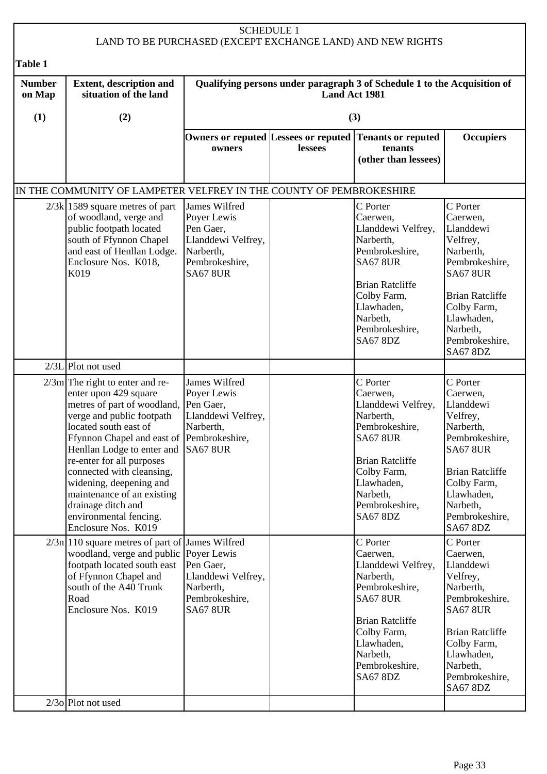|                         |                                                                                                                                                                                                                                                                                                                                                                                                                                         | <b>SCHEDULE 1</b>                                                                                                 |               | LAND TO BE PURCHASED (EXCEPT EXCHANGE LAND) AND NEW RIGHTS                                                                                                                                           |                                                                                                                                                                                                         |
|-------------------------|-----------------------------------------------------------------------------------------------------------------------------------------------------------------------------------------------------------------------------------------------------------------------------------------------------------------------------------------------------------------------------------------------------------------------------------------|-------------------------------------------------------------------------------------------------------------------|---------------|------------------------------------------------------------------------------------------------------------------------------------------------------------------------------------------------------|---------------------------------------------------------------------------------------------------------------------------------------------------------------------------------------------------------|
| Table 1                 |                                                                                                                                                                                                                                                                                                                                                                                                                                         |                                                                                                                   |               |                                                                                                                                                                                                      |                                                                                                                                                                                                         |
| <b>Number</b><br>on Map | <b>Extent, description and</b><br>situation of the land                                                                                                                                                                                                                                                                                                                                                                                 |                                                                                                                   | Land Act 1981 | Qualifying persons under paragraph 3 of Schedule 1 to the Acquisition of                                                                                                                             |                                                                                                                                                                                                         |
| (1)                     | (2)                                                                                                                                                                                                                                                                                                                                                                                                                                     |                                                                                                                   |               | (3)                                                                                                                                                                                                  |                                                                                                                                                                                                         |
|                         |                                                                                                                                                                                                                                                                                                                                                                                                                                         | owners                                                                                                            | lessees       | Owners or reputed Lessees or reputed Tenants or reputed<br>tenants<br>(other than lessees)                                                                                                           | <b>Occupiers</b>                                                                                                                                                                                        |
|                         | IN THE COMMUNITY OF LAMPETER VELFREY IN THE COUNTY OF PEMBROKESHIRE                                                                                                                                                                                                                                                                                                                                                                     |                                                                                                                   |               |                                                                                                                                                                                                      |                                                                                                                                                                                                         |
|                         | $2/3k$ 1589 square metres of part<br>of woodland, verge and<br>public footpath located<br>south of Ffynnon Chapel<br>and east of Henllan Lodge.<br>Enclosure Nos. K018,<br>K019                                                                                                                                                                                                                                                         | James Wilfred<br>Poyer Lewis<br>Pen Gaer,<br>Llanddewi Velfrey,<br>Narberth,<br>Pembrokeshire,<br><b>SA67 8UR</b> |               | C Porter<br>Caerwen,<br>Llanddewi Velfrey,<br>Narberth,<br>Pembrokeshire,<br><b>SA67 8UR</b><br><b>Brian Ratcliffe</b><br>Colby Farm,<br>Llawhaden,<br>Narbeth,<br>Pembrokeshire,<br><b>SA67 8DZ</b> | C Porter<br>Caerwen,<br>Llanddewi<br>Velfrey,<br>Narberth,<br>Pembrokeshire,<br><b>SA67 8UR</b><br><b>Brian Ratcliffe</b><br>Colby Farm,<br>Llawhaden,<br>Narbeth,<br>Pembrokeshire,<br><b>SA67 8DZ</b> |
|                         | $2/3L$ Plot not used                                                                                                                                                                                                                                                                                                                                                                                                                    |                                                                                                                   |               |                                                                                                                                                                                                      |                                                                                                                                                                                                         |
|                         | $2/3m$ The right to enter and re-<br>enter upon 429 square<br>metres of part of woodland, Pen Gaer,<br>verge and public footpath<br>located south east of<br>Ffynnon Chapel and east of Pembrokeshire,<br>Henllan Lodge to enter and SA67 8UR<br>re-enter for all purposes<br>connected with cleansing,<br>widening, deepening and<br>maintenance of an existing<br>drainage ditch and<br>environmental fencing.<br>Enclosure Nos. K019 | James Wilfred<br>Poyer Lewis<br>Llanddewi Velfrey,<br>Narberth,                                                   |               | C Porter<br>Caerwen,<br>Llanddewi Velfrey,<br>Narberth,<br>Pembrokeshire,<br><b>SA67 8UR</b><br><b>Brian Ratcliffe</b><br>Colby Farm,<br>Llawhaden,<br>Narbeth,<br>Pembrokeshire,<br><b>SA67 8DZ</b> | C Porter<br>Caerwen,<br>Llanddewi<br>Velfrey,<br>Narberth,<br>Pembrokeshire,<br><b>SA67 8UR</b><br><b>Brian Ratcliffe</b><br>Colby Farm,<br>Llawhaden,<br>Narbeth,<br>Pembrokeshire,<br><b>SA67 8DZ</b> |
|                         | $2/3n$  110 square metres of part of James Wilfred<br>woodland, verge and public Poyer Lewis<br>footpath located south east<br>of Ffynnon Chapel and<br>south of the A40 Trunk<br>Road<br>Enclosure Nos. K019                                                                                                                                                                                                                           | Pen Gaer,<br>Llanddewi Velfrey,<br>Narberth,<br>Pembrokeshire,<br><b>SA67 8UR</b>                                 |               | C Porter<br>Caerwen,<br>Llanddewi Velfrey,<br>Narberth,<br>Pembrokeshire,<br><b>SA67 8UR</b><br><b>Brian Ratcliffe</b><br>Colby Farm,<br>Llawhaden,<br>Narbeth,<br>Pembrokeshire,<br><b>SA67 8DZ</b> | C Porter<br>Caerwen,<br>Llanddewi<br>Velfrey,<br>Narberth,<br>Pembrokeshire,<br><b>SA67 8UR</b><br><b>Brian Ratcliffe</b><br>Colby Farm,<br>Llawhaden,<br>Narbeth,<br>Pembrokeshire,<br><b>SA67 8DZ</b> |
|                         | $2/3$ o Plot not used                                                                                                                                                                                                                                                                                                                                                                                                                   |                                                                                                                   |               |                                                                                                                                                                                                      |                                                                                                                                                                                                         |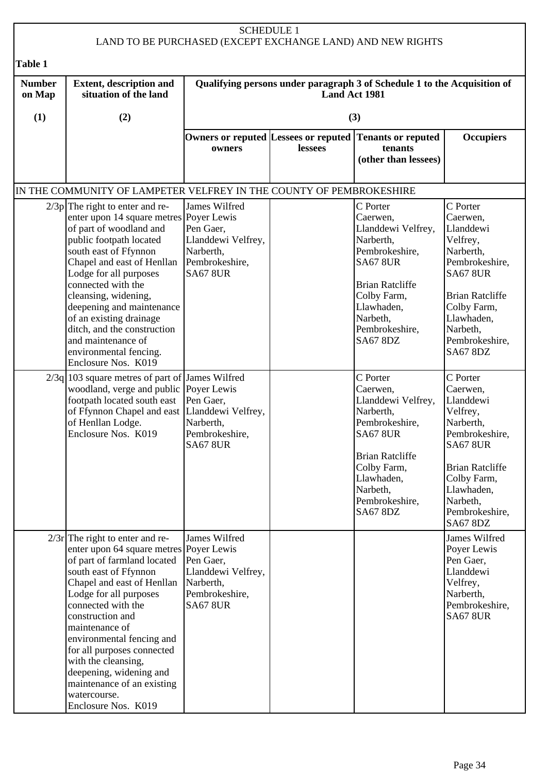| <b>SCHEDULE 1</b><br>LAND TO BE PURCHASED (EXCEPT EXCHANGE LAND) AND NEW RIGHTS |                                                                                                                                                                                                                                                                                                                                                                                                                                            |                                                                                                    |               |                                                                                                                                                                                                      |                                                                                                                                                                                                         |  |
|---------------------------------------------------------------------------------|--------------------------------------------------------------------------------------------------------------------------------------------------------------------------------------------------------------------------------------------------------------------------------------------------------------------------------------------------------------------------------------------------------------------------------------------|----------------------------------------------------------------------------------------------------|---------------|------------------------------------------------------------------------------------------------------------------------------------------------------------------------------------------------------|---------------------------------------------------------------------------------------------------------------------------------------------------------------------------------------------------------|--|
| <b>Table 1</b>                                                                  |                                                                                                                                                                                                                                                                                                                                                                                                                                            |                                                                                                    |               |                                                                                                                                                                                                      |                                                                                                                                                                                                         |  |
| <b>Number</b><br>on Map                                                         | <b>Extent, description and</b><br>situation of the land                                                                                                                                                                                                                                                                                                                                                                                    |                                                                                                    | Land Act 1981 | Qualifying persons under paragraph 3 of Schedule 1 to the Acquisition of                                                                                                                             |                                                                                                                                                                                                         |  |
| (1)                                                                             | (2)                                                                                                                                                                                                                                                                                                                                                                                                                                        |                                                                                                    |               | (3)                                                                                                                                                                                                  |                                                                                                                                                                                                         |  |
|                                                                                 |                                                                                                                                                                                                                                                                                                                                                                                                                                            | owners                                                                                             | lessees       | Owners or reputed Lessees or reputed Tenants or reputed<br>tenants<br>(other than lessees)                                                                                                           | <b>Occupiers</b>                                                                                                                                                                                        |  |
|                                                                                 | IN THE COMMUNITY OF LAMPETER VELFREY IN THE COUNTY OF PEMBROKESHIRE                                                                                                                                                                                                                                                                                                                                                                        |                                                                                                    |               |                                                                                                                                                                                                      |                                                                                                                                                                                                         |  |
|                                                                                 | $2/3p$ The right to enter and re-<br>enter upon 14 square metres Poyer Lewis<br>of part of woodland and<br>public footpath located<br>south east of Ffynnon<br>Chapel and east of Henllan<br>Lodge for all purposes<br>connected with the<br>cleansing, widening,<br>deepening and maintenance<br>of an existing drainage<br>ditch, and the construction<br>and maintenance of<br>environmental fencing.<br>Enclosure Nos. K019            | James Wilfred<br>Pen Gaer,<br>Llanddewi Velfrey,<br>Narberth,<br>Pembrokeshire,<br><b>SA67 8UR</b> |               | C Porter<br>Caerwen,<br>Llanddewi Velfrey,<br>Narberth,<br>Pembrokeshire,<br><b>SA67 8UR</b><br><b>Brian Ratcliffe</b><br>Colby Farm,<br>Llawhaden,<br>Narbeth,<br>Pembrokeshire,<br><b>SA67 8DZ</b> | C Porter<br>Caerwen,<br>Llanddewi<br>Velfrey,<br>Narberth,<br>Pembrokeshire,<br><b>SA67 8UR</b><br><b>Brian Ratcliffe</b><br>Colby Farm,<br>Llawhaden,<br>Narbeth,<br>Pembrokeshire,<br><b>SA67 8DZ</b> |  |
|                                                                                 | $2/3q$ 103 square metres of part of James Wilfred<br>woodland, verge and public Poyer Lewis<br>footpath located south east<br>of Ffynnon Chapel and east Llanddewi Velfrey,<br>of Henllan Lodge.<br>Enclosure Nos. K019                                                                                                                                                                                                                    | Pen Gaer,<br>Narberth,<br>Pembrokeshire,<br><b>SA67 8UR</b>                                        |               | C Porter<br>Caerwen,<br>Llanddewi Velfrey,<br>Narberth,<br>Pembrokeshire,<br><b>SA67 8UR</b><br><b>Brian Ratcliffe</b><br>Colby Farm,<br>Llawhaden,<br>Narbeth,<br>Pembrokeshire,<br><b>SA67 8DZ</b> | C Porter<br>Caerwen,<br>Llanddewi<br>Velfrey,<br>Narberth,<br>Pembrokeshire,<br><b>SA67 8UR</b><br><b>Brian Ratcliffe</b><br>Colby Farm,<br>Llawhaden,<br>Narbeth,<br>Pembrokeshire,<br><b>SA67 8DZ</b> |  |
|                                                                                 | $2/3r$ The right to enter and re-<br>enter upon 64 square metres Poyer Lewis<br>of part of farmland located<br>south east of Ffynnon<br>Chapel and east of Henllan<br>Lodge for all purposes<br>connected with the<br>construction and<br>maintenance of<br>environmental fencing and<br>for all purposes connected<br>with the cleansing,<br>deepening, widening and<br>maintenance of an existing<br>watercourse.<br>Enclosure Nos. K019 | James Wilfred<br>Pen Gaer,<br>Llanddewi Velfrey,<br>Narberth,<br>Pembrokeshire,<br><b>SA67 8UR</b> |               |                                                                                                                                                                                                      | James Wilfred<br>Poyer Lewis<br>Pen Gaer,<br>Llanddewi<br>Velfrey,<br>Narberth,<br>Pembrokeshire,<br><b>SA67 8UR</b>                                                                                    |  |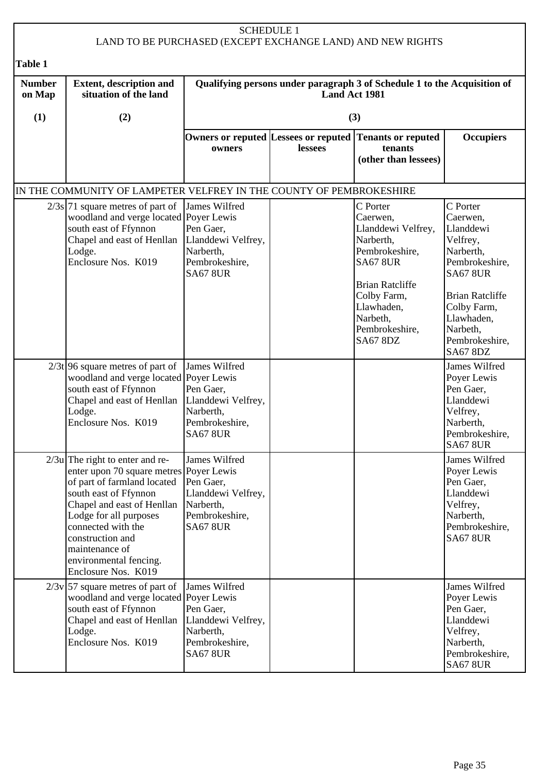|                         | <b>SCHEDULE 1</b><br>LAND TO BE PURCHASED (EXCEPT EXCHANGE LAND) AND NEW RIGHTS                                                                                                                                                                                                                           |                                                                                                    |         |                                                                                                                                                                                                      |                                                                                                                                                                                                         |  |  |  |
|-------------------------|-----------------------------------------------------------------------------------------------------------------------------------------------------------------------------------------------------------------------------------------------------------------------------------------------------------|----------------------------------------------------------------------------------------------------|---------|------------------------------------------------------------------------------------------------------------------------------------------------------------------------------------------------------|---------------------------------------------------------------------------------------------------------------------------------------------------------------------------------------------------------|--|--|--|
| Table 1                 |                                                                                                                                                                                                                                                                                                           |                                                                                                    |         |                                                                                                                                                                                                      |                                                                                                                                                                                                         |  |  |  |
| <b>Number</b><br>on Map | <b>Extent, description and</b><br>situation of the land                                                                                                                                                                                                                                                   | Qualifying persons under paragraph 3 of Schedule 1 to the Acquisition of<br>Land Act 1981          |         |                                                                                                                                                                                                      |                                                                                                                                                                                                         |  |  |  |
| (1)                     | (2)                                                                                                                                                                                                                                                                                                       |                                                                                                    |         | (3)                                                                                                                                                                                                  |                                                                                                                                                                                                         |  |  |  |
|                         |                                                                                                                                                                                                                                                                                                           | Owners or reputed Lessees or reputed<br>owners                                                     | lessees | <b>Tenants or reputed</b><br>tenants<br>(other than lessees)                                                                                                                                         | <b>Occupiers</b>                                                                                                                                                                                        |  |  |  |
|                         | IN THE COMMUNITY OF LAMPETER VELFREY IN THE COUNTY OF PEMBROKESHIRE                                                                                                                                                                                                                                       |                                                                                                    |         |                                                                                                                                                                                                      |                                                                                                                                                                                                         |  |  |  |
|                         | $2/3s$ 71 square metres of part of<br>woodland and verge located Poyer Lewis<br>south east of Ffynnon<br>Chapel and east of Henllan<br>Lodge.<br>Enclosure Nos. K019                                                                                                                                      | James Wilfred<br>Pen Gaer,<br>Llanddewi Velfrey,<br>Narberth,<br>Pembrokeshire,<br><b>SA67 8UR</b> |         | C Porter<br>Caerwen,<br>Llanddewi Velfrey,<br>Narberth,<br>Pembrokeshire,<br><b>SA67 8UR</b><br><b>Brian Ratcliffe</b><br>Colby Farm,<br>Llawhaden,<br>Narbeth,<br>Pembrokeshire,<br><b>SA67 8DZ</b> | C Porter<br>Caerwen,<br>Llanddewi<br>Velfrey,<br>Narberth,<br>Pembrokeshire,<br><b>SA67 8UR</b><br><b>Brian Ratcliffe</b><br>Colby Farm,<br>Llawhaden,<br>Narbeth,<br>Pembrokeshire,<br><b>SA67 8DZ</b> |  |  |  |
|                         | $2/3t$ 96 square metres of part of<br>woodland and verge located Poyer Lewis<br>south east of Ffynnon<br>Chapel and east of Henllan<br>Lodge.<br>Enclosure Nos. K019                                                                                                                                      | James Wilfred<br>Pen Gaer,<br>Llanddewi Velfrey,<br>Narberth,<br>Pembrokeshire,<br><b>SA67 8UR</b> |         |                                                                                                                                                                                                      | James Wilfred<br>Poyer Lewis<br>Pen Gaer,<br>Llanddewi<br>Velfrey,<br>Narberth,<br>Pembrokeshire,<br><b>SA67 8UR</b>                                                                                    |  |  |  |
|                         | $2/3u$ The right to enter and re-<br>enter upon 70 square metres Poyer Lewis<br>of part of farmland located<br>south east of Ffynnon<br>Chapel and east of Henllan<br>Lodge for all purposes<br>connected with the<br>construction and<br>maintenance of<br>environmental fencing.<br>Enclosure Nos. K019 | James Wilfred<br>Pen Gaer,<br>Llanddewi Velfrey,<br>Narberth,<br>Pembrokeshire,<br><b>SA67 8UR</b> |         |                                                                                                                                                                                                      | James Wilfred<br>Poyer Lewis<br>Pen Gaer,<br>Llanddewi<br>Velfrey,<br>Narberth,<br>Pembrokeshire,<br><b>SA67 8UR</b>                                                                                    |  |  |  |
|                         | $2/3v$ 57 square metres of part of<br>woodland and verge located Poyer Lewis<br>south east of Ffynnon<br>Chapel and east of Henllan<br>Lodge.<br>Enclosure Nos. K019                                                                                                                                      | James Wilfred<br>Pen Gaer,<br>Llanddewi Velfrey,<br>Narberth,<br>Pembrokeshire,<br><b>SA67 8UR</b> |         |                                                                                                                                                                                                      | James Wilfred<br>Poyer Lewis<br>Pen Gaer,<br>Llanddewi<br>Velfrey,<br>Narberth,<br>Pembrokeshire,<br><b>SA67 8UR</b>                                                                                    |  |  |  |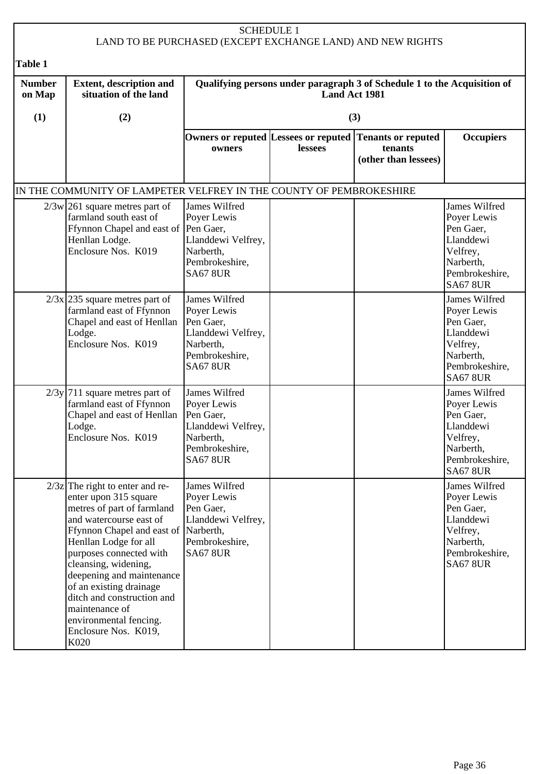| <b>SCHEDULE 1</b><br>LAND TO BE PURCHASED (EXCEPT EXCHANGE LAND) AND NEW RIGHTS |                                                                                                                                                                                                                                                                                                                                                                                                           |                                                                                                                   |               |                                                                          |                                                                                                                      |
|---------------------------------------------------------------------------------|-----------------------------------------------------------------------------------------------------------------------------------------------------------------------------------------------------------------------------------------------------------------------------------------------------------------------------------------------------------------------------------------------------------|-------------------------------------------------------------------------------------------------------------------|---------------|--------------------------------------------------------------------------|----------------------------------------------------------------------------------------------------------------------|
| <b>Table 1</b>                                                                  |                                                                                                                                                                                                                                                                                                                                                                                                           |                                                                                                                   |               |                                                                          |                                                                                                                      |
| <b>Number</b><br>on Map                                                         | <b>Extent, description and</b><br>situation of the land                                                                                                                                                                                                                                                                                                                                                   |                                                                                                                   | Land Act 1981 | Qualifying persons under paragraph 3 of Schedule 1 to the Acquisition of |                                                                                                                      |
| (1)                                                                             | (2)                                                                                                                                                                                                                                                                                                                                                                                                       |                                                                                                                   |               | (3)                                                                      |                                                                                                                      |
|                                                                                 |                                                                                                                                                                                                                                                                                                                                                                                                           | Owners or reputed Lessees or reputed<br>owners                                                                    | lessees       | <b>Tenants or reputed</b><br>tenants<br>(other than lessees)             | <b>Occupiers</b>                                                                                                     |
|                                                                                 | IN THE COMMUNITY OF LAMPETER VELFREY IN THE COUNTY OF PEMBROKESHIRE                                                                                                                                                                                                                                                                                                                                       |                                                                                                                   |               |                                                                          |                                                                                                                      |
|                                                                                 | $2/3w$ 261 square metres part of<br>farmland south east of<br>Ffynnon Chapel and east of Pen Gaer,<br>Henllan Lodge.<br>Enclosure Nos. K019                                                                                                                                                                                                                                                               | James Wilfred<br>Poyer Lewis<br>Llanddewi Velfrey,<br>Narberth,<br>Pembrokeshire,<br><b>SA67 8UR</b>              |               |                                                                          | James Wilfred<br>Poyer Lewis<br>Pen Gaer,<br>Llanddewi<br>Velfrey,<br>Narberth,<br>Pembrokeshire,<br><b>SA67 8UR</b> |
|                                                                                 | $2/3x$ 235 square metres part of<br>farmland east of Ffynnon<br>Chapel and east of Henllan<br>Lodge.<br>Enclosure Nos. K019                                                                                                                                                                                                                                                                               | James Wilfred<br>Poyer Lewis<br>Pen Gaer,<br>Llanddewi Velfrey,<br>Narberth,<br>Pembrokeshire,<br><b>SA67 8UR</b> |               |                                                                          | James Wilfred<br>Poyer Lewis<br>Pen Gaer,<br>Llanddewi<br>Velfrey,<br>Narberth,<br>Pembrokeshire,<br><b>SA67 8UR</b> |
|                                                                                 | $2/3y$ 711 square metres part of<br>farmland east of Ffynnon<br>Chapel and east of Henllan<br>Lodge.<br>Enclosure Nos. K019                                                                                                                                                                                                                                                                               | James Wilfred<br>Poyer Lewis<br>Pen Gaer,<br>Llanddewi Velfrey,<br>Narberth,<br>Pembrokeshire,<br><b>SA67 8UR</b> |               |                                                                          | James Wilfred<br>Poyer Lewis<br>Pen Gaer,<br>Llanddewi<br>Velfrey,<br>Narberth,<br>Pembrokeshire,<br><b>SA67 8UR</b> |
|                                                                                 | $2/3z$ The right to enter and re-<br>enter upon 315 square<br>metres of part of farmland<br>and watercourse east of<br>Ffynnon Chapel and east of Narberth,<br>Henllan Lodge for all<br>purposes connected with<br>cleansing, widening,<br>deepening and maintenance<br>of an existing drainage<br>ditch and construction and<br>maintenance of<br>environmental fencing.<br>Enclosure Nos. K019,<br>K020 | James Wilfred<br>Poyer Lewis<br>Pen Gaer,<br>Llanddewi Velfrey,<br>Pembrokeshire,<br><b>SA67 8UR</b>              |               |                                                                          | James Wilfred<br>Poyer Lewis<br>Pen Gaer,<br>Llanddewi<br>Velfrey,<br>Narberth,<br>Pembrokeshire,<br><b>SA67 8UR</b> |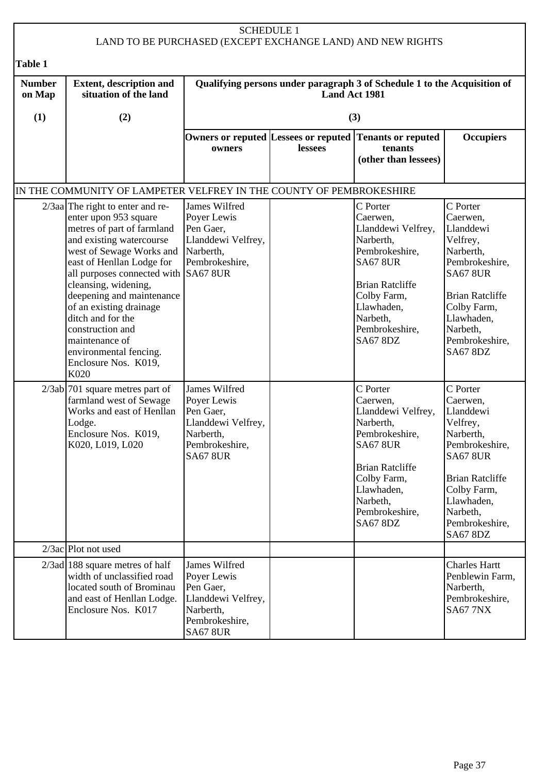|                         | <b>SCHEDULE 1</b><br>LAND TO BE PURCHASED (EXCEPT EXCHANGE LAND) AND NEW RIGHTS                                                                                                                                                                                                                                                                                                                                              |                                                                                                                   |               |                                                                                                                                                                                                      |                                                                                                                                                                                                         |  |
|-------------------------|------------------------------------------------------------------------------------------------------------------------------------------------------------------------------------------------------------------------------------------------------------------------------------------------------------------------------------------------------------------------------------------------------------------------------|-------------------------------------------------------------------------------------------------------------------|---------------|------------------------------------------------------------------------------------------------------------------------------------------------------------------------------------------------------|---------------------------------------------------------------------------------------------------------------------------------------------------------------------------------------------------------|--|
| Table 1                 |                                                                                                                                                                                                                                                                                                                                                                                                                              |                                                                                                                   |               |                                                                                                                                                                                                      |                                                                                                                                                                                                         |  |
| <b>Number</b><br>on Map | <b>Extent, description and</b><br>situation of the land                                                                                                                                                                                                                                                                                                                                                                      |                                                                                                                   | Land Act 1981 | Qualifying persons under paragraph 3 of Schedule 1 to the Acquisition of                                                                                                                             |                                                                                                                                                                                                         |  |
| (1)                     | (2)                                                                                                                                                                                                                                                                                                                                                                                                                          |                                                                                                                   |               | (3)                                                                                                                                                                                                  |                                                                                                                                                                                                         |  |
|                         |                                                                                                                                                                                                                                                                                                                                                                                                                              | owners                                                                                                            | lessees       | Owners or reputed Lessees or reputed Tenants or reputed<br>tenants<br>(other than lessees)                                                                                                           | <b>Occupiers</b>                                                                                                                                                                                        |  |
|                         | IN THE COMMUNITY OF LAMPETER VELFREY IN THE COUNTY OF PEMBROKESHIRE                                                                                                                                                                                                                                                                                                                                                          |                                                                                                                   |               |                                                                                                                                                                                                      |                                                                                                                                                                                                         |  |
|                         | $2/3$ aa The right to enter and re-<br>enter upon 953 square<br>metres of part of farmland<br>and existing watercourse<br>west of Sewage Works and<br>east of Henllan Lodge for<br>all purposes connected with SA67 8UR<br>cleansing, widening,<br>deepening and maintenance<br>of an existing drainage<br>ditch and for the<br>construction and<br>maintenance of<br>environmental fencing.<br>Enclosure Nos. K019,<br>K020 | James Wilfred<br>Poyer Lewis<br>Pen Gaer,<br>Llanddewi Velfrey,<br>Narberth,<br>Pembrokeshire,                    |               | C Porter<br>Caerwen,<br>Llanddewi Velfrey,<br>Narberth,<br>Pembrokeshire,<br><b>SA67 8UR</b><br><b>Brian Ratcliffe</b><br>Colby Farm,<br>Llawhaden,<br>Narbeth,<br>Pembrokeshire,<br><b>SA67 8DZ</b> | C Porter<br>Caerwen,<br>Llanddewi<br>Velfrey,<br>Narberth,<br>Pembrokeshire,<br><b>SA67 8UR</b><br><b>Brian Ratcliffe</b><br>Colby Farm,<br>Llawhaden,<br>Narbeth,<br>Pembrokeshire,<br><b>SA67 8DZ</b> |  |
|                         | $2/3ab$ 701 square metres part of<br>farmland west of Sewage<br>Works and east of Henllan<br>Lodge.<br>Enclosure Nos. K019,<br>K020, L019, L020                                                                                                                                                                                                                                                                              | James Wilfred<br>Poyer Lewis<br>Pen Gaer,<br>Llanddewi Velfrey,<br>Narberth,<br>Pembrokeshire,<br><b>SA67 8UR</b> |               | C Porter<br>Caerwen,<br>Llanddewi Velfrey,<br>Narberth,<br>Pembrokeshire,<br><b>SA67 8UR</b><br><b>Brian Ratcliffe</b><br>Colby Farm,<br>Llawhaden,<br>Narbeth,<br>Pembrokeshire,<br><b>SA67 8DZ</b> | C Porter<br>Caerwen,<br>Llanddewi<br>Velfrey,<br>Narberth,<br>Pembrokeshire,<br><b>SA67 8UR</b><br><b>Brian Ratcliffe</b><br>Colby Farm,<br>Llawhaden,<br>Narbeth,<br>Pembrokeshire,<br><b>SA67 8DZ</b> |  |
|                         | $2/3ac$ Plot not used                                                                                                                                                                                                                                                                                                                                                                                                        |                                                                                                                   |               |                                                                                                                                                                                                      |                                                                                                                                                                                                         |  |
|                         | $2/3$ ad 188 square metres of half<br>width of unclassified road<br>located south of Brominau<br>and east of Henllan Lodge.<br>Enclosure Nos. K017                                                                                                                                                                                                                                                                           | James Wilfred<br>Poyer Lewis<br>Pen Gaer,<br>Llanddewi Velfrey,<br>Narberth,<br>Pembrokeshire,<br><b>SA67 8UR</b> |               |                                                                                                                                                                                                      | <b>Charles Hartt</b><br>Penblewin Farm,<br>Narberth,<br>Pembrokeshire,<br><b>SA67 7NX</b>                                                                                                               |  |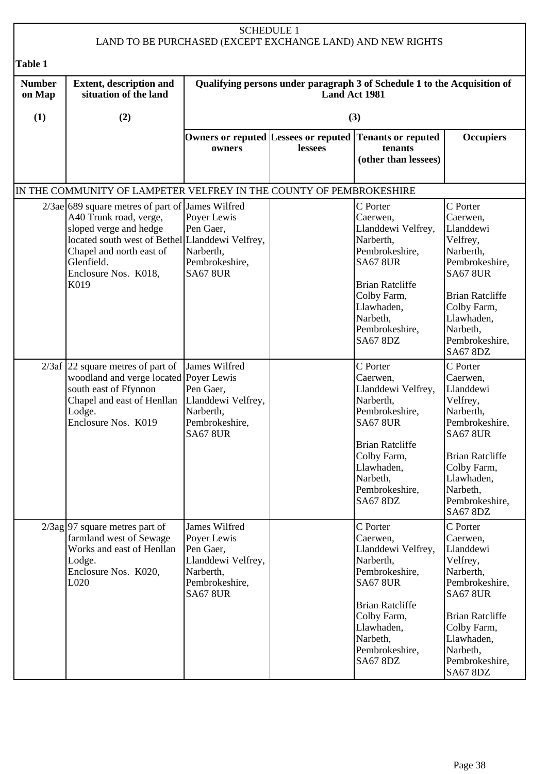|                         |                                                                                                                                                                                                                                   |                                                                                                                   | <b>SCHEDULE 1</b> | LAND TO BE PURCHASED (EXCEPT EXCHANGE LAND) AND NEW RIGHTS                                                                                                                                           |                                                                                                                                                                                                         |
|-------------------------|-----------------------------------------------------------------------------------------------------------------------------------------------------------------------------------------------------------------------------------|-------------------------------------------------------------------------------------------------------------------|-------------------|------------------------------------------------------------------------------------------------------------------------------------------------------------------------------------------------------|---------------------------------------------------------------------------------------------------------------------------------------------------------------------------------------------------------|
| Table 1                 |                                                                                                                                                                                                                                   |                                                                                                                   |                   |                                                                                                                                                                                                      |                                                                                                                                                                                                         |
| <b>Number</b><br>on Map | <b>Extent, description and</b><br>situation of the land                                                                                                                                                                           |                                                                                                                   | Land Act 1981     | Qualifying persons under paragraph 3 of Schedule 1 to the Acquisition of                                                                                                                             |                                                                                                                                                                                                         |
| (1)                     | (2)                                                                                                                                                                                                                               |                                                                                                                   |                   | (3)                                                                                                                                                                                                  |                                                                                                                                                                                                         |
|                         |                                                                                                                                                                                                                                   | Owners or reputed Lessees or reputed<br>owners                                                                    | lessees           | <b>Tenants or reputed</b><br>tenants<br>(other than lessees)                                                                                                                                         | <b>Occupiers</b>                                                                                                                                                                                        |
|                         | IN THE COMMUNITY OF LAMPETER VELFREY IN THE COUNTY OF PEMBROKESHIRE                                                                                                                                                               |                                                                                                                   |                   |                                                                                                                                                                                                      |                                                                                                                                                                                                         |
|                         | 2/3ae 689 square metres of part of James Wilfred<br>A40 Trunk road, verge,<br>sloped verge and hedge<br>located south west of Bethel Llanddewi Velfrey,<br>Chapel and north east of<br>Glenfield.<br>Enclosure Nos. K018,<br>K019 | Poyer Lewis<br>Pen Gaer,<br>Narberth,<br>Pembrokeshire,<br><b>SA67 8UR</b>                                        |                   | C Porter<br>Caerwen.<br>Llanddewi Velfrey,<br>Narberth,<br>Pembrokeshire,<br><b>SA67 8UR</b><br><b>Brian Ratcliffe</b><br>Colby Farm,<br>Llawhaden,<br>Narbeth,<br>Pembrokeshire,<br><b>SA67 8DZ</b> | C Porter<br>Caerwen,<br>Llanddewi<br>Velfrey,<br>Narberth,<br>Pembrokeshire,<br><b>SA67 8UR</b><br><b>Brian Ratcliffe</b><br>Colby Farm,<br>Llawhaden,<br>Narbeth,<br>Pembrokeshire,<br><b>SA67 8DZ</b> |
|                         | $2/3$ af 22 square metres of part of<br>woodland and verge located Poyer Lewis<br>south east of Ffynnon<br>Chapel and east of Henllan<br>Lodge.<br>Enclosure Nos. K019                                                            | James Wilfred<br>Pen Gaer,<br>Llanddewi Velfrey,<br>Narberth,<br>Pembrokeshire,<br><b>SA67 8UR</b>                |                   | C Porter<br>Caerwen,<br>Llanddewi Velfrey,<br>Narberth,<br>Pembrokeshire,<br><b>SA67 8UR</b><br><b>Brian Ratcliffe</b><br>Colby Farm,<br>Llawhaden,<br>Narbeth,<br>Pembrokeshire,<br><b>SA67 8DZ</b> | C Porter<br>Caerwen,<br>Llanddewi<br>Velfrey,<br>Narberth,<br>Pembrokeshire,<br><b>SA67 8UR</b><br><b>Brian Ratcliffe</b><br>Colby Farm,<br>Llawhaden,<br>Narbeth,<br>Pembrokeshire,<br><b>SA67 8DZ</b> |
|                         | $2/3$ ag 97 square metres part of<br>farmland west of Sewage<br>Works and east of Henllan<br>Lodge.<br>Enclosure Nos. K020,<br>L020                                                                                               | James Wilfred<br>Poyer Lewis<br>Pen Gaer,<br>Llanddewi Velfrey,<br>Narberth,<br>Pembrokeshire,<br><b>SA67 8UR</b> |                   | C Porter<br>Caerwen,<br>Llanddewi Velfrey,<br>Narberth,<br>Pembrokeshire,<br><b>SA67 8UR</b><br><b>Brian Ratcliffe</b><br>Colby Farm,<br>Llawhaden,<br>Narbeth,<br>Pembrokeshire,<br><b>SA67 8DZ</b> | C Porter<br>Caerwen,<br>Llanddewi<br>Velfrey,<br>Narberth,<br>Pembrokeshire,<br><b>SA67 8UR</b><br><b>Brian Ratcliffe</b><br>Colby Farm,<br>Llawhaden,<br>Narbeth,<br>Pembrokeshire,<br><b>SA67 8DZ</b> |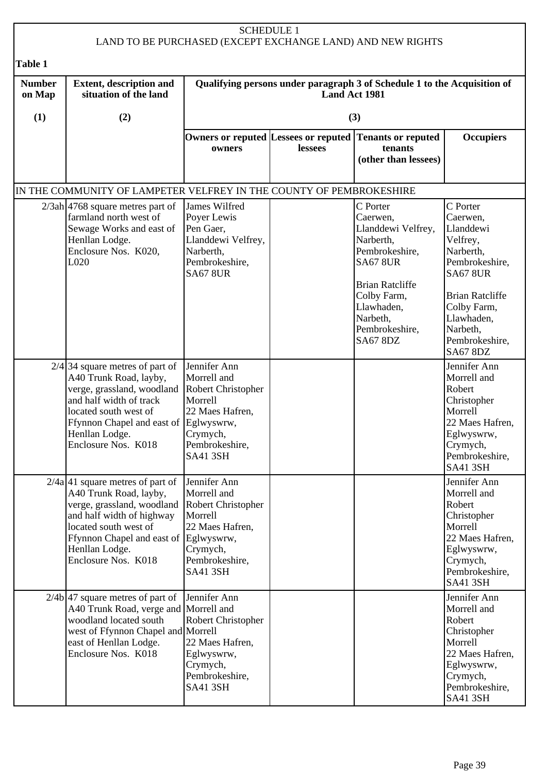|                         |                                                                                                                                                                                                                                    |                                                                                                                                                | <b>SCHEDULE 1</b> | LAND TO BE PURCHASED (EXCEPT EXCHANGE LAND) AND NEW RIGHTS                                                                                                                                           |                                                                                                                                                                                                         |
|-------------------------|------------------------------------------------------------------------------------------------------------------------------------------------------------------------------------------------------------------------------------|------------------------------------------------------------------------------------------------------------------------------------------------|-------------------|------------------------------------------------------------------------------------------------------------------------------------------------------------------------------------------------------|---------------------------------------------------------------------------------------------------------------------------------------------------------------------------------------------------------|
| Table 1                 |                                                                                                                                                                                                                                    |                                                                                                                                                |                   |                                                                                                                                                                                                      |                                                                                                                                                                                                         |
| <b>Number</b><br>on Map | <b>Extent, description and</b><br>situation of the land                                                                                                                                                                            |                                                                                                                                                | Land Act 1981     | Qualifying persons under paragraph 3 of Schedule 1 to the Acquisition of                                                                                                                             |                                                                                                                                                                                                         |
| (1)                     | (2)                                                                                                                                                                                                                                |                                                                                                                                                |                   | (3)                                                                                                                                                                                                  |                                                                                                                                                                                                         |
|                         |                                                                                                                                                                                                                                    | Owners or reputed Lessees or reputed<br>owners                                                                                                 | lessees           | <b>Tenants or reputed</b><br>tenants<br>(other than lessees)                                                                                                                                         | <b>Occupiers</b>                                                                                                                                                                                        |
|                         | IN THE COMMUNITY OF LAMPETER VELFREY IN THE COUNTY OF PEMBROKESHIRE                                                                                                                                                                |                                                                                                                                                |                   |                                                                                                                                                                                                      |                                                                                                                                                                                                         |
|                         | $2/3ah$ 4768 square metres part of<br>farmland north west of<br>Sewage Works and east of<br>Henllan Lodge.<br>Enclosure Nos. K020,<br>L020                                                                                         | James Wilfred<br>Poyer Lewis<br>Pen Gaer,<br>Llanddewi Velfrey,<br>Narberth,<br>Pembrokeshire,<br><b>SA67 8UR</b>                              |                   | C Porter<br>Caerwen,<br>Llanddewi Velfrey,<br>Narberth,<br>Pembrokeshire,<br><b>SA67 8UR</b><br><b>Brian Ratcliffe</b><br>Colby Farm,<br>Llawhaden,<br>Narbeth,<br>Pembrokeshire,<br><b>SA67 8DZ</b> | C Porter<br>Caerwen,<br>Llanddewi<br>Velfrey,<br>Narberth,<br>Pembrokeshire,<br><b>SA67 8UR</b><br><b>Brian Ratcliffe</b><br>Colby Farm,<br>Llawhaden,<br>Narbeth,<br>Pembrokeshire,<br><b>SA67 8DZ</b> |
|                         | $2/4$ 34 square metres of part of<br>A40 Trunk Road, layby,<br>verge, grassland, woodland<br>and half width of track<br>located south west of<br>Ffynnon Chapel and east of<br>Henllan Lodge.<br>Enclosure Nos. K018               | Jennifer Ann<br>Morrell and<br>Robert Christopher<br>Morrell<br>22 Maes Hafren,<br>Eglwyswrw,<br>Crymych,<br>Pembrokeshire,<br><b>SA41 3SH</b> |                   |                                                                                                                                                                                                      | Jennifer Ann<br>Morrell and<br>Robert<br>Christopher<br>Morrell<br>22 Maes Hafren,<br>Eglwyswrw,<br>Crymych,<br>Pembrokeshire,<br><b>SA41 3SH</b>                                                       |
|                         | $2/4a$ 41 square metres of part of<br>A40 Trunk Road, layby,<br>verge, grassland, woodland<br>and half width of highway<br>located south west of<br>Ffynnon Chapel and east of Eglwyswrw,<br>Henllan Lodge.<br>Enclosure Nos. K018 | Jennifer Ann<br>Morrell and<br>Robert Christopher<br>Morrell<br>22 Maes Hafren,<br>Crymych,<br>Pembrokeshire,<br><b>SA41 3SH</b>               |                   |                                                                                                                                                                                                      | Jennifer Ann<br>Morrell and<br>Robert<br>Christopher<br>Morrell<br>22 Maes Hafren,<br>Eglwyswrw,<br>Crymych,<br>Pembrokeshire,<br><b>SA41 3SH</b>                                                       |
|                         | $2/4b$ 47 square metres of part of<br>A40 Trunk Road, verge and Morrell and<br>woodland located south<br>west of Ffynnon Chapel and Morrell<br>east of Henllan Lodge.<br>Enclosure Nos. K018                                       | Jennifer Ann<br>Robert Christopher<br>22 Maes Hafren,<br>Eglwyswrw,<br>Crymych,<br>Pembrokeshire,<br><b>SA41 3SH</b>                           |                   |                                                                                                                                                                                                      | Jennifer Ann<br>Morrell and<br>Robert<br>Christopher<br>Morrell<br>22 Maes Hafren,<br>Eglwyswrw,<br>Crymych,<br>Pembrokeshire,<br><b>SA41 3SH</b>                                                       |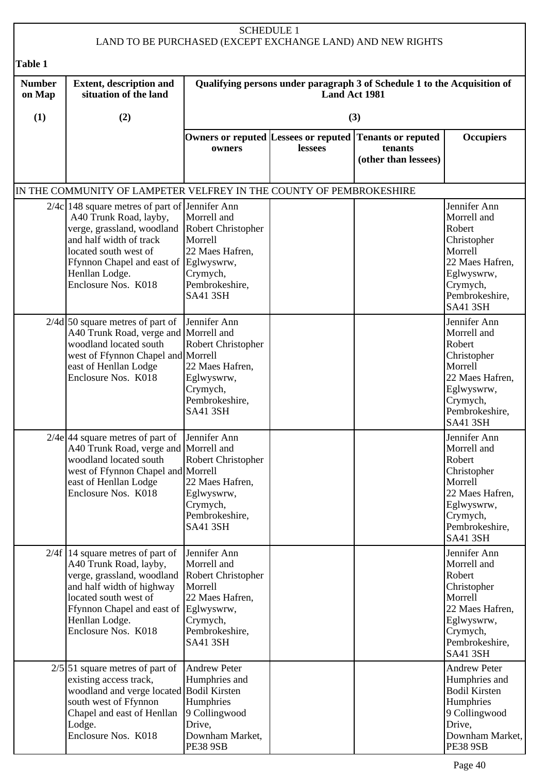| <b>SCHEDULE 1</b><br>LAND TO BE PURCHASED (EXCEPT EXCHANGE LAND) AND NEW RIGHTS |                                                                                                                                                                                                                                                  |                                                                                                                                  |                                                                                           |                                                              |                                                                                                                                                   |  |  |
|---------------------------------------------------------------------------------|--------------------------------------------------------------------------------------------------------------------------------------------------------------------------------------------------------------------------------------------------|----------------------------------------------------------------------------------------------------------------------------------|-------------------------------------------------------------------------------------------|--------------------------------------------------------------|---------------------------------------------------------------------------------------------------------------------------------------------------|--|--|
| <b>Table 1</b>                                                                  |                                                                                                                                                                                                                                                  |                                                                                                                                  |                                                                                           |                                                              |                                                                                                                                                   |  |  |
| <b>Number</b><br>on Map                                                         | <b>Extent, description and</b><br>situation of the land                                                                                                                                                                                          |                                                                                                                                  | Qualifying persons under paragraph 3 of Schedule 1 to the Acquisition of<br>Land Act 1981 |                                                              |                                                                                                                                                   |  |  |
| (1)                                                                             | (2)                                                                                                                                                                                                                                              |                                                                                                                                  |                                                                                           | (3)                                                          |                                                                                                                                                   |  |  |
|                                                                                 |                                                                                                                                                                                                                                                  | Owners or reputed Lessees or reputed<br>owners                                                                                   | lessees                                                                                   | <b>Tenants or reputed</b><br>tenants<br>(other than lessees) | <b>Occupiers</b>                                                                                                                                  |  |  |
|                                                                                 | IN THE COMMUNITY OF LAMPETER VELFREY IN THE COUNTY OF PEMBROKESHIRE                                                                                                                                                                              |                                                                                                                                  |                                                                                           |                                                              |                                                                                                                                                   |  |  |
|                                                                                 | $2/4c$   148 square metres of part of Jennifer Ann<br>A40 Trunk Road, layby,<br>verge, grassland, woodland<br>and half width of track<br>located south west of<br>Ffynnon Chapel and east of Eglwyswrw,<br>Henllan Lodge.<br>Enclosure Nos. K018 | Morrell and<br>Robert Christopher<br>Morrell<br>22 Maes Hafren,<br>Crymych,<br>Pembrokeshire,<br><b>SA41 3SH</b>                 |                                                                                           |                                                              | Jennifer Ann<br>Morrell and<br>Robert<br>Christopher<br>Morrell<br>22 Maes Hafren,<br>Eglwyswrw,<br>Crymych,<br>Pembrokeshire,<br><b>SA41 3SH</b> |  |  |
|                                                                                 | $2/4d$ 50 square metres of part of<br>A40 Trunk Road, verge and Morrell and<br>woodland located south<br>west of Ffynnon Chapel and Morrell<br>east of Henllan Lodge<br>Enclosure Nos. K018                                                      | Jennifer Ann<br>Robert Christopher<br>22 Maes Hafren,<br>Eglwyswrw,<br>Crymych,<br>Pembrokeshire,<br><b>SA41 3SH</b>             |                                                                                           |                                                              | Jennifer Ann<br>Morrell and<br>Robert<br>Christopher<br>Morrell<br>22 Maes Hafren,<br>Eglwyswrw,<br>Crymych,<br>Pembrokeshire,<br><b>SA41 3SH</b> |  |  |
|                                                                                 | $2/4e$ 44 square metres of part of Jennifer Ann<br>A40 Trunk Road, verge and Morrell and<br>woodland located south<br>west of Ffynnon Chapel and Morrell<br>east of Henllan Lodge<br>Enclosure Nos. K018                                         | Robert Christopher<br>22 Maes Hafren,<br>Eglwyswrw,<br>Crymych,<br>Pembrokeshire,<br><b>SA41 3SH</b>                             |                                                                                           |                                                              | Jennifer Ann<br>Morrell and<br>Robert<br>Christopher<br>Morrell<br>22 Maes Hafren,<br>Eglwyswrw,<br>Crymych,<br>Pembrokeshire,<br><b>SA41 3SH</b> |  |  |
|                                                                                 | $2/4f$ 14 square metres of part of<br>A40 Trunk Road, layby,<br>verge, grassland, woodland<br>and half width of highway<br>located south west of<br>Ffynnon Chapel and east of Eglwyswrw,<br>Henllan Lodge.<br>Enclosure Nos. K018               | Jennifer Ann<br>Morrell and<br>Robert Christopher<br>Morrell<br>22 Maes Hafren,<br>Crymych,<br>Pembrokeshire,<br><b>SA41 3SH</b> |                                                                                           |                                                              | Jennifer Ann<br>Morrell and<br>Robert<br>Christopher<br>Morrell<br>22 Maes Hafren,<br>Eglwyswrw,<br>Crymych,<br>Pembrokeshire,<br><b>SA41 3SH</b> |  |  |
|                                                                                 | $2/5$ 51 square metres of part of<br>existing access track,<br>woodland and verge located Bodil Kirsten<br>south west of Ffynnon<br>Chapel and east of Henllan<br>Lodge.<br>Enclosure Nos. K018                                                  | <b>Andrew Peter</b><br>Humphries and<br>Humphries<br>9 Collingwood<br>Drive,<br>Downham Market,<br><b>PE38 9SB</b>               |                                                                                           |                                                              | <b>Andrew Peter</b><br>Humphries and<br><b>Bodil Kirsten</b><br>Humphries<br>9 Collingwood<br>Drive,<br>Downham Market,<br><b>PE38 9SB</b>        |  |  |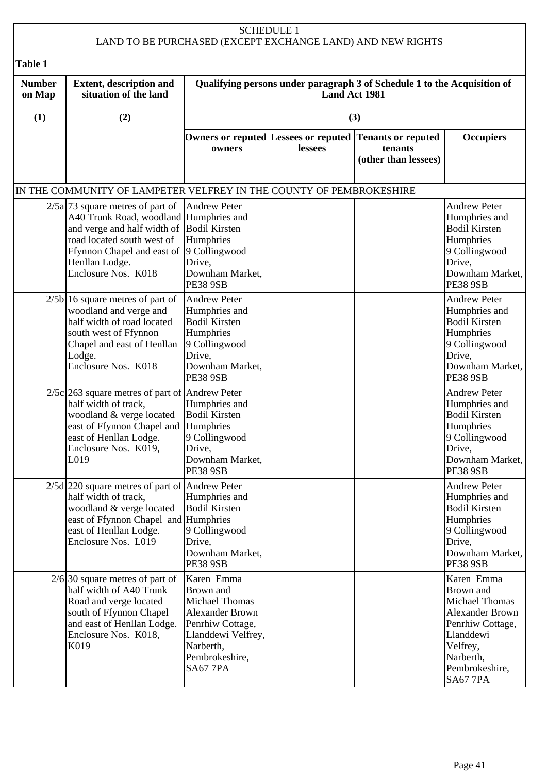## SCHEDULE 1 LAND TO BE PURCHASED (EXCEPT EXCHANGE LAND) AND NEW RIGHTS **Table 1**

| <b>Number</b><br>on Map | <b>Extent, description and</b><br>situation of the land                                                                                                                                                                                      |                                                                                                                                                                | Qualifying persons under paragraph 3 of Schedule 1 to the Acquisition of<br>Land Act 1981 |                                                                                            |                                                                                                                                                                   |  |
|-------------------------|----------------------------------------------------------------------------------------------------------------------------------------------------------------------------------------------------------------------------------------------|----------------------------------------------------------------------------------------------------------------------------------------------------------------|-------------------------------------------------------------------------------------------|--------------------------------------------------------------------------------------------|-------------------------------------------------------------------------------------------------------------------------------------------------------------------|--|
| (1)                     | (2)                                                                                                                                                                                                                                          |                                                                                                                                                                |                                                                                           | (3)                                                                                        |                                                                                                                                                                   |  |
|                         |                                                                                                                                                                                                                                              | owners                                                                                                                                                         | lessees                                                                                   | Owners or reputed Lessees or reputed Tenants or reputed<br>tenants<br>(other than lessees) | <b>Occupiers</b>                                                                                                                                                  |  |
|                         | IN THE COMMUNITY OF LAMPETER VELFREY IN THE COUNTY OF PEMBROKESHIRE                                                                                                                                                                          |                                                                                                                                                                |                                                                                           |                                                                                            |                                                                                                                                                                   |  |
|                         | $2/5a$ 73 square metres of part of<br>A40 Trunk Road, woodland Humphries and<br>and verge and half width of Bodil Kirsten<br>road located south west of<br>Ffynnon Chapel and east of 9 Collingwood<br>Henllan Lodge.<br>Enclosure Nos. K018 | <b>Andrew Peter</b><br>Humphries<br>Drive,<br>Downham Market,<br><b>PE38 9SB</b>                                                                               |                                                                                           |                                                                                            | <b>Andrew Peter</b><br>Humphries and<br><b>Bodil Kirsten</b><br>Humphries<br>9 Collingwood<br>Drive,<br>Downham Market,<br><b>PE38 9SB</b>                        |  |
|                         | $2/5b$ 16 square metres of part of<br>woodland and verge and<br>half width of road located<br>south west of Ffynnon<br>Chapel and east of Henllan<br>Lodge.<br>Enclosure Nos. K018                                                           | <b>Andrew Peter</b><br>Humphries and<br><b>Bodil Kirsten</b><br>Humphries<br>9 Collingwood<br>Drive,<br>Downham Market,<br><b>PE38 9SB</b>                     |                                                                                           |                                                                                            | <b>Andrew Peter</b><br>Humphries and<br><b>Bodil Kirsten</b><br>Humphries<br>9 Collingwood<br>Drive,<br>Downham Market,<br><b>PE38 9SB</b>                        |  |
|                         | $2/5c$ 263 square metres of part of Andrew Peter<br>half width of track,<br>woodland & verge located<br>east of Ffynnon Chapel and<br>east of Henllan Lodge.<br>Enclosure Nos. K019,<br>L019                                                 | Humphries and<br><b>Bodil Kirsten</b><br>Humphries<br>9 Collingwood<br>Drive,<br>Downham Market,<br><b>PE38 9SB</b>                                            |                                                                                           |                                                                                            | <b>Andrew Peter</b><br>Humphries and<br><b>Bodil Kirsten</b><br>Humphries<br>9 Collingwood<br>Drive.<br>Downham Market,<br><b>PE38 9SB</b>                        |  |
|                         | $2/5d$ 220 square metres of part of Andrew Peter<br>half width of track,<br>woodland & verge located<br>east of Ffynnon Chapel and Humphries<br>east of Henllan Lodge.<br>Enclosure Nos. L019                                                | Humphries and<br><b>Bodil Kirsten</b><br>9 Collingwood<br>Drive,<br>Downham Market,<br><b>PE38 9SB</b>                                                         |                                                                                           |                                                                                            | <b>Andrew Peter</b><br>Humphries and<br><b>Bodil Kirsten</b><br>Humphries<br>9 Collingwood<br>Drive,<br>Downham Market,<br><b>PE38 9SB</b>                        |  |
|                         | $2/6$ 30 square metres of part of<br>half width of A40 Trunk<br>Road and verge located<br>south of Ffynnon Chapel<br>and east of Henllan Lodge.<br>Enclosure Nos. K018,<br>K019                                                              | Karen Emma<br>Brown and<br><b>Michael Thomas</b><br><b>Alexander Brown</b><br>Penrhiw Cottage,<br>Llanddewi Velfrey,<br>Narberth,<br>Pembrokeshire,<br>SA677PA |                                                                                           |                                                                                            | Karen Emma<br>Brown and<br><b>Michael Thomas</b><br><b>Alexander Brown</b><br>Penrhiw Cottage,<br>Llanddewi<br>Velfrey,<br>Narberth,<br>Pembrokeshire,<br>SA677PA |  |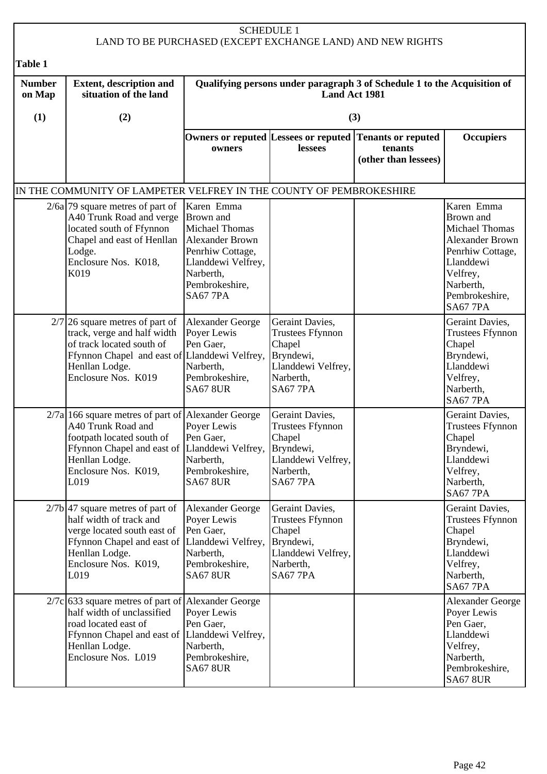## SCHEDULE 1 LAND TO BE PURCHASED (EXCEPT EXCHANGE LAND) AND NEW RIGHTS **Table 1 Number on Map (1) Extent, description and situation of the land (2) Qualifying persons under paragraph 3 of Schedule 1 to the Acquisition of Land Act 1981 (3) Owners or reputed Lessees or reputed Tenants or reputed owners lessees tenants (other than lessees) Occupiers** IN THE COMMUNITY OF LAMPETER VELFREY IN THE COUNTY OF PEMBROKESHIRE  $2/6a$  79 square metres of part of A40 Trunk Road and verge located south of Ffynnon Chapel and east of Henllan Lodge. Enclosure Nos. K018, K019 Karen Emma Brown and Michael Thomas Alexander Brown Penrhiw Cottage, Llanddewi Velfrey, Narberth, Pembrokeshire, SA67 7PA Karen Emma Brown and Michael Thomas Alexander Brown Penrhiw Cottage, Llanddewi Velfrey, Narberth, Pembrokeshire, SA67 7PA  $2/7$  26 square metres of part of track, verge and half width of track located south of Ffynnon Chapel and east of Henllan Lodge. Enclosure Nos. K019 Alexander George Poyer Lewis Pen Gaer, Llanddewi Velfrey, Narberth, Pembrokeshire, SA67 8UR Geraint Davies, Trustees Ffynnon **Chapel** Bryndewi, Llanddewi Velfrey, Narberth, SA67 7PA Geraint Davies, Trustees Ffynnon **Chapel** Bryndewi, Llanddewi Velfrey, Narberth, SA67 7PA 2/7a 166 square metres of part of Alexander George A40 Trunk Road and footpath located south of Ffynnon Chapel and east of Henllan Lodge. Enclosure Nos. K019, L019 Poyer Lewis Pen Gaer. Llanddewi Velfrey, **Narberth** Pembrokeshire, SA67 8UR Geraint Davies, Trustees Ffynnon Chapel Bryndewi, Llanddewi Velfrey, Narberth, SA67 7PA Geraint Davies, Trustees Ffynnon Chapel Bryndewi, Llanddewi Velfrey, Narberth, SA67 7PA  $2/7b$  47 square metres of part of half width of track and verge located south east of Ffynnon Chapel and east of Llanddewi Velfrey, Henllan Lodge. Enclosure Nos. K019, L<sub>019</sub> Alexander George Poyer Lewis Pen Gaer, Narberth, Pembrokeshire, SA67 8UR Geraint Davies, Trustees Ffynnon Chapel Bryndewi, Llanddewi Velfrey, Narberth, SA67 7PA Geraint Davies, Trustees Ffynnon **Chapel** Bryndewi, Llanddewi Velfrey, Narberth, SA67 7PA  $2/7c$  633 square metres of part of half width of unclassified road located east of Ffynnon Chapel and east of Henllan Lodge. Enclosure Nos. L019 Alexander George Poyer Lewis Pen Gaer, Llanddewi Velfrey, Narberth, Pembrokeshire, SA67 8UR Alexander George Poyer Lewis Pen Gaer, Llanddewi Velfrey, Narberth, Pembrokeshire, SA67 8UR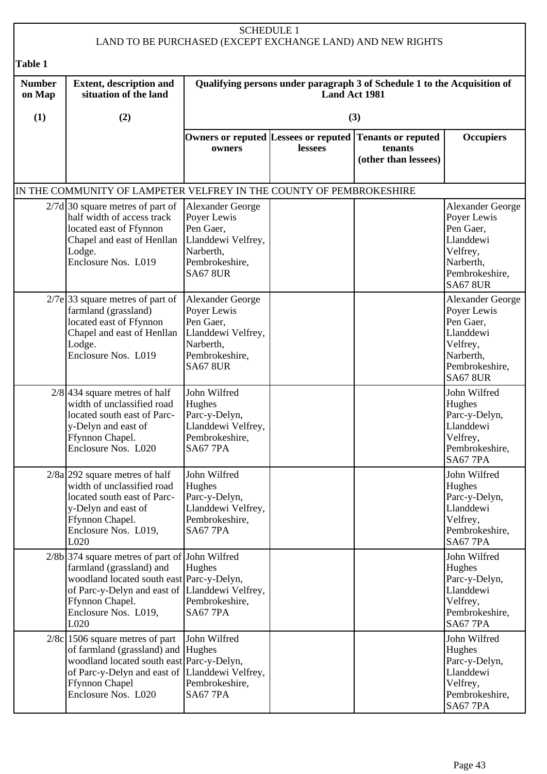|                         |                                                                                                                                                                                                                                | <b>SCHEDULE 1</b>                                                                                                           |                      | LAND TO BE PURCHASED (EXCEPT EXCHANGE LAND) AND NEW RIGHTS                                 |                                                                                                                                |
|-------------------------|--------------------------------------------------------------------------------------------------------------------------------------------------------------------------------------------------------------------------------|-----------------------------------------------------------------------------------------------------------------------------|----------------------|--------------------------------------------------------------------------------------------|--------------------------------------------------------------------------------------------------------------------------------|
| <b>Table 1</b>          |                                                                                                                                                                                                                                |                                                                                                                             |                      |                                                                                            |                                                                                                                                |
| <b>Number</b><br>on Map | <b>Extent, description and</b><br>situation of the land                                                                                                                                                                        |                                                                                                                             | <b>Land Act 1981</b> | Qualifying persons under paragraph 3 of Schedule 1 to the Acquisition of                   |                                                                                                                                |
| (1)                     | (2)                                                                                                                                                                                                                            |                                                                                                                             |                      | (3)                                                                                        |                                                                                                                                |
|                         |                                                                                                                                                                                                                                | owners                                                                                                                      | lessees              | Owners or reputed Lessees or reputed Tenants or reputed<br>tenants<br>(other than lessees) | <b>Occupiers</b>                                                                                                               |
|                         | IN THE COMMUNITY OF LAMPETER VELFREY IN THE COUNTY OF PEMBROKESHIRE                                                                                                                                                            |                                                                                                                             |                      |                                                                                            |                                                                                                                                |
|                         | $2/7d$ 30 square metres of part of<br>half width of access track<br>located east of Ffynnon<br>Chapel and east of Henllan<br>Lodge.<br>Enclosure Nos. L019                                                                     | Alexander George<br>Poyer Lewis<br>Pen Gaer,<br>Llanddewi Velfrey,<br>Narberth,<br>Pembrokeshire,<br><b>SA67 8UR</b>        |                      |                                                                                            | <b>Alexander George</b><br>Poyer Lewis<br>Pen Gaer,<br>Llanddewi<br>Velfrey,<br>Narberth,<br>Pembrokeshire,<br><b>SA67 8UR</b> |
|                         | $2/7e$ 33 square metres of part of<br>farmland (grassland)<br>located east of Ffynnon<br>Chapel and east of Henllan<br>Lodge.<br>Enclosure Nos. L019                                                                           | <b>Alexander George</b><br>Poyer Lewis<br>Pen Gaer,<br>Llanddewi Velfrey,<br>Narberth,<br>Pembrokeshire,<br><b>SA67 8UR</b> |                      |                                                                                            | <b>Alexander George</b><br>Poyer Lewis<br>Pen Gaer,<br>Llanddewi<br>Velfrey,<br>Narberth,<br>Pembrokeshire,<br><b>SA67 8UR</b> |
|                         | $2/8$ 434 square metres of half<br>width of unclassified road<br>located south east of Parc-<br>y-Delyn and east of<br>Ffynnon Chapel.<br>Enclosure Nos. L020                                                                  | John Wilfred<br>Hughes<br>Parc-y-Delyn,<br>Llanddewi Velfrey,<br>Pembrokeshire,<br><b>SA67 7PA</b>                          |                      |                                                                                            | John Wilfred<br>Hughes<br>Parc-y-Delyn,<br>Llanddewi<br>Velfrey,<br>Pembrokeshire,<br><b>SA67 7PA</b>                          |
|                         | $2/8a$  292 square metres of half<br>width of unclassified road<br>located south east of Parc-<br>y-Delyn and east of<br>Ffynnon Chapel.<br>Enclosure Nos. L019,<br>L020                                                       | John Wilfred<br>Hughes<br>Parc-y-Delyn,<br>Llanddewi Velfrey,<br>Pembrokeshire,<br><b>SA67 7PA</b>                          |                      |                                                                                            | John Wilfred<br>Hughes<br>Parc-y-Delyn,<br>Llanddewi<br>Velfrey,<br>Pembrokeshire,<br><b>SA67 7PA</b>                          |
|                         | $2/8b$ 374 square metres of part of John Wilfred<br>farmland (grassland) and<br>woodland located south east Parc-y-Delyn,<br>of Parc-y-Delyn and east of Llanddewi Velfrey,<br>Ffynnon Chapel.<br>Enclosure Nos. L019,<br>L020 | Hughes<br>Pembrokeshire,<br>SA677PA                                                                                         |                      |                                                                                            | John Wilfred<br>Hughes<br>Parc-y-Delyn,<br>Llanddewi<br>Velfrey,<br>Pembrokeshire,<br><b>SA67 7PA</b>                          |
|                         | $2/8c$ 1506 square metres of part<br>of farmland (grassland) and Hughes<br>woodland located south east Parc-y-Delyn,<br>of Parc-y-Delyn and east of Llanddewi Velfrey,<br><b>Ffynnon Chapel</b><br>Enclosure Nos. L020         | John Wilfred<br>Pembrokeshire,<br><b>SA67 7PA</b>                                                                           |                      |                                                                                            | John Wilfred<br>Hughes<br>Parc-y-Delyn,<br>Llanddewi<br>Velfrey,<br>Pembrokeshire,<br>SA677PA                                  |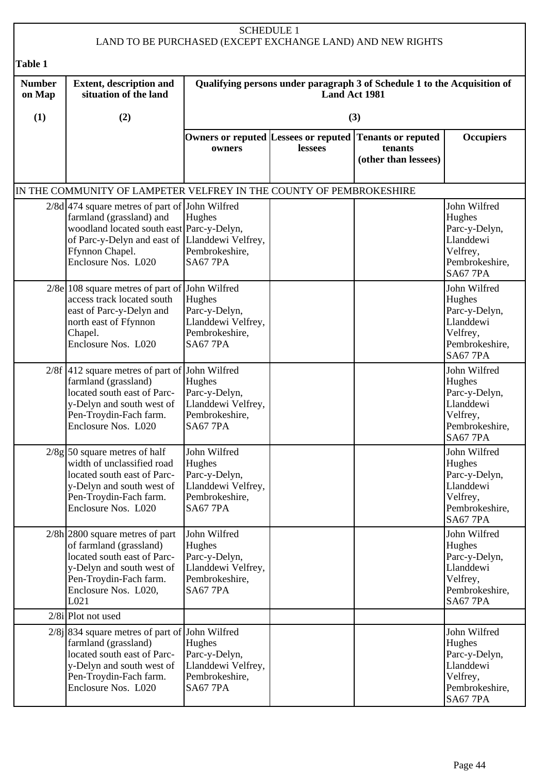|                         |                                                                                                                                                                                                          | <b>SCHEDULE 1</b>                                                                                  |               | LAND TO BE PURCHASED (EXCEPT EXCHANGE LAND) AND NEW RIGHTS                                 |                                                                                                       |
|-------------------------|----------------------------------------------------------------------------------------------------------------------------------------------------------------------------------------------------------|----------------------------------------------------------------------------------------------------|---------------|--------------------------------------------------------------------------------------------|-------------------------------------------------------------------------------------------------------|
| <b>Table 1</b>          |                                                                                                                                                                                                          |                                                                                                    |               |                                                                                            |                                                                                                       |
| <b>Number</b><br>on Map | <b>Extent, description and</b><br>situation of the land                                                                                                                                                  |                                                                                                    | Land Act 1981 | Qualifying persons under paragraph 3 of Schedule 1 to the Acquisition of                   |                                                                                                       |
| (1)                     | (2)                                                                                                                                                                                                      |                                                                                                    |               | (3)                                                                                        |                                                                                                       |
|                         |                                                                                                                                                                                                          | owners                                                                                             | lessees       | Owners or reputed Lessees or reputed Tenants or reputed<br>tenants<br>(other than lessees) | <b>Occupiers</b>                                                                                      |
|                         | IN THE COMMUNITY OF LAMPETER VELFREY IN THE COUNTY OF PEMBROKESHIRE                                                                                                                                      |                                                                                                    |               |                                                                                            |                                                                                                       |
|                         | $2/8d$ 474 square metres of part of<br>farmland (grassland) and<br>woodland located south east Parc-y-Delyn,<br>of Parc-y-Delyn and east of Llanddewi Velfrey,<br>Ffynnon Chapel.<br>Enclosure Nos. L020 | John Wilfred<br>Hughes<br>Pembrokeshire,<br><b>SA67 7PA</b>                                        |               |                                                                                            | John Wilfred<br>Hughes<br>Parc-y-Delyn,<br>Llanddewi<br>Velfrey,<br>Pembrokeshire,<br><b>SA67 7PA</b> |
|                         | 2/8e 108 square metres of part of John Wilfred<br>access track located south<br>east of Parc-y-Delyn and<br>north east of Ffynnon<br>Chapel.<br>Enclosure Nos. L020                                      | Hughes<br>Parc-y-Delyn,<br>Llanddewi Velfrey,<br>Pembrokeshire,<br><b>SA67 7PA</b>                 |               |                                                                                            | John Wilfred<br>Hughes<br>Parc-y-Delyn,<br>Llanddewi<br>Velfrey,<br>Pembrokeshire,<br><b>SA67 7PA</b> |
|                         | $2/8f$ 412 square metres of part of<br>farmland (grassland)<br>located south east of Parc-<br>y-Delyn and south west of<br>Pen-Troydin-Fach farm.<br>Enclosure Nos. L020                                 | John Wilfred<br>Hughes<br>Parc-y-Delyn,<br>Llanddewi Velfrey,<br>Pembrokeshire,<br><b>SA67 7PA</b> |               |                                                                                            | John Wilfred<br>Hughes<br>Parc-y-Delyn,<br>Llanddewi<br>Velfrey,<br>Pembrokeshire,<br>SA677PA         |
|                         | $2/8g$ 50 square metres of half<br>width of unclassified road<br>located south east of Parc-<br>y-Delyn and south west of<br>Pen-Troydin-Fach farm.<br>Enclosure Nos. L020                               | John Wilfred<br>Hughes<br>Parc-y-Delyn,<br>Llanddewi Velfrey,<br>Pembrokeshire,<br><b>SA67 7PA</b> |               |                                                                                            | John Wilfred<br>Hughes<br>Parc-y-Delyn,<br>Llanddewi<br>Velfrey,<br>Pembrokeshire,<br><b>SA67 7PA</b> |
|                         | $2/8h$  2800 square metres of part<br>of farmland (grassland)<br>located south east of Parc-<br>y-Delyn and south west of<br>Pen-Troydin-Fach farm.<br>Enclosure Nos. L020,<br>L021                      | John Wilfred<br>Hughes<br>Parc-y-Delyn,<br>Llanddewi Velfrey,<br>Pembrokeshire,<br><b>SA67 7PA</b> |               |                                                                                            | John Wilfred<br>Hughes<br>Parc-y-Delyn,<br>Llanddewi<br>Velfrey,<br>Pembrokeshire,<br><b>SA67 7PA</b> |
|                         | $2/8i$ Plot not used                                                                                                                                                                                     |                                                                                                    |               |                                                                                            |                                                                                                       |
|                         | $2/8$ j 834 square metres of part of John Wilfred<br>farmland (grassland)<br>located south east of Parc-<br>y-Delyn and south west of<br>Pen-Troydin-Fach farm.<br>Enclosure Nos. L020                   | Hughes<br>Parc-y-Delyn,<br>Llanddewi Velfrey,<br>Pembrokeshire,<br>SA677PA                         |               |                                                                                            | John Wilfred<br>Hughes<br>Parc-y-Delyn,<br>Llanddewi<br>Velfrey,<br>Pembrokeshire,<br>SA677PA         |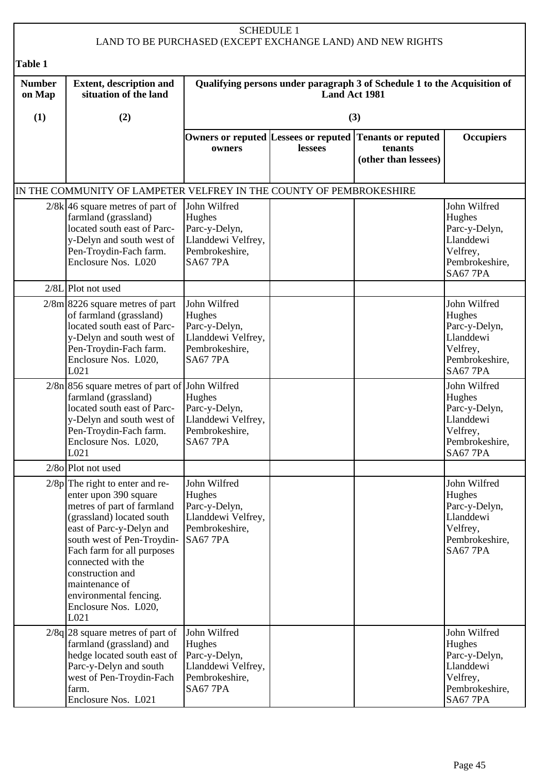|                         |                                                                                                                                                                                                                                                                                                                                     | <b>SCHEDULE 1</b>                                                                                  |                      | LAND TO BE PURCHASED (EXCEPT EXCHANGE LAND) AND NEW RIGHTS                                 |                                                                                                       |
|-------------------------|-------------------------------------------------------------------------------------------------------------------------------------------------------------------------------------------------------------------------------------------------------------------------------------------------------------------------------------|----------------------------------------------------------------------------------------------------|----------------------|--------------------------------------------------------------------------------------------|-------------------------------------------------------------------------------------------------------|
| Table 1                 |                                                                                                                                                                                                                                                                                                                                     |                                                                                                    |                      |                                                                                            |                                                                                                       |
| <b>Number</b><br>on Map | <b>Extent, description and</b><br>situation of the land                                                                                                                                                                                                                                                                             |                                                                                                    | <b>Land Act 1981</b> | Qualifying persons under paragraph 3 of Schedule 1 to the Acquisition of                   |                                                                                                       |
| (1)                     | (2)                                                                                                                                                                                                                                                                                                                                 |                                                                                                    |                      | (3)                                                                                        |                                                                                                       |
|                         |                                                                                                                                                                                                                                                                                                                                     | owners                                                                                             | lessees              | Owners or reputed Lessees or reputed Tenants or reputed<br>tenants<br>(other than lessees) | <b>Occupiers</b>                                                                                      |
|                         | IN THE COMMUNITY OF LAMPETER VELFREY IN THE COUNTY OF PEMBROKESHIRE                                                                                                                                                                                                                                                                 |                                                                                                    |                      |                                                                                            |                                                                                                       |
|                         | $2/8k$ 46 square metres of part of<br>farmland (grassland)<br>located south east of Parc-<br>y-Delyn and south west of<br>Pen-Troydin-Fach farm.<br>Enclosure Nos. L020                                                                                                                                                             | John Wilfred<br>Hughes<br>Parc-y-Delyn,<br>Llanddewi Velfrey,<br>Pembrokeshire,<br><b>SA67 7PA</b> |                      |                                                                                            | John Wilfred<br>Hughes<br>Parc-y-Delyn,<br>Llanddewi<br>Velfrey,<br>Pembrokeshire,<br><b>SA67 7PA</b> |
|                         | $2/8L$  Plot not used                                                                                                                                                                                                                                                                                                               |                                                                                                    |                      |                                                                                            |                                                                                                       |
|                         | $2/8m$   8226 square metres of part<br>of farmland (grassland)<br>located south east of Parc-<br>y-Delyn and south west of<br>Pen-Troydin-Fach farm.<br>Enclosure Nos. L020,<br>L021                                                                                                                                                | John Wilfred<br>Hughes<br>Parc-y-Delyn,<br>Llanddewi Velfrey,<br>Pembrokeshire,<br><b>SA67 7PA</b> |                      |                                                                                            | John Wilfred<br>Hughes<br>Parc-y-Delyn,<br>Llanddewi<br>Velfrey,<br>Pembrokeshire,<br><b>SA67 7PA</b> |
|                         | $2/8n$ 856 square metres of part of John Wilfred<br>farmland (grassland)<br>located south east of Parc-<br>y-Delyn and south west of<br>Pen-Troydin-Fach farm.<br>Enclosure Nos. L020,<br>L021                                                                                                                                      | Hughes<br>Parc-y-Delyn,<br>Llanddewi Velfrey,<br>Pembrokeshire,<br>SA677PA                         |                      |                                                                                            | John Wilfred<br>Hughes<br>Parc-y-Delyn,<br>Llanddewi<br>Velfrey,<br>Pembrokeshire,<br><b>SA67 7PA</b> |
|                         | $2/8$ o Plot not used                                                                                                                                                                                                                                                                                                               |                                                                                                    |                      |                                                                                            |                                                                                                       |
|                         | $2/8p$ The right to enter and re-<br>enter upon 390 square<br>metres of part of farmland<br>(grassland) located south<br>east of Parc-y-Delyn and<br>south west of Pen-Troydin-<br>Fach farm for all purposes<br>connected with the<br>construction and<br>maintenance of<br>environmental fencing.<br>Enclosure Nos. L020,<br>L021 | John Wilfred<br>Hughes<br>Parc-y-Delyn,<br>Llanddewi Velfrey,<br>Pembrokeshire,<br><b>SA67 7PA</b> |                      |                                                                                            | John Wilfred<br>Hughes<br>Parc-y-Delyn,<br>Llanddewi<br>Velfrey,<br>Pembrokeshire,<br><b>SA67 7PA</b> |
|                         | $2/8q$   28 square metres of part of<br>farmland (grassland) and<br>hedge located south east of<br>Parc-y-Delyn and south<br>west of Pen-Troydin-Fach<br>farm.<br>Enclosure Nos. L021                                                                                                                                               | John Wilfred<br>Hughes<br>Parc-y-Delyn,<br>Llanddewi Velfrey,<br>Pembrokeshire,<br>SA677PA         |                      |                                                                                            | John Wilfred<br>Hughes<br>Parc-y-Delyn,<br>Llanddewi<br>Velfrey,<br>Pembrokeshire,<br>SA677PA         |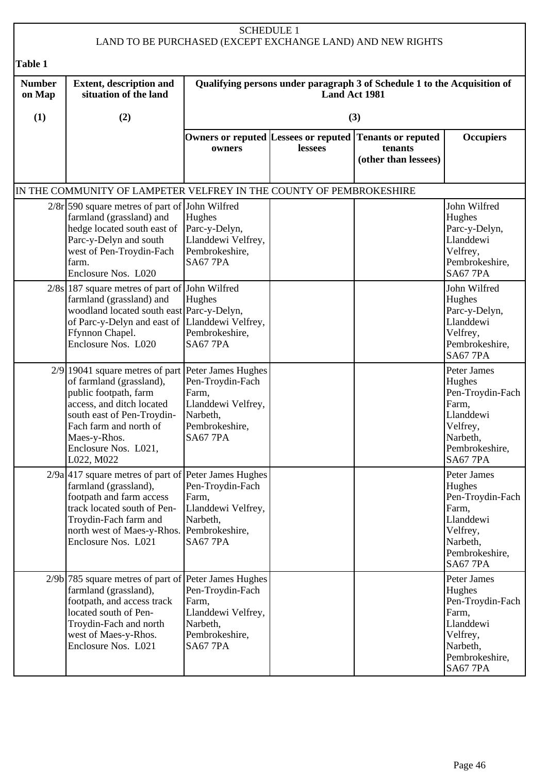|                         |                                                                                                                                                                                                                                                    |                                                                                                                | <b>SCHEDULE 1</b>                                                                                | LAND TO BE PURCHASED (EXCEPT EXCHANGE LAND) AND NEW RIGHTS                                 |                                                                                                                              |  |  |
|-------------------------|----------------------------------------------------------------------------------------------------------------------------------------------------------------------------------------------------------------------------------------------------|----------------------------------------------------------------------------------------------------------------|--------------------------------------------------------------------------------------------------|--------------------------------------------------------------------------------------------|------------------------------------------------------------------------------------------------------------------------------|--|--|
| Table 1                 |                                                                                                                                                                                                                                                    |                                                                                                                |                                                                                                  |                                                                                            |                                                                                                                              |  |  |
| <b>Number</b><br>on Map | <b>Extent, description and</b><br>situation of the land                                                                                                                                                                                            |                                                                                                                | Qualifying persons under paragraph 3 of Schedule 1 to the Acquisition of<br><b>Land Act 1981</b> |                                                                                            |                                                                                                                              |  |  |
| (1)                     | (2)                                                                                                                                                                                                                                                |                                                                                                                |                                                                                                  | (3)                                                                                        |                                                                                                                              |  |  |
|                         |                                                                                                                                                                                                                                                    | owners                                                                                                         | lessees                                                                                          | Owners or reputed Lessees or reputed Tenants or reputed<br>tenants<br>(other than lessees) | <b>Occupiers</b>                                                                                                             |  |  |
|                         | IN THE COMMUNITY OF LAMPETER VELFREY IN THE COUNTY OF PEMBROKESHIRE                                                                                                                                                                                |                                                                                                                |                                                                                                  |                                                                                            |                                                                                                                              |  |  |
|                         | $2/8r$ [590 square metres of part of John Wilfred<br>farmland (grassland) and<br>hedge located south east of<br>Parc-y-Delyn and south<br>west of Pen-Troydin-Fach<br>farm.<br>Enclosure Nos. L020                                                 | Hughes<br>Parc-y-Delyn,<br>Llanddewi Velfrey,<br>Pembrokeshire,<br><b>SA67 7PA</b>                             |                                                                                                  |                                                                                            | John Wilfred<br>Hughes<br>Parc-y-Delyn,<br>Llanddewi<br>Velfrey,<br>Pembrokeshire,<br><b>SA67 7PA</b>                        |  |  |
|                         | $2/8s$ 187 square metres of part of John Wilfred<br>farmland (grassland) and<br>woodland located south east Parc-y-Delyn,<br>of Parc-y-Delyn and east of Llanddewi Velfrey,<br>Ffynnon Chapel.<br>Enclosure Nos. L020                              | Hughes<br>Pembrokeshire,<br><b>SA67 7PA</b>                                                                    |                                                                                                  |                                                                                            | John Wilfred<br>Hughes<br>Parc-y-Delyn,<br>Llanddewi<br>Velfrey,<br>Pembrokeshire,<br><b>SA67 7PA</b>                        |  |  |
|                         | 2/9 19041 square metres of part Peter James Hughes<br>of farmland (grassland),<br>public footpath, farm<br>access, and ditch located<br>south east of Pen-Troydin-<br>Fach farm and north of<br>Maes-y-Rhos.<br>Enclosure Nos. L021,<br>L022, M022 | Pen-Troydin-Fach<br>Farm,<br>Llanddewi Velfrey,<br>Narbeth,<br>Pembrokeshire,<br><b>SA67 7PA</b>               |                                                                                                  |                                                                                            | Peter James<br>Hughes<br>Pen-Troydin-Fach<br>Farm,<br>Llanddewi<br>Velfrey,<br>Narbeth,<br>Pembrokeshire,<br><b>SA67 7PA</b> |  |  |
|                         | $2/9a$ 417 square metres of part of Peter James Hughes<br>farmland (grassland),<br>footpath and farm access<br>track located south of Pen-<br>Troydin-Fach farm and<br>north west of Maes-y-Rhos. Pembrokeshire,<br>Enclosure Nos. L021            | Pen-Troydin-Fach<br>Farm,<br>Llanddewi Velfrey,<br>Narbeth,<br><b>SA67 7PA</b>                                 |                                                                                                  |                                                                                            | Peter James<br>Hughes<br>Pen-Troydin-Fach<br>Farm,<br>Llanddewi<br>Velfrey,<br>Narbeth,<br>Pembrokeshire,<br><b>SA67 7PA</b> |  |  |
|                         | $2/9b$ 785 square metres of part of<br>farmland (grassland),<br>footpath, and access track<br>located south of Pen-<br>Troydin-Fach and north<br>west of Maes-y-Rhos.<br>Enclosure Nos. L021                                                       | Peter James Hughes<br>Pen-Troydin-Fach<br>Farm,<br>Llanddewi Velfrey,<br>Narbeth,<br>Pembrokeshire,<br>SA677PA |                                                                                                  |                                                                                            | Peter James<br>Hughes<br>Pen-Troydin-Fach<br>Farm,<br>Llanddewi<br>Velfrey,<br>Narbeth,<br>Pembrokeshire,<br>SA677PA         |  |  |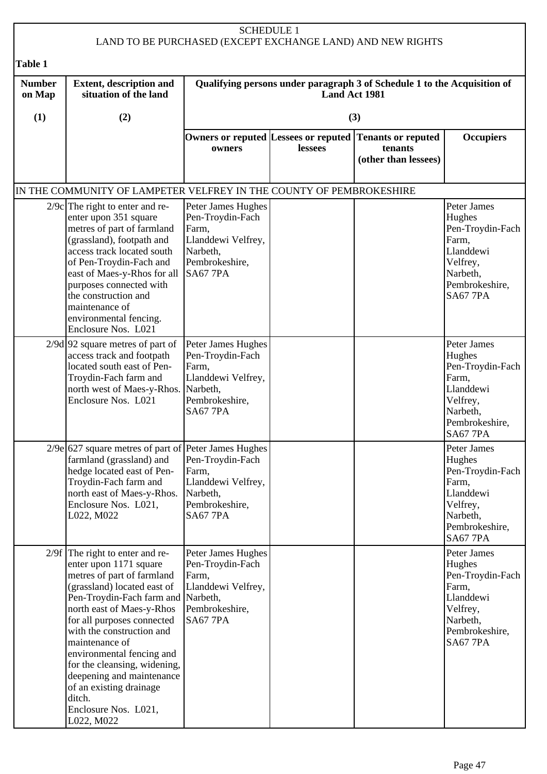|                         |                                                                                                                                                                                                                                                                                                                                                                                                                                               | <b>SCHEDULE 1</b>                                                                                                      |               | LAND TO BE PURCHASED (EXCEPT EXCHANGE LAND) AND NEW RIGHTS               |                                                                                                                              |
|-------------------------|-----------------------------------------------------------------------------------------------------------------------------------------------------------------------------------------------------------------------------------------------------------------------------------------------------------------------------------------------------------------------------------------------------------------------------------------------|------------------------------------------------------------------------------------------------------------------------|---------------|--------------------------------------------------------------------------|------------------------------------------------------------------------------------------------------------------------------|
| Table 1                 |                                                                                                                                                                                                                                                                                                                                                                                                                                               |                                                                                                                        |               |                                                                          |                                                                                                                              |
| <b>Number</b><br>on Map | <b>Extent, description and</b><br>situation of the land                                                                                                                                                                                                                                                                                                                                                                                       |                                                                                                                        | Land Act 1981 | Qualifying persons under paragraph 3 of Schedule 1 to the Acquisition of |                                                                                                                              |
| (1)                     | (2)                                                                                                                                                                                                                                                                                                                                                                                                                                           |                                                                                                                        |               | (3)                                                                      |                                                                                                                              |
|                         |                                                                                                                                                                                                                                                                                                                                                                                                                                               | Owners or reputed Lessees or reputed<br>owners                                                                         | lessees       | <b>Tenants or reputed</b><br>tenants<br>(other than lessees)             | <b>Occupiers</b>                                                                                                             |
|                         | IN THE COMMUNITY OF LAMPETER VELFREY IN THE COUNTY OF PEMBROKESHIRE                                                                                                                                                                                                                                                                                                                                                                           |                                                                                                                        |               |                                                                          |                                                                                                                              |
|                         | $2/9c$ The right to enter and re-<br>enter upon 351 square<br>metres of part of farmland<br>(grassland), footpath and<br>access track located south<br>of Pen-Troydin-Fach and<br>east of Maes-y-Rhos for all<br>purposes connected with<br>the construction and<br>maintenance of<br>environmental fencing.<br>Enclosure Nos. L021                                                                                                           | Peter James Hughes<br>Pen-Troydin-Fach<br>Farm,<br>Llanddewi Velfrey,<br>Narbeth,<br>Pembrokeshire,<br><b>SA67 7PA</b> |               |                                                                          | Peter James<br>Hughes<br>Pen-Troydin-Fach<br>Farm,<br>Llanddewi<br>Velfrey,<br>Narbeth,<br>Pembrokeshire,<br><b>SA67 7PA</b> |
|                         | $2/9d$ 92 square metres of part of<br>access track and footpath<br>located south east of Pen-<br>Troydin-Fach farm and<br>north west of Maes-y-Rhos. Narbeth,<br>Enclosure Nos. L021                                                                                                                                                                                                                                                          | Peter James Hughes<br>Pen-Troydin-Fach<br>Farm,<br>Llanddewi Velfrey,<br>Pembrokeshire,<br><b>SA67 7PA</b>             |               |                                                                          | Peter James<br>Hughes<br>Pen-Troydin-Fach<br>Farm,<br>Llanddewi<br>Velfrey,<br>Narbeth,<br>Pembrokeshire,<br><b>SA67 7PA</b> |
|                         | $2/9e$ 627 square metres of part of Peter James Hughes<br>farmland (grassland) and<br>hedge located east of Pen-<br>Troydin-Fach farm and<br>north east of Maes-y-Rhos.<br>Enclosure Nos. L021,<br>L022, M022                                                                                                                                                                                                                                 | Pen-Troydin-Fach<br>Farm,<br>Llanddewi Velfrey,<br>Narbeth,<br>Pembrokeshire,<br>SA677PA                               |               |                                                                          | Peter James<br>Hughes<br>Pen-Troydin-Fach<br>Farm,<br>Llanddewi<br>Velfrey,<br>Narbeth,<br>Pembrokeshire,<br>SA677PA         |
|                         | $2/9f$ The right to enter and re-<br>enter upon 1171 square<br>metres of part of farmland<br>(grassland) located east of<br>Pen-Troydin-Fach farm and Narbeth,<br>north east of Maes-y-Rhos<br>for all purposes connected<br>with the construction and<br>maintenance of<br>environmental fencing and<br>for the cleansing, widening,<br>deepening and maintenance<br>of an existing drainage<br>ditch.<br>Enclosure Nos. L021,<br>L022, M022 | Peter James Hughes<br>Pen-Troydin-Fach<br>Farm,<br>Llanddewi Velfrey,<br>Pembrokeshire,<br>SA677PA                     |               |                                                                          | Peter James<br>Hughes<br>Pen-Troydin-Fach<br>Farm,<br>Llanddewi<br>Velfrey,<br>Narbeth,<br>Pembrokeshire,<br>SA677PA         |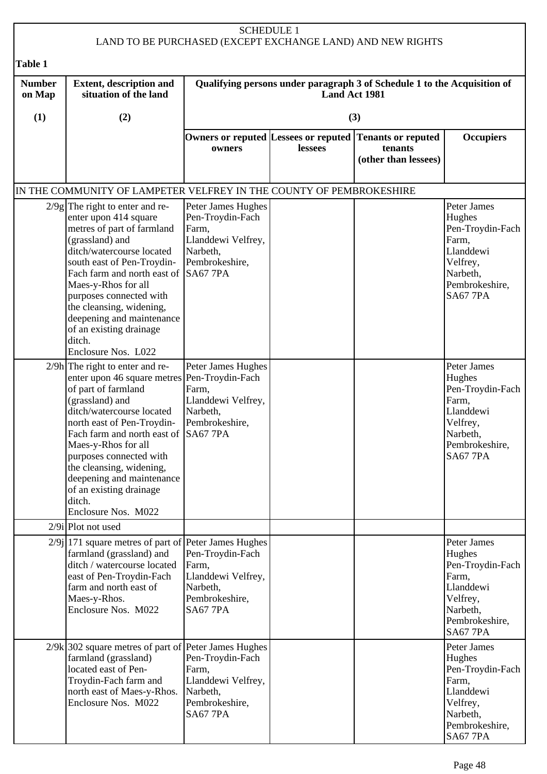|                         |                                                                                                                                                                                                                                                                                                                                                                                                       | <b>SCHEDULE 1</b>                                                                                                      |         | LAND TO BE PURCHASED (EXCEPT EXCHANGE LAND) AND NEW RIGHTS                                 |                                                                                                                              |  |
|-------------------------|-------------------------------------------------------------------------------------------------------------------------------------------------------------------------------------------------------------------------------------------------------------------------------------------------------------------------------------------------------------------------------------------------------|------------------------------------------------------------------------------------------------------------------------|---------|--------------------------------------------------------------------------------------------|------------------------------------------------------------------------------------------------------------------------------|--|
| Table 1                 |                                                                                                                                                                                                                                                                                                                                                                                                       |                                                                                                                        |         |                                                                                            |                                                                                                                              |  |
| <b>Number</b><br>on Map | <b>Extent, description and</b><br>situation of the land                                                                                                                                                                                                                                                                                                                                               | Qualifying persons under paragraph 3 of Schedule 1 to the Acquisition of<br><b>Land Act 1981</b>                       |         |                                                                                            |                                                                                                                              |  |
| (1)                     | (2)                                                                                                                                                                                                                                                                                                                                                                                                   |                                                                                                                        |         | (3)                                                                                        |                                                                                                                              |  |
|                         |                                                                                                                                                                                                                                                                                                                                                                                                       | owners                                                                                                                 | lessees | Owners or reputed Lessees or reputed Tenants or reputed<br>tenants<br>(other than lessees) | <b>Occupiers</b>                                                                                                             |  |
|                         | IN THE COMMUNITY OF LAMPETER VELFREY IN THE COUNTY OF PEMBROKESHIRE                                                                                                                                                                                                                                                                                                                                   |                                                                                                                        |         |                                                                                            |                                                                                                                              |  |
|                         | $2/9g$ The right to enter and re-<br>enter upon 414 square<br>metres of part of farmland<br>(grassland) and<br>ditch/watercourse located<br>south east of Pen-Troydin-<br>Fach farm and north east of<br>Maes-y-Rhos for all<br>purposes connected with<br>the cleansing, widening,<br>deepening and maintenance<br>of an existing drainage<br>ditch.<br>Enclosure Nos. L022                          | Peter James Hughes<br>Pen-Troydin-Fach<br>Farm,<br>Llanddewi Velfrey,<br>Narbeth,<br>Pembrokeshire,<br><b>SA67 7PA</b> |         |                                                                                            | Peter James<br>Hughes<br>Pen-Troydin-Fach<br>Farm,<br>Llanddewi<br>Velfrey,<br>Narbeth,<br>Pembrokeshire,<br><b>SA67 7PA</b> |  |
|                         | $2/9h$ The right to enter and re-<br>enter upon 46 square metres Pen-Troydin-Fach<br>of part of farmland<br>(grassland) and<br>ditch/watercourse located<br>north east of Pen-Troydin-<br>Fach farm and north east of SA67 7PA<br>Maes-y-Rhos for all<br>purposes connected with<br>the cleansing, widening,<br>deepening and maintenance<br>of an existing drainage<br>ditch.<br>Enclosure Nos. M022 | Peter James Hughes<br>Farm,<br>Llanddewi Velfrey,<br>Narbeth,<br>Pembrokeshire,                                        |         |                                                                                            | Peter James<br>Hughes<br>Pen-Troydin-Fach<br>Farm,<br>Llanddewi<br>Velfrey,<br>Narbeth,<br>Pembrokeshire,<br><b>SA67 7PA</b> |  |
|                         | $2/9i$  Plot not used                                                                                                                                                                                                                                                                                                                                                                                 |                                                                                                                        |         |                                                                                            |                                                                                                                              |  |
|                         | $2/9$ [171 square metres of part of Peter James Hughes<br>farmland (grassland) and<br>ditch / watercourse located<br>east of Pen-Troydin-Fach<br>farm and north east of<br>Maes-y-Rhos.<br>Enclosure Nos. M022                                                                                                                                                                                        | Pen-Troydin-Fach<br>Farm,<br>Llanddewi Velfrey,<br>Narbeth,<br>Pembrokeshire,<br><b>SA67 7PA</b>                       |         |                                                                                            | Peter James<br>Hughes<br>Pen-Troydin-Fach<br>Farm,<br>Llanddewi<br>Velfrey,<br>Narbeth,<br>Pembrokeshire,<br><b>SA67 7PA</b> |  |
|                         | $2/9k$ 302 square metres of part of<br>farmland (grassland)<br>located east of Pen-<br>Troydin-Fach farm and<br>north east of Maes-y-Rhos.<br>Enclosure Nos. M022                                                                                                                                                                                                                                     | Peter James Hughes<br>Pen-Troydin-Fach<br>Farm,<br>Llanddewi Velfrey,<br>Narbeth,<br>Pembrokeshire,<br><b>SA67 7PA</b> |         |                                                                                            | Peter James<br>Hughes<br>Pen-Troydin-Fach<br>Farm,<br>Llanddewi<br>Velfrey,<br>Narbeth,<br>Pembrokeshire,<br><b>SA67 7PA</b> |  |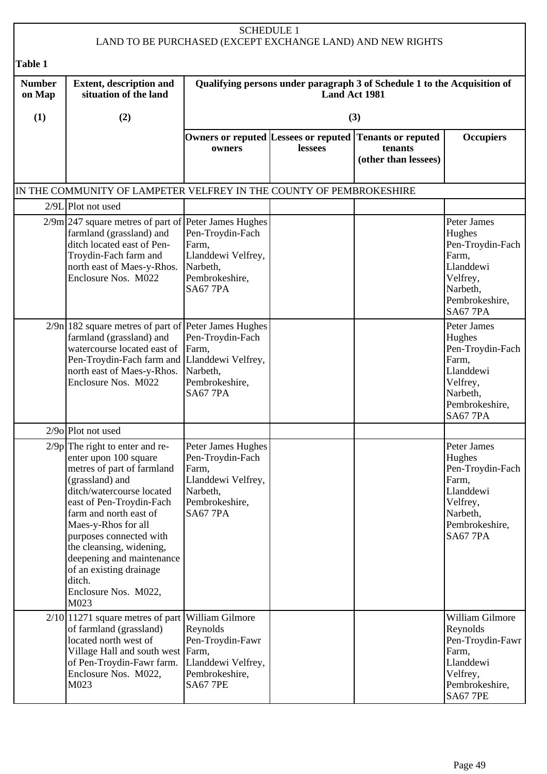| <b>SCHEDULE 1</b><br>LAND TO BE PURCHASED (EXCEPT EXCHANGE LAND) AND NEW RIGHTS |                                                                                                                                                                                                                                                                                                                                                                                |                                                                                                                        |         |                                                                                            |                                                                                                                              |  |
|---------------------------------------------------------------------------------|--------------------------------------------------------------------------------------------------------------------------------------------------------------------------------------------------------------------------------------------------------------------------------------------------------------------------------------------------------------------------------|------------------------------------------------------------------------------------------------------------------------|---------|--------------------------------------------------------------------------------------------|------------------------------------------------------------------------------------------------------------------------------|--|
| <b>Table 1</b>                                                                  |                                                                                                                                                                                                                                                                                                                                                                                |                                                                                                                        |         |                                                                                            |                                                                                                                              |  |
| <b>Number</b><br>on Map                                                         | <b>Extent, description and</b><br>Qualifying persons under paragraph 3 of Schedule 1 to the Acquisition of<br>situation of the land<br>Land Act 1981                                                                                                                                                                                                                           |                                                                                                                        |         |                                                                                            |                                                                                                                              |  |
| (1)                                                                             | (2)                                                                                                                                                                                                                                                                                                                                                                            |                                                                                                                        |         | (3)                                                                                        |                                                                                                                              |  |
|                                                                                 |                                                                                                                                                                                                                                                                                                                                                                                | owners                                                                                                                 | lessees | Owners or reputed Lessees or reputed Tenants or reputed<br>tenants<br>(other than lessees) | <b>Occupiers</b>                                                                                                             |  |
|                                                                                 | IN THE COMMUNITY OF LAMPETER VELFREY IN THE COUNTY OF PEMBROKESHIRE                                                                                                                                                                                                                                                                                                            |                                                                                                                        |         |                                                                                            |                                                                                                                              |  |
|                                                                                 | $2/9L$ Plot not used                                                                                                                                                                                                                                                                                                                                                           |                                                                                                                        |         |                                                                                            |                                                                                                                              |  |
|                                                                                 | $2/9m$ 247 square metres of part of Peter James Hughes<br>farmland (grassland) and<br>ditch located east of Pen-<br>Troydin-Fach farm and<br>north east of Maes-y-Rhos.<br>Enclosure Nos. M022                                                                                                                                                                                 | Pen-Troydin-Fach<br>Farm,<br>Llanddewi Velfrey,<br>Narbeth,<br>Pembrokeshire,<br><b>SA67 7PA</b>                       |         |                                                                                            | Peter James<br>Hughes<br>Pen-Troydin-Fach<br>Farm,<br>Llanddewi<br>Velfrey,<br>Narbeth,<br>Pembrokeshire,<br><b>SA67 7PA</b> |  |
|                                                                                 | $2/9n$   182 square metres of part of Peter James Hughes<br>farmland (grassland) and<br>watercourse located east of Farm,<br>Pen-Troydin-Fach farm and Llanddewi Velfrey,<br>north east of Maes-y-Rhos.<br>Enclosure Nos. M022                                                                                                                                                 | Pen-Troydin-Fach<br>Narbeth,<br>Pembrokeshire,<br><b>SA67 7PA</b>                                                      |         |                                                                                            | Peter James<br>Hughes<br>Pen-Troydin-Fach<br>Farm,<br>Llanddewi<br>Velfrey,<br>Narbeth,<br>Pembrokeshire,<br><b>SA67 7PA</b> |  |
|                                                                                 | $2/9$ o Plot not used                                                                                                                                                                                                                                                                                                                                                          |                                                                                                                        |         |                                                                                            |                                                                                                                              |  |
|                                                                                 | $2/9p$ The right to enter and re-<br>enter upon 100 square<br>metres of part of farmland<br>(grassland) and<br>ditch/watercourse located<br>east of Pen-Troydin-Fach<br>farm and north east of<br>Maes-y-Rhos for all<br>purposes connected with<br>the cleansing, widening,<br>deepening and maintenance<br>of an existing drainage<br>ditch.<br>Enclosure Nos. M022,<br>M023 | Peter James Hughes<br>Pen-Troydin-Fach<br>Farm,<br>Llanddewi Velfrey,<br>Narbeth,<br>Pembrokeshire,<br><b>SA67 7PA</b> |         |                                                                                            | Peter James<br>Hughes<br>Pen-Troydin-Fach<br>Farm,<br>Llanddewi<br>Velfrey,<br>Narbeth,<br>Pembrokeshire,<br><b>SA67 7PA</b> |  |
|                                                                                 | $2/10$  11271 square metres of part  William Gilmore<br>of farmland (grassland)<br>located north west of<br>Village Hall and south west Farm,<br>of Pen-Troydin-Fawr farm.<br>Enclosure Nos. M022,<br>M023                                                                                                                                                                     | Reynolds<br>Pen-Troydin-Fawr<br>Llanddewi Velfrey,<br>Pembrokeshire,<br><b>SA67 7PE</b>                                |         |                                                                                            | William Gilmore<br>Reynolds<br>Pen-Troydin-Fawr<br>Farm,<br>Llanddewi<br>Velfrey,<br>Pembrokeshire,<br><b>SA67 7PE</b>       |  |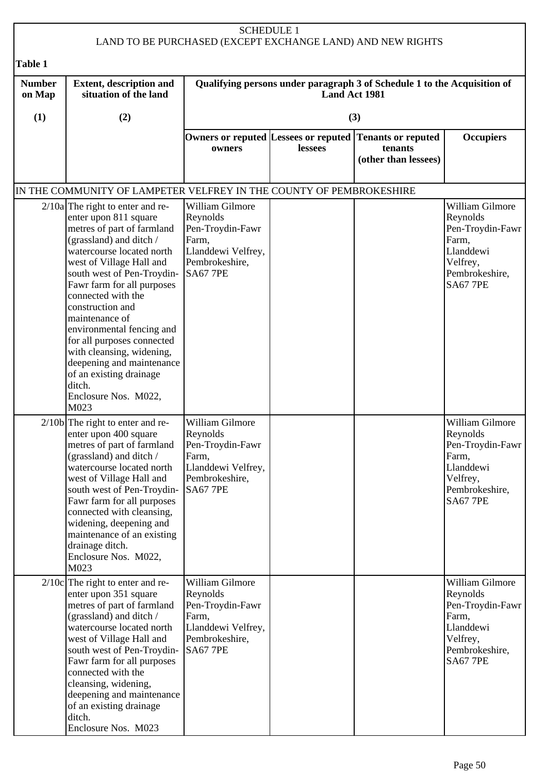|                         | <b>SCHEDULE 1</b><br>LAND TO BE PURCHASED (EXCEPT EXCHANGE LAND) AND NEW RIGHTS                                                                                                                                                                                                                                                                                                                                                                                                                 |                                                                                                                     |                      |                                                                          |                                                                                                                        |  |
|-------------------------|-------------------------------------------------------------------------------------------------------------------------------------------------------------------------------------------------------------------------------------------------------------------------------------------------------------------------------------------------------------------------------------------------------------------------------------------------------------------------------------------------|---------------------------------------------------------------------------------------------------------------------|----------------------|--------------------------------------------------------------------------|------------------------------------------------------------------------------------------------------------------------|--|
| <b>Table 1</b>          |                                                                                                                                                                                                                                                                                                                                                                                                                                                                                                 |                                                                                                                     |                      |                                                                          |                                                                                                                        |  |
| <b>Number</b><br>on Map | <b>Extent, description and</b><br>situation of the land                                                                                                                                                                                                                                                                                                                                                                                                                                         |                                                                                                                     | <b>Land Act 1981</b> | Qualifying persons under paragraph 3 of Schedule 1 to the Acquisition of |                                                                                                                        |  |
| (1)                     | (2)                                                                                                                                                                                                                                                                                                                                                                                                                                                                                             |                                                                                                                     |                      | (3)                                                                      |                                                                                                                        |  |
|                         |                                                                                                                                                                                                                                                                                                                                                                                                                                                                                                 | Owners or reputed Lessees or reputed<br>owners                                                                      | lessees              | <b>Tenants or reputed</b><br>tenants<br>(other than lessees)             | <b>Occupiers</b>                                                                                                       |  |
|                         | IN THE COMMUNITY OF LAMPETER VELFREY IN THE COUNTY OF PEMBROKESHIRE                                                                                                                                                                                                                                                                                                                                                                                                                             |                                                                                                                     |                      |                                                                          |                                                                                                                        |  |
|                         | $2/10a$ The right to enter and re-<br>enter upon 811 square<br>metres of part of farmland<br>(grassland) and ditch /<br>watercourse located north<br>west of Village Hall and<br>south west of Pen-Troydin-<br>Fawr farm for all purposes<br>connected with the<br>construction and<br>maintenance of<br>environmental fencing and<br>for all purposes connected<br>with cleansing, widening,<br>deepening and maintenance<br>of an existing drainage<br>ditch.<br>Enclosure Nos. M022,<br>M023 | William Gilmore<br>Reynolds<br>Pen-Troydin-Fawr<br>Farm,<br>Llanddewi Velfrey,<br>Pembrokeshire,<br><b>SA67 7PE</b> |                      |                                                                          | William Gilmore<br>Reynolds<br>Pen-Troydin-Fawr<br>Farm,<br>Llanddewi<br>Velfrey,<br>Pembrokeshire,<br><b>SA67 7PE</b> |  |
|                         | $2/10b$ The right to enter and re-<br>enter upon 400 square<br>metres of part of farmland<br>(grassland) and ditch /<br>watercourse located north<br>west of Village Hall and<br>south west of Pen-Troydin-<br>Fawr farm for all purposes<br>connected with cleansing,<br>widening, deepening and<br>maintenance of an existing<br>drainage ditch.<br>Enclosure Nos. M022,<br>M023                                                                                                              | William Gilmore<br>Reynolds<br>Pen-Troydin-Fawr<br>Farm,<br>Llanddewi Velfrey,<br>Pembrokeshire,<br><b>SA67 7PE</b> |                      |                                                                          | William Gilmore<br>Reynolds<br>Pen-Troydin-Fawr<br>Farm,<br>Llanddewi<br>Velfrey,<br>Pembrokeshire,<br><b>SA67 7PE</b> |  |
|                         | $2/10c$ The right to enter and re-<br>enter upon 351 square<br>metres of part of farmland<br>(grassland) and ditch /<br>watercourse located north<br>west of Village Hall and<br>south west of Pen-Troydin-<br>Fawr farm for all purposes<br>connected with the<br>cleansing, widening,<br>deepening and maintenance<br>of an existing drainage<br>ditch.<br>Enclosure Nos. M023                                                                                                                | William Gilmore<br>Reynolds<br>Pen-Troydin-Fawr<br>Farm,<br>Llanddewi Velfrey,<br>Pembrokeshire,<br><b>SA67 7PE</b> |                      |                                                                          | William Gilmore<br>Reynolds<br>Pen-Troydin-Fawr<br>Farm,<br>Llanddewi<br>Velfrey,<br>Pembrokeshire,<br><b>SA67 7PE</b> |  |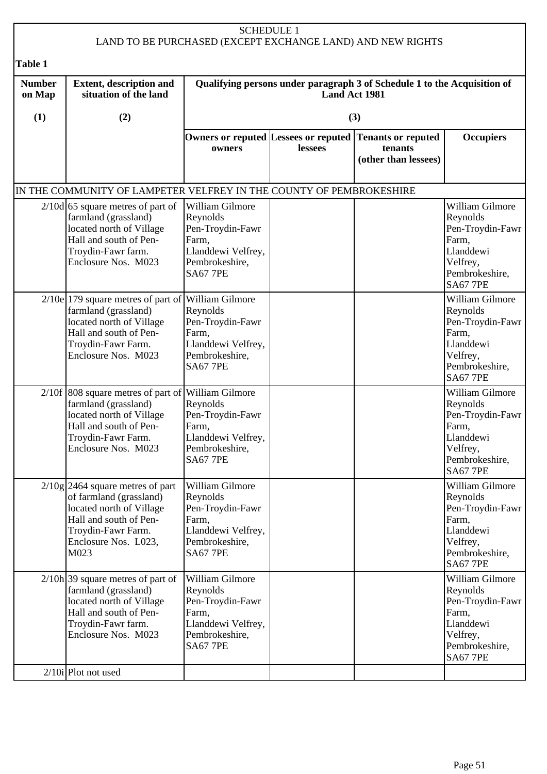|                         |                                                                                                                                                                                 |                                                                                                                     | <b>SCHEDULE 1</b> | LAND TO BE PURCHASED (EXCEPT EXCHANGE LAND) AND NEW RIGHTS               |                                                                                                                        |
|-------------------------|---------------------------------------------------------------------------------------------------------------------------------------------------------------------------------|---------------------------------------------------------------------------------------------------------------------|-------------------|--------------------------------------------------------------------------|------------------------------------------------------------------------------------------------------------------------|
| <b>Table 1</b>          |                                                                                                                                                                                 |                                                                                                                     |                   |                                                                          |                                                                                                                        |
| <b>Number</b><br>on Map | <b>Extent, description and</b><br>situation of the land                                                                                                                         |                                                                                                                     | Land Act 1981     | Qualifying persons under paragraph 3 of Schedule 1 to the Acquisition of |                                                                                                                        |
| (1)                     | (2)                                                                                                                                                                             |                                                                                                                     |                   | (3)                                                                      |                                                                                                                        |
|                         |                                                                                                                                                                                 | Owners or reputed Lessees or reputed<br>owners                                                                      | lessees           | Tenants or reputed<br>tenants<br>(other than lessees)                    | <b>Occupiers</b>                                                                                                       |
|                         | IN THE COMMUNITY OF LAMPETER VELFREY IN THE COUNTY OF PEMBROKESHIRE                                                                                                             |                                                                                                                     |                   |                                                                          |                                                                                                                        |
|                         | $2/10d$ 65 square metres of part of<br>farmland (grassland)<br>located north of Village<br>Hall and south of Pen-<br>Troydin-Fawr farm.<br>Enclosure Nos. M023                  | William Gilmore<br>Reynolds<br>Pen-Troydin-Fawr<br>Farm,<br>Llanddewi Velfrey,<br>Pembrokeshire,<br><b>SA67 7PE</b> |                   |                                                                          | William Gilmore<br>Reynolds<br>Pen-Troydin-Fawr<br>Farm,<br>Llanddewi<br>Velfrey,<br>Pembrokeshire,<br><b>SA67 7PE</b> |
|                         | $2/10e$ 179 square metres of part of William Gilmore<br>farmland (grassland)<br>located north of Village<br>Hall and south of Pen-<br>Troydin-Fawr Farm.<br>Enclosure Nos. M023 | Reynolds<br>Pen-Troydin-Fawr<br>Farm,<br>Llanddewi Velfrey,<br>Pembrokeshire,<br><b>SA67 7PE</b>                    |                   |                                                                          | William Gilmore<br>Reynolds<br>Pen-Troydin-Fawr<br>Farm,<br>Llanddewi<br>Velfrey,<br>Pembrokeshire,<br><b>SA67 7PE</b> |
|                         | 2/10f 808 square metres of part of William Gilmore<br>farmland (grassland)<br>located north of Village<br>Hall and south of Pen-<br>Troydin-Fawr Farm.<br>Enclosure Nos. M023   | Reynolds<br>Pen-Troydin-Fawr<br>Farm,<br>Llanddewi Velfrey,<br>Pembrokeshire,<br><b>SA67 7PE</b>                    |                   |                                                                          | William Gilmore<br>Reynolds<br>Pen-Troydin-Fawr<br>Farm,<br>Llanddewi<br>Velfrey,<br>Pembrokeshire,<br><b>SA67 7PE</b> |
|                         | $2/10g$ 2464 square metres of part<br>of farmland (grassland)<br>located north of Village<br>Hall and south of Pen-<br>Troydin-Fawr Farm.<br>Enclosure Nos. L023,<br>M023       | William Gilmore<br>Reynolds<br>Pen-Troydin-Fawr<br>Farm,<br>Llanddewi Velfrey,<br>Pembrokeshire,<br><b>SA67 7PE</b> |                   |                                                                          | William Gilmore<br>Reynolds<br>Pen-Troydin-Fawr<br>Farm,<br>Llanddewi<br>Velfrey,<br>Pembrokeshire,<br><b>SA67 7PE</b> |
|                         | $2/10h$ 39 square metres of part of<br>farmland (grassland)<br>located north of Village<br>Hall and south of Pen-<br>Troydin-Fawr farm.<br>Enclosure Nos. M023                  | William Gilmore<br>Reynolds<br>Pen-Troydin-Fawr<br>Farm,<br>Llanddewi Velfrey,<br>Pembrokeshire,<br><b>SA67 7PE</b> |                   |                                                                          | William Gilmore<br>Reynolds<br>Pen-Troydin-Fawr<br>Farm,<br>Llanddewi<br>Velfrey,<br>Pembrokeshire,<br><b>SA67 7PE</b> |
|                         | $2/10i$ Plot not used                                                                                                                                                           |                                                                                                                     |                   |                                                                          |                                                                                                                        |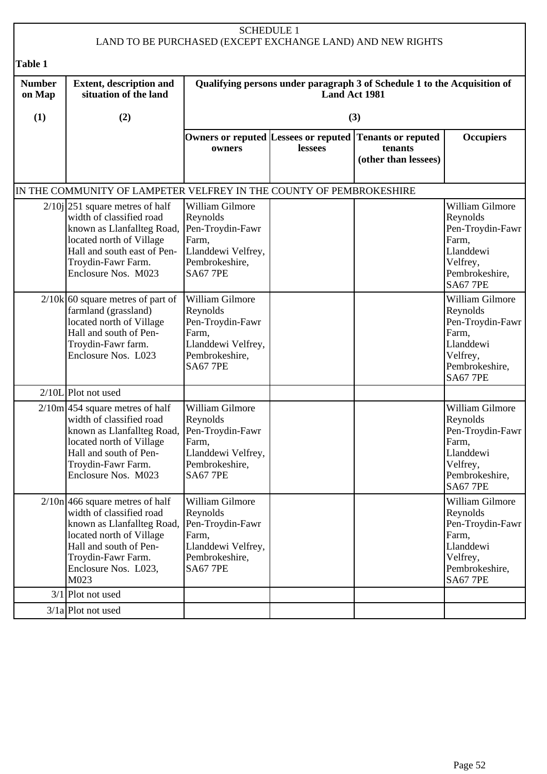|                         | <b>SCHEDULE 1</b><br>LAND TO BE PURCHASED (EXCEPT EXCHANGE LAND) AND NEW RIGHTS                                                                                                                                 |                                                                                                                     |               |                                                                          |                                                                                                                        |  |  |
|-------------------------|-----------------------------------------------------------------------------------------------------------------------------------------------------------------------------------------------------------------|---------------------------------------------------------------------------------------------------------------------|---------------|--------------------------------------------------------------------------|------------------------------------------------------------------------------------------------------------------------|--|--|
| <b>Table 1</b>          |                                                                                                                                                                                                                 |                                                                                                                     |               |                                                                          |                                                                                                                        |  |  |
| <b>Number</b><br>on Map | <b>Extent, description and</b><br>situation of the land                                                                                                                                                         |                                                                                                                     | Land Act 1981 | Qualifying persons under paragraph 3 of Schedule 1 to the Acquisition of |                                                                                                                        |  |  |
| (1)                     | (2)                                                                                                                                                                                                             |                                                                                                                     |               | (3)                                                                      |                                                                                                                        |  |  |
|                         |                                                                                                                                                                                                                 | Owners or reputed Lessees or reputed<br>owners                                                                      | lessees       | <b>Tenants or reputed</b><br>tenants<br>(other than lessees)             | <b>Occupiers</b>                                                                                                       |  |  |
|                         | IN THE COMMUNITY OF LAMPETER VELFREY IN THE COUNTY OF PEMBROKESHIRE                                                                                                                                             |                                                                                                                     |               |                                                                          |                                                                                                                        |  |  |
|                         | $2/10j$  251 square metres of half<br>width of classified road<br>known as Llanfallteg Road,<br>located north of Village<br>Hall and south east of Pen-<br>Troydin-Fawr Farm.<br>Enclosure Nos. M023            | William Gilmore<br>Reynolds<br>Pen-Troydin-Fawr<br>Farm,<br>Llanddewi Velfrey,<br>Pembrokeshire,<br><b>SA67 7PE</b> |               |                                                                          | William Gilmore<br>Reynolds<br>Pen-Troydin-Fawr<br>Farm,<br>Llanddewi<br>Velfrey,<br>Pembrokeshire,<br><b>SA67 7PE</b> |  |  |
|                         | $2/10k$ 60 square metres of part of<br>farmland (grassland)<br>located north of Village<br>Hall and south of Pen-<br>Troydin-Fawr farm.<br>Enclosure Nos. L023                                                  | William Gilmore<br>Reynolds<br>Pen-Troydin-Fawr<br>Farm,<br>Llanddewi Velfrey,<br>Pembrokeshire,<br><b>SA67 7PE</b> |               |                                                                          | William Gilmore<br>Reynolds<br>Pen-Troydin-Fawr<br>Farm,<br>Llanddewi<br>Velfrey,<br>Pembrokeshire,<br><b>SA67 7PE</b> |  |  |
|                         | $2/10L$ Plot not used                                                                                                                                                                                           |                                                                                                                     |               |                                                                          |                                                                                                                        |  |  |
|                         | $2/10m$ 454 square metres of half<br>width of classified road<br>known as Llanfallteg Road, Pen-Troydin-Fawr<br>located north of Village<br>Hall and south of Pen-<br>Troydin-Fawr Farm.<br>Enclosure Nos. M023 | William Gilmore<br>Reynolds<br>Farm,<br>Llanddewi Velfrey,<br>Pembrokeshire,<br><b>SA67 7PE</b>                     |               |                                                                          | William Gilmore<br>Reynolds<br>Pen-Troydin-Fawr<br>Farm,<br>Llanddewi<br>Velfrey,<br>Pembrokeshire,<br><b>SA67 7PE</b> |  |  |
|                         | $2/10n$ 466 square metres of half<br>width of classified road<br>known as Llanfallteg Road,<br>located north of Village<br>Hall and south of Pen-<br>Troydin-Fawr Farm.<br>Enclosure Nos. L023,<br>M023         | William Gilmore<br>Reynolds<br>Pen-Troydin-Fawr<br>Farm,<br>Llanddewi Velfrey,<br>Pembrokeshire,<br><b>SA67 7PE</b> |               |                                                                          | William Gilmore<br>Reynolds<br>Pen-Troydin-Fawr<br>Farm,<br>Llanddewi<br>Velfrey,<br>Pembrokeshire,<br><b>SA67 7PE</b> |  |  |
|                         | $3/1$ Plot not used                                                                                                                                                                                             |                                                                                                                     |               |                                                                          |                                                                                                                        |  |  |
|                         | $3/1a$ Plot not used                                                                                                                                                                                            |                                                                                                                     |               |                                                                          |                                                                                                                        |  |  |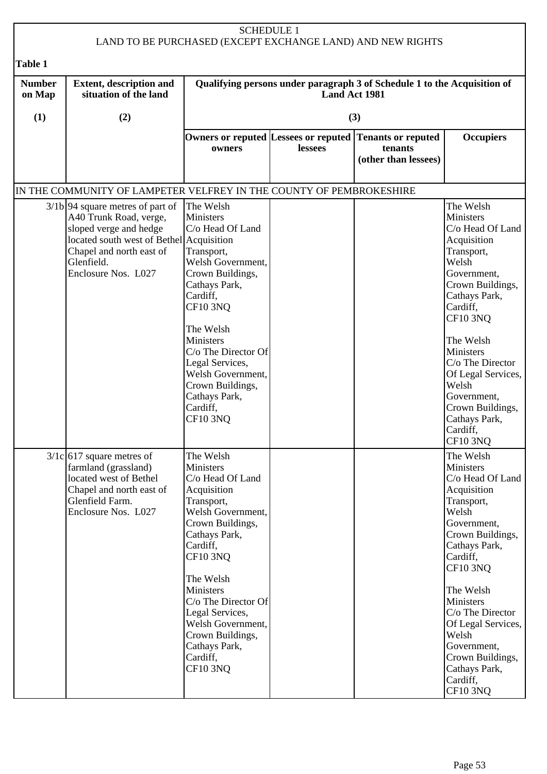| <b>SCHEDULE 1</b><br>LAND TO BE PURCHASED (EXCEPT EXCHANGE LAND) AND NEW RIGHTS |                                                                                                                                                                                                     |                                                                                                                                                                                                                                                                                                                                        |               |                                                                                            |                                                                                                                                                                                                                                                                                                                                     |  |
|---------------------------------------------------------------------------------|-----------------------------------------------------------------------------------------------------------------------------------------------------------------------------------------------------|----------------------------------------------------------------------------------------------------------------------------------------------------------------------------------------------------------------------------------------------------------------------------------------------------------------------------------------|---------------|--------------------------------------------------------------------------------------------|-------------------------------------------------------------------------------------------------------------------------------------------------------------------------------------------------------------------------------------------------------------------------------------------------------------------------------------|--|
| Table 1                                                                         |                                                                                                                                                                                                     |                                                                                                                                                                                                                                                                                                                                        |               |                                                                                            |                                                                                                                                                                                                                                                                                                                                     |  |
| <b>Number</b><br>on Map                                                         | <b>Extent, description and</b><br>situation of the land                                                                                                                                             |                                                                                                                                                                                                                                                                                                                                        | Land Act 1981 | Qualifying persons under paragraph 3 of Schedule 1 to the Acquisition of                   |                                                                                                                                                                                                                                                                                                                                     |  |
| (1)                                                                             | (2)                                                                                                                                                                                                 |                                                                                                                                                                                                                                                                                                                                        |               | (3)                                                                                        |                                                                                                                                                                                                                                                                                                                                     |  |
|                                                                                 |                                                                                                                                                                                                     | owners                                                                                                                                                                                                                                                                                                                                 | lessees       | Owners or reputed Lessees or reputed Tenants or reputed<br>tenants<br>(other than lessees) | <b>Occupiers</b>                                                                                                                                                                                                                                                                                                                    |  |
|                                                                                 | IN THE COMMUNITY OF LAMPETER VELFREY IN THE COUNTY OF PEMBROKESHIRE                                                                                                                                 |                                                                                                                                                                                                                                                                                                                                        |               |                                                                                            |                                                                                                                                                                                                                                                                                                                                     |  |
|                                                                                 | $3/1b$ 94 square metres of part of<br>A40 Trunk Road, verge,<br>sloped verge and hedge<br>located south west of Bethel Acquisition<br>Chapel and north east of<br>Glenfield.<br>Enclosure Nos. L027 | The Welsh<br><b>Ministers</b><br>C/o Head Of Land<br>Transport,<br>Welsh Government,<br>Crown Buildings,<br>Cathays Park,<br>Cardiff,<br><b>CF10 3NQ</b><br>The Welsh<br><b>Ministers</b><br>C/o The Director Of<br>Legal Services,<br>Welsh Government,<br>Crown Buildings,<br>Cathays Park,<br>Cardiff,<br><b>CF10 3NO</b>           |               |                                                                                            | The Welsh<br><b>Ministers</b><br>C/o Head Of Land<br>Acquisition<br>Transport,<br>Welsh<br>Government,<br>Crown Buildings,<br>Cathays Park,<br>Cardiff,<br><b>CF10 3NQ</b><br>The Welsh<br>Ministers<br>C/o The Director<br>Of Legal Services,<br>Welsh<br>Government,<br>Crown Buildings,<br>Cathays Park,<br>Cardiff,<br>CF10 3NQ |  |
|                                                                                 | $3/1c$ 617 square metres of<br>farmland (grassland)<br>located west of Bethel<br>Chapel and north east of<br>Glenfield Farm.<br>Enclosure Nos. L027                                                 | The Welsh<br><b>Ministers</b><br>C/o Head Of Land<br>Acquisition<br>Transport,<br>Welsh Government,<br>Crown Buildings,<br>Cathays Park,<br>Cardiff,<br><b>CF10 3NQ</b><br>The Welsh<br>Ministers<br>$C/O$ The Director Of<br>Legal Services,<br>Welsh Government,<br>Crown Buildings,<br>Cathays Park,<br>Cardiff,<br><b>CF10 3NQ</b> |               |                                                                                            | The Welsh<br>Ministers<br>C/o Head Of Land<br>Acquisition<br>Transport,<br>Welsh<br>Government,<br>Crown Buildings,<br>Cathays Park,<br>Cardiff,<br>CF10 3NQ<br>The Welsh<br>Ministers<br>C/o The Director<br>Of Legal Services,<br>Welsh<br>Government,<br>Crown Buildings,<br>Cathays Park,<br>Cardiff,<br><b>CF10 3NQ</b>        |  |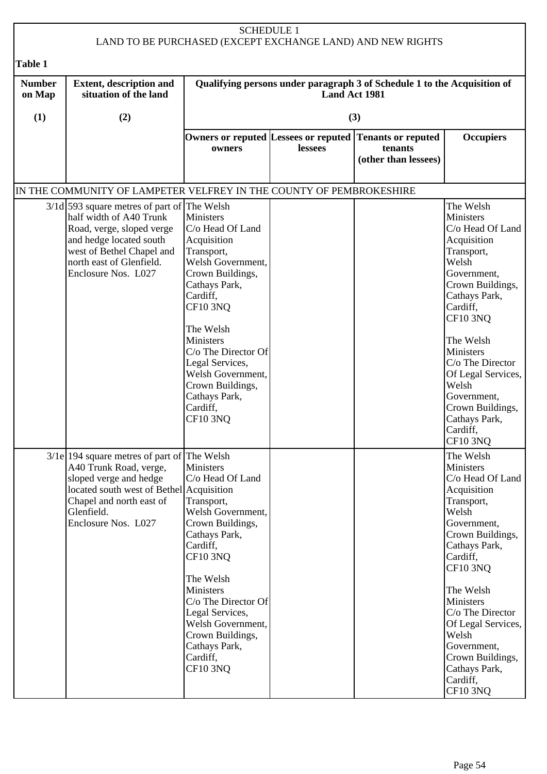|                         |                                                                                                                                                                                                                  | <b>SCHEDULE 1</b>                                                                                                                                                                                                                                                                                                         |                      | LAND TO BE PURCHASED (EXCEPT EXCHANGE LAND) AND NEW RIGHTS               |                                                                                                                                                                                                                                                                                                                              |
|-------------------------|------------------------------------------------------------------------------------------------------------------------------------------------------------------------------------------------------------------|---------------------------------------------------------------------------------------------------------------------------------------------------------------------------------------------------------------------------------------------------------------------------------------------------------------------------|----------------------|--------------------------------------------------------------------------|------------------------------------------------------------------------------------------------------------------------------------------------------------------------------------------------------------------------------------------------------------------------------------------------------------------------------|
| Table 1                 |                                                                                                                                                                                                                  |                                                                                                                                                                                                                                                                                                                           |                      |                                                                          |                                                                                                                                                                                                                                                                                                                              |
| <b>Number</b><br>on Map | <b>Extent, description and</b><br>situation of the land                                                                                                                                                          |                                                                                                                                                                                                                                                                                                                           | <b>Land Act 1981</b> | Qualifying persons under paragraph 3 of Schedule 1 to the Acquisition of |                                                                                                                                                                                                                                                                                                                              |
| (1)                     | (2)                                                                                                                                                                                                              |                                                                                                                                                                                                                                                                                                                           |                      | (3)                                                                      |                                                                                                                                                                                                                                                                                                                              |
|                         |                                                                                                                                                                                                                  | Owners or reputed Lessees or reputed<br>owners                                                                                                                                                                                                                                                                            | lessees              | <b>Tenants or reputed</b><br>tenants<br>(other than lessees)             | <b>Occupiers</b>                                                                                                                                                                                                                                                                                                             |
|                         | IN THE COMMUNITY OF LAMPETER VELFREY IN THE COUNTY OF PEMBROKESHIRE                                                                                                                                              |                                                                                                                                                                                                                                                                                                                           |                      |                                                                          |                                                                                                                                                                                                                                                                                                                              |
|                         | $3/1d$ 593 square metres of part of The Welsh<br>half width of A40 Trunk<br>Road, verge, sloped verge<br>and hedge located south<br>west of Bethel Chapel and<br>north east of Glenfield.<br>Enclosure Nos. L027 | <b>Ministers</b><br>C/o Head Of Land<br>Acquisition<br>Transport,<br>Welsh Government,<br>Crown Buildings,<br>Cathays Park,<br>Cardiff,<br><b>CF10 3NQ</b><br>The Welsh<br>Ministers<br>$C/O$ The Director Of<br>Legal Services,<br>Welsh Government,<br>Crown Buildings,<br>Cathays Park,<br>Cardiff,<br><b>CF10 3NO</b> |                      |                                                                          | The Welsh<br>Ministers<br>C/o Head Of Land<br>Acquisition<br>Transport,<br>Welsh<br>Government,<br>Crown Buildings,<br>Cathays Park,<br>Cardiff,<br><b>CF10 3NQ</b><br>The Welsh<br>Ministers<br>C/o The Director<br>Of Legal Services,<br>Welsh<br>Government,<br>Crown Buildings,<br>Cathays Park,<br>Cardiff,<br>CF10 3NQ |
|                         | $3/1e$   194 square metres of part of The Welsh<br>A40 Trunk Road, verge,<br>sloped verge and hedge<br>located south west of Bethel Acquisition<br>Chapel and north east of<br>Glenfield.<br>Enclosure Nos. L027 | <b>Ministers</b><br>C/o Head Of Land<br>Transport,<br>Welsh Government,<br>Crown Buildings,<br>Cathays Park,<br>Cardiff,<br><b>CF10 3NQ</b><br>The Welsh<br>Ministers<br>C/o The Director Of<br>Legal Services,<br>Welsh Government,<br>Crown Buildings,<br>Cathays Park,<br>Cardiff,<br><b>CF10 3NQ</b>                  |                      |                                                                          | The Welsh<br>Ministers<br>C/o Head Of Land<br>Acquisition<br>Transport,<br>Welsh<br>Government,<br>Crown Buildings,<br>Cathays Park,<br>Cardiff,<br><b>CF10 3NQ</b><br>The Welsh<br>Ministers<br>C/o The Director<br>Of Legal Services,<br>Welsh<br>Government,<br>Crown Buildings,<br>Cathays Park,<br>Cardiff,<br>CF10 3NQ |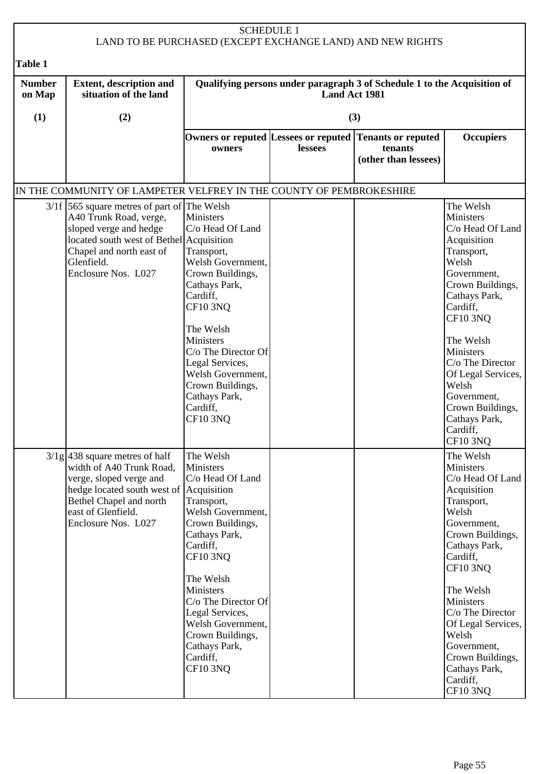| <b>SCHEDULE 1</b><br>LAND TO BE PURCHASED (EXCEPT EXCHANGE LAND) AND NEW RIGHTS |                                                                                                                                                                                                                |                                                                                                                                                                                                                                                                                                                       |                      |                                                                          |                                                                                                                                                                                                                                                                                                                              |  |
|---------------------------------------------------------------------------------|----------------------------------------------------------------------------------------------------------------------------------------------------------------------------------------------------------------|-----------------------------------------------------------------------------------------------------------------------------------------------------------------------------------------------------------------------------------------------------------------------------------------------------------------------|----------------------|--------------------------------------------------------------------------|------------------------------------------------------------------------------------------------------------------------------------------------------------------------------------------------------------------------------------------------------------------------------------------------------------------------------|--|
| <b>Table 1</b>                                                                  |                                                                                                                                                                                                                |                                                                                                                                                                                                                                                                                                                       |                      |                                                                          |                                                                                                                                                                                                                                                                                                                              |  |
| <b>Number</b><br>on Map                                                         | <b>Extent, description and</b><br>situation of the land                                                                                                                                                        |                                                                                                                                                                                                                                                                                                                       | <b>Land Act 1981</b> | Qualifying persons under paragraph 3 of Schedule 1 to the Acquisition of |                                                                                                                                                                                                                                                                                                                              |  |
| (1)                                                                             | (2)                                                                                                                                                                                                            |                                                                                                                                                                                                                                                                                                                       |                      | (3)                                                                      |                                                                                                                                                                                                                                                                                                                              |  |
|                                                                                 |                                                                                                                                                                                                                | Owners or reputed Lessees or reputed<br>owners                                                                                                                                                                                                                                                                        | lessees              | <b>Tenants or reputed</b><br>tenants<br>(other than lessees)             | <b>Occupiers</b>                                                                                                                                                                                                                                                                                                             |  |
|                                                                                 | IN THE COMMUNITY OF LAMPETER VELFREY IN THE COUNTY OF PEMBROKESHIRE                                                                                                                                            |                                                                                                                                                                                                                                                                                                                       |                      |                                                                          |                                                                                                                                                                                                                                                                                                                              |  |
|                                                                                 | $3/1f$ 565 square metres of part of The Welsh<br>A40 Trunk Road, verge,<br>sloped verge and hedge<br>located south west of Bethel Acquisition<br>Chapel and north east of<br>Glenfield.<br>Enclosure Nos. L027 | <b>Ministers</b><br>C/o Head Of Land<br>Transport,<br>Welsh Government,<br>Crown Buildings,<br>Cathays Park,<br>Cardiff,<br><b>CF10 3NQ</b><br>The Welsh<br>Ministers<br>$C/O$ The Director Of<br>Legal Services,<br>Welsh Government,<br>Crown Buildings,<br>Cathays Park,<br>Cardiff,<br><b>CF10 3NO</b>            |                      |                                                                          | The Welsh<br>Ministers<br>C/o Head Of Land<br>Acquisition<br>Transport,<br>Welsh<br>Government,<br>Crown Buildings,<br>Cathays Park,<br>Cardiff,<br><b>CF10 3NQ</b><br>The Welsh<br>Ministers<br>C/o The Director<br>Of Legal Services,<br>Welsh<br>Government,<br>Crown Buildings,<br>Cathays Park,<br>Cardiff,<br>CF10 3NQ |  |
|                                                                                 | $3/1g$ 438 square metres of half<br>width of A40 Trunk Road,<br>verge, sloped verge and<br>hedge located south west of Acquisition<br>Bethel Chapel and north<br>east of Glenfield.<br>Enclosure Nos. L027     | The Welsh<br><b>Ministers</b><br>C/o Head Of Land<br>Transport,<br>Welsh Government,<br>Crown Buildings,<br>Cathays Park,<br>Cardiff,<br><b>CF10 3NQ</b><br>The Welsh<br>Ministers<br>C/o The Director Of<br>Legal Services,<br>Welsh Government,<br>Crown Buildings,<br>Cathays Park,<br>Cardiff,<br><b>CF10 3NQ</b> |                      |                                                                          | The Welsh<br>Ministers<br>C/o Head Of Land<br>Acquisition<br>Transport,<br>Welsh<br>Government,<br>Crown Buildings,<br>Cathays Park,<br>Cardiff,<br>CF10 3NQ<br>The Welsh<br>Ministers<br>C/o The Director<br>Of Legal Services,<br>Welsh<br>Government,<br>Crown Buildings,<br>Cathays Park,<br>Cardiff,<br><b>CF10 3NQ</b> |  |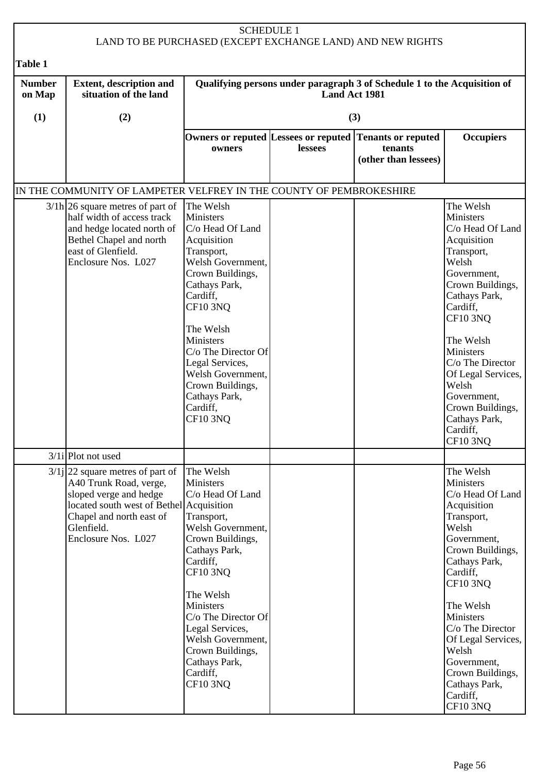|                         |                                                                                                                                                                                                     | <b>SCHEDULE 1</b>                                                                                                                                                                                                                                                                                                                    |               | LAND TO BE PURCHASED (EXCEPT EXCHANGE LAND) AND NEW RIGHTS               |                                                                                                                                                                                                                                                                                                                                |
|-------------------------|-----------------------------------------------------------------------------------------------------------------------------------------------------------------------------------------------------|--------------------------------------------------------------------------------------------------------------------------------------------------------------------------------------------------------------------------------------------------------------------------------------------------------------------------------------|---------------|--------------------------------------------------------------------------|--------------------------------------------------------------------------------------------------------------------------------------------------------------------------------------------------------------------------------------------------------------------------------------------------------------------------------|
| Table 1                 |                                                                                                                                                                                                     |                                                                                                                                                                                                                                                                                                                                      |               |                                                                          |                                                                                                                                                                                                                                                                                                                                |
| <b>Number</b><br>on Map | <b>Extent, description and</b><br>situation of the land                                                                                                                                             |                                                                                                                                                                                                                                                                                                                                      | Land Act 1981 | Qualifying persons under paragraph 3 of Schedule 1 to the Acquisition of |                                                                                                                                                                                                                                                                                                                                |
| (1)                     | (2)                                                                                                                                                                                                 |                                                                                                                                                                                                                                                                                                                                      |               | (3)                                                                      |                                                                                                                                                                                                                                                                                                                                |
|                         |                                                                                                                                                                                                     | Owners or reputed Lessees or reputed<br>owners                                                                                                                                                                                                                                                                                       | lessees       | <b>Tenants or reputed</b><br>tenants<br>(other than lessees)             | <b>Occupiers</b>                                                                                                                                                                                                                                                                                                               |
|                         | IN THE COMMUNITY OF LAMPETER VELFREY IN THE COUNTY OF PEMBROKESHIRE                                                                                                                                 |                                                                                                                                                                                                                                                                                                                                      |               |                                                                          |                                                                                                                                                                                                                                                                                                                                |
|                         | $3/1h$ 26 square metres of part of<br>half width of access track<br>and hedge located north of<br>Bethel Chapel and north<br>east of Glenfield.<br>Enclosure Nos. L027                              | The Welsh<br><b>Ministers</b><br>C/o Head Of Land<br>Acquisition<br>Transport,<br>Welsh Government,<br>Crown Buildings,<br>Cathays Park,<br>Cardiff,<br><b>CF10 3NQ</b><br>The Welsh<br>Ministers<br>C/o The Director Of<br>Legal Services,<br>Welsh Government,<br>Crown Buildings,<br>Cathays Park,<br>Cardiff,<br><b>CF10 3NQ</b> |               |                                                                          | The Welsh<br>Ministers<br>C/o Head Of Land<br>Acquisition<br>Transport,<br>Welsh<br>Government,<br>Crown Buildings,<br>Cathays Park,<br>Cardiff,<br><b>CF10 3NQ</b><br>The Welsh<br>Ministers<br>C/o The Director<br>Of Legal Services,<br>Welsh<br>Government,<br>Crown Buildings,<br>Cathays Park,<br>Cardiff,<br>$CF10$ 3NQ |
|                         | $3/1i$ Plot not used                                                                                                                                                                                |                                                                                                                                                                                                                                                                                                                                      |               |                                                                          |                                                                                                                                                                                                                                                                                                                                |
|                         | $3/1j$ 22 square metres of part of<br>A40 Trunk Road, verge,<br>sloped verge and hedge<br>located south west of Bethel Acquisition<br>Chapel and north east of<br>Glenfield.<br>Enclosure Nos. L027 | The Welsh<br>Ministers<br>C/o Head Of Land<br>Transport,<br>Welsh Government,<br>Crown Buildings,<br>Cathays Park,<br>Cardiff,<br><b>CF10 3NQ</b><br>The Welsh<br>Ministers<br>C/o The Director Of<br>Legal Services,<br>Welsh Government,<br>Crown Buildings,<br>Cathays Park,                                                      |               |                                                                          | The Welsh<br>Ministers<br>C/o Head Of Land<br>Acquisition<br>Transport,<br>Welsh<br>Government,<br>Crown Buildings,<br>Cathays Park,<br>Cardiff,<br><b>CF10 3NQ</b><br>The Welsh<br>Ministers<br>C/o The Director<br>Of Legal Services,<br>Welsh<br>Government,                                                                |
|                         |                                                                                                                                                                                                     | Cardiff,<br><b>CF10 3NQ</b>                                                                                                                                                                                                                                                                                                          |               |                                                                          | Crown Buildings,<br>Cathays Park,<br>Cardiff,<br>CF10 3NQ                                                                                                                                                                                                                                                                      |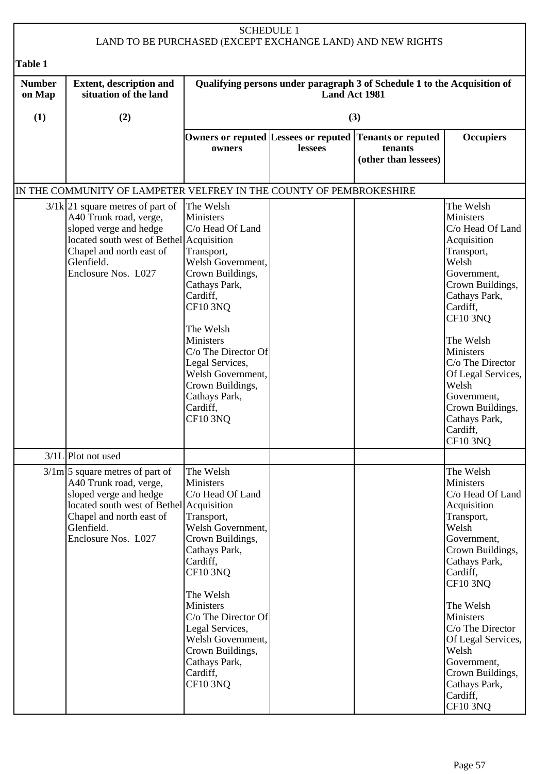|                         |                                                                                                                                                                                                           | <b>SCHEDULE 1</b>                                                                                                                                                                                                                                                                                                     |               | LAND TO BE PURCHASED (EXCEPT EXCHANGE LAND) AND NEW RIGHTS               |                                                                                                                                                                                                                                                                                                                                |
|-------------------------|-----------------------------------------------------------------------------------------------------------------------------------------------------------------------------------------------------------|-----------------------------------------------------------------------------------------------------------------------------------------------------------------------------------------------------------------------------------------------------------------------------------------------------------------------|---------------|--------------------------------------------------------------------------|--------------------------------------------------------------------------------------------------------------------------------------------------------------------------------------------------------------------------------------------------------------------------------------------------------------------------------|
| Table 1                 |                                                                                                                                                                                                           |                                                                                                                                                                                                                                                                                                                       |               |                                                                          |                                                                                                                                                                                                                                                                                                                                |
| <b>Number</b><br>on Map | <b>Extent, description and</b><br>situation of the land                                                                                                                                                   |                                                                                                                                                                                                                                                                                                                       | Land Act 1981 | Qualifying persons under paragraph 3 of Schedule 1 to the Acquisition of |                                                                                                                                                                                                                                                                                                                                |
| (1)                     | (2)                                                                                                                                                                                                       |                                                                                                                                                                                                                                                                                                                       |               | (3)                                                                      |                                                                                                                                                                                                                                                                                                                                |
|                         |                                                                                                                                                                                                           | Owners or reputed Lessees or reputed<br>owners                                                                                                                                                                                                                                                                        | lessees       | <b>Tenants or reputed</b><br>tenants<br>(other than lessees)             | <b>Occupiers</b>                                                                                                                                                                                                                                                                                                               |
|                         | IN THE COMMUNITY OF LAMPETER VELFREY IN THE COUNTY OF PEMBROKESHIRE                                                                                                                                       |                                                                                                                                                                                                                                                                                                                       |               |                                                                          |                                                                                                                                                                                                                                                                                                                                |
|                         | $3/1k$ 21 square metres of part of<br>A40 Trunk road, verge,<br>sloped verge and hedge<br>located south west of Bethel Acquisition<br>Chapel and north east of<br>Glenfield.<br>Enclosure Nos. L027       | The Welsh<br>Ministers<br>C/o Head Of Land<br>Transport,<br>Welsh Government,<br>Crown Buildings,<br>Cathays Park,<br>Cardiff,<br><b>CF10 3NQ</b><br>The Welsh<br><b>Ministers</b><br>C/o The Director Of<br>Legal Services,<br>Welsh Government,<br>Crown Buildings,<br>Cathays Park,<br>Cardiff,<br><b>CF10 3NQ</b> |               |                                                                          | The Welsh<br>Ministers<br>C/o Head Of Land<br>Acquisition<br>Transport,<br>Welsh<br>Government,<br>Crown Buildings,<br>Cathays Park,<br>Cardiff,<br><b>CF10 3NQ</b><br>The Welsh<br>Ministers<br>C/o The Director<br>Of Legal Services,<br>Welsh<br>Government,<br>Crown Buildings,<br>Cathays Park,<br>Cardiff,<br>$CF10$ 3NQ |
|                         | $3/1L$ Plot not used                                                                                                                                                                                      |                                                                                                                                                                                                                                                                                                                       |               |                                                                          |                                                                                                                                                                                                                                                                                                                                |
|                         | $3/\text{1m}$ 5 square metres of part of<br>A40 Trunk road, verge,<br>sloped verge and hedge<br>located south west of Bethel Acquisition<br>Chapel and north east of<br>Glenfield.<br>Enclosure Nos. L027 | The Welsh<br>Ministers<br>C/o Head Of Land<br>Transport,<br>Welsh Government,<br>Crown Buildings,<br>Cathays Park,<br>Cardiff,<br><b>CF10 3NQ</b><br>The Welsh<br><b>Ministers</b><br>C/o The Director Of<br>Legal Services,<br>Welsh Government,<br>Crown Buildings,<br>Cathays Park,<br>Cardiff,<br><b>CF10 3NQ</b> |               |                                                                          | The Welsh<br>Ministers<br>C/o Head Of Land<br>Acquisition<br>Transport,<br>Welsh<br>Government,<br>Crown Buildings,<br>Cathays Park,<br>Cardiff,<br><b>CF10 3NQ</b><br>The Welsh<br>Ministers<br>C/o The Director<br>Of Legal Services,<br>Welsh<br>Government,<br>Crown Buildings,<br>Cathays Park,<br>Cardiff,<br>CF10 3NQ   |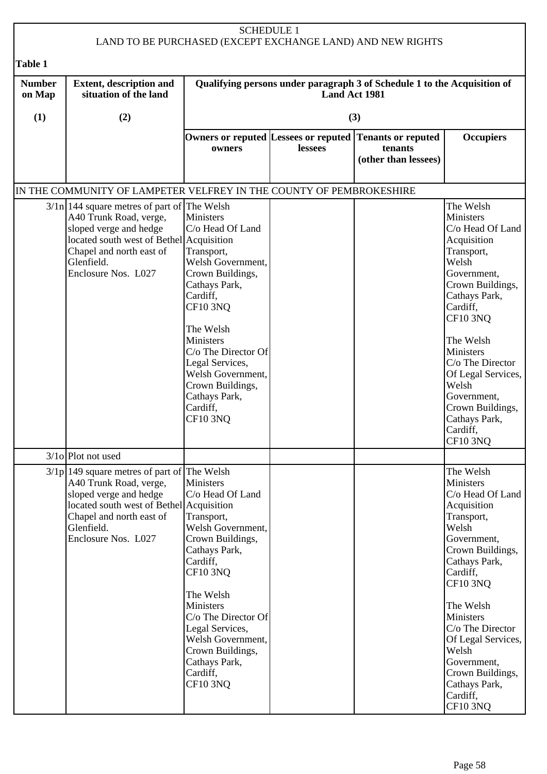|                         |                                                                                                                                                                                                                 | <b>SCHEDULE 1</b>                                                                                                                                                                                                                                                                                        |                      | LAND TO BE PURCHASED (EXCEPT EXCHANGE LAND) AND NEW RIGHTS                                 |                                                                                                                                                                                                                                                                                                                              |
|-------------------------|-----------------------------------------------------------------------------------------------------------------------------------------------------------------------------------------------------------------|----------------------------------------------------------------------------------------------------------------------------------------------------------------------------------------------------------------------------------------------------------------------------------------------------------|----------------------|--------------------------------------------------------------------------------------------|------------------------------------------------------------------------------------------------------------------------------------------------------------------------------------------------------------------------------------------------------------------------------------------------------------------------------|
| Table 1                 |                                                                                                                                                                                                                 |                                                                                                                                                                                                                                                                                                          |                      |                                                                                            |                                                                                                                                                                                                                                                                                                                              |
| <b>Number</b><br>on Map | <b>Extent, description and</b><br>situation of the land                                                                                                                                                         |                                                                                                                                                                                                                                                                                                          | <b>Land Act 1981</b> | Qualifying persons under paragraph 3 of Schedule 1 to the Acquisition of                   |                                                                                                                                                                                                                                                                                                                              |
| (1)                     | (2)                                                                                                                                                                                                             |                                                                                                                                                                                                                                                                                                          |                      | (3)                                                                                        |                                                                                                                                                                                                                                                                                                                              |
|                         |                                                                                                                                                                                                                 | owners                                                                                                                                                                                                                                                                                                   | lessees              | Owners or reputed Lessees or reputed Tenants or reputed<br>tenants<br>(other than lessees) | <b>Occupiers</b>                                                                                                                                                                                                                                                                                                             |
|                         | IN THE COMMUNITY OF LAMPETER VELFREY IN THE COUNTY OF PEMBROKESHIRE                                                                                                                                             |                                                                                                                                                                                                                                                                                                          |                      |                                                                                            |                                                                                                                                                                                                                                                                                                                              |
|                         | $3/\ln 144$ square metres of part of The Welsh<br>A40 Trunk Road, verge,<br>sloped verge and hedge<br>located south west of Bethel Acquisition<br>Chapel and north east of<br>Glenfield.<br>Enclosure Nos. L027 | Ministers<br>C/o Head Of Land<br>Transport,<br>Welsh Government,<br>Crown Buildings,<br>Cathays Park,<br>Cardiff,<br><b>CF10 3NQ</b><br>The Welsh<br><b>Ministers</b><br>C/o The Director Of<br>Legal Services,<br>Welsh Government,<br>Crown Buildings,<br>Cathays Park,<br>Cardiff,<br><b>CF10 3NO</b> |                      |                                                                                            | The Welsh<br>Ministers<br>C/o Head Of Land<br>Acquisition<br>Transport,<br>Welsh<br>Government,<br>Crown Buildings,<br>Cathays Park,<br>Cardiff,<br><b>CF10 3NQ</b><br>The Welsh<br>Ministers<br>C/o The Director<br>Of Legal Services,<br>Welsh<br>Government,<br>Crown Buildings,<br>Cathays Park,<br>Cardiff,<br>CF10 3NQ |
|                         | $3/10$ Plot not used                                                                                                                                                                                            |                                                                                                                                                                                                                                                                                                          |                      |                                                                                            |                                                                                                                                                                                                                                                                                                                              |
|                         | $3/1p$  149 square metres of part of The Welsh<br>A40 Trunk Road, verge,<br>sloped verge and hedge<br>located south west of Bethel Acquisition<br>Chapel and north east of<br>Glenfield.<br>Enclosure Nos. L027 | Ministers<br>C/o Head Of Land<br>Transport,<br>Welsh Government,<br>Crown Buildings,<br>Cathays Park,<br>Cardiff,<br><b>CF10 3NQ</b><br>The Welsh<br>Ministers<br>C/o The Director Of<br>Legal Services,<br>Welsh Government,<br>Crown Buildings,<br>Cathays Park,<br>Cardiff,<br><b>CF10 3NQ</b>        |                      |                                                                                            | The Welsh<br>Ministers<br>C/o Head Of Land<br>Acquisition<br>Transport,<br>Welsh<br>Government,<br>Crown Buildings,<br>Cathays Park,<br>Cardiff,<br><b>CF10 3NQ</b><br>The Welsh<br>Ministers<br>C/o The Director<br>Of Legal Services,<br>Welsh<br>Government,<br>Crown Buildings,<br>Cathays Park,<br>Cardiff,<br>CF10 3NQ |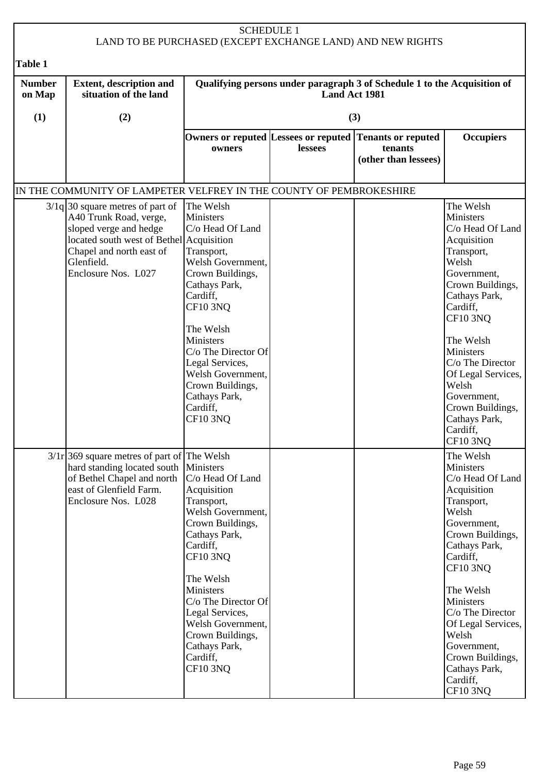|                         |                                                                                                                                                                                                     | <b>SCHEDULE 1</b>                                                                                                                                                                                                                                                                                              |                      | LAND TO BE PURCHASED (EXCEPT EXCHANGE LAND) AND NEW RIGHTS                                 |                                                                                                                                                                                                                                                                                                                                     |
|-------------------------|-----------------------------------------------------------------------------------------------------------------------------------------------------------------------------------------------------|----------------------------------------------------------------------------------------------------------------------------------------------------------------------------------------------------------------------------------------------------------------------------------------------------------------|----------------------|--------------------------------------------------------------------------------------------|-------------------------------------------------------------------------------------------------------------------------------------------------------------------------------------------------------------------------------------------------------------------------------------------------------------------------------------|
| <b>Table 1</b>          |                                                                                                                                                                                                     |                                                                                                                                                                                                                                                                                                                |                      |                                                                                            |                                                                                                                                                                                                                                                                                                                                     |
| <b>Number</b><br>on Map | <b>Extent, description and</b><br>situation of the land                                                                                                                                             |                                                                                                                                                                                                                                                                                                                | <b>Land Act 1981</b> | Qualifying persons under paragraph 3 of Schedule 1 to the Acquisition of                   |                                                                                                                                                                                                                                                                                                                                     |
| (1)                     | (2)                                                                                                                                                                                                 |                                                                                                                                                                                                                                                                                                                |                      | (3)                                                                                        |                                                                                                                                                                                                                                                                                                                                     |
|                         |                                                                                                                                                                                                     | owners                                                                                                                                                                                                                                                                                                         | lessees              | Owners or reputed Lessees or reputed Tenants or reputed<br>tenants<br>(other than lessees) | <b>Occupiers</b>                                                                                                                                                                                                                                                                                                                    |
|                         | IN THE COMMUNITY OF LAMPETER VELFREY IN THE COUNTY OF PEMBROKESHIRE                                                                                                                                 |                                                                                                                                                                                                                                                                                                                |                      |                                                                                            |                                                                                                                                                                                                                                                                                                                                     |
|                         | $3/1q$ 30 square metres of part of<br>A40 Trunk Road, verge,<br>sloped verge and hedge<br>located south west of Bethel Acquisition<br>Chapel and north east of<br>Glenfield.<br>Enclosure Nos. L027 | The Welsh<br>Ministers<br>C/o Head Of Land<br>Transport,<br>Welsh Government,<br>Crown Buildings,<br>Cathays Park,<br>Cardiff,<br><b>CF10 3NQ</b><br>The Welsh<br>Ministers<br>C/o The Director Of<br>Legal Services,<br>Welsh Government,<br>Crown Buildings,<br>Cathays Park,<br>Cardiff,<br><b>CF10 3NQ</b> |                      |                                                                                            | The Welsh<br>Ministers<br>C/o Head Of Land<br>Acquisition<br>Transport,<br>Welsh<br>Government,<br>Crown Buildings,<br>Cathays Park,<br>Cardiff,<br><b>CF10 3NQ</b><br>The Welsh<br>Ministers<br>C/o The Director<br>Of Legal Services,<br>Welsh<br>Government,<br>Crown Buildings,<br>Cathays Park,<br>Cardiff,<br><b>CF10 3NQ</b> |
|                         | $3/1r$ 369 square metres of part of The Welsh<br>hard standing located south<br>of Bethel Chapel and north<br>east of Glenfield Farm.<br>Enclosure Nos. L028                                        | Ministers<br>C/o Head Of Land<br>Acquisition<br>Transport,<br>Welsh Government,<br>Crown Buildings,<br>Cathays Park,<br>Cardiff,<br>CF10 3NQ<br>The Welsh<br>Ministers<br>C/o The Director Of<br>Legal Services,<br>Welsh Government,<br>Crown Buildings,<br>Cathays Park,<br>Cardiff,<br><b>CF10 3NQ</b>      |                      |                                                                                            | The Welsh<br>Ministers<br>C/o Head Of Land<br>Acquisition<br>Transport,<br>Welsh<br>Government,<br>Crown Buildings,<br>Cathays Park,<br>Cardiff,<br><b>CF10 3NQ</b><br>The Welsh<br>Ministers<br>C/o The Director<br>Of Legal Services,<br>Welsh<br>Government,<br>Crown Buildings,<br>Cathays Park,<br>Cardiff,<br><b>CF10 3NQ</b> |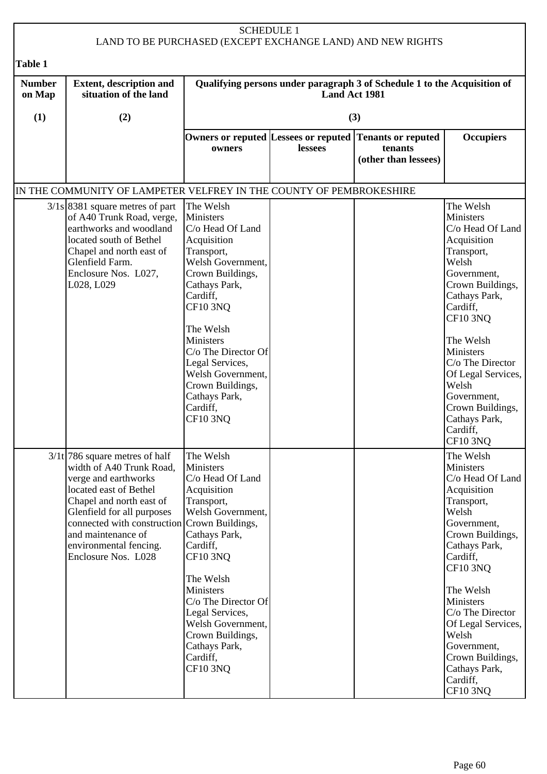|                         |                                                                                                                                                                                                                                                                                                 | <b>SCHEDULE 1</b>                                                                                                                                                                                                                                                                                                             |                      | LAND TO BE PURCHASED (EXCEPT EXCHANGE LAND) AND NEW RIGHTS                                 |                                                                                                                                                                                                                                                                                                                                     |
|-------------------------|-------------------------------------------------------------------------------------------------------------------------------------------------------------------------------------------------------------------------------------------------------------------------------------------------|-------------------------------------------------------------------------------------------------------------------------------------------------------------------------------------------------------------------------------------------------------------------------------------------------------------------------------|----------------------|--------------------------------------------------------------------------------------------|-------------------------------------------------------------------------------------------------------------------------------------------------------------------------------------------------------------------------------------------------------------------------------------------------------------------------------------|
| <b>Table 1</b>          |                                                                                                                                                                                                                                                                                                 |                                                                                                                                                                                                                                                                                                                               |                      |                                                                                            |                                                                                                                                                                                                                                                                                                                                     |
| <b>Number</b><br>on Map | <b>Extent, description and</b><br>situation of the land                                                                                                                                                                                                                                         |                                                                                                                                                                                                                                                                                                                               | <b>Land Act 1981</b> | Qualifying persons under paragraph 3 of Schedule 1 to the Acquisition of                   |                                                                                                                                                                                                                                                                                                                                     |
| (1)                     | (2)                                                                                                                                                                                                                                                                                             |                                                                                                                                                                                                                                                                                                                               |                      | (3)                                                                                        |                                                                                                                                                                                                                                                                                                                                     |
|                         |                                                                                                                                                                                                                                                                                                 | owners                                                                                                                                                                                                                                                                                                                        | lessees              | Owners or reputed Lessees or reputed Tenants or reputed<br>tenants<br>(other than lessees) | <b>Occupiers</b>                                                                                                                                                                                                                                                                                                                    |
|                         | IN THE COMMUNITY OF LAMPETER VELFREY IN THE COUNTY OF PEMBROKESHIRE                                                                                                                                                                                                                             |                                                                                                                                                                                                                                                                                                                               |                      |                                                                                            |                                                                                                                                                                                                                                                                                                                                     |
|                         | $3/1s$ 8381 square metres of part<br>of A40 Trunk Road, verge,<br>earthworks and woodland<br>located south of Bethel<br>Chapel and north east of<br>Glenfield Farm.<br>Enclosure Nos. L027,<br>L028, L029                                                                                       | The Welsh<br>Ministers<br>C/o Head Of Land<br>Acquisition<br>Transport,<br>Welsh Government,<br>Crown Buildings,<br>Cathays Park,<br>Cardiff,<br><b>CF10 3NQ</b><br>The Welsh<br>Ministers<br>C/o The Director Of<br>Legal Services,<br>Welsh Government,<br>Crown Buildings,<br>Cathays Park,<br>Cardiff,<br><b>CF10 3NQ</b> |                      |                                                                                            | The Welsh<br>Ministers<br>C/o Head Of Land<br>Acquisition<br>Transport,<br>Welsh<br>Government,<br>Crown Buildings,<br>Cathays Park,<br>Cardiff,<br><b>CF10 3NQ</b><br>The Welsh<br>Ministers<br>C/o The Director<br>Of Legal Services,<br>Welsh<br>Government,<br>Crown Buildings,<br>Cathays Park,<br>Cardiff,<br><b>CF10 3NQ</b> |
|                         | $3/1t$ 786 square metres of half<br>width of A40 Trunk Road,<br>verge and earthworks<br>located east of Bethel<br>Chapel and north east of<br>Glenfield for all purposes<br>connected with construction Crown Buildings,<br>and maintenance of<br>environmental fencing.<br>Enclosure Nos. L028 | The Welsh<br>Ministers<br>C/o Head Of Land<br>Acquisition<br>Transport,<br>Welsh Government,<br>Cathays Park,<br>Cardiff,<br>CF10 3NQ<br>The Welsh<br>Ministers<br>C/o The Director Of<br>Legal Services,<br>Welsh Government,<br>Crown Buildings,<br>Cathays Park,<br>Cardiff,<br><b>CF10 3NQ</b>                            |                      |                                                                                            | The Welsh<br>Ministers<br>C/o Head Of Land<br>Acquisition<br>Transport,<br>Welsh<br>Government,<br>Crown Buildings,<br>Cathays Park,<br>Cardiff,<br><b>CF10 3NQ</b><br>The Welsh<br>Ministers<br>C/o The Director<br>Of Legal Services,<br>Welsh<br>Government,<br>Crown Buildings,<br>Cathays Park,<br>Cardiff,<br><b>CF10 3NQ</b> |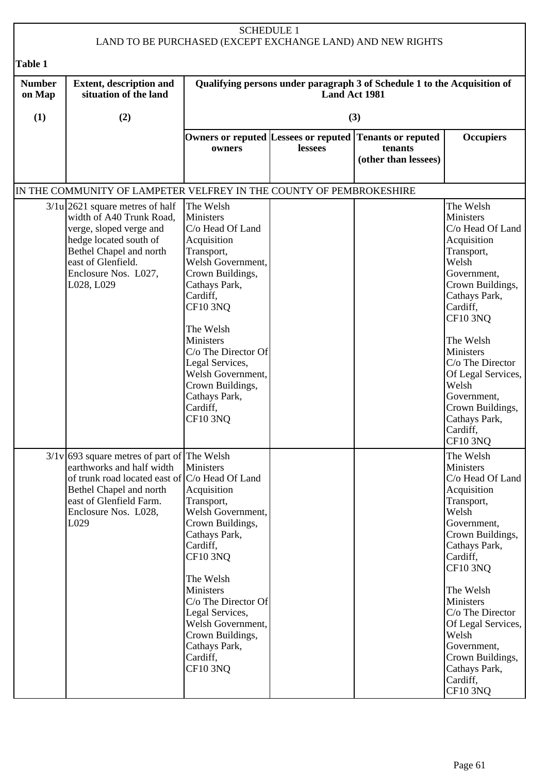| <b>SCHEDULE 1</b><br>LAND TO BE PURCHASED (EXCEPT EXCHANGE LAND) AND NEW RIGHTS |                                                                                                                                                                                                                        |                                                                                                                                                                                                                                                                                                                                      |               |                                                                          |                                                                                                                                                                                                                                                                                                                                     |  |
|---------------------------------------------------------------------------------|------------------------------------------------------------------------------------------------------------------------------------------------------------------------------------------------------------------------|--------------------------------------------------------------------------------------------------------------------------------------------------------------------------------------------------------------------------------------------------------------------------------------------------------------------------------------|---------------|--------------------------------------------------------------------------|-------------------------------------------------------------------------------------------------------------------------------------------------------------------------------------------------------------------------------------------------------------------------------------------------------------------------------------|--|
| Table 1                                                                         |                                                                                                                                                                                                                        |                                                                                                                                                                                                                                                                                                                                      |               |                                                                          |                                                                                                                                                                                                                                                                                                                                     |  |
| <b>Number</b><br>on Map                                                         | <b>Extent, description and</b><br>situation of the land                                                                                                                                                                |                                                                                                                                                                                                                                                                                                                                      | Land Act 1981 | Qualifying persons under paragraph 3 of Schedule 1 to the Acquisition of |                                                                                                                                                                                                                                                                                                                                     |  |
| (1)                                                                             | (2)                                                                                                                                                                                                                    |                                                                                                                                                                                                                                                                                                                                      |               | (3)                                                                      |                                                                                                                                                                                                                                                                                                                                     |  |
|                                                                                 |                                                                                                                                                                                                                        | Owners or reputed Lessees or reputed<br>owners                                                                                                                                                                                                                                                                                       | lessees       | <b>Tenants or reputed</b><br>tenants<br>(other than lessees)             | <b>Occupiers</b>                                                                                                                                                                                                                                                                                                                    |  |
|                                                                                 | IN THE COMMUNITY OF LAMPETER VELFREY IN THE COUNTY OF PEMBROKESHIRE                                                                                                                                                    |                                                                                                                                                                                                                                                                                                                                      |               |                                                                          |                                                                                                                                                                                                                                                                                                                                     |  |
|                                                                                 | $3/1u$ 2621 square metres of half<br>width of A40 Trunk Road,<br>verge, sloped verge and<br>hedge located south of<br>Bethel Chapel and north<br>east of Glenfield.<br>Enclosure Nos. L027,<br>L028, L029              | The Welsh<br>Ministers<br>C/o Head Of Land<br>Acquisition<br>Transport,<br>Welsh Government,<br>Crown Buildings,<br>Cathays Park,<br>Cardiff,<br><b>CF10 3NQ</b><br>The Welsh<br><b>Ministers</b><br>C/o The Director Of<br>Legal Services,<br>Welsh Government,<br>Crown Buildings,<br>Cathays Park,<br>Cardiff,<br><b>CF10 3NO</b> |               |                                                                          | The Welsh<br>Ministers<br>C/o Head Of Land<br>Acquisition<br>Transport,<br>Welsh<br>Government,<br>Crown Buildings,<br>Cathays Park,<br>Cardiff,<br><b>CF10 3NQ</b><br>The Welsh<br>Ministers<br>C/o The Director<br>Of Legal Services,<br>Welsh<br>Government,<br>Crown Buildings,<br>Cathays Park,<br>Cardiff,<br>CF10 3NQ        |  |
|                                                                                 | $3/1v$ 693 square metres of part of The Welsh<br>earthworks and half width<br>of trunk road located east of $ C/O $ Head Of Land<br>Bethel Chapel and north<br>east of Glenfield Farm.<br>Enclosure Nos. L028,<br>L029 | Ministers<br>Acquisition<br>Transport,<br>Welsh Government,<br>Crown Buildings,<br>Cathays Park,<br>Cardiff,<br>CF10 3NQ<br>The Welsh<br><b>Ministers</b><br>C/o The Director Of<br>Legal Services,<br>Welsh Government,<br>Crown Buildings,<br>Cathays Park,<br>Cardiff,<br><b>CF10 3NQ</b>                                         |               |                                                                          | The Welsh<br>Ministers<br>C/o Head Of Land<br>Acquisition<br>Transport,<br>Welsh<br>Government,<br>Crown Buildings,<br>Cathays Park,<br>Cardiff,<br><b>CF10 3NQ</b><br>The Welsh<br>Ministers<br>C/o The Director<br>Of Legal Services,<br>Welsh<br>Government,<br>Crown Buildings,<br>Cathays Park,<br>Cardiff,<br><b>CF10 3NQ</b> |  |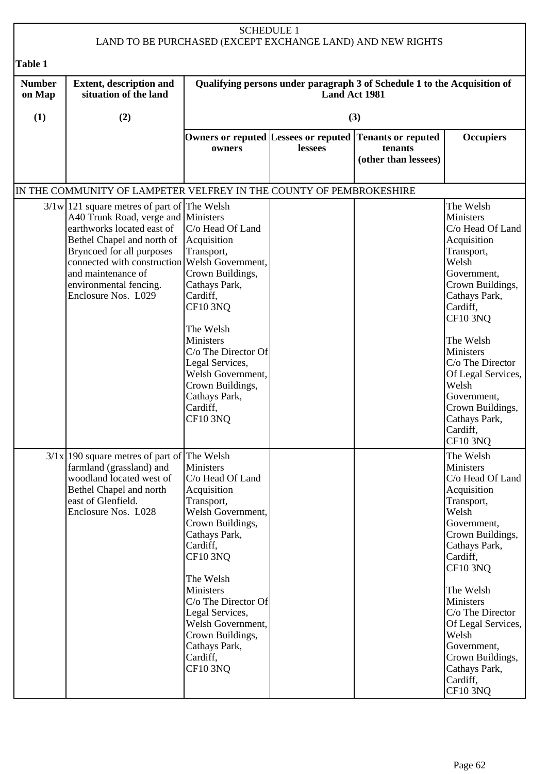|                         |                                                                                                                                                                                                                                                                                                                      |                                                                                                                                                                                                                                                                                                                  | <b>SCHEDULE 1</b> | LAND TO BE PURCHASED (EXCEPT EXCHANGE LAND) AND NEW RIGHTS   |                                                                                                                                                                                                                                                                                                                                     |  |
|-------------------------|----------------------------------------------------------------------------------------------------------------------------------------------------------------------------------------------------------------------------------------------------------------------------------------------------------------------|------------------------------------------------------------------------------------------------------------------------------------------------------------------------------------------------------------------------------------------------------------------------------------------------------------------|-------------------|--------------------------------------------------------------|-------------------------------------------------------------------------------------------------------------------------------------------------------------------------------------------------------------------------------------------------------------------------------------------------------------------------------------|--|
| Table 1                 |                                                                                                                                                                                                                                                                                                                      |                                                                                                                                                                                                                                                                                                                  |                   |                                                              |                                                                                                                                                                                                                                                                                                                                     |  |
| <b>Number</b><br>on Map | <b>Extent, description and</b><br>Qualifying persons under paragraph 3 of Schedule 1 to the Acquisition of<br>situation of the land<br><b>Land Act 1981</b>                                                                                                                                                          |                                                                                                                                                                                                                                                                                                                  |                   |                                                              |                                                                                                                                                                                                                                                                                                                                     |  |
| (1)                     | (2)                                                                                                                                                                                                                                                                                                                  |                                                                                                                                                                                                                                                                                                                  |                   | (3)                                                          |                                                                                                                                                                                                                                                                                                                                     |  |
|                         |                                                                                                                                                                                                                                                                                                                      | Owners or reputed Lessees or reputed<br>owners                                                                                                                                                                                                                                                                   | lessees           | <b>Tenants or reputed</b><br>tenants<br>(other than lessees) | <b>Occupiers</b>                                                                                                                                                                                                                                                                                                                    |  |
|                         | IN THE COMMUNITY OF LAMPETER VELFREY IN THE COUNTY OF PEMBROKESHIRE                                                                                                                                                                                                                                                  |                                                                                                                                                                                                                                                                                                                  |                   |                                                              |                                                                                                                                                                                                                                                                                                                                     |  |
|                         | $3/1 w$   121 square metres of part of The Welsh<br>A40 Trunk Road, verge and Ministers<br>earthworks located east of<br>Bethel Chapel and north of Acquisition<br>Bryncoed for all purposes<br>connected with construction Welsh Government,<br>and maintenance of<br>environmental fencing.<br>Enclosure Nos. L029 | C/o Head Of Land<br>Transport,<br>Crown Buildings,<br>Cathays Park,<br>Cardiff,<br><b>CF10 3NQ</b><br>The Welsh<br><b>Ministers</b><br>C/o The Director Of<br>Legal Services,<br>Welsh Government,<br>Crown Buildings,<br>Cathays Park,<br>Cardiff,<br><b>CF10 3NO</b>                                           |                   |                                                              | The Welsh<br>Ministers<br>C/o Head Of Land<br>Acquisition<br>Transport,<br>Welsh<br>Government,<br>Crown Buildings,<br>Cathays Park,<br>Cardiff,<br><b>CF10 3NQ</b><br>The Welsh<br>Ministers<br>C/o The Director<br>Of Legal Services,<br>Welsh<br>Government,<br>Crown Buildings,<br>Cathays Park,<br>Cardiff,<br>CF10 3NQ        |  |
|                         | $3/1x$ 190 square metres of part of The Welsh<br>farmland (grassland) and<br>woodland located west of<br>Bethel Chapel and north<br>east of Glenfield.<br>Enclosure Nos. L028                                                                                                                                        | Ministers<br>C/o Head Of Land<br>Acquisition<br>Transport,<br>Welsh Government,<br>Crown Buildings,<br>Cathays Park,<br>Cardiff,<br><b>CF10 3NQ</b><br>The Welsh<br>Ministers<br>C/o The Director Of<br>Legal Services,<br>Welsh Government,<br>Crown Buildings,<br>Cathays Park,<br>Cardiff,<br><b>CF10 3NQ</b> |                   |                                                              | The Welsh<br>Ministers<br>C/o Head Of Land<br>Acquisition<br>Transport,<br>Welsh<br>Government,<br>Crown Buildings,<br>Cathays Park,<br>Cardiff,<br><b>CF10 3NQ</b><br>The Welsh<br>Ministers<br>C/o The Director<br>Of Legal Services,<br>Welsh<br>Government,<br>Crown Buildings,<br>Cathays Park,<br>Cardiff,<br><b>CF10 3NQ</b> |  |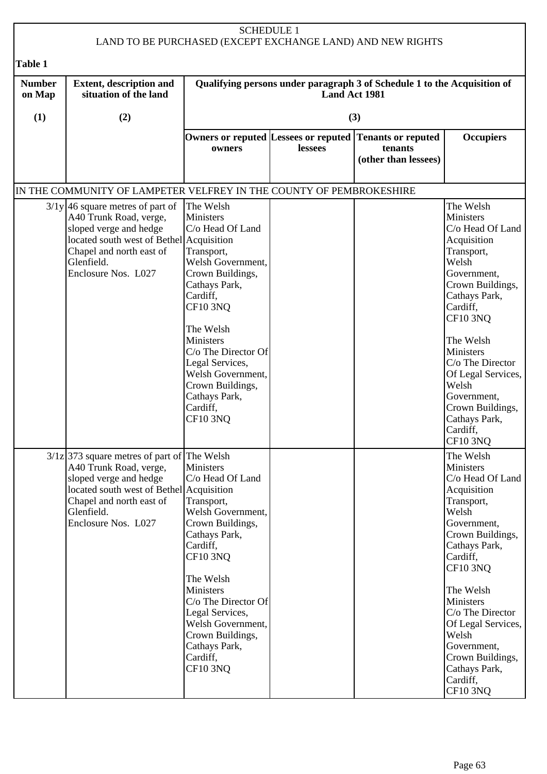| <b>SCHEDULE 1</b><br>LAND TO BE PURCHASED (EXCEPT EXCHANGE LAND) AND NEW RIGHTS |                                                                                                                                                                                                                |                                                                                                                                                                                                                                                                                                                |         |                                                                                            |                                                                                                                                                                                                                                                                                                                                     |  |
|---------------------------------------------------------------------------------|----------------------------------------------------------------------------------------------------------------------------------------------------------------------------------------------------------------|----------------------------------------------------------------------------------------------------------------------------------------------------------------------------------------------------------------------------------------------------------------------------------------------------------------|---------|--------------------------------------------------------------------------------------------|-------------------------------------------------------------------------------------------------------------------------------------------------------------------------------------------------------------------------------------------------------------------------------------------------------------------------------------|--|
| <b>Table 1</b>                                                                  |                                                                                                                                                                                                                |                                                                                                                                                                                                                                                                                                                |         |                                                                                            |                                                                                                                                                                                                                                                                                                                                     |  |
| <b>Number</b><br>on Map                                                         | <b>Extent, description and</b><br>Qualifying persons under paragraph 3 of Schedule 1 to the Acquisition of<br>situation of the land<br><b>Land Act 1981</b>                                                    |                                                                                                                                                                                                                                                                                                                |         |                                                                                            |                                                                                                                                                                                                                                                                                                                                     |  |
| (1)                                                                             | (2)                                                                                                                                                                                                            |                                                                                                                                                                                                                                                                                                                |         | (3)                                                                                        |                                                                                                                                                                                                                                                                                                                                     |  |
|                                                                                 |                                                                                                                                                                                                                | owners                                                                                                                                                                                                                                                                                                         | lessees | Owners or reputed Lessees or reputed Tenants or reputed<br>tenants<br>(other than lessees) | <b>Occupiers</b>                                                                                                                                                                                                                                                                                                                    |  |
|                                                                                 | IN THE COMMUNITY OF LAMPETER VELFREY IN THE COUNTY OF PEMBROKESHIRE                                                                                                                                            |                                                                                                                                                                                                                                                                                                                |         |                                                                                            |                                                                                                                                                                                                                                                                                                                                     |  |
|                                                                                 | $3/1y$ 46 square metres of part of<br>A40 Trunk Road, verge,<br>sloped verge and hedge<br>located south west of Bethel Acquisition<br>Chapel and north east of<br>Glenfield.<br>Enclosure Nos. L027            | The Welsh<br>Ministers<br>C/o Head Of Land<br>Transport,<br>Welsh Government,<br>Crown Buildings,<br>Cathays Park,<br>Cardiff,<br><b>CF10 3NQ</b><br>The Welsh<br>Ministers<br>C/o The Director Of<br>Legal Services,<br>Welsh Government,<br>Crown Buildings,<br>Cathays Park,<br>Cardiff,<br><b>CF10 3NQ</b> |         |                                                                                            | The Welsh<br>Ministers<br>C/o Head Of Land<br>Acquisition<br>Transport,<br>Welsh<br>Government,<br>Crown Buildings,<br>Cathays Park,<br>Cardiff,<br><b>CF10 3NQ</b><br>The Welsh<br>Ministers<br>C/o The Director<br>Of Legal Services,<br>Welsh<br>Government,<br>Crown Buildings,<br>Cathays Park,<br>Cardiff,<br>CF10 3NQ        |  |
|                                                                                 | $3/1z$ 373 square metres of part of The Welsh<br>A40 Trunk Road, verge,<br>sloped verge and hedge<br>located south west of Bethel Acquisition<br>Chapel and north east of<br>Glenfield.<br>Enclosure Nos. L027 | Ministers<br>C/o Head Of Land<br>Transport,<br>Welsh Government,<br>Crown Buildings,<br>Cathays Park,<br>Cardiff,<br>CF10 3NQ<br>The Welsh<br>Ministers<br>C/o The Director Of<br>Legal Services,<br>Welsh Government,<br>Crown Buildings,<br>Cathays Park,<br>Cardiff,<br><b>CF10 3NQ</b>                     |         |                                                                                            | The Welsh<br>Ministers<br>C/o Head Of Land<br>Acquisition<br>Transport,<br>Welsh<br>Government,<br>Crown Buildings,<br>Cathays Park,<br>Cardiff,<br><b>CF10 3NQ</b><br>The Welsh<br>Ministers<br>C/o The Director<br>Of Legal Services,<br>Welsh<br>Government,<br>Crown Buildings,<br>Cathays Park,<br>Cardiff,<br><b>CF10 3NQ</b> |  |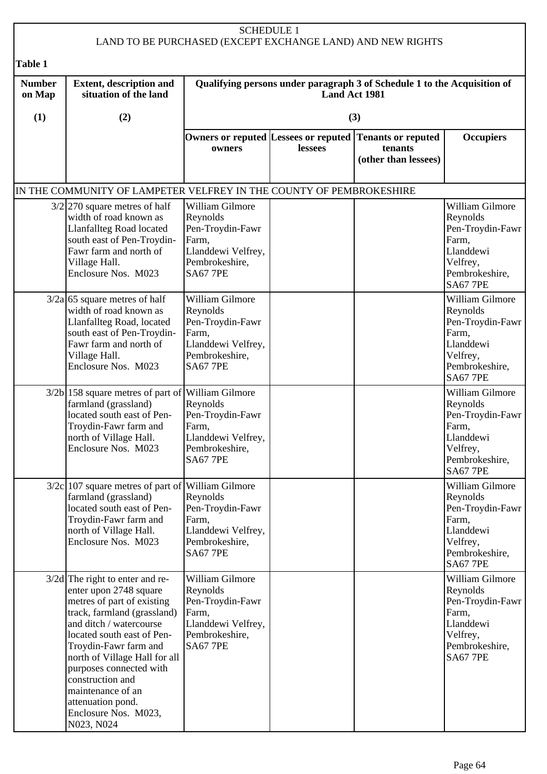| <b>SCHEDULE 1</b><br>LAND TO BE PURCHASED (EXCEPT EXCHANGE LAND) AND NEW RIGHTS |                                                                                                                                                                                                                                                                                                                                                                            |                                                                                                                     |               |                                                                          |                                                                                                                        |
|---------------------------------------------------------------------------------|----------------------------------------------------------------------------------------------------------------------------------------------------------------------------------------------------------------------------------------------------------------------------------------------------------------------------------------------------------------------------|---------------------------------------------------------------------------------------------------------------------|---------------|--------------------------------------------------------------------------|------------------------------------------------------------------------------------------------------------------------|
| <b>Table 1</b>                                                                  |                                                                                                                                                                                                                                                                                                                                                                            |                                                                                                                     |               |                                                                          |                                                                                                                        |
| <b>Number</b><br>on Map                                                         | <b>Extent, description and</b><br>situation of the land                                                                                                                                                                                                                                                                                                                    |                                                                                                                     | Land Act 1981 | Qualifying persons under paragraph 3 of Schedule 1 to the Acquisition of |                                                                                                                        |
| (1)                                                                             | (2)                                                                                                                                                                                                                                                                                                                                                                        |                                                                                                                     |               | (3)                                                                      |                                                                                                                        |
|                                                                                 |                                                                                                                                                                                                                                                                                                                                                                            | Owners or reputed Lessees or reputed<br>owners                                                                      | lessees       | <b>Tenants or reputed</b><br>tenants<br>(other than lessees)             | <b>Occupiers</b>                                                                                                       |
|                                                                                 | IN THE COMMUNITY OF LAMPETER VELFREY IN THE COUNTY OF PEMBROKESHIRE                                                                                                                                                                                                                                                                                                        |                                                                                                                     |               |                                                                          |                                                                                                                        |
|                                                                                 | $3/2$ 270 square metres of half<br>width of road known as<br><b>Llanfallteg Road located</b><br>south east of Pen-Troydin-<br>Fawr farm and north of<br>Village Hall.<br>Enclosure Nos. M023                                                                                                                                                                               | William Gilmore<br>Reynolds<br>Pen-Troydin-Fawr<br>Farm,<br>Llanddewi Velfrey,<br>Pembrokeshire,<br><b>SA67 7PE</b> |               |                                                                          | William Gilmore<br>Reynolds<br>Pen-Troydin-Fawr<br>Farm,<br>Llanddewi<br>Velfrey,<br>Pembrokeshire,<br><b>SA67 7PE</b> |
|                                                                                 | $3/2a$ 65 square metres of half<br>width of road known as<br>Llanfallteg Road, located<br>south east of Pen-Troydin-<br>Fawr farm and north of<br>Village Hall.<br>Enclosure Nos. M023                                                                                                                                                                                     | William Gilmore<br>Reynolds<br>Pen-Troydin-Fawr<br>Farm,<br>Llanddewi Velfrey,<br>Pembrokeshire,<br><b>SA67 7PE</b> |               |                                                                          | William Gilmore<br>Reynolds<br>Pen-Troydin-Fawr<br>Farm,<br>Llanddewi<br>Velfrey,<br>Pembrokeshire,<br><b>SA67 7PE</b> |
|                                                                                 | $3/2b$  158 square metres of part of<br>farmland (grassland)<br>located south east of Pen-<br>Troydin-Fawr farm and<br>north of Village Hall.<br>Enclosure Nos. M023                                                                                                                                                                                                       | William Gilmore<br>Reynolds<br>Pen-Troydin-Fawr<br>Farm,<br>Llanddewi Velfrey,<br>Pembrokeshire,<br><b>SA67 7PE</b> |               |                                                                          | William Gilmore<br>Reynolds<br>Pen-Troydin-Fawr<br>Farm,<br>Llanddewi<br>Velfrey,<br>Pembrokeshire,<br><b>SA67 7PE</b> |
|                                                                                 | $3/2c$ 107 square metres of part of<br>farmland (grassland)<br>located south east of Pen-<br>Troydin-Fawr farm and<br>north of Village Hall.<br>Enclosure Nos. M023                                                                                                                                                                                                        | William Gilmore<br>Reynolds<br>Pen-Troydin-Fawr<br>Farm,<br>Llanddewi Velfrey,<br>Pembrokeshire,<br><b>SA67 7PE</b> |               |                                                                          | William Gilmore<br>Reynolds<br>Pen-Troydin-Fawr<br>Farm,<br>Llanddewi<br>Velfrey,<br>Pembrokeshire,<br><b>SA67 7PE</b> |
|                                                                                 | $3/2d$ The right to enter and re-<br>enter upon 2748 square<br>metres of part of existing<br>track, farmland (grassland)<br>and ditch / watercourse<br>located south east of Pen-<br>Troydin-Fawr farm and<br>north of Village Hall for all<br>purposes connected with<br>construction and<br>maintenance of an<br>attenuation pond.<br>Enclosure Nos. M023,<br>N023, N024 | William Gilmore<br>Reynolds<br>Pen-Troydin-Fawr<br>Farm,<br>Llanddewi Velfrey,<br>Pembrokeshire,<br><b>SA67 7PE</b> |               |                                                                          | William Gilmore<br>Reynolds<br>Pen-Troydin-Fawr<br>Farm,<br>Llanddewi<br>Velfrey,<br>Pembrokeshire,<br><b>SA67 7PE</b> |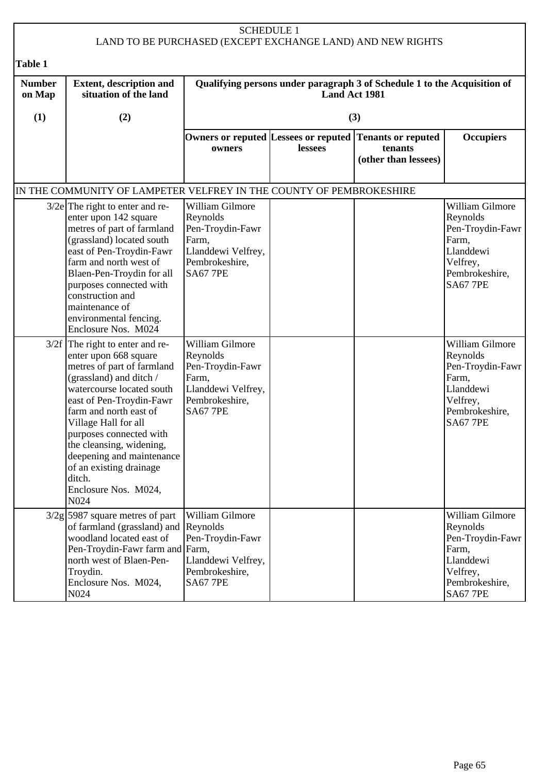| <b>SCHEDULE 1</b><br>LAND TO BE PURCHASED (EXCEPT EXCHANGE LAND) AND NEW RIGHTS |                                                                                                                                                                                                                                                                                                                                                                                                     |                                                                                                                     |               |                                                                                            |                                                                                                                        |  |
|---------------------------------------------------------------------------------|-----------------------------------------------------------------------------------------------------------------------------------------------------------------------------------------------------------------------------------------------------------------------------------------------------------------------------------------------------------------------------------------------------|---------------------------------------------------------------------------------------------------------------------|---------------|--------------------------------------------------------------------------------------------|------------------------------------------------------------------------------------------------------------------------|--|
| Table 1                                                                         |                                                                                                                                                                                                                                                                                                                                                                                                     |                                                                                                                     |               |                                                                                            |                                                                                                                        |  |
| <b>Number</b><br>on Map                                                         | <b>Extent, description and</b><br>situation of the land                                                                                                                                                                                                                                                                                                                                             |                                                                                                                     | Land Act 1981 | Qualifying persons under paragraph 3 of Schedule 1 to the Acquisition of                   |                                                                                                                        |  |
| (1)                                                                             | (2)                                                                                                                                                                                                                                                                                                                                                                                                 |                                                                                                                     |               | (3)                                                                                        |                                                                                                                        |  |
|                                                                                 |                                                                                                                                                                                                                                                                                                                                                                                                     | owners                                                                                                              | lessees       | Owners or reputed Lessees or reputed Tenants or reputed<br>tenants<br>(other than lessees) | <b>Occupiers</b>                                                                                                       |  |
|                                                                                 | IN THE COMMUNITY OF LAMPETER VELFREY IN THE COUNTY OF PEMBROKESHIRE                                                                                                                                                                                                                                                                                                                                 |                                                                                                                     |               |                                                                                            |                                                                                                                        |  |
|                                                                                 | $3/2e$ The right to enter and re-<br>enter upon 142 square<br>metres of part of farmland<br>(grassland) located south<br>east of Pen-Troydin-Fawr<br>farm and north west of<br>Blaen-Pen-Troydin for all<br>purposes connected with<br>construction and<br>maintenance of<br>environmental fencing.<br>Enclosure Nos. M024                                                                          | William Gilmore<br>Reynolds<br>Pen-Troydin-Fawr<br>Farm,<br>Llanddewi Velfrey,<br>Pembrokeshire,<br><b>SA67 7PE</b> |               |                                                                                            | William Gilmore<br>Reynolds<br>Pen-Troydin-Fawr<br>Farm,<br>Llanddewi<br>Velfrey,<br>Pembrokeshire,<br><b>SA67 7PE</b> |  |
|                                                                                 | $3/2f$ The right to enter and re-<br>enter upon 668 square<br>metres of part of farmland<br>(grassland) and ditch /<br>watercourse located south<br>east of Pen-Troydin-Fawr<br>farm and north east of<br>Village Hall for all<br>purposes connected with<br>the cleansing, widening,<br>deepening and maintenance<br>of an existing drainage<br>ditch.<br>Enclosure Nos. M024,<br>N <sub>024</sub> | William Gilmore<br>Reynolds<br>Pen-Troydin-Fawr<br>Farm,<br>Llanddewi Velfrey,<br>Pembrokeshire,<br><b>SA67 7PE</b> |               |                                                                                            | William Gilmore<br>Reynolds<br>Pen-Troydin-Fawr<br>Farm,<br>Llanddewi<br>Velfrey,<br>Pembrokeshire,<br><b>SA67 7PE</b> |  |
|                                                                                 | $3/2g$ 5987 square metres of part<br>of farmland (grassland) and Reynolds<br>woodland located east of<br>Pen-Troydin-Fawr farm and Farm,<br>north west of Blaen-Pen-<br>Troydin.<br>Enclosure Nos. M024,<br>N024                                                                                                                                                                                    | William Gilmore<br>Pen-Troydin-Fawr<br>Llanddewi Velfrey,<br>Pembrokeshire,<br><b>SA67 7PE</b>                      |               |                                                                                            | William Gilmore<br>Reynolds<br>Pen-Troydin-Fawr<br>Farm,<br>Llanddewi<br>Velfrey,<br>Pembrokeshire,<br><b>SA67 7PE</b> |  |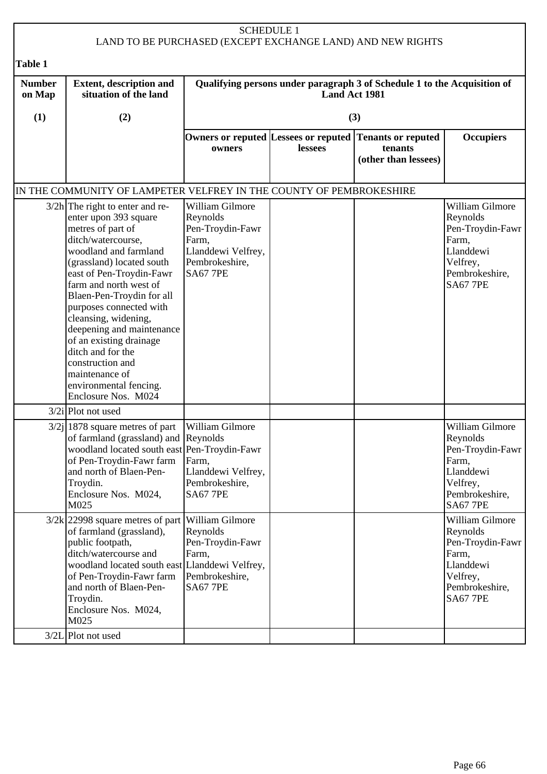| <b>SCHEDULE 1</b><br>LAND TO BE PURCHASED (EXCEPT EXCHANGE LAND) AND NEW RIGHTS |                                                                                                                                                                                                                                                                                                                                                                                                                                                                       |                                                                                                                     |                |                                                                                               |                                                                                                                               |
|---------------------------------------------------------------------------------|-----------------------------------------------------------------------------------------------------------------------------------------------------------------------------------------------------------------------------------------------------------------------------------------------------------------------------------------------------------------------------------------------------------------------------------------------------------------------|---------------------------------------------------------------------------------------------------------------------|----------------|-----------------------------------------------------------------------------------------------|-------------------------------------------------------------------------------------------------------------------------------|
| <b>Table 1</b>                                                                  |                                                                                                                                                                                                                                                                                                                                                                                                                                                                       |                                                                                                                     |                |                                                                                               |                                                                                                                               |
| <b>Number</b><br>on Map                                                         | <b>Extent, description and</b><br>situation of the land                                                                                                                                                                                                                                                                                                                                                                                                               |                                                                                                                     | Land Act 1981  | Qualifying persons under paragraph 3 of Schedule 1 to the Acquisition of                      |                                                                                                                               |
| (1)                                                                             | (2)                                                                                                                                                                                                                                                                                                                                                                                                                                                                   |                                                                                                                     |                | (3)                                                                                           |                                                                                                                               |
|                                                                                 |                                                                                                                                                                                                                                                                                                                                                                                                                                                                       | owners                                                                                                              | <b>lessees</b> | Owners or reputed  Lessees or reputed   Tenants or reputed<br>tenants<br>(other than lessees) | <b>Occupiers</b>                                                                                                              |
|                                                                                 | IN THE COMMUNITY OF LAMPETER VELFREY IN THE COUNTY OF PEMBROKESHIRE                                                                                                                                                                                                                                                                                                                                                                                                   |                                                                                                                     |                |                                                                                               |                                                                                                                               |
|                                                                                 | $3/2h$ The right to enter and re-<br>enter upon 393 square<br>metres of part of<br>ditch/watercourse,<br>woodland and farmland<br>(grassland) located south<br>east of Pen-Troydin-Fawr<br>farm and north west of<br>Blaen-Pen-Troydin for all<br>purposes connected with<br>cleansing, widening,<br>deepening and maintenance<br>of an existing drainage<br>ditch and for the<br>construction and<br>maintenance of<br>environmental fencing.<br>Enclosure Nos. M024 | William Gilmore<br>Reynolds<br>Pen-Troydin-Fawr<br>Farm,<br>Llanddewi Velfrey,<br>Pembrokeshire,<br><b>SA67 7PE</b> |                |                                                                                               | <b>William Gilmore</b><br>Reynolds<br>Pen-Troydin-Fawr<br>Farm,<br>Llanddewi<br>Velfrey,<br>Pembrokeshire,<br><b>SA67 7PE</b> |
|                                                                                 | $3/2i$ Plot not used                                                                                                                                                                                                                                                                                                                                                                                                                                                  |                                                                                                                     |                |                                                                                               |                                                                                                                               |
|                                                                                 | $3/2j$   1878 square metres of part<br>of farmland (grassland) and Reynolds<br>woodland located south east Pen-Troydin-Fawr<br>of Pen-Troydin-Fawr farm<br>and north of Blaen-Pen-<br>Troydin.<br>Enclosure Nos. M024,<br>M025                                                                                                                                                                                                                                        | William Gilmore<br>Farm,<br>Llanddewi Velfrey,<br>Pembrokeshire,<br><b>SA67 7PE</b>                                 |                |                                                                                               | William Gilmore<br> Reynolds<br>Pen-Troydin-Fawr<br>Farm,<br>Llanddewi<br>Velfrey,<br>Pembrokeshire,<br><b>SA67 7PE</b>       |
|                                                                                 | $3/2k$ 22998 square metres of part<br>of farmland (grassland),<br>public footpath,<br>ditch/watercourse and<br>woodland located south east Llanddewi Velfrey,<br>of Pen-Troydin-Fawr farm<br>and north of Blaen-Pen-<br>Troydin.<br>Enclosure Nos. M024,<br>M025<br>$3/2L$ Plot not used                                                                                                                                                                              | William Gilmore<br>Reynolds<br>Pen-Troydin-Fawr<br>Farm,<br>Pembrokeshire,<br><b>SA67 7PE</b>                       |                |                                                                                               | William Gilmore<br>Reynolds<br>Pen-Troydin-Fawr<br>Farm,<br>Llanddewi<br>Velfrey,<br>Pembrokeshire,<br><b>SA67 7PE</b>        |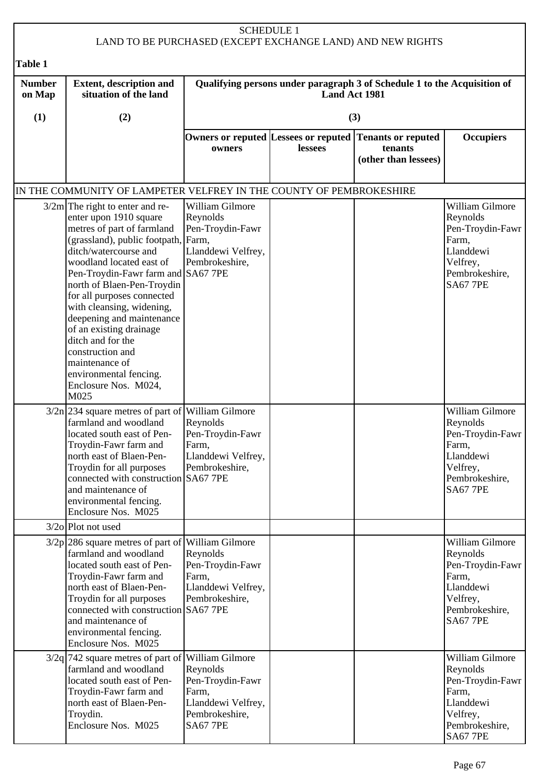| <b>SCHEDULE 1</b><br>LAND TO BE PURCHASED (EXCEPT EXCHANGE LAND) AND NEW RIGHTS |                                                                                                                                                                                                                                                                                                                                                                                                                                                                                                   |                                                                                                                     |                                                                                           |                                                              |                                                                                                                        |  |
|---------------------------------------------------------------------------------|---------------------------------------------------------------------------------------------------------------------------------------------------------------------------------------------------------------------------------------------------------------------------------------------------------------------------------------------------------------------------------------------------------------------------------------------------------------------------------------------------|---------------------------------------------------------------------------------------------------------------------|-------------------------------------------------------------------------------------------|--------------------------------------------------------------|------------------------------------------------------------------------------------------------------------------------|--|
| <b>Table 1</b>                                                                  |                                                                                                                                                                                                                                                                                                                                                                                                                                                                                                   |                                                                                                                     |                                                                                           |                                                              |                                                                                                                        |  |
| <b>Number</b><br>on Map                                                         | <b>Extent, description and</b><br>situation of the land                                                                                                                                                                                                                                                                                                                                                                                                                                           |                                                                                                                     | Qualifying persons under paragraph 3 of Schedule 1 to the Acquisition of<br>Land Act 1981 |                                                              |                                                                                                                        |  |
| (1)                                                                             | (2)                                                                                                                                                                                                                                                                                                                                                                                                                                                                                               |                                                                                                                     |                                                                                           | (3)                                                          |                                                                                                                        |  |
|                                                                                 |                                                                                                                                                                                                                                                                                                                                                                                                                                                                                                   | Owners or reputed Lessees or reputed<br>owners                                                                      | lessees                                                                                   | <b>Tenants or reputed</b><br>tenants<br>(other than lessees) | <b>Occupiers</b>                                                                                                       |  |
|                                                                                 | IN THE COMMUNITY OF LAMPETER VELFREY IN THE COUNTY OF PEMBROKESHIRE                                                                                                                                                                                                                                                                                                                                                                                                                               |                                                                                                                     |                                                                                           |                                                              |                                                                                                                        |  |
|                                                                                 | $3/2m$ The right to enter and re-<br>enter upon 1910 square<br>metres of part of farmland<br>(grassland), public footpath, Farm,<br>ditch/watercourse and<br>woodland located east of<br>Pen-Troydin-Fawr farm and SA67 7PE<br>north of Blaen-Pen-Troydin<br>for all purposes connected<br>with cleansing, widening,<br>deepening and maintenance<br>of an existing drainage<br>ditch and for the<br>construction and<br>maintenance of<br>environmental fencing.<br>Enclosure Nos. M024,<br>M025 | William Gilmore<br>Reynolds<br>Pen-Troydin-Fawr<br>Llanddewi Velfrey,<br>Pembrokeshire,                             |                                                                                           |                                                              | William Gilmore<br>Reynolds<br>Pen-Troydin-Fawr<br>Farm,<br>Llanddewi<br>Velfrey,<br>Pembrokeshire,<br><b>SA67 7PE</b> |  |
|                                                                                 | $3/2n$ 234 square metres of part of William Gilmore<br>farmland and woodland<br>located south east of Pen-<br>Troydin-Fawr farm and<br>north east of Blaen-Pen-<br>Troydin for all purposes<br>connected with construction SA67 7PE<br>and maintenance of<br>environmental fencing.<br>Enclosure Nos. M025                                                                                                                                                                                        | Reynolds<br>Pen-Troydin-Fawr<br>Farm,<br>Llanddewi Velfrey,<br>Pembrokeshire,                                       |                                                                                           |                                                              | William Gilmore<br>Reynolds<br>Pen-Troydin-Fawr<br>Farm,<br>Llanddewi<br>Velfrey,<br>Pembrokeshire,<br><b>SA67 7PE</b> |  |
|                                                                                 | $3/2$ o Plot not used                                                                                                                                                                                                                                                                                                                                                                                                                                                                             |                                                                                                                     |                                                                                           |                                                              |                                                                                                                        |  |
|                                                                                 | $3/2p$  286 square metres of part of William Gilmore<br>farmland and woodland<br>located south east of Pen-<br>Troydin-Fawr farm and<br>north east of Blaen-Pen-<br>Troydin for all purposes<br>connected with construction SA67 7PE<br>and maintenance of<br>environmental fencing.<br>Enclosure Nos. M025                                                                                                                                                                                       | Reynolds<br>Pen-Troydin-Fawr<br>Farm,<br>Llanddewi Velfrey,<br>Pembrokeshire,                                       |                                                                                           |                                                              | William Gilmore<br>Reynolds<br>Pen-Troydin-Fawr<br>Farm,<br>Llanddewi<br>Velfrey,<br>Pembrokeshire,<br><b>SA67 7PE</b> |  |
|                                                                                 | $3/2q$ 742 square metres of part of<br>farmland and woodland<br>located south east of Pen-<br>Troydin-Fawr farm and<br>north east of Blaen-Pen-<br>Troydin.<br>Enclosure Nos. M025                                                                                                                                                                                                                                                                                                                | William Gilmore<br>Reynolds<br>Pen-Troydin-Fawr<br>Farm,<br>Llanddewi Velfrey,<br>Pembrokeshire,<br><b>SA67 7PE</b> |                                                                                           |                                                              | William Gilmore<br>Reynolds<br>Pen-Troydin-Fawr<br>Farm,<br>Llanddewi<br>Velfrey,<br>Pembrokeshire,<br><b>SA67 7PE</b> |  |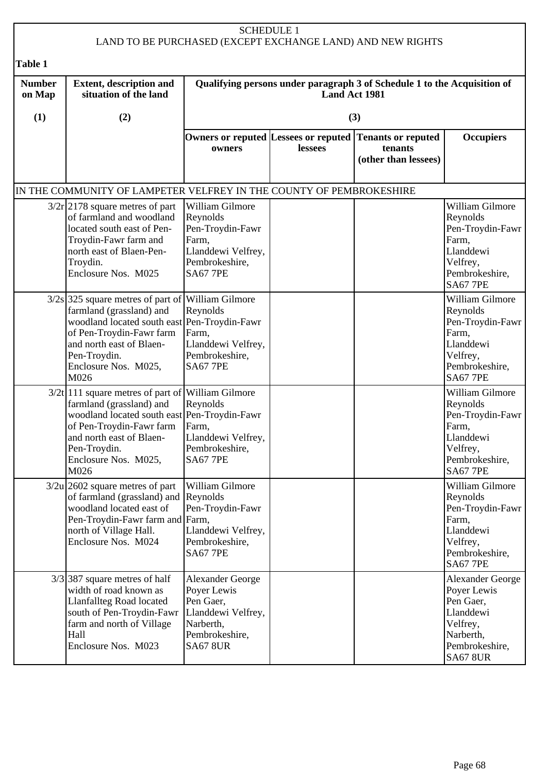| <b>SCHEDULE 1</b><br>LAND TO BE PURCHASED (EXCEPT EXCHANGE LAND) AND NEW RIGHTS |                                                                                                                                                                                                                                          |                                                                                                                             |               |                                                                                            |                                                                                                                                |  |
|---------------------------------------------------------------------------------|------------------------------------------------------------------------------------------------------------------------------------------------------------------------------------------------------------------------------------------|-----------------------------------------------------------------------------------------------------------------------------|---------------|--------------------------------------------------------------------------------------------|--------------------------------------------------------------------------------------------------------------------------------|--|
| <b>Table 1</b>                                                                  |                                                                                                                                                                                                                                          |                                                                                                                             |               |                                                                                            |                                                                                                                                |  |
| <b>Number</b><br>on Map                                                         | <b>Extent, description and</b><br>situation of the land                                                                                                                                                                                  |                                                                                                                             | Land Act 1981 | Qualifying persons under paragraph 3 of Schedule 1 to the Acquisition of                   |                                                                                                                                |  |
| (1)                                                                             | (2)                                                                                                                                                                                                                                      |                                                                                                                             |               | (3)                                                                                        |                                                                                                                                |  |
|                                                                                 |                                                                                                                                                                                                                                          | owners                                                                                                                      | lessees       | Owners or reputed Lessees or reputed Tenants or reputed<br>tenants<br>(other than lessees) | <b>Occupiers</b>                                                                                                               |  |
|                                                                                 | IN THE COMMUNITY OF LAMPETER VELFREY IN THE COUNTY OF PEMBROKESHIRE                                                                                                                                                                      |                                                                                                                             |               |                                                                                            |                                                                                                                                |  |
|                                                                                 | $3/2r$  2178 square metres of part<br>of farmland and woodland<br>located south east of Pen-<br>Troydin-Fawr farm and<br>north east of Blaen-Pen-<br>Troydin.<br>Enclosure Nos. M025                                                     | William Gilmore<br>Reynolds<br>Pen-Troydin-Fawr<br>Farm,<br>Llanddewi Velfrey,<br>Pembrokeshire,<br><b>SA67 7PE</b>         |               |                                                                                            | William Gilmore<br>Reynolds<br>Pen-Troydin-Fawr<br>Farm,<br>Llanddewi<br>Velfrey,<br>Pembrokeshire,<br><b>SA67 7PE</b>         |  |
|                                                                                 | $3/2s$ 325 square metres of part of William Gilmore<br>farmland (grassland) and<br>woodland located south east Pen-Troydin-Fawr<br>of Pen-Troydin-Fawr farm<br>and north east of Blaen-<br>Pen-Troydin.<br>Enclosure Nos. M025,<br>M026  | Reynolds<br>Farm,<br>Llanddewi Velfrey,<br>Pembrokeshire,<br><b>SA67 7PE</b>                                                |               |                                                                                            | William Gilmore<br>Reynolds<br>Pen-Troydin-Fawr<br>Farm,<br>Llanddewi<br>Velfrey,<br>Pembrokeshire,<br><b>SA67 7PE</b>         |  |
|                                                                                 | $3/2t$  111 square metres of part of William Gilmore<br>farmland (grassland) and<br>woodland located south east Pen-Troydin-Fawr<br>of Pen-Troydin-Fawr farm<br>and north east of Blaen-<br>Pen-Troydin.<br>Enclosure Nos. M025,<br>M026 | Reynolds<br>Farm,<br>Llanddewi Velfrey,<br>Pembrokeshire,<br><b>SA67 7PE</b>                                                |               |                                                                                            | William Gilmore<br>Reynolds<br>Pen-Troydin-Fawr<br>Farm,<br>Llanddewi<br>Velfrey,<br>Pembrokeshire,<br><b>SA67 7PE</b>         |  |
|                                                                                 | $3/2u$ 2602 square metres of part<br>of farmland (grassland) and Reynolds<br>woodland located east of<br>Pen-Troydin-Fawr farm and Farm,<br>north of Village Hall.<br>Enclosure Nos. M024                                                | William Gilmore<br>Pen-Troydin-Fawr<br>Llanddewi Velfrey,<br>Pembrokeshire,<br><b>SA67 7PE</b>                              |               |                                                                                            | William Gilmore<br>Reynolds<br>Pen-Troydin-Fawr<br>Farm,<br>Llanddewi<br>Velfrey,<br>Pembrokeshire,<br><b>SA67 7PE</b>         |  |
|                                                                                 | $3/3$ 387 square metres of half<br>width of road known as<br>Llanfallteg Road located<br>south of Pen-Troydin-Fawr<br>farm and north of Village<br>Hall<br>Enclosure Nos. M023                                                           | <b>Alexander George</b><br>Poyer Lewis<br>Pen Gaer,<br>Llanddewi Velfrey,<br>Narberth,<br>Pembrokeshire,<br><b>SA67 8UR</b> |               |                                                                                            | <b>Alexander George</b><br>Poyer Lewis<br>Pen Gaer,<br>Llanddewi<br>Velfrey,<br>Narberth,<br>Pembrokeshire,<br><b>SA67 8UR</b> |  |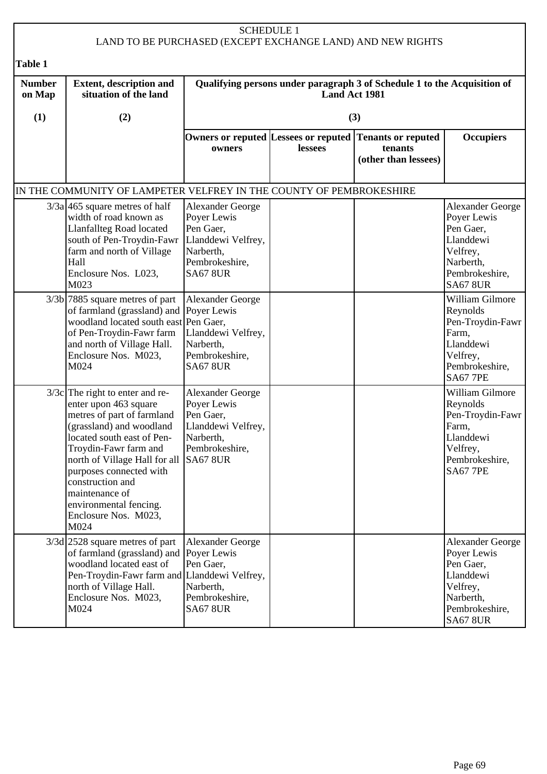|                         |                                                                                                                                                                                                                                                                                                                                         | <b>SCHEDULE 1</b>                                                                                                           |                      | LAND TO BE PURCHASED (EXCEPT EXCHANGE LAND) AND NEW RIGHTS                                 |                                                                                                                                |
|-------------------------|-----------------------------------------------------------------------------------------------------------------------------------------------------------------------------------------------------------------------------------------------------------------------------------------------------------------------------------------|-----------------------------------------------------------------------------------------------------------------------------|----------------------|--------------------------------------------------------------------------------------------|--------------------------------------------------------------------------------------------------------------------------------|
| Table 1                 |                                                                                                                                                                                                                                                                                                                                         |                                                                                                                             |                      |                                                                                            |                                                                                                                                |
| <b>Number</b><br>on Map | <b>Extent, description and</b><br>situation of the land                                                                                                                                                                                                                                                                                 |                                                                                                                             | <b>Land Act 1981</b> | Qualifying persons under paragraph 3 of Schedule 1 to the Acquisition of                   |                                                                                                                                |
| (1)                     | (2)                                                                                                                                                                                                                                                                                                                                     |                                                                                                                             |                      | (3)                                                                                        |                                                                                                                                |
|                         |                                                                                                                                                                                                                                                                                                                                         | owners                                                                                                                      | lessees              | Owners or reputed Lessees or reputed Tenants or reputed<br>tenants<br>(other than lessees) | <b>Occupiers</b>                                                                                                               |
|                         | IN THE COMMUNITY OF LAMPETER VELFREY IN THE COUNTY OF PEMBROKESHIRE                                                                                                                                                                                                                                                                     |                                                                                                                             |                      |                                                                                            |                                                                                                                                |
|                         | $3/3a$ 465 square metres of half<br>width of road known as<br>Llanfallteg Road located<br>south of Pen-Troydin-Fawr<br>farm and north of Village<br>Hall<br>Enclosure Nos. L023,<br>M023                                                                                                                                                | Alexander George<br>Poyer Lewis<br>Pen Gaer,<br>Llanddewi Velfrey,<br>Narberth,<br>Pembrokeshire,<br><b>SA67 8UR</b>        |                      |                                                                                            | <b>Alexander George</b><br>Poyer Lewis<br>Pen Gaer,<br>Llanddewi<br>Velfrey,<br>Narberth,<br>Pembrokeshire,<br><b>SA67 8UR</b> |
|                         | $3/3b$ 7885 square metres of part<br>of farmland (grassland) and Poyer Lewis<br>woodland located south east Pen Gaer,<br>of Pen-Troydin-Fawr farm<br>and north of Village Hall.<br>Enclosure Nos. M023,<br>M024                                                                                                                         | <b>Alexander George</b><br>Llanddewi Velfrey,<br>Narberth,<br>Pembrokeshire,<br><b>SA67 8UR</b>                             |                      |                                                                                            | William Gilmore<br>Reynolds<br>Pen-Troydin-Fawr<br>Farm,<br>Llanddewi<br>Velfrey,<br>Pembrokeshire,<br><b>SA67 7PE</b>         |
|                         | $3/3c$ The right to enter and re-<br>enter upon 463 square<br>metres of part of farmland<br>(grassland) and woodland<br>located south east of Pen-<br>Troydin-Fawr farm and<br>north of Village Hall for all<br>purposes connected with<br>construction and<br>maintenance of<br>environmental fencing.<br>Enclosure Nos. M023,<br>M024 | <b>Alexander George</b><br>Poyer Lewis<br>Pen Gaer,<br>Llanddewi Velfrey,<br>Narberth,<br>Pembrokeshire,<br><b>SA67 8UR</b> |                      |                                                                                            | William Gilmore<br>Reynolds<br>Pen-Troydin-Fawr<br>Farm,<br>Llanddewi<br>Velfrey,<br>Pembrokeshire,<br><b>SA67 7PE</b>         |
|                         | $3/3d$ 2528 square metres of part<br>of farmland (grassland) and Poyer Lewis<br>woodland located east of<br>Pen-Troydin-Fawr farm and Llanddewi Velfrey,<br>north of Village Hall.<br>Enclosure Nos. M023,<br>M024                                                                                                                      | Alexander George<br>Pen Gaer,<br>Narberth,<br>Pembrokeshire,<br><b>SA67 8UR</b>                                             |                      |                                                                                            | Alexander George<br>Poyer Lewis<br>Pen Gaer,<br>Llanddewi<br>Velfrey,<br>Narberth,<br>Pembrokeshire,<br><b>SA67 8UR</b>        |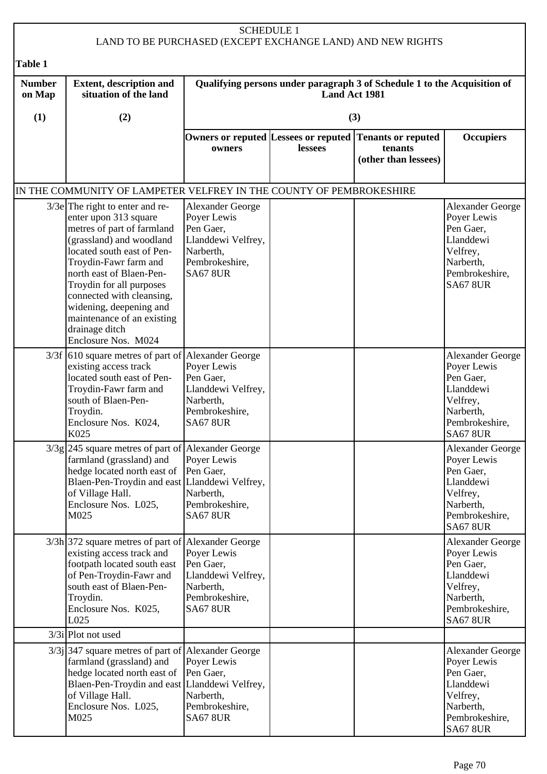| <b>SCHEDULE 1</b><br>LAND TO BE PURCHASED (EXCEPT EXCHANGE LAND) AND NEW RIGHTS |                                                                                                                                                                                                                                                                                                                                                                    |                                                                                                                             |                                                                                                  |                                                                                            |                                                                                                                                |  |  |
|---------------------------------------------------------------------------------|--------------------------------------------------------------------------------------------------------------------------------------------------------------------------------------------------------------------------------------------------------------------------------------------------------------------------------------------------------------------|-----------------------------------------------------------------------------------------------------------------------------|--------------------------------------------------------------------------------------------------|--------------------------------------------------------------------------------------------|--------------------------------------------------------------------------------------------------------------------------------|--|--|
| <b>Table 1</b>                                                                  |                                                                                                                                                                                                                                                                                                                                                                    |                                                                                                                             |                                                                                                  |                                                                                            |                                                                                                                                |  |  |
| <b>Number</b><br>on Map                                                         | <b>Extent, description and</b><br>situation of the land                                                                                                                                                                                                                                                                                                            |                                                                                                                             | Qualifying persons under paragraph 3 of Schedule 1 to the Acquisition of<br><b>Land Act 1981</b> |                                                                                            |                                                                                                                                |  |  |
| (1)                                                                             | (2)                                                                                                                                                                                                                                                                                                                                                                |                                                                                                                             |                                                                                                  | (3)                                                                                        |                                                                                                                                |  |  |
|                                                                                 |                                                                                                                                                                                                                                                                                                                                                                    | owners                                                                                                                      | lessees                                                                                          | Owners or reputed Lessees or reputed Tenants or reputed<br>tenants<br>(other than lessees) | <b>Occupiers</b>                                                                                                               |  |  |
|                                                                                 | IN THE COMMUNITY OF LAMPETER VELFREY IN THE COUNTY OF PEMBROKESHIRE                                                                                                                                                                                                                                                                                                |                                                                                                                             |                                                                                                  |                                                                                            |                                                                                                                                |  |  |
|                                                                                 | $3/3e$ The right to enter and re-<br>enter upon 313 square<br>metres of part of farmland<br>(grassland) and woodland<br>located south east of Pen-<br>Troydin-Fawr farm and<br>north east of Blaen-Pen-<br>Troydin for all purposes<br>connected with cleansing,<br>widening, deepening and<br>maintenance of an existing<br>drainage ditch<br>Enclosure Nos. M024 | <b>Alexander George</b><br>Poyer Lewis<br>Pen Gaer,<br>Llanddewi Velfrey,<br>Narberth,<br>Pembrokeshire,<br><b>SA67 8UR</b> |                                                                                                  |                                                                                            | <b>Alexander George</b><br>Poyer Lewis<br>Pen Gaer,<br>Llanddewi<br>Velfrey,<br>Narberth,<br>Pembrokeshire,<br><b>SA67 8UR</b> |  |  |
|                                                                                 | 3/3f [610 square metres of part of Alexander George<br>existing access track<br>located south east of Pen-<br>Troydin-Fawr farm and<br>south of Blaen-Pen-<br>Troydin.<br>Enclosure Nos. K024,<br>K025                                                                                                                                                             | Poyer Lewis<br>Pen Gaer,<br>Llanddewi Velfrey,<br>Narberth,<br>Pembrokeshire,<br><b>SA67 8UR</b>                            |                                                                                                  |                                                                                            | <b>Alexander George</b><br>Poyer Lewis<br>Pen Gaer,<br>Llanddewi<br>Velfrey,<br>Narberth,<br>Pembrokeshire,<br><b>SA67 8UR</b> |  |  |
|                                                                                 | $3/3g$ 245 square metres of part of Alexander George<br>farmland (grassland) and<br>hedge located north east of<br>Blaen-Pen-Troydin and east Llanddewi Velfrey,<br>of Village Hall.<br>Enclosure Nos. L025,<br>M025                                                                                                                                               | Poyer Lewis<br>Pen Gaer,<br>Narberth,<br>Pembrokeshire,<br><b>SA67 8UR</b>                                                  |                                                                                                  |                                                                                            | <b>Alexander George</b><br>Poyer Lewis<br>Pen Gaer,<br>Llanddewi<br>Velfrey,<br>Narberth,<br>Pembrokeshire,<br><b>SA67 8UR</b> |  |  |
|                                                                                 | $3/3h$ 372 square metres of part of Alexander George<br>existing access track and<br>footpath located south east<br>of Pen-Troydin-Fawr and<br>south east of Blaen-Pen-<br>Troydin.<br>Enclosure Nos. K025,<br>L025                                                                                                                                                | Poyer Lewis<br>Pen Gaer,<br>Llanddewi Velfrey,<br>Narberth,<br>Pembrokeshire,<br><b>SA67 8UR</b>                            |                                                                                                  |                                                                                            | <b>Alexander George</b><br>Poyer Lewis<br>Pen Gaer,<br>Llanddewi<br>Velfrey,<br>Narberth,<br>Pembrokeshire,<br><b>SA67 8UR</b> |  |  |
|                                                                                 | $3/3i$ Plot not used                                                                                                                                                                                                                                                                                                                                               |                                                                                                                             |                                                                                                  |                                                                                            |                                                                                                                                |  |  |
|                                                                                 | $3/3$ ] 347 square metres of part of Alexander George<br>farmland (grassland) and<br>hedge located north east of Pen Gaer,<br>Blaen-Pen-Troydin and east Llanddewi Velfrey,<br>of Village Hall.<br>Enclosure Nos. L025,<br>M025                                                                                                                                    | Poyer Lewis<br>Narberth,<br>Pembrokeshire,<br><b>SA67 8UR</b>                                                               |                                                                                                  |                                                                                            | <b>Alexander George</b><br>Poyer Lewis<br>Pen Gaer,<br>Llanddewi<br>Velfrey,<br>Narberth,<br>Pembrokeshire,<br><b>SA67 8UR</b> |  |  |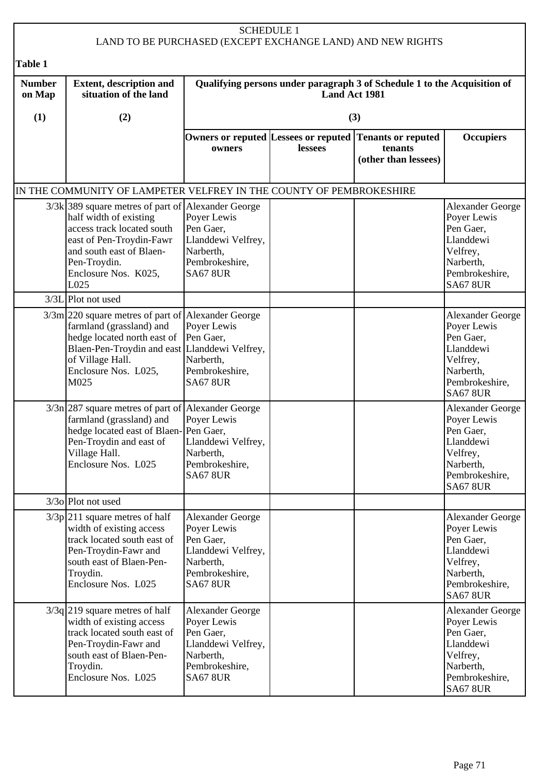|                         |                                                                                                                                                                                                                       | <b>SCHEDULE 1</b>                                                                                                           |         | LAND TO BE PURCHASED (EXCEPT EXCHANGE LAND) AND NEW RIGHTS                                 |                                                                                                                                |  |
|-------------------------|-----------------------------------------------------------------------------------------------------------------------------------------------------------------------------------------------------------------------|-----------------------------------------------------------------------------------------------------------------------------|---------|--------------------------------------------------------------------------------------------|--------------------------------------------------------------------------------------------------------------------------------|--|
| <b>Table 1</b>          |                                                                                                                                                                                                                       |                                                                                                                             |         |                                                                                            |                                                                                                                                |  |
| <b>Number</b><br>on Map | <b>Extent, description and</b><br>situation of the land                                                                                                                                                               | Qualifying persons under paragraph 3 of Schedule 1 to the Acquisition of<br>Land Act 1981                                   |         |                                                                                            |                                                                                                                                |  |
| (1)                     | (2)                                                                                                                                                                                                                   |                                                                                                                             |         | (3)                                                                                        |                                                                                                                                |  |
|                         |                                                                                                                                                                                                                       | owners                                                                                                                      | lessees | Owners or reputed Lessees or reputed Tenants or reputed<br>tenants<br>(other than lessees) | <b>Occupiers</b>                                                                                                               |  |
|                         | IN THE COMMUNITY OF LAMPETER VELFREY IN THE COUNTY OF PEMBROKESHIRE                                                                                                                                                   |                                                                                                                             |         |                                                                                            |                                                                                                                                |  |
|                         | 3/3k 389 square metres of part of Alexander George<br>half width of existing<br>access track located south<br>east of Pen-Troydin-Fawr<br>and south east of Blaen-<br>Pen-Troydin.<br>Enclosure Nos. K025,<br>L025    | Poyer Lewis<br>Pen Gaer,<br>Llanddewi Velfrey,<br>Narberth,<br>Pembrokeshire,<br><b>SA67 8UR</b>                            |         |                                                                                            | <b>Alexander George</b><br>Poyer Lewis<br>Pen Gaer,<br>Llanddewi<br>Velfrey,<br>Narberth,<br>Pembrokeshire,<br><b>SA67 8UR</b> |  |
|                         | 3/3L Plot not used                                                                                                                                                                                                    |                                                                                                                             |         |                                                                                            |                                                                                                                                |  |
|                         | $3/3m$  220 square metres of part of Alexander George<br>farmland (grassland) and<br>hedge located north east of<br>Blaen-Pen-Troydin and east Llanddewi Velfrey,<br>of Village Hall.<br>Enclosure Nos. L025,<br>M025 | Poyer Lewis<br>Pen Gaer,<br>Narberth,<br>Pembrokeshire,<br><b>SA67 8UR</b>                                                  |         |                                                                                            | <b>Alexander George</b><br>Poyer Lewis<br>Pen Gaer,<br>Llanddewi<br>Velfrey,<br>Narberth,<br>Pembrokeshire,<br><b>SA67 8UR</b> |  |
|                         | $3/3n$  287 square metres of part of Alexander George<br>farmland (grassland) and<br>hedge located east of Blaen-Pen Gaer,<br>Pen-Troydin and east of<br>Village Hall.<br>Enclosure Nos. L025                         | Poyer Lewis<br>Llanddewi Velfrey,<br>Narberth,<br>Pembrokeshire,<br><b>SA67 8UR</b>                                         |         |                                                                                            | <b>Alexander George</b><br>Poyer Lewis<br>Pen Gaer,<br>Llanddewi<br>Velfrey,<br>Narberth,<br>Pembrokeshire,<br><b>SA67 8UR</b> |  |
|                         | $3/3$ o Plot not used                                                                                                                                                                                                 |                                                                                                                             |         |                                                                                            |                                                                                                                                |  |
|                         | $3/3p$ 211 square metres of half<br>width of existing access<br>track located south east of<br>Pen-Troydin-Fawr and<br>south east of Blaen-Pen-<br>Troydin.<br>Enclosure Nos. L025                                    | <b>Alexander George</b><br>Poyer Lewis<br>Pen Gaer,<br>Llanddewi Velfrey,<br>Narberth,<br>Pembrokeshire,<br><b>SA67 8UR</b> |         |                                                                                            | <b>Alexander George</b><br>Poyer Lewis<br>Pen Gaer,<br>Llanddewi<br>Velfrey,<br>Narberth,<br>Pembrokeshire,<br><b>SA67 8UR</b> |  |
|                         | $3/3q$ 219 square metres of half<br>width of existing access<br>track located south east of<br>Pen-Troydin-Fawr and<br>south east of Blaen-Pen-<br>Troydin.<br>Enclosure Nos. L025                                    | <b>Alexander George</b><br>Poyer Lewis<br>Pen Gaer,<br>Llanddewi Velfrey,<br>Narberth,<br>Pembrokeshire,<br><b>SA67 8UR</b> |         |                                                                                            | <b>Alexander George</b><br>Poyer Lewis<br>Pen Gaer,<br>Llanddewi<br>Velfrey,<br>Narberth,<br>Pembrokeshire,<br><b>SA67 8UR</b> |  |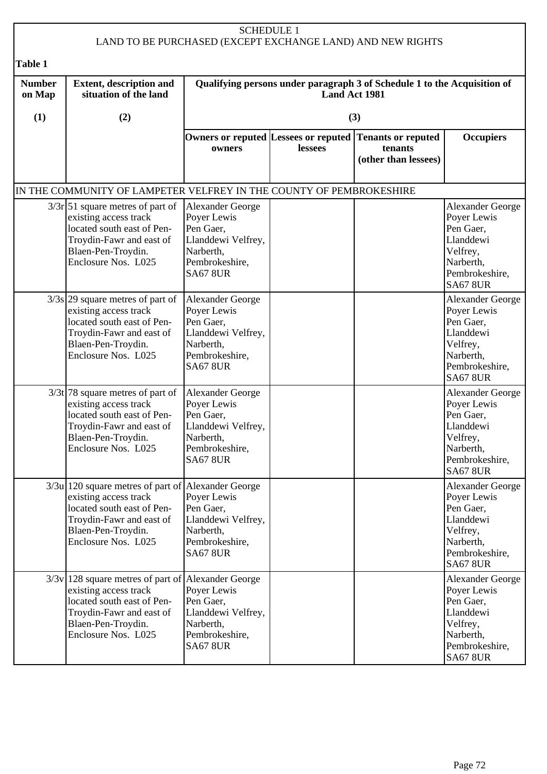| <b>SCHEDULE 1</b><br>LAND TO BE PURCHASED (EXCEPT EXCHANGE LAND) AND NEW RIGHTS |                                                                                                                                                                                      |                                                                                                                             |               |                                                                          |                                                                                                                                |  |
|---------------------------------------------------------------------------------|--------------------------------------------------------------------------------------------------------------------------------------------------------------------------------------|-----------------------------------------------------------------------------------------------------------------------------|---------------|--------------------------------------------------------------------------|--------------------------------------------------------------------------------------------------------------------------------|--|
| <b>Table 1</b>                                                                  |                                                                                                                                                                                      |                                                                                                                             |               |                                                                          |                                                                                                                                |  |
| <b>Number</b><br>on Map                                                         | <b>Extent, description and</b><br>situation of the land                                                                                                                              |                                                                                                                             | Land Act 1981 | Qualifying persons under paragraph 3 of Schedule 1 to the Acquisition of |                                                                                                                                |  |
| (1)                                                                             | (2)                                                                                                                                                                                  |                                                                                                                             |               | (3)                                                                      |                                                                                                                                |  |
|                                                                                 |                                                                                                                                                                                      | Owners or reputed Lessees or reputed<br>owners                                                                              | lessees       | Tenants or reputed<br>tenants<br>(other than lessees)                    | <b>Occupiers</b>                                                                                                               |  |
|                                                                                 | IN THE COMMUNITY OF LAMPETER VELFREY IN THE COUNTY OF PEMBROKESHIRE                                                                                                                  |                                                                                                                             |               |                                                                          |                                                                                                                                |  |
|                                                                                 | $3/3r$ 51 square metres of part of<br>existing access track<br>located south east of Pen-<br>Troydin-Fawr and east of<br>Blaen-Pen-Troydin.<br>Enclosure Nos. L025                   | Alexander George<br>Poyer Lewis<br>Pen Gaer,<br>Llanddewi Velfrey,<br>Narberth,<br>Pembrokeshire,<br><b>SA67 8UR</b>        |               |                                                                          | <b>Alexander George</b><br>Poyer Lewis<br>Pen Gaer,<br>Llanddewi<br>Velfrey,<br>Narberth,<br>Pembrokeshire,<br><b>SA67 8UR</b> |  |
|                                                                                 | $3/3s$ 29 square metres of part of<br>existing access track<br>located south east of Pen-<br>Troydin-Fawr and east of<br>Blaen-Pen-Troydin.<br>Enclosure Nos. L025                   | <b>Alexander George</b><br>Poyer Lewis<br>Pen Gaer,<br>Llanddewi Velfrey,<br>Narberth,<br>Pembrokeshire,<br><b>SA67 8UR</b> |               |                                                                          | <b>Alexander George</b><br>Poyer Lewis<br>Pen Gaer,<br>Llanddewi<br>Velfrey,<br>Narberth,<br>Pembrokeshire,<br><b>SA67 8UR</b> |  |
|                                                                                 | $3/3t$ 78 square metres of part of<br>existing access track<br>located south east of Pen-<br>Troydin-Fawr and east of<br>Blaen-Pen-Troydin.<br>Enclosure Nos. L025                   | Alexander George<br>Poyer Lewis<br>Pen Gaer,<br>Llanddewi Velfrey,<br>Narberth,<br>Pembrokeshire,<br><b>SA67 8UR</b>        |               |                                                                          | <b>Alexander George</b><br>Poyer Lewis<br>Pen Gaer,<br>Llanddewi<br>Velfrey,<br>Narberth,<br>Pembrokeshire,<br><b>SA67 8UR</b> |  |
|                                                                                 | $3/3u$ 120 square metres of part of Alexander George<br>existing access track<br>located south east of Pen-<br>Troydin-Fawr and east of<br>Blaen-Pen-Troydin.<br>Enclosure Nos. L025 | Poyer Lewis<br>Pen Gaer,<br>Llanddewi Velfrey,<br>Narberth,<br>Pembrokeshire,<br><b>SA67 8UR</b>                            |               |                                                                          | <b>Alexander George</b><br>Poyer Lewis<br>Pen Gaer,<br>Llanddewi<br>Velfrey,<br>Narberth,<br>Pembrokeshire,<br><b>SA67 8UR</b> |  |
|                                                                                 | $3/3v$ 128 square metres of part of Alexander George<br>existing access track<br>located south east of Pen-<br>Troydin-Fawr and east of<br>Blaen-Pen-Troydin.<br>Enclosure Nos. L025 | Poyer Lewis<br>Pen Gaer,<br>Llanddewi Velfrey,<br>Narberth,<br>Pembrokeshire,<br><b>SA67 8UR</b>                            |               |                                                                          | <b>Alexander George</b><br>Poyer Lewis<br>Pen Gaer,<br>Llanddewi<br>Velfrey,<br>Narberth,<br>Pembrokeshire,<br><b>SA67 8UR</b> |  |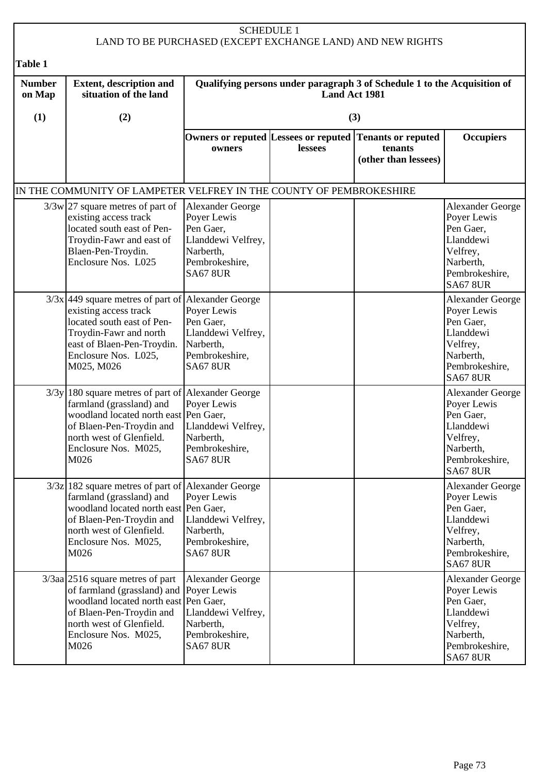| <b>SCHEDULE 1</b><br>LAND TO BE PURCHASED (EXCEPT EXCHANGE LAND) AND NEW RIGHTS |                                                                                                                                                                                                                     |                                                                                                                      |                |                                                                          |                                                                                                                                |  |
|---------------------------------------------------------------------------------|---------------------------------------------------------------------------------------------------------------------------------------------------------------------------------------------------------------------|----------------------------------------------------------------------------------------------------------------------|----------------|--------------------------------------------------------------------------|--------------------------------------------------------------------------------------------------------------------------------|--|
| Table 1                                                                         |                                                                                                                                                                                                                     |                                                                                                                      |                |                                                                          |                                                                                                                                |  |
| <b>Number</b><br>on Map                                                         | <b>Extent, description and</b><br>situation of the land                                                                                                                                                             |                                                                                                                      | Land Act 1981  | Qualifying persons under paragraph 3 of Schedule 1 to the Acquisition of |                                                                                                                                |  |
| (1)                                                                             | (2)                                                                                                                                                                                                                 |                                                                                                                      |                | (3)                                                                      |                                                                                                                                |  |
|                                                                                 |                                                                                                                                                                                                                     | Owners or reputed Lessees or reputed<br>owners                                                                       | <b>lessees</b> | Tenants or reputed<br>tenants<br>(other than lessees)                    | <b>Occupiers</b>                                                                                                               |  |
|                                                                                 | IN THE COMMUNITY OF LAMPETER VELFREY IN THE COUNTY OF PEMBROKESHIRE                                                                                                                                                 |                                                                                                                      |                |                                                                          |                                                                                                                                |  |
|                                                                                 | $3/3w$ 27 square metres of part of<br>existing access track<br>located south east of Pen-<br>Troydin-Fawr and east of<br>Blaen-Pen-Troydin.<br>Enclosure Nos. L025                                                  | Alexander George<br>Poyer Lewis<br>Pen Gaer,<br>Llanddewi Velfrey,<br>Narberth,<br>Pembrokeshire,<br><b>SA67 8UR</b> |                |                                                                          | <b>Alexander George</b><br>Poyer Lewis<br>Pen Gaer.<br>Llanddewi<br>Velfrey,<br>Narberth,<br>Pembrokeshire,<br><b>SA67 8UR</b> |  |
|                                                                                 | $3/3x$ 449 square metres of part of Alexander George<br>existing access track<br>located south east of Pen-<br>Troydin-Fawr and north<br>east of Blaen-Pen-Troydin.<br>Enclosure Nos. L025,<br>M025, M026           | Poyer Lewis<br>Pen Gaer,<br>Llanddewi Velfrey,<br>Narberth,<br>Pembrokeshire,<br><b>SA67 8UR</b>                     |                |                                                                          | <b>Alexander George</b><br>Poyer Lewis<br>Pen Gaer,<br>Llanddewi<br>Velfrey,<br>Narberth,<br>Pembrokeshire,<br><b>SA67 8UR</b> |  |
|                                                                                 | $3/3y$ 180 square metres of part of Alexander George<br>farmland (grassland) and<br>woodland located north east Pen Gaer,<br>of Blaen-Pen-Troydin and<br>north west of Glenfield.<br>Enclosure Nos. M025,<br>M026   | Poyer Lewis<br>Llanddewi Velfrey,<br>Narberth,<br>Pembrokeshire,<br><b>SA67 8UR</b>                                  |                |                                                                          | <b>Alexander George</b><br>Poyer Lewis<br>Pen Gaer,<br>Llanddewi<br>Velfrey,<br>Narberth,<br>Pembrokeshire,<br><b>SA67 8UR</b> |  |
|                                                                                 | $3/3z$   182 square metres of part of Alexander George<br>farmland (grassland) and<br>woodland located north east Pen Gaer,<br>of Blaen-Pen-Troydin and<br>north west of Glenfield.<br>Enclosure Nos. M025,<br>M026 | Poyer Lewis<br>Llanddewi Velfrey,<br>Narberth,<br>Pembrokeshire,<br><b>SA67 8UR</b>                                  |                |                                                                          | <b>Alexander George</b><br>Poyer Lewis<br>Pen Gaer,<br>Llanddewi<br>Velfrey,<br>Narberth,<br>Pembrokeshire,<br><b>SA67 8UR</b> |  |
|                                                                                 | $3/3$ aa 2516 square metres of part<br>of farmland (grassland) and<br>woodland located north east Pen Gaer,<br>of Blaen-Pen-Troydin and<br>north west of Glenfield.<br>Enclosure Nos. M025,<br>M026                 | <b>Alexander George</b><br>Poyer Lewis<br>Llanddewi Velfrey,<br>Narberth,<br>Pembrokeshire,<br><b>SA67 8UR</b>       |                |                                                                          | <b>Alexander George</b><br>Poyer Lewis<br>Pen Gaer,<br>Llanddewi<br>Velfrey,<br>Narberth,<br>Pembrokeshire,<br><b>SA67 8UR</b> |  |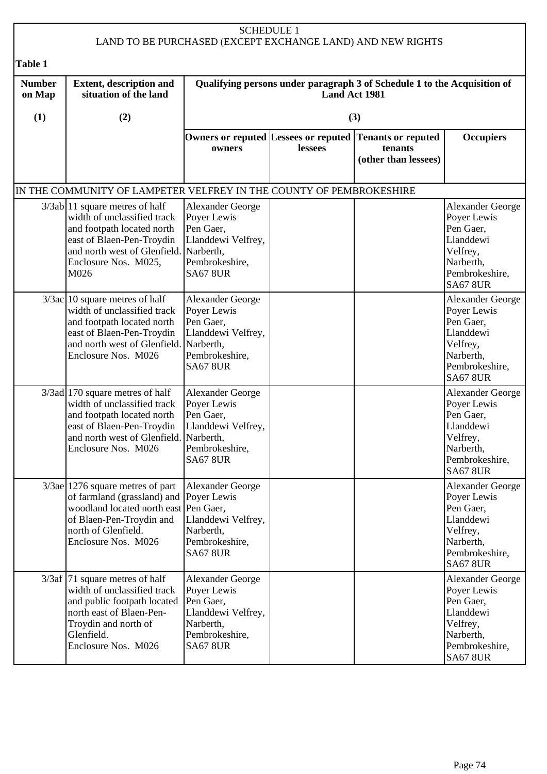| <b>SCHEDULE 1</b><br>LAND TO BE PURCHASED (EXCEPT EXCHANGE LAND) AND NEW RIGHTS |                                                                                                                                                                                                   |                                                                                                                             |                                                                                           |                                                              |                                                                                                                                |  |
|---------------------------------------------------------------------------------|---------------------------------------------------------------------------------------------------------------------------------------------------------------------------------------------------|-----------------------------------------------------------------------------------------------------------------------------|-------------------------------------------------------------------------------------------|--------------------------------------------------------------|--------------------------------------------------------------------------------------------------------------------------------|--|
| Table 1                                                                         |                                                                                                                                                                                                   |                                                                                                                             |                                                                                           |                                                              |                                                                                                                                |  |
| <b>Number</b><br>on Map                                                         | <b>Extent, description and</b><br>situation of the land                                                                                                                                           |                                                                                                                             | Qualifying persons under paragraph 3 of Schedule 1 to the Acquisition of<br>Land Act 1981 |                                                              |                                                                                                                                |  |
| (1)                                                                             | (2)                                                                                                                                                                                               |                                                                                                                             |                                                                                           | (3)                                                          |                                                                                                                                |  |
|                                                                                 |                                                                                                                                                                                                   | owners                                                                                                                      | Owners or reputed Lessees or reputed<br>lessees                                           | <b>Tenants or reputed</b><br>tenants<br>(other than lessees) | <b>Occupiers</b>                                                                                                               |  |
|                                                                                 | IN THE COMMUNITY OF LAMPETER VELFREY IN THE COUNTY OF PEMBROKESHIRE                                                                                                                               |                                                                                                                             |                                                                                           |                                                              |                                                                                                                                |  |
|                                                                                 | $3/3ab$ 11 square metres of half<br>width of unclassified track<br>and footpath located north<br>east of Blaen-Pen-Troydin<br>and north west of Glenfield.<br>Enclosure Nos. M025,<br>M026        | Alexander George<br>Poyer Lewis<br>Pen Gaer,<br>Llanddewi Velfrey,<br>Narberth,<br>Pembrokeshire,<br><b>SA67 8UR</b>        |                                                                                           |                                                              | Alexander George<br>Poyer Lewis<br>Pen Gaer,<br>Llanddewi<br>Velfrey,<br>Narberth,<br>Pembrokeshire,<br><b>SA67 8UR</b>        |  |
|                                                                                 | $3/3ac$ 10 square metres of half<br>width of unclassified track<br>and footpath located north<br>east of Blaen-Pen-Troydin<br>and north west of Glenfield.<br>Enclosure Nos. M026                 | <b>Alexander George</b><br>Poyer Lewis<br>Pen Gaer,<br>Llanddewi Velfrey,<br>Narberth,<br>Pembrokeshire,<br><b>SA67 8UR</b> |                                                                                           |                                                              | Alexander George<br>Poyer Lewis<br>Pen Gaer,<br>Llanddewi<br>Velfrey,<br>Narberth,<br>Pembrokeshire,<br><b>SA67 8UR</b>        |  |
|                                                                                 | $3/3$ ad 170 square metres of half<br>width of unclassified track<br>and footpath located north<br>east of Blaen-Pen-Troydin<br>and north west of Glenfield. Narberth,<br>Enclosure Nos. M026     | <b>Alexander George</b><br>Poyer Lewis<br>Pen Gaer,<br>Llanddewi Velfrey,<br>Pembrokeshire,<br><b>SA67 8UR</b>              |                                                                                           |                                                              | Alexander George<br>Poyer Lewis<br>Pen Gaer,<br>Llanddewi<br>Velfrey,<br>Narberth,<br>Pembrokeshire,<br><b>SA67 8UR</b>        |  |
|                                                                                 | $3/3$ ae 1276 square metres of part<br>of farmland (grassland) and Poyer Lewis<br>woodland located north east Pen Gaer,<br>of Blaen-Pen-Troydin and<br>north of Glenfield.<br>Enclosure Nos. M026 | Alexander George<br>Llanddewi Velfrey,<br>Narberth,<br>Pembrokeshire,<br><b>SA67 8UR</b>                                    |                                                                                           |                                                              | <b>Alexander George</b><br>Poyer Lewis<br>Pen Gaer,<br>Llanddewi<br>Velfrey,<br>Narberth,<br>Pembrokeshire,<br><b>SA67 8UR</b> |  |
|                                                                                 | $3/3af$ 71 square metres of half<br>width of unclassified track<br>and public footpath located<br>north east of Blaen-Pen-<br>Troydin and north of<br>Glenfield.<br>Enclosure Nos. M026           | <b>Alexander George</b><br>Poyer Lewis<br>Pen Gaer,<br>Llanddewi Velfrey,<br>Narberth,<br>Pembrokeshire,<br><b>SA67 8UR</b> |                                                                                           |                                                              | Alexander George<br>Poyer Lewis<br>Pen Gaer,<br>Llanddewi<br>Velfrey,<br>Narberth,<br>Pembrokeshire,<br><b>SA67 8UR</b>        |  |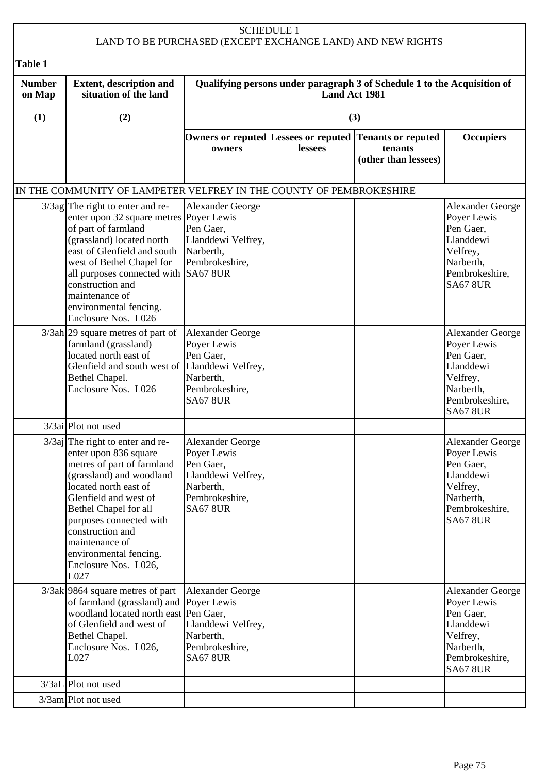|                         |                                                                                                                                                                                                                                                                                                                               |                                                                                                                             | <b>SCHEDULE 1</b> | LAND TO BE PURCHASED (EXCEPT EXCHANGE LAND) AND NEW RIGHTS               |                                                                                                                                |
|-------------------------|-------------------------------------------------------------------------------------------------------------------------------------------------------------------------------------------------------------------------------------------------------------------------------------------------------------------------------|-----------------------------------------------------------------------------------------------------------------------------|-------------------|--------------------------------------------------------------------------|--------------------------------------------------------------------------------------------------------------------------------|
| Table 1                 |                                                                                                                                                                                                                                                                                                                               |                                                                                                                             |                   |                                                                          |                                                                                                                                |
| <b>Number</b><br>on Map | <b>Extent, description and</b><br>situation of the land                                                                                                                                                                                                                                                                       |                                                                                                                             | Land Act 1981     | Qualifying persons under paragraph 3 of Schedule 1 to the Acquisition of |                                                                                                                                |
| (1)                     | (2)                                                                                                                                                                                                                                                                                                                           |                                                                                                                             |                   | (3)                                                                      |                                                                                                                                |
|                         |                                                                                                                                                                                                                                                                                                                               | Owners or reputed Lessees or reputed<br>owners                                                                              | lessees           | <b>Tenants or reputed</b><br>tenants<br>(other than lessees)             | <b>Occupiers</b>                                                                                                               |
|                         | IN THE COMMUNITY OF LAMPETER VELFREY IN THE COUNTY OF PEMBROKESHIRE                                                                                                                                                                                                                                                           |                                                                                                                             |                   |                                                                          |                                                                                                                                |
|                         | $3/3$ ag The right to enter and re-<br>enter upon 32 square metres Poyer Lewis<br>of part of farmland<br>(grassland) located north<br>east of Glenfield and south<br>west of Bethel Chapel for<br>all purposes connected with SA67 8UR<br>construction and<br>maintenance of<br>environmental fencing.<br>Enclosure Nos. L026 | Alexander George<br>Pen Gaer,<br>Llanddewi Velfrey,<br>Narberth,<br>Pembrokeshire,                                          |                   |                                                                          | Alexander George<br>Poyer Lewis<br>Pen Gaer,<br>Llanddewi<br>Velfrey,<br>Narberth,<br>Pembrokeshire,<br><b>SA67 8UR</b>        |
|                         | $3/3ah$ 29 square metres of part of<br>farmland (grassland)<br>located north east of<br>Glenfield and south west of Llanddewi Velfrey,<br>Bethel Chapel.<br>Enclosure Nos. L026                                                                                                                                               | <b>Alexander George</b><br>Poyer Lewis<br>Pen Gaer,<br>Narberth,<br>Pembrokeshire,<br><b>SA67 8UR</b>                       |                   |                                                                          | <b>Alexander George</b><br>Poyer Lewis<br>Pen Gaer,<br>Llanddewi<br>Velfrey,<br>Narberth,<br>Pembrokeshire,<br><b>SA67 8UR</b> |
|                         | 3/3ai Plot not used                                                                                                                                                                                                                                                                                                           |                                                                                                                             |                   |                                                                          |                                                                                                                                |
|                         | $3/3$ aj The right to enter and re-<br>enter upon 836 square<br>metres of part of farmland<br>(grassland) and woodland<br>located north east of<br>Glenfield and west of<br>Bethel Chapel for all<br>purposes connected with<br>construction and<br>maintenance of<br>environmental fencing.<br>Enclosure Nos. L026,<br>L027  | <b>Alexander George</b><br>Poyer Lewis<br>Pen Gaer,<br>Llanddewi Velfrey,<br>Narberth,<br>Pembrokeshire,<br><b>SA67 8UR</b> |                   |                                                                          | Alexander George<br>Poyer Lewis<br>Pen Gaer,<br>Llanddewi<br>Velfrey,<br>Narberth,<br>Pembrokeshire,<br><b>SA67 8UR</b>        |
|                         | $3/3ak$  9864 square metres of part<br>of farmland (grassland) and Poyer Lewis<br>woodland located north east Pen Gaer,<br>of Glenfield and west of<br>Bethel Chapel.<br>Enclosure Nos. L026,<br>L027                                                                                                                         | <b>Alexander George</b><br>Llanddewi Velfrey,<br>Narberth,<br>Pembrokeshire,<br><b>SA67 8UR</b>                             |                   |                                                                          | <b>Alexander George</b><br>Poyer Lewis<br>Pen Gaer,<br>Llanddewi<br>Velfrey,<br>Narberth,<br>Pembrokeshire,<br><b>SA67 8UR</b> |
|                         | $3/3aL$ Plot not used                                                                                                                                                                                                                                                                                                         |                                                                                                                             |                   |                                                                          |                                                                                                                                |
|                         | 3/3am Plot not used                                                                                                                                                                                                                                                                                                           |                                                                                                                             |                   |                                                                          |                                                                                                                                |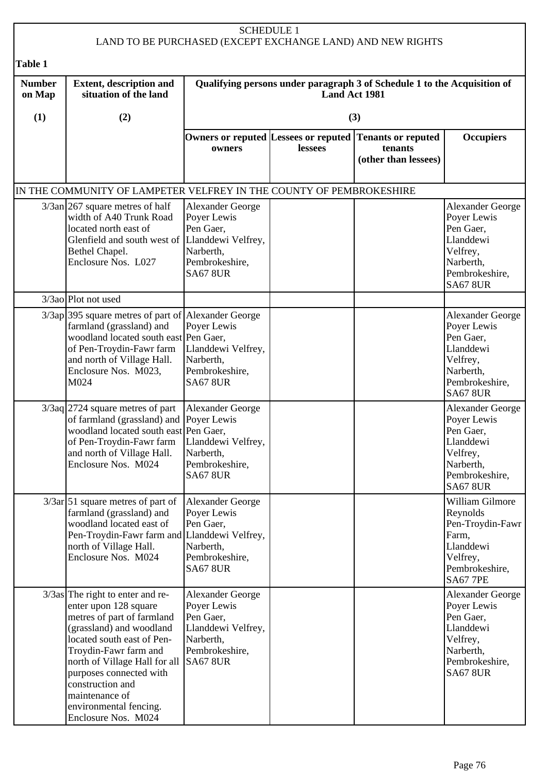|                         |                                                                                                                                                                                                                                                                                                                                  |                                                                                                                             | <b>SCHEDULE 1</b>    | LAND TO BE PURCHASED (EXCEPT EXCHANGE LAND) AND NEW RIGHTS                                 |                                                                                                                                |
|-------------------------|----------------------------------------------------------------------------------------------------------------------------------------------------------------------------------------------------------------------------------------------------------------------------------------------------------------------------------|-----------------------------------------------------------------------------------------------------------------------------|----------------------|--------------------------------------------------------------------------------------------|--------------------------------------------------------------------------------------------------------------------------------|
| Table 1                 |                                                                                                                                                                                                                                                                                                                                  |                                                                                                                             |                      |                                                                                            |                                                                                                                                |
| <b>Number</b><br>on Map | <b>Extent, description and</b><br>situation of the land                                                                                                                                                                                                                                                                          |                                                                                                                             | <b>Land Act 1981</b> | Qualifying persons under paragraph 3 of Schedule 1 to the Acquisition of                   |                                                                                                                                |
| (1)                     | (2)                                                                                                                                                                                                                                                                                                                              |                                                                                                                             |                      | (3)                                                                                        |                                                                                                                                |
|                         |                                                                                                                                                                                                                                                                                                                                  | owners                                                                                                                      | lessees              | Owners or reputed Lessees or reputed Tenants or reputed<br>tenants<br>(other than lessees) | <b>Occupiers</b>                                                                                                               |
|                         | IN THE COMMUNITY OF LAMPETER VELFREY IN THE COUNTY OF PEMBROKESHIRE                                                                                                                                                                                                                                                              |                                                                                                                             |                      |                                                                                            |                                                                                                                                |
|                         | $3/3$ an 267 square metres of half<br>width of A40 Trunk Road<br>located north east of<br>Glenfield and south west of Llanddewi Velfrey,<br>Bethel Chapel.<br>Enclosure Nos. L027                                                                                                                                                | <b>Alexander George</b><br>Poyer Lewis<br>Pen Gaer,<br>Narberth,<br>Pembrokeshire,<br><b>SA67 8UR</b>                       |                      |                                                                                            | <b>Alexander George</b><br>Poyer Lewis<br>Pen Gaer,<br>Llanddewi<br>Velfrey,<br>Narberth,<br>Pembrokeshire,<br><b>SA67 8UR</b> |
|                         | 3/3ao Plot not used                                                                                                                                                                                                                                                                                                              |                                                                                                                             |                      |                                                                                            |                                                                                                                                |
|                         | 3/3ap 395 square metres of part of<br>farmland (grassland) and<br>woodland located south east Pen Gaer,<br>of Pen-Troydin-Fawr farm<br>and north of Village Hall.<br>Enclosure Nos. M023,<br>M024                                                                                                                                | <b>Alexander George</b><br>Poyer Lewis<br>Llanddewi Velfrey,<br>Narberth,<br>Pembrokeshire,<br><b>SA67 8UR</b>              |                      |                                                                                            | <b>Alexander George</b><br>Poyer Lewis<br>Pen Gaer,<br>Llanddewi<br>Velfrey,<br>Narberth,<br>Pembrokeshire,<br><b>SA67 8UR</b> |
|                         | $3/3$ aq 2724 square metres of part<br>of farmland (grassland) and Poyer Lewis<br>woodland located south east Pen Gaer,<br>of Pen-Troydin-Fawr farm<br>and north of Village Hall.<br>Enclosure Nos. M024                                                                                                                         | <b>Alexander George</b><br>Llanddewi Velfrey,<br>Narberth,<br>Pembrokeshire,<br><b>SA67 8UR</b>                             |                      |                                                                                            | <b>Alexander George</b><br>Poyer Lewis<br>Pen Gaer,<br>Llanddewi<br>Velfrey,<br>Narberth,<br>Pembrokeshire,<br><b>SA67 8UR</b> |
|                         | $3/3ar$ 51 square metres of part of<br>farmland (grassland) and<br>woodland located east of<br>Pen-Troydin-Fawr farm and<br>north of Village Hall.<br>Enclosure Nos. M024                                                                                                                                                        | <b>Alexander George</b><br>Poyer Lewis<br>Pen Gaer,<br>Llanddewi Velfrey,<br>Narberth,<br>Pembrokeshire,<br><b>SA67 8UR</b> |                      |                                                                                            | William Gilmore<br>Reynolds<br>Pen-Troydin-Fawr<br>Farm,<br>Llanddewi<br>Velfrey,<br>Pembrokeshire,<br><b>SA67 7PE</b>         |
|                         | $3/3$ as The right to enter and re-<br>enter upon 128 square<br>metres of part of farmland<br>(grassland) and woodland<br>located south east of Pen-<br>Troydin-Fawr farm and<br>north of Village Hall for all<br>purposes connected with<br>construction and<br>maintenance of<br>environmental fencing.<br>Enclosure Nos. M024 | <b>Alexander George</b><br>Poyer Lewis<br>Pen Gaer,<br>Llanddewi Velfrey,<br>Narberth,<br>Pembrokeshire,<br><b>SA67 8UR</b> |                      |                                                                                            | Alexander George<br>Poyer Lewis<br>Pen Gaer,<br>Llanddewi<br>Velfrey,<br>Narberth,<br>Pembrokeshire,<br><b>SA67 8UR</b>        |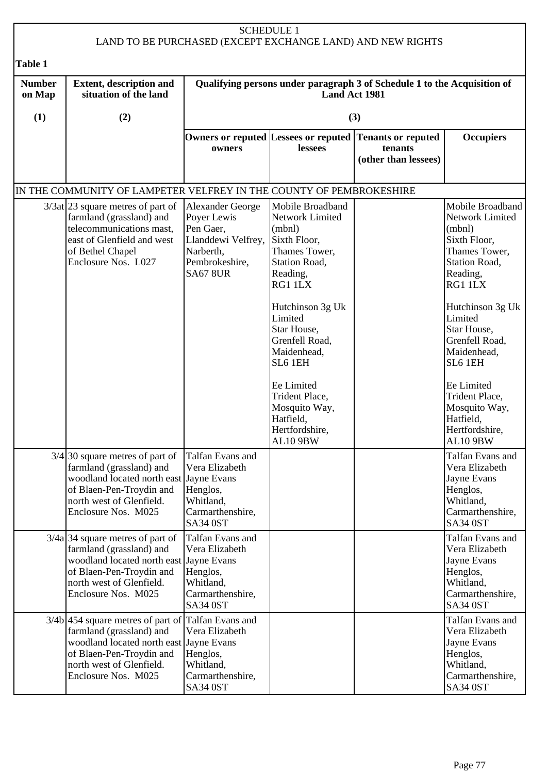|                         |                                                                                                                                                                                                                                                           |                                                                                                                                   | <b>SCHEDULE 1</b>                                                                                                                                                                                                                                                                                                         | LAND TO BE PURCHASED (EXCEPT EXCHANGE LAND) AND NEW RIGHTS   |                                                                                                                                                                                                                                                                                                             |  |  |
|-------------------------|-----------------------------------------------------------------------------------------------------------------------------------------------------------------------------------------------------------------------------------------------------------|-----------------------------------------------------------------------------------------------------------------------------------|---------------------------------------------------------------------------------------------------------------------------------------------------------------------------------------------------------------------------------------------------------------------------------------------------------------------------|--------------------------------------------------------------|-------------------------------------------------------------------------------------------------------------------------------------------------------------------------------------------------------------------------------------------------------------------------------------------------------------|--|--|
| Table 1                 |                                                                                                                                                                                                                                                           |                                                                                                                                   |                                                                                                                                                                                                                                                                                                                           |                                                              |                                                                                                                                                                                                                                                                                                             |  |  |
| <b>Number</b><br>on Map | <b>Extent, description and</b><br>situation of the land                                                                                                                                                                                                   |                                                                                                                                   | Qualifying persons under paragraph 3 of Schedule 1 to the Acquisition of<br>Land Act 1981                                                                                                                                                                                                                                 |                                                              |                                                                                                                                                                                                                                                                                                             |  |  |
| (1)                     | (2)                                                                                                                                                                                                                                                       |                                                                                                                                   |                                                                                                                                                                                                                                                                                                                           | (3)                                                          |                                                                                                                                                                                                                                                                                                             |  |  |
|                         |                                                                                                                                                                                                                                                           | owners                                                                                                                            | Owners or reputed Lessees or reputed<br>lessees                                                                                                                                                                                                                                                                           | <b>Tenants or reputed</b><br>tenants<br>(other than lessees) | <b>Occupiers</b>                                                                                                                                                                                                                                                                                            |  |  |
|                         | IN THE COMMUNITY OF LAMPETER VELFREY IN THE COUNTY OF PEMBROKESHIRE                                                                                                                                                                                       |                                                                                                                                   |                                                                                                                                                                                                                                                                                                                           |                                                              |                                                                                                                                                                                                                                                                                                             |  |  |
|                         | $3/3$ at 23 square metres of part of<br>farmland (grassland) and<br>telecommunications mast,<br>east of Glenfield and west<br>of Bethel Chapel<br>Enclosure Nos. L027                                                                                     | Alexander George<br>Poyer Lewis<br>Pen Gaer,<br>Llanddewi Velfrey,<br>Narberth,<br>Pembrokeshire,<br><b>SA67 8UR</b>              | Mobile Broadband<br>Network Limited<br>(mbn)<br>Sixth Floor,<br>Thames Tower,<br><b>Station Road,</b><br>Reading,<br>RG1 1LX<br>Hutchinson 3g Uk<br>Limited<br>Star House,<br>Grenfell Road,<br>Maidenhead,<br>SL6 1EH<br>Ee Limited<br>Trident Place,<br>Mosquito Way,<br>Hatfield,<br>Hertfordshire,<br><b>AL10 9BW</b> |                                                              | Mobile Broadband<br>Network Limited<br>(mbn)<br>Sixth Floor,<br>Thames Tower,<br>Station Road,<br>Reading,<br>RG1 1LX<br>Hutchinson 3g Uk<br>Limited<br>Star House,<br>Grenfell Road,<br>Maidenhead,<br>SL6 1EH<br>Ee Limited<br>Trident Place,<br>Mosquito Way,<br>Hatfield,<br>Hertfordshire,<br>AL10 9BW |  |  |
|                         | $3/4$ 30 square metres of part of<br>farmland (grassland) and<br>woodland located north east Jayne Evans<br>of Blaen-Pen-Troydin and<br>north west of Glenfield.<br>Enclosure Nos. M025<br>$3/4a$ 34 square metres of part of<br>farmland (grassland) and | Talfan Evans and<br>Vera Elizabeth<br>Henglos,<br>Whitland,<br>Carmarthenshire,<br>SA34 0ST<br>Talfan Evans and<br>Vera Elizabeth |                                                                                                                                                                                                                                                                                                                           |                                                              | Talfan Evans and<br>Vera Elizabeth<br>Jayne Evans<br>Henglos,<br>Whitland,<br>Carmarthenshire,<br><b>SA34 0ST</b><br>Talfan Evans and<br>Vera Elizabeth                                                                                                                                                     |  |  |
|                         | woodland located north east Jayne Evans<br>of Blaen-Pen-Troydin and<br>north west of Glenfield.<br>Enclosure Nos. M025                                                                                                                                    | Henglos,<br>Whitland,<br>Carmarthenshire,<br>SA34 0ST                                                                             |                                                                                                                                                                                                                                                                                                                           |                                                              | Jayne Evans<br>Henglos,<br>Whitland,<br>Carmarthenshire,<br><b>SA34 0ST</b>                                                                                                                                                                                                                                 |  |  |
|                         | 3/4b 454 square metres of part of Talfan Evans and<br>farmland (grassland) and<br>woodland located north east Jayne Evans<br>of Blaen-Pen-Troydin and<br>north west of Glenfield.<br>Enclosure Nos. M025                                                  | Vera Elizabeth<br>Henglos,<br>Whitland,<br>Carmarthenshire,<br>SA34 0ST                                                           |                                                                                                                                                                                                                                                                                                                           |                                                              | Talfan Evans and<br>Vera Elizabeth<br>Jayne Evans<br>Henglos,<br>Whitland,<br>Carmarthenshire,<br>SA34 0ST                                                                                                                                                                                                  |  |  |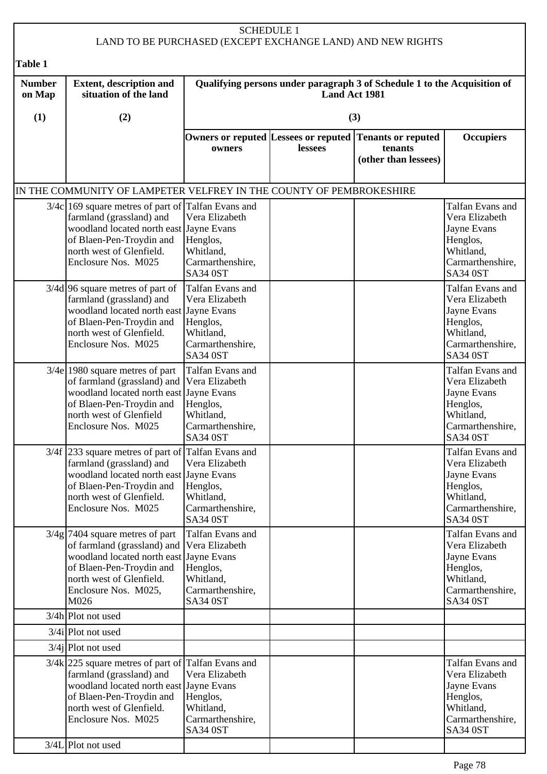## SCHEDULE 1 LAND TO BE PURCHASED (EXCEPT EXCHANGE LAND) AND NEW RIGHTS **Table 1 Number on Map (1) Extent, description and situation of the land (2) Qualifying persons under paragraph 3 of Schedule 1 to the Acquisition of Land Act 1981 (3) Owners or reputed Lessees or reputed Tenants or reputed owners lessees tenants (other than lessees) Occupiers** IN THE COMMUNITY OF LAMPETER VELFREY IN THE COUNTY OF PEMBROKESHIRE 3/4c 169 square metres of part of Talfan Evans and farmland (grassland) and woodland located north east Jayne Evans of Blaen-Pen-Troydin and north west of Glenfield. Enclosure Nos. M025 Vera Elizabeth Henglos, Whitland, Carmarthenshire, SA34 0ST Talfan Evans and Vera Elizabeth Jayne Evans Henglos, Whitland, Carmarthenshire, SA34 0ST 3/4d 96 square metres of part of farmland (grassland) and woodland located north east Jayne Evans of Blaen-Pen-Troydin and north west of Glenfield. Enclosure Nos. M025 Talfan Evans and Vera Elizabeth Henglos, Whitland, Carmarthenshire, SA34 0ST Talfan Evans and Vera Elizabeth Jayne Evans Henglos, Whitland, Carmarthenshire, SA34 0ST  $3/4e$  1980 square metres of part of farmland (grassland) and woodland located north east Jayne Evans of Blaen-Pen-Troydin and north west of Glenfield Enclosure Nos. M025 Talfan Evans and Vera Elizabeth Henglos, Whitland, Carmarthenshire, SA34 0ST Talfan Evans and Vera Elizabeth Jayne Evans Henglos, Whitland, Carmarthenshire, SA34 0ST 3/4f 233 square metres of part of Talfan Evans and farmland (grassland) and woodland located north east Jayne Evans of Blaen-Pen-Troydin and north west of Glenfield. Enclosure Nos. M025 Vera Elizabeth Henglos, Whitland, Carmarthenshire, SA34 0ST Talfan Evans and Vera Elizabeth Jayne Evans Henglos, Whitland, Carmarthenshire, SA34 0ST  $3/4g$  7404 square metres of part of farmland (grassland) and Vera Elizabeth woodland located north east Jayne Evans of Blaen-Pen-Troydin and north west of Glenfield. Enclosure Nos. M025, M026 Talfan Evans and Henglos, Whitland, Carmarthenshire, SA34 0ST Talfan Evans and Vera Elizabeth Jayne Evans Henglos, Whitland, Carmarthenshire, SA34 0ST 3/4h Plot not used 3/4i Plot not used 3/4*j* Plot not used 3/4k 225 square metres of part of Talfan Evans and farmland (grassland) and woodland located north east Jayne Evans of Blaen-Pen-Troydin and north west of Glenfield. Enclosure Nos. M025 Vera Elizabeth Henglos, Whitland, Carmarthenshire, SA34 0ST Talfan Evans and Vera Elizabeth Jayne Evans Henglos, Whitland, Carmarthenshire, SA34 0ST 3/4L Plot not used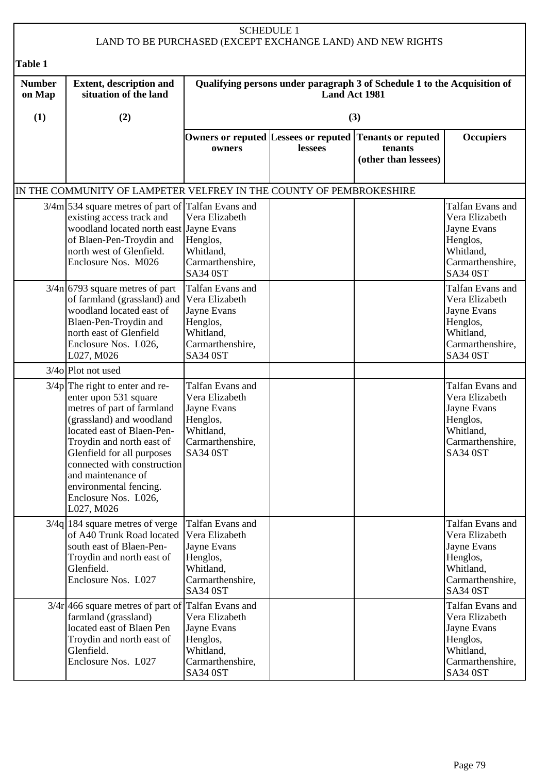## SCHEDULE 1 LAND TO BE PURCHASED (EXCEPT EXCHANGE LAND) AND NEW RIGHTS **Table 1 Number on Map (1) Extent, description and situation of the land (2) Qualifying persons under paragraph 3 of Schedule 1 to the Acquisition of Land Act 1981 (3) Owners or reputed Lessees or reputed Tenants or reputed owners lessees tenants (other than lessees) Occupiers** IN THE COMMUNITY OF LAMPETER VELFREY IN THE COUNTY OF PEMBROKESHIRE 3/4m 534 square metres of part of Talfan Evans and existing access track and woodland located north east Jayne Evans of Blaen-Pen-Troydin and north west of Glenfield. Enclosure Nos. M026 Vera Elizabeth Henglos, Whitland, Carmarthenshire, SA34 0ST Talfan Evans and Vera Elizabeth Jayne Evans Henglos, Whitland, Carmarthenshire, SA34 0ST  $3/4n$  6793 square metres of part of farmland (grassland) and woodland located east of Blaen-Pen-Troydin and north east of Glenfield Enclosure Nos. L026, L027, M026 Talfan Evans and Vera Elizabeth Jayne Evans Henglos, Whitland, Carmarthenshire, SA34 0ST Talfan Evans and Vera Elizabeth Jayne Evans Henglos, Whitland, Carmarthenshire, SA34 0ST 3/4o Plot not used  $3/4p$  The right to enter and reenter upon 531 square metres of part of farmland (grassland) and woodland located east of Blaen-Pen-Troydin and north east of Glenfield for all purposes connected with construction and maintenance of environmental fencing. Enclosure Nos. L026, L027, M026 Talfan Evans and Vera Elizabeth Jayne Evans Henglos, Whitland, Carmarthenshire, SA34 0ST Talfan Evans and Vera Elizabeth Jayne Evans Henglos, Whitland, Carmarthenshire, SA34 0ST  $\overline{3}/4a$  184 square metres of verge of A40 Trunk Road located south east of Blaen-Pen-Troydin and north east of Glenfield. Enclosure Nos. L027 Talfan Evans and Vera Elizabeth Jayne Evans Henglos, Whitland, Carmarthenshire, SA34 0ST Talfan Evans and Vera Elizabeth Jayne Evans Henglos, Whitland, Carmarthenshire, SA34 0ST  $3/4r$  466 square metres of part of Talfan Evans and farmland (grassland) located east of Blaen Pen Troydin and north east of Glenfield. Enclosure Nos. L027 Vera Elizabeth Jayne Evans Henglos, Whitland, Carmarthenshire, SA34 0ST Talfan Evans and Vera Elizabeth Jayne Evans Henglos, Whitland, Carmarthenshire, SA34 0ST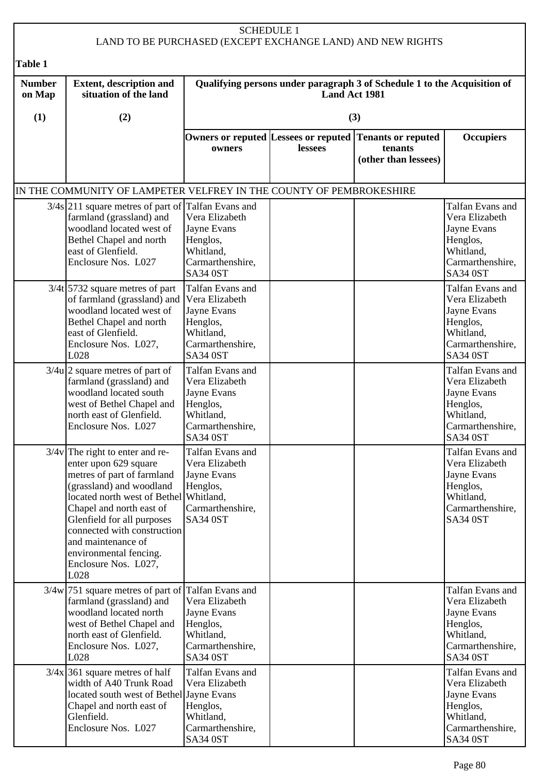|                         |                                                                                                                                                                                                                                                                                                                                         |                                                                                                                   | <b>SCHEDULE 1</b> | LAND TO BE PURCHASED (EXCEPT EXCHANGE LAND) AND NEW RIGHTS                                 |                                                                                                                   |
|-------------------------|-----------------------------------------------------------------------------------------------------------------------------------------------------------------------------------------------------------------------------------------------------------------------------------------------------------------------------------------|-------------------------------------------------------------------------------------------------------------------|-------------------|--------------------------------------------------------------------------------------------|-------------------------------------------------------------------------------------------------------------------|
| <b>Table 1</b>          |                                                                                                                                                                                                                                                                                                                                         |                                                                                                                   |                   |                                                                                            |                                                                                                                   |
| <b>Number</b><br>on Map | <b>Extent, description and</b><br>situation of the land                                                                                                                                                                                                                                                                                 |                                                                                                                   | Land Act 1981     | Qualifying persons under paragraph 3 of Schedule 1 to the Acquisition of                   |                                                                                                                   |
| (1)                     | (2)                                                                                                                                                                                                                                                                                                                                     |                                                                                                                   |                   | (3)                                                                                        |                                                                                                                   |
|                         |                                                                                                                                                                                                                                                                                                                                         | owners                                                                                                            | lessees           | Owners or reputed Lessees or reputed Tenants or reputed<br>tenants<br>(other than lessees) | <b>Occupiers</b>                                                                                                  |
|                         | IN THE COMMUNITY OF LAMPETER VELFREY IN THE COUNTY OF PEMBROKESHIRE                                                                                                                                                                                                                                                                     |                                                                                                                   |                   |                                                                                            |                                                                                                                   |
|                         | $3/4s$ 211 square metres of part of Talfan Evans and<br>farmland (grassland) and<br>woodland located west of<br>Bethel Chapel and north<br>east of Glenfield.<br>Enclosure Nos. L027                                                                                                                                                    | Vera Elizabeth<br>Jayne Evans<br>Henglos,<br>Whitland,<br>Carmarthenshire,<br><b>SA34 0ST</b>                     |                   |                                                                                            | Talfan Evans and<br>Vera Elizabeth<br>Jayne Evans<br>Henglos,<br>Whitland,<br>Carmarthenshire,<br><b>SA34 0ST</b> |
|                         | $3/4t$ 5732 square metres of part<br>of farmland (grassland) and<br>woodland located west of<br>Bethel Chapel and north<br>east of Glenfield.<br>Enclosure Nos. L027,<br>L028                                                                                                                                                           | Talfan Evans and<br>Vera Elizabeth<br>Jayne Evans<br>Henglos,<br>Whitland,<br>Carmarthenshire,<br><b>SA34 0ST</b> |                   |                                                                                            | Talfan Evans and<br>Vera Elizabeth<br>Jayne Evans<br>Henglos,<br>Whitland,<br>Carmarthenshire,<br><b>SA34 0ST</b> |
|                         | $3/4u$  2 square metres of part of<br>farmland (grassland) and<br>woodland located south<br>west of Bethel Chapel and<br>north east of Glenfield.<br>Enclosure Nos. L027                                                                                                                                                                | Talfan Evans and<br>Vera Elizabeth<br>Jayne Evans<br>Henglos,<br>Whitland,<br>Carmarthenshire,<br><b>SA34 0ST</b> |                   |                                                                                            | Talfan Evans and<br>Vera Elizabeth<br>Jayne Evans<br>Henglos,<br>Whitland,<br>Carmarthenshire,<br>SA34 0ST        |
|                         | $3/4v$ The right to enter and re-<br>enter upon 629 square<br>metres of part of farmland<br>(grassland) and woodland<br>located north west of Bethel Whitland,<br>Chapel and north east of<br>Glenfield for all purposes<br>connected with construction<br>and maintenance of<br>environmental fencing.<br>Enclosure Nos. L027,<br>L028 | Talfan Evans and<br>Vera Elizabeth<br>Jayne Evans<br>Henglos,<br>Carmarthenshire,<br><b>SA34 0ST</b>              |                   |                                                                                            | Talfan Evans and<br>Vera Elizabeth<br>Jayne Evans<br>Henglos,<br>Whitland,<br>Carmarthenshire,<br><b>SA34 0ST</b> |
|                         | $3/4w$ 751 square metres of part of Talfan Evans and<br>farmland (grassland) and<br>woodland located north<br>west of Bethel Chapel and<br>north east of Glenfield.<br>Enclosure Nos. L027,<br>L028                                                                                                                                     | Vera Elizabeth<br>Jayne Evans<br>Henglos,<br>Whitland,<br>Carmarthenshire,<br>SA34 0ST                            |                   |                                                                                            | Talfan Evans and<br>Vera Elizabeth<br>Jayne Evans<br>Henglos,<br>Whitland,<br>Carmarthenshire,<br>SA34 0ST        |
|                         | $3/4x$ 361 square metres of half<br>width of A40 Trunk Road<br>located south west of Bethel Jayne Evans<br>Chapel and north east of<br>Glenfield.<br>Enclosure Nos. L027                                                                                                                                                                | Talfan Evans and<br>Vera Elizabeth<br>Henglos,<br>Whitland,<br>Carmarthenshire,<br>SA34 0ST                       |                   |                                                                                            | Talfan Evans and<br>Vera Elizabeth<br>Jayne Evans<br>Henglos,<br>Whitland,<br>Carmarthenshire,<br>SA34 0ST        |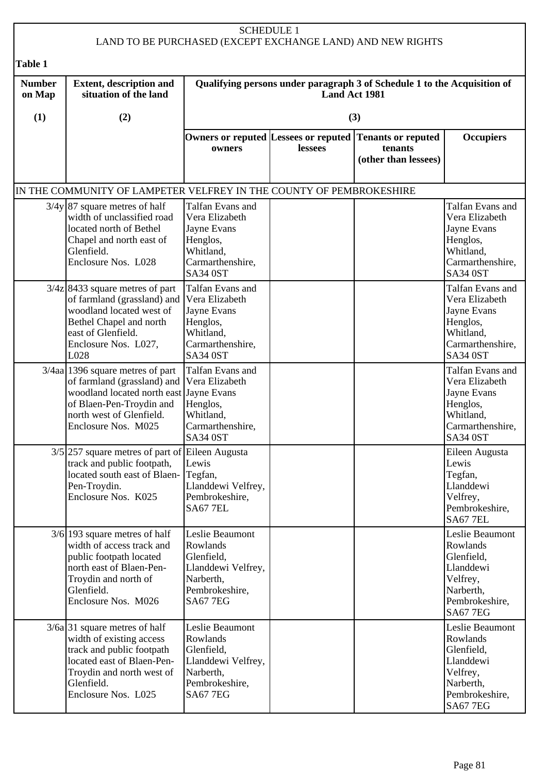## SCHEDULE 1 LAND TO BE PURCHASED (EXCEPT EXCHANGE LAND) AND NEW RIGHTS **Table 1 Number on Map (1) Extent, description and situation of the land (2) Qualifying persons under paragraph 3 of Schedule 1 to the Acquisition of Land Act 1981 (3) Owners or reputed Lessees or reputed Tenants or reputed owners lessees tenants (other than lessees) Occupiers** IN THE COMMUNITY OF LAMPETER VELFREY IN THE COUNTY OF PEMBROKESHIRE  $3/4y$  87 square metres of half width of unclassified road located north of Bethel Chapel and north east of Glenfield. Enclosure Nos. L028 Talfan Evans and Vera Elizabeth Jayne Evans Henglos, Whitland, Carmarthenshire, SA34 0ST Talfan Evans and Vera Elizabeth Jayne Evans Henglos, Whitland, Carmarthenshire, SA34 0ST  $3/4z$  8433 square metres of part of farmland (grassland) and woodland located west of Bethel Chapel and north east of Glenfield. Enclosure Nos. L027, L028 Talfan Evans and Vera Elizabeth Jayne Evans Henglos, Whitland, Carmarthenshire, SA34 0ST Talfan Evans and Vera Elizabeth Jayne Evans Henglos, Whitland, Carmarthenshire, SA34 0ST 3/4aa 1396 square metres of part of farmland (grassland) and woodland located north east Jayne Evans of Blaen-Pen-Troydin and north west of Glenfield. Enclosure Nos. M025 Talfan Evans and Vera Elizabeth Henglos, Whitland, Carmarthenshire, SA34 0ST Talfan Evans and Vera Elizabeth Jayne Evans Henglos, Whitland, Carmarthenshire, SA34 0ST 3/5 257 square metres of part of Eileen Augusta track and public footpath, located south east of Blaen-Pen-Troydin. Enclosure Nos. K025 Lewis Tegfan, Llanddewi Velfrey, Pembrokeshire, SA67 7EL Eileen Augusta Lewis Tegfan, Llanddewi Velfrey, Pembrokeshire, SA67 7EL  $3/6$  193 square metres of half width of access track and public footpath located north east of Blaen-Pen-Troydin and north of Glenfield. Enclosure Nos. M026 Leslie Beaumont Rowlands Glenfield, Llanddewi Velfrey, Narberth, Pembrokeshire, SA67 7EG Leslie Beaumont Rowlands Glenfield, Llanddewi Velfrey, Narberth, Pembrokeshire, SA67 7EG  $3/6a$  31 square metres of half width of existing access track and public footpath located east of Blaen-Pen-Troydin and north west of Glenfield. Enclosure Nos. L025 Leslie Beaumont Rowlands Glenfield, Llanddewi Velfrey, Narberth, Pembrokeshire, SA67 7EG Leslie Beaumont Rowlands Glenfield, Llanddewi Velfrey, Narberth, Pembrokeshire, SA67 7EG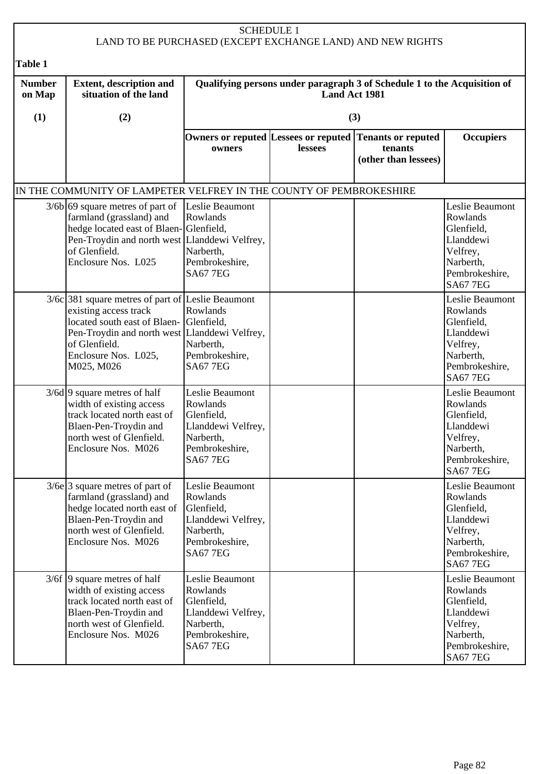| <b>SCHEDULE 1</b><br>LAND TO BE PURCHASED (EXCEPT EXCHANGE LAND) AND NEW RIGHTS |                                                                                                                                                                                                                                 |                                                                                                                   |         |                                                                                            |                                                                                                                      |  |
|---------------------------------------------------------------------------------|---------------------------------------------------------------------------------------------------------------------------------------------------------------------------------------------------------------------------------|-------------------------------------------------------------------------------------------------------------------|---------|--------------------------------------------------------------------------------------------|----------------------------------------------------------------------------------------------------------------------|--|
| Table 1                                                                         |                                                                                                                                                                                                                                 |                                                                                                                   |         |                                                                                            |                                                                                                                      |  |
| <b>Number</b><br>on Map                                                         | <b>Extent, description and</b><br>situation of the land                                                                                                                                                                         | Qualifying persons under paragraph 3 of Schedule 1 to the Acquisition of<br><b>Land Act 1981</b>                  |         |                                                                                            |                                                                                                                      |  |
| (1)                                                                             | (2)                                                                                                                                                                                                                             |                                                                                                                   |         | (3)                                                                                        |                                                                                                                      |  |
|                                                                                 |                                                                                                                                                                                                                                 | owners                                                                                                            | lessees | Owners or reputed Lessees or reputed Tenants or reputed<br>tenants<br>(other than lessees) | <b>Occupiers</b>                                                                                                     |  |
|                                                                                 | IN THE COMMUNITY OF LAMPETER VELFREY IN THE COUNTY OF PEMBROKESHIRE                                                                                                                                                             |                                                                                                                   |         |                                                                                            |                                                                                                                      |  |
|                                                                                 | $3/6b$ 69 square metres of part of<br>farmland (grassland) and<br>hedge located east of Blaen-Glenfield,<br>Pen-Troydin and north west Llanddewi Velfrey,<br>of Glenfield.<br>Enclosure Nos. L025                               | Leslie Beaumont<br>Rowlands<br>Narberth,<br>Pembrokeshire,<br><b>SA67 7EG</b>                                     |         |                                                                                            | Leslie Beaumont<br>Rowlands<br>Glenfield,<br>Llanddewi<br>Velfrey,<br>Narberth,<br>Pembrokeshire,<br><b>SA67 7EG</b> |  |
|                                                                                 | $3/6c$ 381 square metres of part of Leslie Beaumont<br>existing access track<br>located south east of Blaen- Glenfield,<br>Pen-Troydin and north west Llanddewi Velfrey,<br>of Glenfield.<br>Enclosure Nos. L025,<br>M025, M026 | Rowlands<br>Narberth,<br>Pembrokeshire,<br><b>SA67 7EG</b>                                                        |         |                                                                                            | Leslie Beaumont<br>Rowlands<br>Glenfield,<br>Llanddewi<br>Velfrey,<br>Narberth,<br>Pembrokeshire,<br><b>SA67 7EG</b> |  |
|                                                                                 | $3/6d$ 9 square metres of half<br>width of existing access<br>track located north east of<br>Blaen-Pen-Troydin and<br>north west of Glenfield.<br>Enclosure Nos. M026                                                           | Leslie Beaumont<br>Rowlands<br>Glenfield,<br>Llanddewi Velfrey,<br>Narberth,<br>Pembrokeshire,<br><b>SA67 7EG</b> |         |                                                                                            | Leslie Beaumont<br>Rowlands<br>Glenfield,<br>Llanddewi<br>Velfrey,<br>Narberth,<br>Pembrokeshire,<br><b>SA67 7EG</b> |  |
|                                                                                 | $3/6e$ 3 square metres of part of<br>farmland (grassland) and<br>hedge located north east of<br>Blaen-Pen-Troydin and<br>north west of Glenfield.<br>Enclosure Nos. M026                                                        | Leslie Beaumont<br>Rowlands<br>Glenfield,<br>Llanddewi Velfrey,<br>Narberth,<br>Pembrokeshire,<br><b>SA67 7EG</b> |         |                                                                                            | Leslie Beaumont<br>Rowlands<br>Glenfield,<br>Llanddewi<br>Velfrey,<br>Narberth,<br>Pembrokeshire,<br><b>SA67 7EG</b> |  |
|                                                                                 | $3/6f$ 9 square metres of half<br>width of existing access<br>track located north east of<br>Blaen-Pen-Troydin and<br>north west of Glenfield.<br>Enclosure Nos. M026                                                           | Leslie Beaumont<br>Rowlands<br>Glenfield,<br>Llanddewi Velfrey,<br>Narberth,<br>Pembrokeshire,<br><b>SA67 7EG</b> |         |                                                                                            | Leslie Beaumont<br>Rowlands<br>Glenfield,<br>Llanddewi<br>Velfrey,<br>Narberth,<br>Pembrokeshire,<br><b>SA67 7EG</b> |  |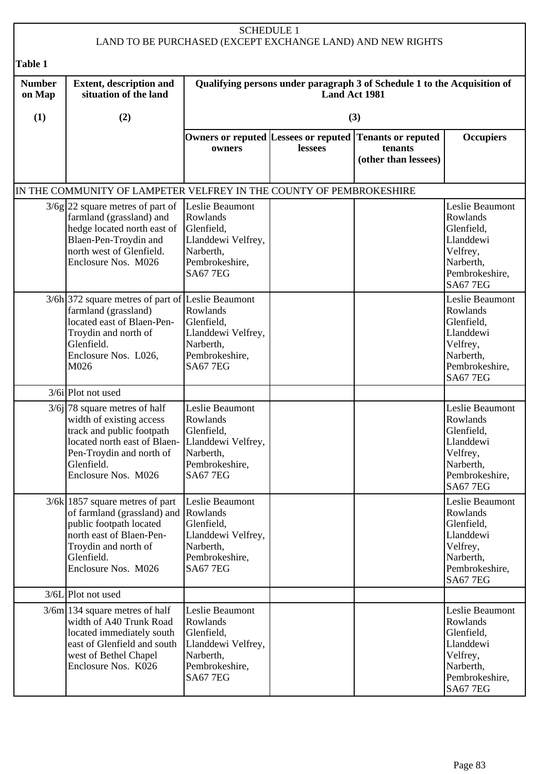| <b>SCHEDULE 1</b><br>LAND TO BE PURCHASED (EXCEPT EXCHANGE LAND) AND NEW RIGHTS |                                                                                                                                                                                                              |                                                                                                                   |                      |                                                                                            |                                                                                                                      |  |  |
|---------------------------------------------------------------------------------|--------------------------------------------------------------------------------------------------------------------------------------------------------------------------------------------------------------|-------------------------------------------------------------------------------------------------------------------|----------------------|--------------------------------------------------------------------------------------------|----------------------------------------------------------------------------------------------------------------------|--|--|
| Table 1                                                                         |                                                                                                                                                                                                              |                                                                                                                   |                      |                                                                                            |                                                                                                                      |  |  |
| <b>Number</b><br>on Map                                                         | <b>Extent, description and</b><br>situation of the land                                                                                                                                                      |                                                                                                                   | <b>Land Act 1981</b> | Qualifying persons under paragraph 3 of Schedule 1 to the Acquisition of                   |                                                                                                                      |  |  |
| (1)                                                                             | (2)                                                                                                                                                                                                          |                                                                                                                   |                      | (3)                                                                                        |                                                                                                                      |  |  |
|                                                                                 |                                                                                                                                                                                                              | owners                                                                                                            | lessees              | Owners or reputed Lessees or reputed Tenants or reputed<br>tenants<br>(other than lessees) | <b>Occupiers</b>                                                                                                     |  |  |
|                                                                                 | IN THE COMMUNITY OF LAMPETER VELFREY IN THE COUNTY OF PEMBROKESHIRE                                                                                                                                          |                                                                                                                   |                      |                                                                                            |                                                                                                                      |  |  |
|                                                                                 | $3/6g$ 22 square metres of part of<br>farmland (grassland) and<br>hedge located north east of<br>Blaen-Pen-Troydin and<br>north west of Glenfield.<br>Enclosure Nos. M026                                    | Leslie Beaumont<br>Rowlands<br>Glenfield,<br>Llanddewi Velfrey,<br>Narberth,<br>Pembrokeshire,<br><b>SA67 7EG</b> |                      |                                                                                            | Leslie Beaumont<br>Rowlands<br>Glenfield,<br>Llanddewi<br>Velfrey,<br>Narberth,<br>Pembrokeshire,<br><b>SA67 7EG</b> |  |  |
|                                                                                 | $3/6h$ 372 square metres of part of Leslie Beaumont<br>farmland (grassland)<br>located east of Blaen-Pen-<br>Troydin and north of<br>Glenfield.<br>Enclosure Nos. L026,<br>M026                              | Rowlands<br>Glenfield,<br>Llanddewi Velfrey,<br>Narberth,<br>Pembrokeshire,<br><b>SA67 7EG</b>                    |                      |                                                                                            | Leslie Beaumont<br>Rowlands<br>Glenfield,<br>Llanddewi<br>Velfrey,<br>Narberth,<br>Pembrokeshire,<br><b>SA67 7EG</b> |  |  |
|                                                                                 | 3/6ilPlot not used                                                                                                                                                                                           |                                                                                                                   |                      |                                                                                            |                                                                                                                      |  |  |
|                                                                                 | $3/6j$ 78 square metres of half<br>width of existing access<br>track and public footpath<br>located north east of Blaen- Llanddewi Velfrey,<br>Pen-Troydin and north of<br>Glenfield.<br>Enclosure Nos. M026 | Leslie Beaumont<br>Rowlands<br>Glenfield,<br>Narberth,<br>Pembrokeshire,<br><b>SA67 7EG</b>                       |                      |                                                                                            | Leslie Beaumont<br>Rowlands<br>Glenfield,<br>Llanddewi<br>Velfrey,<br>Narberth,<br>Pembrokeshire,<br><b>SA67 7EG</b> |  |  |
|                                                                                 | $3/6k$ 1857 square metres of part<br>of farmland (grassland) and<br>public footpath located<br>north east of Blaen-Pen-<br>Troydin and north of<br>Glenfield.<br>Enclosure Nos. M026                         | Leslie Beaumont<br>Rowlands<br>Glenfield,<br>Llanddewi Velfrey,<br>Narberth,<br>Pembrokeshire,<br><b>SA67 7EG</b> |                      |                                                                                            | Leslie Beaumont<br>Rowlands<br>Glenfield,<br>Llanddewi<br>Velfrey,<br>Narberth,<br>Pembrokeshire,<br><b>SA67 7EG</b> |  |  |
|                                                                                 | 3/6L Plot not used                                                                                                                                                                                           |                                                                                                                   |                      |                                                                                            |                                                                                                                      |  |  |
|                                                                                 | $3/6m$ 134 square metres of half<br>width of A40 Trunk Road<br>located immediately south<br>east of Glenfield and south<br>west of Bethel Chapel<br>Enclosure Nos. K026                                      | Leslie Beaumont<br>Rowlands<br>Glenfield,<br>Llanddewi Velfrey,<br>Narberth,<br>Pembrokeshire,<br><b>SA67 7EG</b> |                      |                                                                                            | Leslie Beaumont<br>Rowlands<br>Glenfield,<br>Llanddewi<br>Velfrey,<br>Narberth,<br>Pembrokeshire,<br><b>SA67 7EG</b> |  |  |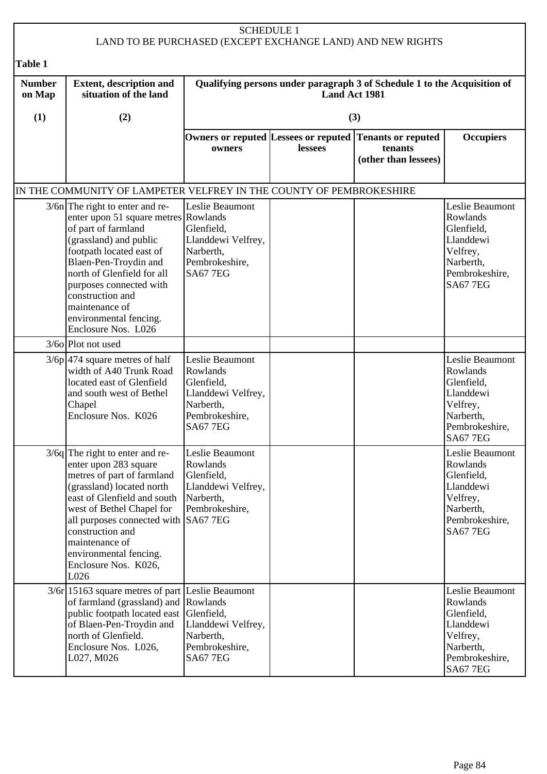| <b>SCHEDULE 1</b><br>LAND TO BE PURCHASED (EXCEPT EXCHANGE LAND) AND NEW RIGHTS |                                                                                                                                                                                                                                                                                                                                 |                                                                                                                   |               |                                                                                            |                                                                                                                      |  |  |
|---------------------------------------------------------------------------------|---------------------------------------------------------------------------------------------------------------------------------------------------------------------------------------------------------------------------------------------------------------------------------------------------------------------------------|-------------------------------------------------------------------------------------------------------------------|---------------|--------------------------------------------------------------------------------------------|----------------------------------------------------------------------------------------------------------------------|--|--|
| <b>Table 1</b>                                                                  |                                                                                                                                                                                                                                                                                                                                 |                                                                                                                   |               |                                                                                            |                                                                                                                      |  |  |
| <b>Number</b><br>on Map                                                         | <b>Extent, description and</b><br>situation of the land                                                                                                                                                                                                                                                                         |                                                                                                                   | Land Act 1981 | Qualifying persons under paragraph 3 of Schedule 1 to the Acquisition of                   |                                                                                                                      |  |  |
| (1)                                                                             | (2)                                                                                                                                                                                                                                                                                                                             |                                                                                                                   |               | (3)                                                                                        |                                                                                                                      |  |  |
|                                                                                 |                                                                                                                                                                                                                                                                                                                                 | owners                                                                                                            | lessees       | Owners or reputed Lessees or reputed Tenants or reputed<br>tenants<br>(other than lessees) | <b>Occupiers</b>                                                                                                     |  |  |
|                                                                                 | IN THE COMMUNITY OF LAMPETER VELFREY IN THE COUNTY OF PEMBROKESHIRE                                                                                                                                                                                                                                                             |                                                                                                                   |               |                                                                                            |                                                                                                                      |  |  |
|                                                                                 | $3/6n$ The right to enter and re-<br>enter upon 51 square metres Rowlands<br>of part of farmland<br>(grassland) and public<br>footpath located east of<br>Blaen-Pen-Troydin and<br>north of Glenfield for all<br>purposes connected with<br>construction and<br>maintenance of<br>environmental fencing.<br>Enclosure Nos. L026 | Leslie Beaumont<br>Glenfield,<br>Llanddewi Velfrey,<br>Narberth,<br>Pembrokeshire,<br><b>SA67 7EG</b>             |               |                                                                                            | Leslie Beaumont<br>Rowlands<br>Glenfield,<br>Llanddewi<br>Velfrey,<br>Narberth,<br>Pembrokeshire,<br><b>SA67 7EG</b> |  |  |
|                                                                                 | $3/60$ Plot not used                                                                                                                                                                                                                                                                                                            |                                                                                                                   |               |                                                                                            |                                                                                                                      |  |  |
|                                                                                 | $3/6p$ 474 square metres of half<br>width of A40 Trunk Road<br>located east of Glenfield<br>and south west of Bethel<br>Chapel<br>Enclosure Nos. K026                                                                                                                                                                           | Leslie Beaumont<br>Rowlands<br>Glenfield,<br>Llanddewi Velfrey,<br>Narberth,<br>Pembrokeshire,<br><b>SA67 7EG</b> |               |                                                                                            | Leslie Beaumont<br>Rowlands<br>Glenfield,<br>Llanddewi<br>Velfrey,<br>Narberth,<br>Pembrokeshire,<br><b>SA67 7EG</b> |  |  |
|                                                                                 | $3/6q$ The right to enter and re-<br>enter upon 283 square<br>metres of part of farmland<br>(grassland) located north<br>east of Glenfield and south<br>west of Bethel Chapel for<br>all purposes connected with SA67 7EG<br>construction and<br>maintenance of<br>environmental fencing.<br>Enclosure Nos. K026,<br>L026       | Leslie Beaumont<br>Rowlands<br>Glenfield,<br>Llanddewi Velfrey,<br>Narberth,<br>Pembrokeshire,                    |               |                                                                                            | Leslie Beaumont<br>Rowlands<br>Glenfield,<br>Llanddewi<br>Velfrey,<br>Narberth,<br>Pembrokeshire,<br><b>SA67 7EG</b> |  |  |
|                                                                                 | 3/6r 15163 square metres of part Leslie Beaumont<br>of farmland (grassland) and Rowlands<br>public footpath located east Glenfield,<br>of Blaen-Pen-Troydin and<br>north of Glenfield.<br>Enclosure Nos. L026,<br>L027, M026                                                                                                    | Llanddewi Velfrey,<br>Narberth,<br>Pembrokeshire,<br><b>SA67 7EG</b>                                              |               |                                                                                            | Leslie Beaumont<br>Rowlands<br>Glenfield,<br>Llanddewi<br>Velfrey,<br>Narberth,<br>Pembrokeshire,<br><b>SA67 7EG</b> |  |  |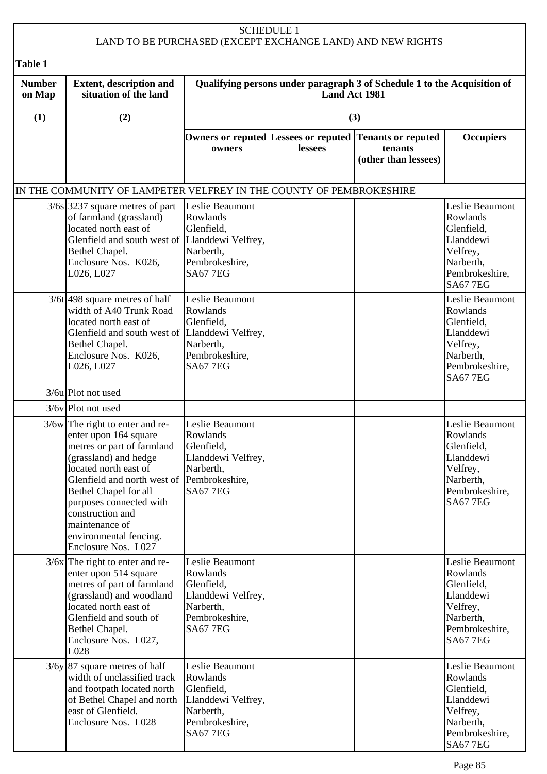| <b>SCHEDULE 1</b><br>LAND TO BE PURCHASED (EXCEPT EXCHANGE LAND) AND NEW RIGHTS |                                                                                                                                                                                                                                                                                                                      |                                                                                                                   |               |                                                                                            |                                                                                                                      |  |
|---------------------------------------------------------------------------------|----------------------------------------------------------------------------------------------------------------------------------------------------------------------------------------------------------------------------------------------------------------------------------------------------------------------|-------------------------------------------------------------------------------------------------------------------|---------------|--------------------------------------------------------------------------------------------|----------------------------------------------------------------------------------------------------------------------|--|
| <b>Table 1</b>                                                                  |                                                                                                                                                                                                                                                                                                                      |                                                                                                                   |               |                                                                                            |                                                                                                                      |  |
| <b>Number</b><br>on Map                                                         | <b>Extent, description and</b><br>situation of the land                                                                                                                                                                                                                                                              |                                                                                                                   | Land Act 1981 | Qualifying persons under paragraph 3 of Schedule 1 to the Acquisition of                   |                                                                                                                      |  |
| (1)                                                                             | (2)                                                                                                                                                                                                                                                                                                                  |                                                                                                                   |               | (3)                                                                                        |                                                                                                                      |  |
|                                                                                 |                                                                                                                                                                                                                                                                                                                      | owners                                                                                                            | lessees       | Owners or reputed Lessees or reputed Tenants or reputed<br>tenants<br>(other than lessees) | <b>Occupiers</b>                                                                                                     |  |
|                                                                                 | IN THE COMMUNITY OF LAMPETER VELFREY IN THE COUNTY OF PEMBROKESHIRE                                                                                                                                                                                                                                                  |                                                                                                                   |               |                                                                                            |                                                                                                                      |  |
|                                                                                 | $3/6s$ 3237 square metres of part<br>of farmland (grassland)<br>located north east of<br>Glenfield and south west of Llanddewi Velfrey,<br>Bethel Chapel.<br>Enclosure Nos. K026,<br>L026, L027                                                                                                                      | Leslie Beaumont<br>Rowlands<br>Glenfield,<br>Narberth,<br>Pembrokeshire,<br><b>SA67 7EG</b>                       |               |                                                                                            | Leslie Beaumont<br>Rowlands<br>Glenfield,<br>Llanddewi<br>Velfrey,<br>Narberth,<br>Pembrokeshire,<br><b>SA67 7EG</b> |  |
|                                                                                 | $3/6t$ 498 square metres of half<br>width of A40 Trunk Road<br>located north east of<br>Glenfield and south west of Llanddewi Velfrey,<br>Bethel Chapel.<br>Enclosure Nos. K026,<br>L026, L027                                                                                                                       | Leslie Beaumont<br>Rowlands<br>Glenfield,<br>Narberth,<br>Pembrokeshire,<br><b>SA67 7EG</b>                       |               |                                                                                            | Leslie Beaumont<br>Rowlands<br>Glenfield,<br>Llanddewi<br>Velfrey,<br>Narberth,<br>Pembrokeshire,<br><b>SA67 7EG</b> |  |
|                                                                                 | 3/6u Plot not used                                                                                                                                                                                                                                                                                                   |                                                                                                                   |               |                                                                                            |                                                                                                                      |  |
|                                                                                 | 3/6v Plot not used                                                                                                                                                                                                                                                                                                   |                                                                                                                   |               |                                                                                            |                                                                                                                      |  |
|                                                                                 | $3/6w$ The right to enter and re-<br>enter upon 164 square<br>metres or part of farmland<br>(grassland) and hedge<br>located north east of<br>Glenfield and north west of<br>Bethel Chapel for all<br>purposes connected with<br>construction and<br>maintenance of<br>environmental fencing.<br>Enclosure Nos. L027 | Leslie Beaumont<br>Rowlands<br>Glenfield,<br>Llanddewi Velfrey,<br>Narberth,<br>Pembrokeshire,<br><b>SA67 7EG</b> |               |                                                                                            | Leslie Beaumont<br>Rowlands<br>Glenfield,<br>Llanddewi<br>Velfrey,<br>Narberth,<br>Pembrokeshire,<br><b>SA67 7EG</b> |  |
|                                                                                 | $3/6x$ The right to enter and re-<br>enter upon 514 square<br>metres of part of farmland<br>(grassland) and woodland<br>located north east of<br>Glenfield and south of<br>Bethel Chapel.<br>Enclosure Nos. L027,<br>L028                                                                                            | Leslie Beaumont<br>Rowlands<br>Glenfield,<br>Llanddewi Velfrey,<br>Narberth,<br>Pembrokeshire,<br><b>SA67 7EG</b> |               |                                                                                            | Leslie Beaumont<br>Rowlands<br>Glenfield,<br>Llanddewi<br>Velfrey,<br>Narberth,<br>Pembrokeshire,<br><b>SA67 7EG</b> |  |
|                                                                                 | $3/6y$ 87 square metres of half<br>width of unclassified track<br>and footpath located north<br>of Bethel Chapel and north<br>east of Glenfield.<br>Enclosure Nos. L028                                                                                                                                              | Leslie Beaumont<br>Rowlands<br>Glenfield,<br>Llanddewi Velfrey,<br>Narberth,<br>Pembrokeshire,<br><b>SA67 7EG</b> |               |                                                                                            | Leslie Beaumont<br>Rowlands<br>Glenfield,<br>Llanddewi<br>Velfrey,<br>Narberth,<br>Pembrokeshire,<br><b>SA67 7EG</b> |  |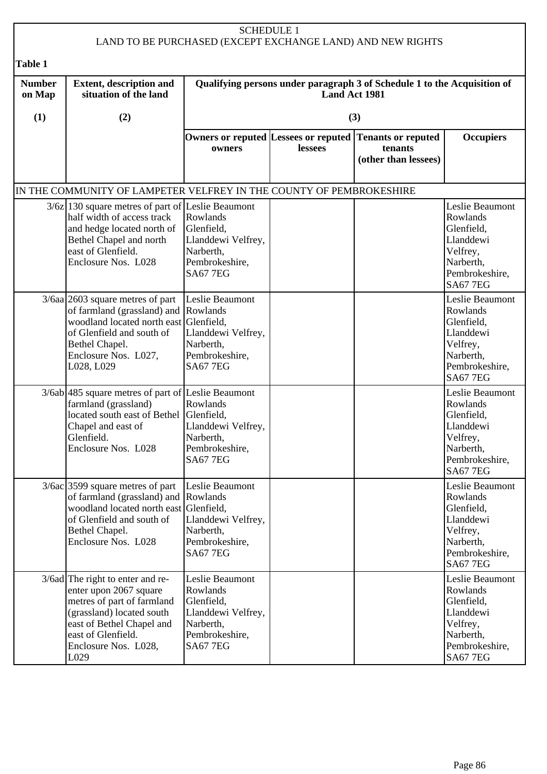| <b>SCHEDULE 1</b><br>LAND TO BE PURCHASED (EXCEPT EXCHANGE LAND) AND NEW RIGHTS |                                                                                                                                                                                                            |                                                                                                                   |               |                                                                          |                                                                                                                      |  |
|---------------------------------------------------------------------------------|------------------------------------------------------------------------------------------------------------------------------------------------------------------------------------------------------------|-------------------------------------------------------------------------------------------------------------------|---------------|--------------------------------------------------------------------------|----------------------------------------------------------------------------------------------------------------------|--|
| <b>Table 1</b>                                                                  |                                                                                                                                                                                                            |                                                                                                                   |               |                                                                          |                                                                                                                      |  |
| <b>Number</b><br>on Map                                                         | <b>Extent, description and</b><br>situation of the land                                                                                                                                                    |                                                                                                                   | Land Act 1981 | Qualifying persons under paragraph 3 of Schedule 1 to the Acquisition of |                                                                                                                      |  |
| (1)                                                                             | (2)                                                                                                                                                                                                        |                                                                                                                   |               | (3)                                                                      |                                                                                                                      |  |
|                                                                                 |                                                                                                                                                                                                            | Owners or reputed Lessees or reputed<br>owners                                                                    | lessees       | <b>Tenants or reputed</b><br>tenants<br>(other than lessees)             | <b>Occupiers</b>                                                                                                     |  |
|                                                                                 | IN THE COMMUNITY OF LAMPETER VELFREY IN THE COUNTY OF PEMBROKESHIRE                                                                                                                                        |                                                                                                                   |               |                                                                          |                                                                                                                      |  |
|                                                                                 | $3/6z$   130 square metres of part of Leslie Beaumont<br>half width of access track<br>and hedge located north of<br>Bethel Chapel and north<br>east of Glenfield.<br>Enclosure Nos. L028                  | Rowlands<br>Glenfield,<br>Llanddewi Velfrey,<br>Narberth,<br>Pembrokeshire,<br><b>SA67 7EG</b>                    |               |                                                                          | Leslie Beaumont<br>Rowlands<br>Glenfield,<br>Llanddewi<br>Velfrey,<br>Narberth,<br>Pembrokeshire,<br><b>SA67 7EG</b> |  |
|                                                                                 | $3/6$ aa 2603 square metres of part<br>of farmland (grassland) and Rowlands<br>woodland located north east Glenfield,<br>of Glenfield and south of<br>Bethel Chapel.<br>Enclosure Nos. L027,<br>L028, L029 | Leslie Beaumont<br>Llanddewi Velfrey,<br>Narberth,<br>Pembrokeshire,<br><b>SA67 7EG</b>                           |               |                                                                          | Leslie Beaumont<br>Rowlands<br>Glenfield,<br>Llanddewi<br>Velfrey,<br>Narberth,<br>Pembrokeshire,<br><b>SA67 7EG</b> |  |
|                                                                                 | 3/6ab 485 square metres of part of Leslie Beaumont<br>farmland (grassland)<br>located south east of Bethel Glenfield,<br>Chapel and east of<br>Glenfield.<br>Enclosure Nos. L028                           | Rowlands<br>Llanddewi Velfrey,<br>Narberth,<br>Pembrokeshire,<br><b>SA67 7EG</b>                                  |               |                                                                          | Leslie Beaumont<br>Rowlands<br>Glenfield,<br>Llanddewi<br>Velfrey,<br>Narberth,<br>Pembrokeshire,<br><b>SA67 7EG</b> |  |
|                                                                                 | $3/6ac$ 3599 square metres of part<br>of farmland (grassland) and Rowlands<br>woodland located north east Glenfield,<br>of Glenfield and south of<br>Bethel Chapel.<br>Enclosure Nos. L028                 | Leslie Beaumont<br>Llanddewi Velfrey,<br>Narberth,<br>Pembrokeshire,<br><b>SA67 7EG</b>                           |               |                                                                          | Leslie Beaumont<br>Rowlands<br>Glenfield,<br>Llanddewi<br>Velfrey,<br>Narberth,<br>Pembrokeshire,<br><b>SA67 7EG</b> |  |
|                                                                                 | 3/6ad The right to enter and re-<br>enter upon 2067 square<br>metres of part of farmland<br>(grassland) located south<br>east of Bethel Chapel and<br>east of Glenfield.<br>Enclosure Nos. L028,<br>L029   | Leslie Beaumont<br>Rowlands<br>Glenfield,<br>Llanddewi Velfrey,<br>Narberth,<br>Pembrokeshire,<br><b>SA67 7EG</b> |               |                                                                          | Leslie Beaumont<br>Rowlands<br>Glenfield,<br>Llanddewi<br>Velfrey,<br>Narberth,<br>Pembrokeshire,<br><b>SA67 7EG</b> |  |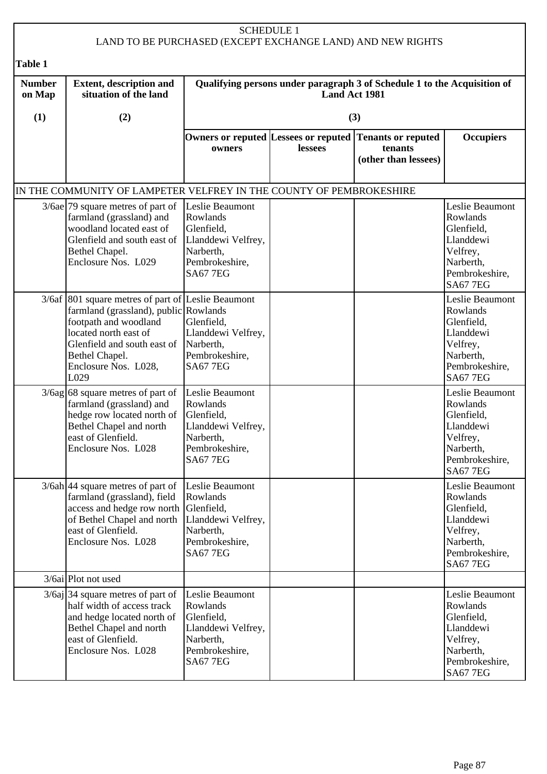|                         | <b>SCHEDULE 1</b><br>LAND TO BE PURCHASED (EXCEPT EXCHANGE LAND) AND NEW RIGHTS                                                                                                                                                |                                                                                                                   |                                                                                           |                                                              |                                                                                                                      |  |  |  |
|-------------------------|--------------------------------------------------------------------------------------------------------------------------------------------------------------------------------------------------------------------------------|-------------------------------------------------------------------------------------------------------------------|-------------------------------------------------------------------------------------------|--------------------------------------------------------------|----------------------------------------------------------------------------------------------------------------------|--|--|--|
| Table 1                 |                                                                                                                                                                                                                                |                                                                                                                   |                                                                                           |                                                              |                                                                                                                      |  |  |  |
| <b>Number</b><br>on Map | <b>Extent, description and</b><br>situation of the land                                                                                                                                                                        |                                                                                                                   | Qualifying persons under paragraph 3 of Schedule 1 to the Acquisition of<br>Land Act 1981 |                                                              |                                                                                                                      |  |  |  |
| (1)                     | (2)                                                                                                                                                                                                                            |                                                                                                                   |                                                                                           | (3)                                                          |                                                                                                                      |  |  |  |
|                         |                                                                                                                                                                                                                                | Owners or reputed Lessees or reputed<br>owners                                                                    | lessees                                                                                   | <b>Tenants or reputed</b><br>tenants<br>(other than lessees) | <b>Occupiers</b>                                                                                                     |  |  |  |
|                         | IN THE COMMUNITY OF LAMPETER VELFREY IN THE COUNTY OF PEMBROKESHIRE                                                                                                                                                            |                                                                                                                   |                                                                                           |                                                              |                                                                                                                      |  |  |  |
|                         | $3/6$ ae 79 square metres of part of<br>farmland (grassland) and<br>woodland located east of<br>Glenfield and south east of<br>Bethel Chapel.<br>Enclosure Nos. L029                                                           | Leslie Beaumont<br>Rowlands<br>Glenfield,<br>Llanddewi Velfrey,<br>Narberth,<br>Pembrokeshire,<br><b>SA67 7EG</b> |                                                                                           |                                                              | Leslie Beaumont<br>Rowlands<br>Glenfield,<br>Llanddewi<br>Velfrey,<br>Narberth,<br>Pembrokeshire,<br><b>SA67 7EG</b> |  |  |  |
|                         | 3/6af 801 square metres of part of Leslie Beaumont<br>farmland (grassland), public Rowlands<br>footpath and woodland<br>located north east of<br>Glenfield and south east of<br>Bethel Chapel.<br>Enclosure Nos. L028,<br>L029 | Glenfield,<br>Llanddewi Velfrey,<br>Narberth,<br>Pembrokeshire,<br><b>SA67 7EG</b>                                |                                                                                           |                                                              | Leslie Beaumont<br>Rowlands<br>Glenfield,<br>Llanddewi<br>Velfrey,<br>Narberth,<br>Pembrokeshire,<br><b>SA677EG</b>  |  |  |  |
|                         | $3/6$ ag 68 square metres of part of<br>farmland (grassland) and<br>hedge row located north of<br>Bethel Chapel and north<br>east of Glenfield.<br>Enclosure Nos. L028                                                         | Leslie Beaumont<br>Rowlands<br>Glenfield,<br>Llanddewi Velfrey,<br>Narberth,<br>Pembrokeshire,<br><b>SA67 7EG</b> |                                                                                           |                                                              | Leslie Beaumont<br>Rowlands<br>Glenfield,<br>Llanddewi<br>Velfrey,<br>Narberth,<br>Pembrokeshire,<br><b>SA67 7EG</b> |  |  |  |
|                         | $3/6ah$ 44 square metres of part of<br>farmland (grassland), field<br>access and hedge row north Glenfield,<br>of Bethel Chapel and north   Llanddewi Velfrey,<br>east of Glenfield.<br>Enclosure Nos. L028                    | Leslie Beaumont<br>Rowlands<br>Narberth,<br>Pembrokeshire,<br><b>SA67 7EG</b>                                     |                                                                                           |                                                              | Leslie Beaumont<br>Rowlands<br>Glenfield,<br>Llanddewi<br>Velfrey,<br>Narberth,<br>Pembrokeshire,<br><b>SA67 7EG</b> |  |  |  |
|                         | 3/6ai Plot not used                                                                                                                                                                                                            |                                                                                                                   |                                                                                           |                                                              |                                                                                                                      |  |  |  |
|                         | $3/6aj$ 34 square metres of part of<br>half width of access track<br>and hedge located north of<br>Bethel Chapel and north<br>east of Glenfield.<br>Enclosure Nos. L028                                                        | Leslie Beaumont<br>Rowlands<br>Glenfield,<br>Llanddewi Velfrey,<br>Narberth,<br>Pembrokeshire,<br><b>SA67 7EG</b> |                                                                                           |                                                              | Leslie Beaumont<br>Rowlands<br>Glenfield,<br>Llanddewi<br>Velfrey,<br>Narberth,<br>Pembrokeshire,<br><b>SA67 7EG</b> |  |  |  |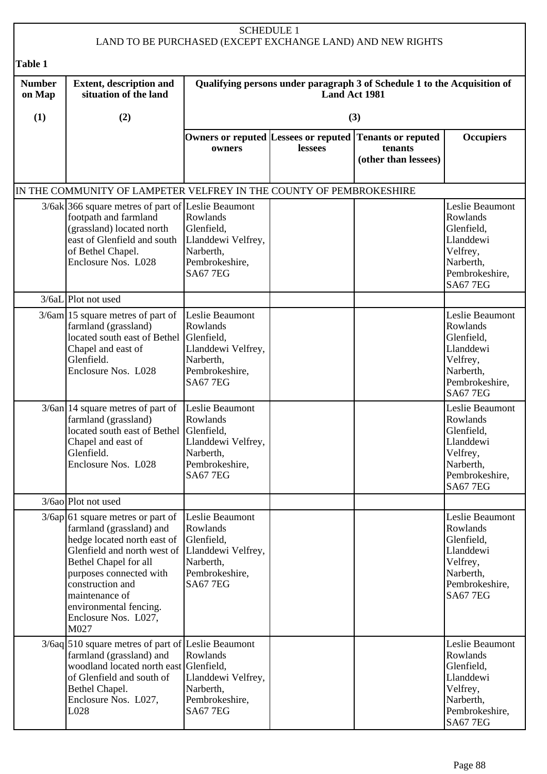| <b>SCHEDULE 1</b><br>LAND TO BE PURCHASED (EXCEPT EXCHANGE LAND) AND NEW RIGHTS |                                                                                                                                                                                                                                                                                                       |                                                                                                     |                      |                                                                                            |                                                                                                                      |  |
|---------------------------------------------------------------------------------|-------------------------------------------------------------------------------------------------------------------------------------------------------------------------------------------------------------------------------------------------------------------------------------------------------|-----------------------------------------------------------------------------------------------------|----------------------|--------------------------------------------------------------------------------------------|----------------------------------------------------------------------------------------------------------------------|--|
| Table 1                                                                         |                                                                                                                                                                                                                                                                                                       |                                                                                                     |                      |                                                                                            |                                                                                                                      |  |
| <b>Number</b><br>on Map                                                         | <b>Extent, description and</b><br>situation of the land                                                                                                                                                                                                                                               |                                                                                                     | <b>Land Act 1981</b> | Qualifying persons under paragraph 3 of Schedule 1 to the Acquisition of                   |                                                                                                                      |  |
| (1)                                                                             | (2)                                                                                                                                                                                                                                                                                                   |                                                                                                     |                      | (3)                                                                                        |                                                                                                                      |  |
|                                                                                 |                                                                                                                                                                                                                                                                                                       | owners                                                                                              | lessees              | Owners or reputed Lessees or reputed Tenants or reputed<br>tenants<br>(other than lessees) | <b>Occupiers</b>                                                                                                     |  |
|                                                                                 | IN THE COMMUNITY OF LAMPETER VELFREY IN THE COUNTY OF PEMBROKESHIRE                                                                                                                                                                                                                                   |                                                                                                     |                      |                                                                                            |                                                                                                                      |  |
|                                                                                 | 3/6ak 366 square metres of part of Leslie Beaumont<br>footpath and farmland<br>(grassland) located north<br>east of Glenfield and south<br>of Bethel Chapel.<br>Enclosure Nos. L028                                                                                                                   | Rowlands<br>Glenfield,<br>Llanddewi Velfrey,<br>Narberth,<br>Pembrokeshire,<br><b>SA67 7EG</b>      |                      |                                                                                            | Leslie Beaumont<br>Rowlands<br>Glenfield,<br>Llanddewi<br>Velfrey,<br>Narberth,<br>Pembrokeshire,<br><b>SA67 7EG</b> |  |
|                                                                                 | 3/6aL Plot not used                                                                                                                                                                                                                                                                                   |                                                                                                     |                      |                                                                                            |                                                                                                                      |  |
|                                                                                 | $3/6$ am 15 square metres of part of<br>farmland (grassland)<br>located south east of Bethel Glenfield,<br>Chapel and east of<br>Glenfield.<br>Enclosure Nos. L028                                                                                                                                    | Leslie Beaumont<br>Rowlands<br>Llanddewi Velfrey,<br>Narberth,<br>Pembrokeshire,<br><b>SA67 7EG</b> |                      |                                                                                            | Leslie Beaumont<br>Rowlands<br>Glenfield,<br>Llanddewi<br>Velfrey,<br>Narberth,<br>Pembrokeshire,<br><b>SA67 7EG</b> |  |
|                                                                                 | $3/6$ an 14 square metres of part of<br>farmland (grassland)<br>located south east of Bethel Glenfield,<br>Chapel and east of<br>Glenfield.<br>Enclosure Nos. L028                                                                                                                                    | Leslie Beaumont<br>Rowlands<br>Llanddewi Velfrey,<br>Narberth,<br>Pembrokeshire,<br><b>SA67 7EG</b> |                      |                                                                                            | Leslie Beaumont<br>Rowlands<br>Glenfield,<br>Llanddewi<br>Velfrey,<br>Narberth,<br>Pembrokeshire,<br><b>SA67 7EG</b> |  |
|                                                                                 | 3/6ao Plot not used                                                                                                                                                                                                                                                                                   |                                                                                                     |                      |                                                                                            |                                                                                                                      |  |
|                                                                                 | $3/6$ ap 61 square metres or part of<br>farmland (grassland) and<br>hedge located north east of<br>Glenfield and north west of Llanddewi Velfrey,<br>Bethel Chapel for all<br>purposes connected with<br>construction and<br>maintenance of<br>environmental fencing.<br>Enclosure Nos. L027,<br>M027 | Leslie Beaumont<br>Rowlands<br>Glenfield,<br>Narberth,<br>Pembrokeshire,<br><b>SA677EG</b>          |                      |                                                                                            | Leslie Beaumont<br>Rowlands<br>Glenfield,<br>Llanddewi<br>Velfrey,<br>Narberth,<br>Pembrokeshire,<br><b>SA67 7EG</b> |  |
|                                                                                 | 3/6aq 510 square metres of part of Leslie Beaumont<br>farmland (grassland) and<br>woodland located north east Glenfield,<br>of Glenfield and south of<br>Bethel Chapel.<br>Enclosure Nos. L027,<br>L028                                                                                               | Rowlands<br>Llanddewi Velfrey,<br>Narberth,<br>Pembrokeshire,<br><b>SA67 7EG</b>                    |                      |                                                                                            | Leslie Beaumont<br>Rowlands<br>Glenfield,<br>Llanddewi<br>Velfrey,<br>Narberth,<br>Pembrokeshire,<br><b>SA67 7EG</b> |  |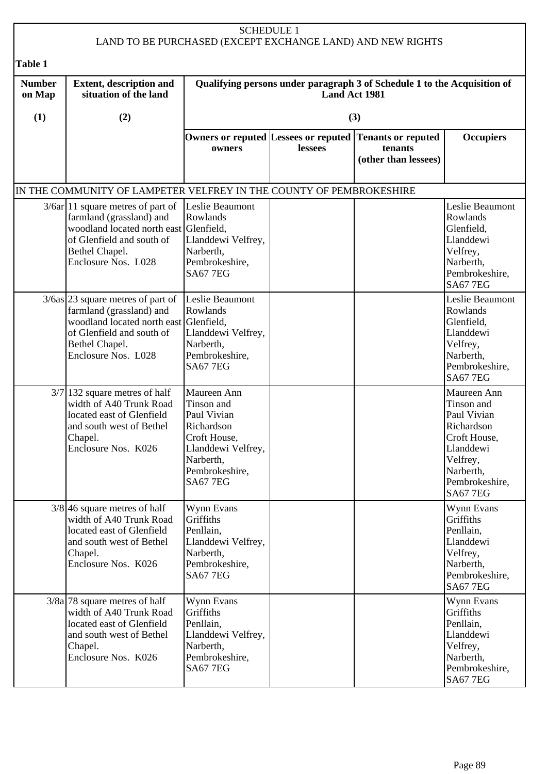|                                                                                                                                                                                        |                                                                                                                                                                                  |                                                                                                                                                | <b>SCHEDULE 1</b> | LAND TO BE PURCHASED (EXCEPT EXCHANGE LAND) AND NEW RIGHTS                                 |                                                                                                                                                   |
|----------------------------------------------------------------------------------------------------------------------------------------------------------------------------------------|----------------------------------------------------------------------------------------------------------------------------------------------------------------------------------|------------------------------------------------------------------------------------------------------------------------------------------------|-------------------|--------------------------------------------------------------------------------------------|---------------------------------------------------------------------------------------------------------------------------------------------------|
| Table 1                                                                                                                                                                                |                                                                                                                                                                                  |                                                                                                                                                |                   |                                                                                            |                                                                                                                                                   |
| <b>Number</b><br><b>Extent, description and</b><br>Qualifying persons under paragraph 3 of Schedule 1 to the Acquisition of<br>situation of the land<br><b>Land Act 1981</b><br>on Map |                                                                                                                                                                                  |                                                                                                                                                |                   |                                                                                            |                                                                                                                                                   |
| (1)                                                                                                                                                                                    | (2)                                                                                                                                                                              |                                                                                                                                                |                   | (3)                                                                                        |                                                                                                                                                   |
|                                                                                                                                                                                        |                                                                                                                                                                                  | owners                                                                                                                                         | lessees           | Owners or reputed Lessees or reputed Tenants or reputed<br>tenants<br>(other than lessees) | <b>Occupiers</b>                                                                                                                                  |
|                                                                                                                                                                                        | IN THE COMMUNITY OF LAMPETER VELFREY IN THE COUNTY OF PEMBROKESHIRE                                                                                                              |                                                                                                                                                |                   |                                                                                            |                                                                                                                                                   |
|                                                                                                                                                                                        | $3/6ar$ 11 square metres of part of<br>farmland (grassland) and<br>woodland located north east Glenfield,<br>of Glenfield and south of<br>Bethel Chapel.<br>Enclosure Nos. L028  | Leslie Beaumont<br>Rowlands<br>Llanddewi Velfrey,<br>Narberth,<br>Pembrokeshire,<br><b>SA67 7EG</b>                                            |                   |                                                                                            | Leslie Beaumont<br>Rowlands<br>Glenfield,<br>Llanddewi<br>Velfrey,<br>Narberth,<br>Pembrokeshire,<br><b>SA67 7EG</b>                              |
|                                                                                                                                                                                        | $3/6$ as 23 square metres of part of<br>farmland (grassland) and<br>woodland located north east Glenfield,<br>of Glenfield and south of<br>Bethel Chapel.<br>Enclosure Nos. L028 | Leslie Beaumont<br>Rowlands<br>Llanddewi Velfrey,<br>Narberth,<br>Pembrokeshire,<br><b>SA67 7EG</b>                                            |                   |                                                                                            | Leslie Beaumont<br>Rowlands<br>Glenfield,<br>Llanddewi<br>Velfrey,<br>Narberth,<br>Pembrokeshire,<br><b>SA67 7EG</b>                              |
|                                                                                                                                                                                        | $3/7$   132 square metres of half<br>width of A40 Trunk Road<br>located east of Glenfield<br>and south west of Bethel<br>Chapel.<br>Enclosure Nos. K026                          | Maureen Ann<br>Tinson and<br>Paul Vivian<br>Richardson<br>Croft House,<br>Llanddewi Velfrey,<br>Narberth,<br>Pembrokeshire,<br><b>SA67 7EG</b> |                   |                                                                                            | Maureen Ann<br>Tinson and<br>Paul Vivian<br>Richardson<br>Croft House,<br>Llanddewi<br>Velfrey,<br>Narberth,<br>Pembrokeshire,<br><b>SA67 7EG</b> |
|                                                                                                                                                                                        | $3/8$ 46 square metres of half<br>width of A40 Trunk Road<br>located east of Glenfield<br>and south west of Bethel<br>Chapel.<br>Enclosure Nos. K026                             | Wynn Evans<br>Griffiths<br>Penllain,<br>Llanddewi Velfrey,<br>Narberth,<br>Pembrokeshire,<br><b>SA67 7EG</b>                                   |                   |                                                                                            | Wynn Evans<br>Griffiths<br>Penllain,<br>Llanddewi<br>Velfrey,<br>Narberth,<br>Pembrokeshire,<br><b>SA67 7EG</b>                                   |
|                                                                                                                                                                                        | $3/8a$ 78 square metres of half<br>width of A40 Trunk Road<br>located east of Glenfield<br>and south west of Bethel<br>Chapel.<br>Enclosure Nos. K026                            | Wynn Evans<br>Griffiths<br>Penllain,<br>Llanddewi Velfrey,<br>Narberth,<br>Pembrokeshire,<br><b>SA67 7EG</b>                                   |                   |                                                                                            | Wynn Evans<br>Griffiths<br>Penllain,<br>Llanddewi<br>Velfrey,<br>Narberth,<br>Pembrokeshire,<br><b>SA67 7EG</b>                                   |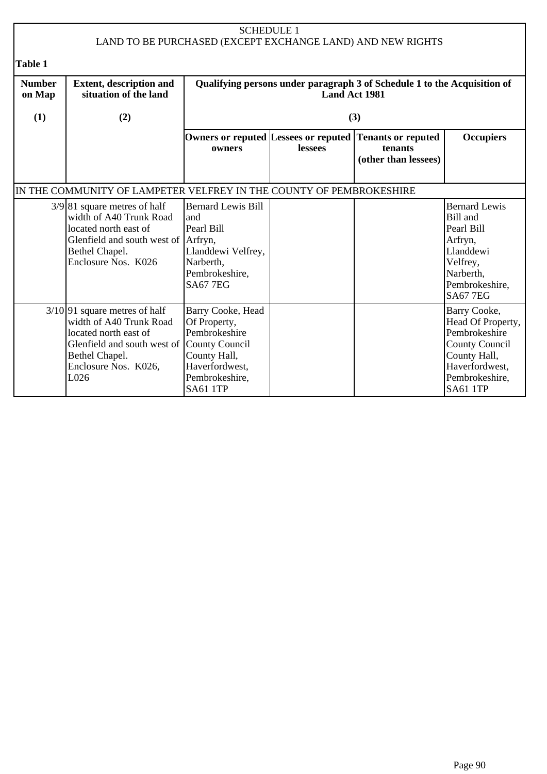| <b>SCHEDULE 1</b><br>LAND TO BE PURCHASED (EXCEPT EXCHANGE LAND) AND NEW RIGHTS |                                                                                                                                                                                     |                                                                                                                           |                      |                                                                          |                                                                                                                                                    |  |
|---------------------------------------------------------------------------------|-------------------------------------------------------------------------------------------------------------------------------------------------------------------------------------|---------------------------------------------------------------------------------------------------------------------------|----------------------|--------------------------------------------------------------------------|----------------------------------------------------------------------------------------------------------------------------------------------------|--|
| <b>Table 1</b>                                                                  |                                                                                                                                                                                     |                                                                                                                           |                      |                                                                          |                                                                                                                                                    |  |
| <b>Number</b><br>on Map                                                         | <b>Extent, description and</b><br>situation of the land                                                                                                                             |                                                                                                                           | <b>Land Act 1981</b> | Qualifying persons under paragraph 3 of Schedule 1 to the Acquisition of |                                                                                                                                                    |  |
| (1)                                                                             | (2)                                                                                                                                                                                 |                                                                                                                           |                      | (3)                                                                      |                                                                                                                                                    |  |
|                                                                                 |                                                                                                                                                                                     | Owners or reputed Lessees or reputed<br>owners                                                                            | lessees              | <b>Tenants or reputed</b><br>tenants<br>(other than lessees)             | <b>Occupiers</b>                                                                                                                                   |  |
|                                                                                 | IN THE COMMUNITY OF LAMPETER VELFREY IN THE COUNTY OF PEMBROKESHIRE                                                                                                                 |                                                                                                                           |                      |                                                                          |                                                                                                                                                    |  |
|                                                                                 | $3/9$ [81 square metres of half<br>width of A40 Trunk Road<br>located north east of<br>Glenfield and south west of Arfryn,<br>Bethel Chapel.<br>Enclosure Nos. K026                 | <b>Bernard Lewis Bill</b><br>and<br>Pearl Bill<br>Llanddewi Velfrey,<br>Narberth,<br>Pembrokeshire,<br><b>SA67 7EG</b>    |                      |                                                                          | <b>Bernard Lewis</b><br>Bill and<br>Pearl Bill<br>Arfryn,<br>Llanddewi<br>Velfrey,<br>Narberth,<br>Pembrokeshire,<br><b>SA67 7EG</b>               |  |
|                                                                                 | $3/10$ 91 square metres of half<br>width of A40 Trunk Road<br>located north east of<br>Glenfield and south west of County Council<br>Bethel Chapel.<br>Enclosure Nos. K026,<br>L026 | Barry Cooke, Head<br>Of Property,<br>Pembrokeshire<br>County Hall,<br>Haverfordwest,<br>Pembrokeshire,<br><b>SA61 1TP</b> |                      |                                                                          | Barry Cooke,<br>Head Of Property,<br>Pembrokeshire<br><b>County Council</b><br>County Hall,<br>Haverfordwest,<br>Pembrokeshire,<br><b>SA61 1TP</b> |  |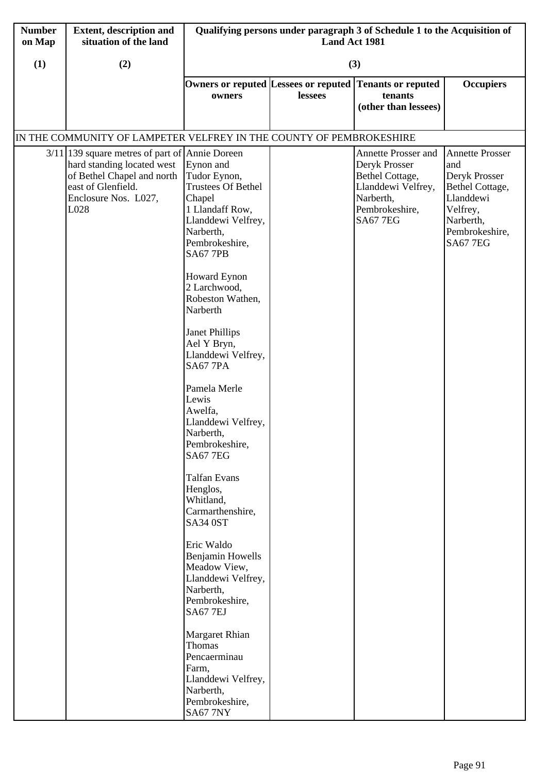| <b>Number</b><br>on Map | <b>Extent, description and</b><br>situation of the land                                                                                                             | Qualifying persons under paragraph 3 of Schedule 1 to the Acquisition of<br>Land Act 1981                                                                                                                                                                                                                                                                                                                                                                                                                                                                                                                                                                                                             |         |                                                                                                                                        |                                                                                                                                              |  |
|-------------------------|---------------------------------------------------------------------------------------------------------------------------------------------------------------------|-------------------------------------------------------------------------------------------------------------------------------------------------------------------------------------------------------------------------------------------------------------------------------------------------------------------------------------------------------------------------------------------------------------------------------------------------------------------------------------------------------------------------------------------------------------------------------------------------------------------------------------------------------------------------------------------------------|---------|----------------------------------------------------------------------------------------------------------------------------------------|----------------------------------------------------------------------------------------------------------------------------------------------|--|
| (1)                     | (2)                                                                                                                                                                 |                                                                                                                                                                                                                                                                                                                                                                                                                                                                                                                                                                                                                                                                                                       | (3)     |                                                                                                                                        |                                                                                                                                              |  |
|                         |                                                                                                                                                                     | owners                                                                                                                                                                                                                                                                                                                                                                                                                                                                                                                                                                                                                                                                                                | lessees | Owners or reputed Lessees or reputed Tenants or reputed<br>tenants<br>(other than lessees)                                             | <b>Occupiers</b>                                                                                                                             |  |
|                         | IN THE COMMUNITY OF LAMPETER VELFREY IN THE COUNTY OF PEMBROKESHIRE                                                                                                 |                                                                                                                                                                                                                                                                                                                                                                                                                                                                                                                                                                                                                                                                                                       |         |                                                                                                                                        |                                                                                                                                              |  |
|                         | $3/11$  139 square metres of part of Annie Doreen<br>hard standing located west<br>of Bethel Chapel and north<br>east of Glenfield.<br>Enclosure Nos. L027,<br>L028 | Eynon and<br>Tudor Eynon,<br>Trustees Of Bethel<br>Chapel<br>1 Llandaff Row,<br>Llanddewi Velfrey,<br>Narberth,<br>Pembrokeshire,<br><b>SA67 7PB</b><br><b>Howard Eynon</b><br>2 Larchwood,<br>Robeston Wathen,<br>Narberth<br><b>Janet Phillips</b><br>Ael Y Bryn,<br>Llanddewi Velfrey,<br><b>SA67 7PA</b><br>Pamela Merle<br>Lewis<br>Awelfa,<br>Llanddewi Velfrey,<br>Narberth,<br>Pembrokeshire,<br><b>SA67 7EG</b><br><b>Talfan Evans</b><br>Henglos,<br>Whitland,<br>Carmarthenshire,<br>SA34 0ST<br>Eric Waldo<br><b>Benjamin Howells</b><br>Meadow View,<br>Llanddewi Velfrey,<br>Narberth,<br>Pembrokeshire,<br><b>SA67 7EJ</b><br><b>Margaret Rhian</b><br>Thomas<br>Pencaerminau<br>Farm, |         | <b>Annette Prosser and</b><br>Deryk Prosser<br>Bethel Cottage,<br>Llanddewi Velfrey,<br>Narberth,<br>Pembrokeshire,<br><b>SA67 7EG</b> | <b>Annette Prosser</b><br>and<br>Deryk Prosser<br>Bethel Cottage,<br>Llanddewi<br>Velfrey,<br>Narberth,<br>Pembrokeshire,<br><b>SA67 7EG</b> |  |
|                         |                                                                                                                                                                     | Llanddewi Velfrey,<br>Narberth,<br>Pembrokeshire,<br><b>SA67 7NY</b>                                                                                                                                                                                                                                                                                                                                                                                                                                                                                                                                                                                                                                  |         |                                                                                                                                        |                                                                                                                                              |  |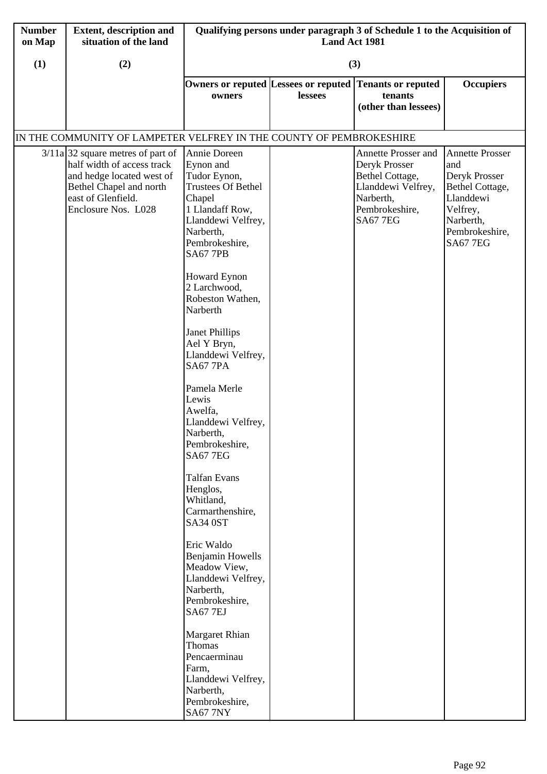| <b>Number</b><br>on Map | <b>Extent, description and</b><br>situation of the land                                                                                                                | Qualifying persons under paragraph 3 of Schedule 1 to the Acquisition of<br>Land Act 1981                                                                                                                                                                                                                                                                                                                                                                                                                                                                                                                                                                                                                                                                |         |                                                                                                                                 |                                                                                                                                              |  |
|-------------------------|------------------------------------------------------------------------------------------------------------------------------------------------------------------------|----------------------------------------------------------------------------------------------------------------------------------------------------------------------------------------------------------------------------------------------------------------------------------------------------------------------------------------------------------------------------------------------------------------------------------------------------------------------------------------------------------------------------------------------------------------------------------------------------------------------------------------------------------------------------------------------------------------------------------------------------------|---------|---------------------------------------------------------------------------------------------------------------------------------|----------------------------------------------------------------------------------------------------------------------------------------------|--|
| (1)                     | (2)                                                                                                                                                                    |                                                                                                                                                                                                                                                                                                                                                                                                                                                                                                                                                                                                                                                                                                                                                          | (3)     |                                                                                                                                 |                                                                                                                                              |  |
|                         |                                                                                                                                                                        | owners                                                                                                                                                                                                                                                                                                                                                                                                                                                                                                                                                                                                                                                                                                                                                   | lessees | Owners or reputed Lessees or reputed Tenants or reputed<br>tenants<br>(other than lessees)                                      | <b>Occupiers</b>                                                                                                                             |  |
|                         | IN THE COMMUNITY OF LAMPETER VELFREY IN THE COUNTY OF PEMBROKESHIRE                                                                                                    |                                                                                                                                                                                                                                                                                                                                                                                                                                                                                                                                                                                                                                                                                                                                                          |         |                                                                                                                                 |                                                                                                                                              |  |
|                         | $3/11a$ 32 square metres of part of<br>half width of access track<br>and hedge located west of<br>Bethel Chapel and north<br>east of Glenfield.<br>Enclosure Nos. L028 | Annie Doreen<br>Eynon and<br>Tudor Eynon,<br><b>Trustees Of Bethel</b><br>Chapel<br>1 Llandaff Row,<br>Llanddewi Velfrey,<br>Narberth,<br>Pembrokeshire,<br><b>SA67 7PB</b><br><b>Howard Eynon</b><br>2 Larchwood,<br>Robeston Wathen,<br>Narberth<br><b>Janet Phillips</b><br>Ael Y Bryn,<br>Llanddewi Velfrey,<br><b>SA67 7PA</b><br>Pamela Merle<br>Lewis<br>Awelfa,<br>Llanddewi Velfrey,<br>Narberth,<br>Pembrokeshire,<br><b>SA67 7EG</b><br><b>Talfan Evans</b><br>Henglos,<br>Whitland,<br>Carmarthenshire,<br>SA34 0ST<br>Eric Waldo<br><b>Benjamin Howells</b><br>Meadow View,<br>Llanddewi Velfrey,<br>Narberth,<br>Pembrokeshire,<br><b>SA67 7EJ</b><br>Margaret Rhian<br>Thomas<br>Pencaerminau<br>Farm,<br>Llanddewi Velfrey,<br>Narberth, |         | Annette Prosser and<br>Deryk Prosser<br>Bethel Cottage,<br>Llanddewi Velfrey,<br>Narberth,<br>Pembrokeshire,<br><b>SA67 7EG</b> | <b>Annette Prosser</b><br>and<br>Deryk Prosser<br>Bethel Cottage,<br>Llanddewi<br>Velfrey,<br>Narberth,<br>Pembrokeshire,<br><b>SA67 7EG</b> |  |
|                         |                                                                                                                                                                        | Pembrokeshire,<br><b>SA67 7NY</b>                                                                                                                                                                                                                                                                                                                                                                                                                                                                                                                                                                                                                                                                                                                        |         |                                                                                                                                 |                                                                                                                                              |  |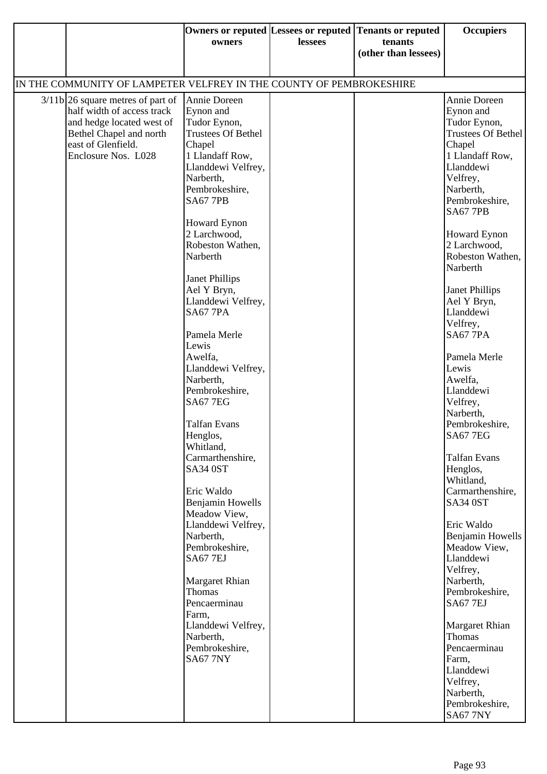|                                                                                                                                                                                                    | owners                                                                                                                                                                                                                                                                                                                                                                                                                                                                                                                                                                                                                                                                                                                                                            | lessees | Owners or reputed Lessees or reputed Tenants or reputed<br>tenants<br>(other than lessees) | <b>Occupiers</b>                                                                                                                                                                                                                                                                                                                                                                                                                                                                                                                                                                                                                                                                                                                                                                       |  |  |  |  |  |
|----------------------------------------------------------------------------------------------------------------------------------------------------------------------------------------------------|-------------------------------------------------------------------------------------------------------------------------------------------------------------------------------------------------------------------------------------------------------------------------------------------------------------------------------------------------------------------------------------------------------------------------------------------------------------------------------------------------------------------------------------------------------------------------------------------------------------------------------------------------------------------------------------------------------------------------------------------------------------------|---------|--------------------------------------------------------------------------------------------|----------------------------------------------------------------------------------------------------------------------------------------------------------------------------------------------------------------------------------------------------------------------------------------------------------------------------------------------------------------------------------------------------------------------------------------------------------------------------------------------------------------------------------------------------------------------------------------------------------------------------------------------------------------------------------------------------------------------------------------------------------------------------------------|--|--|--|--|--|
|                                                                                                                                                                                                    | IN THE COMMUNITY OF LAMPETER VELFREY IN THE COUNTY OF PEMBROKESHIRE                                                                                                                                                                                                                                                                                                                                                                                                                                                                                                                                                                                                                                                                                               |         |                                                                                            |                                                                                                                                                                                                                                                                                                                                                                                                                                                                                                                                                                                                                                                                                                                                                                                        |  |  |  |  |  |
| $3/11b$ 26 square metres of part of<br>half width of access track<br>and hedge located west of<br>Bethel Chapel and north<br>east of Glenfield.<br>Chapel<br>Enclosure Nos. L028<br>Lewis<br>Farm, | Annie Doreen<br>Eynon and<br>Tudor Eynon,<br><b>Trustees Of Bethel</b><br>1 Llandaff Row,<br>Llanddewi Velfrey,<br>Narberth,<br>Pembrokeshire,<br><b>SA67 7PB</b><br><b>Howard Eynon</b><br>2 Larchwood,<br>Robeston Wathen,<br>Narberth<br><b>Janet Phillips</b><br>Ael Y Bryn,<br>Llanddewi Velfrey,<br><b>SA67 7PA</b><br>Pamela Merle<br>Awelfa,<br>Llanddewi Velfrey,<br>Narberth,<br>Pembrokeshire,<br><b>SA67 7EG</b><br><b>Talfan Evans</b><br>Henglos,<br>Whitland,<br>Carmarthenshire,<br>SA34 0ST<br>Eric Waldo<br>Benjamin Howells<br>Meadow View,<br>Llanddewi Velfrey,<br>Narberth,<br>Pembrokeshire,<br><b>SA67 7EJ</b><br><b>Margaret Rhian</b><br>Thomas<br>Pencaerminau<br>Llanddewi Velfrey,<br>Narberth,<br>Pembrokeshire,<br><b>SA67 7NY</b> |         |                                                                                            | Annie Doreen<br>Eynon and<br>Tudor Eynon,<br>Trustees Of Bethel<br>Chapel<br>1 Llandaff Row,<br>Llanddewi<br>Velfrey,<br>Narberth,<br>Pembrokeshire,<br><b>SA67 7PB</b><br>Howard Eynon<br>2 Larchwood,<br>Robeston Wathen,<br>Narberth<br>Janet Phillips<br>Ael Y Bryn,<br>Llanddewi<br>Velfrey,<br><b>SA67 7PA</b><br>Pamela Merle<br>Lewis<br>Awelfa,<br>Llanddewi<br>Velfrey,<br>Narberth,<br>Pembrokeshire,<br>SA677EG<br><b>Talfan Evans</b><br>Henglos,<br>Whitland,<br>Carmarthenshire,<br><b>SA34 0ST</b><br>Eric Waldo<br>Benjamin Howells<br>Meadow View,<br>Llanddewi<br>Velfrey,<br>Narberth,<br>Pembrokeshire,<br><b>SA67 7EJ</b><br><b>Margaret Rhian</b><br>Thomas<br>Pencaerminau<br>Farm,<br>Llanddewi<br>Velfrey,<br>Narberth,<br>Pembrokeshire,<br><b>SA67 7NY</b> |  |  |  |  |  |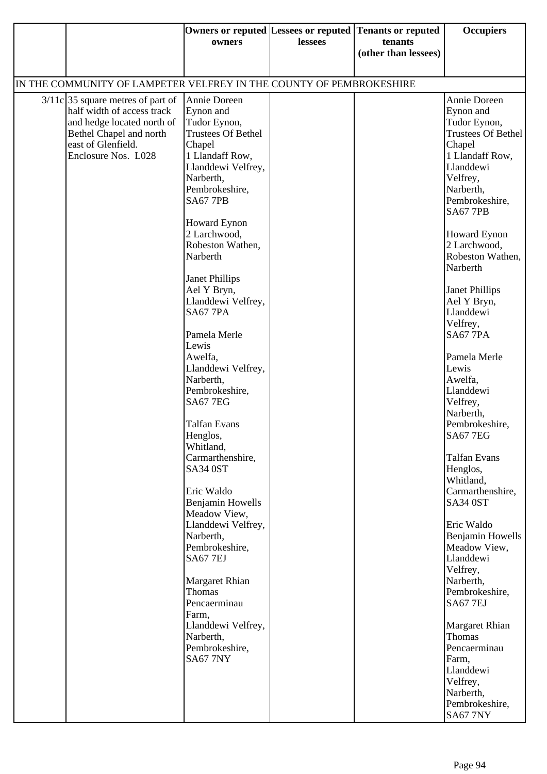|                                                                                                                                                                         | owners                                                                                                                                                                                                                                                                                                                                                                                                                                                                                                                                                                                                                                                                                                                                                                                        | lessees | Owners or reputed Lessees or reputed Tenants or reputed<br>tenants<br>(other than lessees) | <b>Occupiers</b>                                                                                                                                                                                                                                                                                                                                                                                                                                                                                                                                                                                                                                                                                                                                           |
|-------------------------------------------------------------------------------------------------------------------------------------------------------------------------|-----------------------------------------------------------------------------------------------------------------------------------------------------------------------------------------------------------------------------------------------------------------------------------------------------------------------------------------------------------------------------------------------------------------------------------------------------------------------------------------------------------------------------------------------------------------------------------------------------------------------------------------------------------------------------------------------------------------------------------------------------------------------------------------------|---------|--------------------------------------------------------------------------------------------|------------------------------------------------------------------------------------------------------------------------------------------------------------------------------------------------------------------------------------------------------------------------------------------------------------------------------------------------------------------------------------------------------------------------------------------------------------------------------------------------------------------------------------------------------------------------------------------------------------------------------------------------------------------------------------------------------------------------------------------------------------|
| IN THE COMMUNITY OF LAMPETER VELFREY IN THE COUNTY OF PEMBROKESHIRE                                                                                                     |                                                                                                                                                                                                                                                                                                                                                                                                                                                                                                                                                                                                                                                                                                                                                                                               |         |                                                                                            |                                                                                                                                                                                                                                                                                                                                                                                                                                                                                                                                                                                                                                                                                                                                                            |
|                                                                                                                                                                         |                                                                                                                                                                                                                                                                                                                                                                                                                                                                                                                                                                                                                                                                                                                                                                                               |         |                                                                                            |                                                                                                                                                                                                                                                                                                                                                                                                                                                                                                                                                                                                                                                                                                                                                            |
| $3/11c$ 35 square metres of part of<br>half width of access track<br>and hedge located north of<br>Bethel Chapel and north<br>east of Glenfield.<br>Enclosure Nos. L028 | Annie Doreen<br>Eynon and<br>Tudor Eynon,<br><b>Trustees Of Bethel</b><br>Chapel<br>1 Llandaff Row,<br>Llanddewi Velfrey,<br>Narberth,<br>Pembrokeshire,<br><b>SA67 7PB</b><br><b>Howard Eynon</b><br>2 Larchwood,<br>Robeston Wathen,<br>Narberth<br><b>Janet Phillips</b><br>Ael Y Bryn,<br>Llanddewi Velfrey,<br><b>SA67 7PA</b><br>Pamela Merle<br>Lewis<br>Awelfa,<br>Llanddewi Velfrey,<br>Narberth,<br>Pembrokeshire,<br><b>SA67 7EG</b><br><b>Talfan Evans</b><br>Henglos,<br>Whitland,<br>Carmarthenshire,<br><b>SA34 0ST</b><br>Eric Waldo<br>Benjamin Howells<br>Meadow View,<br>Llanddewi Velfrey,<br>Narberth,<br>Pembrokeshire,<br><b>SA67 7EJ</b><br>Margaret Rhian<br>Thomas<br>Pencaerminau<br>Farm,<br>Llanddewi Velfrey,<br>Narberth,<br>Pembrokeshire,<br><b>SA67 7NY</b> |         |                                                                                            | Annie Doreen<br>Eynon and<br>Tudor Eynon,<br>Trustees Of Bethel<br>Chapel<br>1 Llandaff Row,<br>Llanddewi<br>Velfrey,<br>Narberth,<br>Pembrokeshire,<br><b>SA67 7PB</b><br><b>Howard Eynon</b><br>2 Larchwood,<br>Robeston Wathen,<br>Narberth<br>Janet Phillips<br>Ael Y Bryn,<br>Llanddewi<br>Velfrey,<br><b>SA67 7PA</b><br>Pamela Merle<br>Lewis<br>Awelfa,<br>Llanddewi<br>Velfrey,<br>Narberth,<br>Pembrokeshire,<br> SA67 7EG<br><b>Talfan Evans</b><br>Henglos,<br>Whitland,<br>Carmarthenshire,<br><b>SA34 0ST</b><br>Eric Waldo<br><b>Benjamin Howells</b><br>Meadow View,<br>Llanddewi<br>Velfrey,<br>Narberth,<br>Pembrokeshire,<br><b>SA67 7EJ</b><br>Margaret Rhian<br>Thomas<br>Pencaerminau<br>Farm,<br>Llanddewi<br>Velfrey,<br>Narberth, |
|                                                                                                                                                                         |                                                                                                                                                                                                                                                                                                                                                                                                                                                                                                                                                                                                                                                                                                                                                                                               |         |                                                                                            | Pembrokeshire,<br><b>SA67 7NY</b>                                                                                                                                                                                                                                                                                                                                                                                                                                                                                                                                                                                                                                                                                                                          |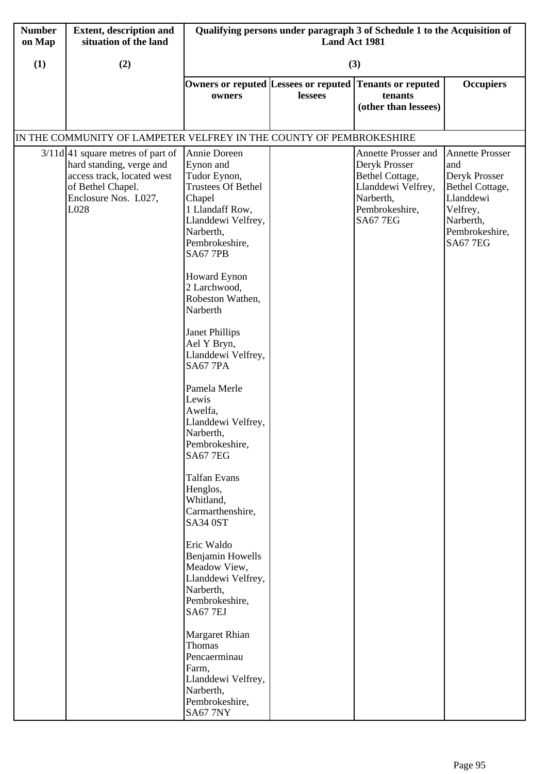| <b>Number</b><br>on Map | <b>Extent, description and</b><br>situation of the land                                                                                            | Qualifying persons under paragraph 3 of Schedule 1 to the Acquisition of<br>Land Act 1981                                                                                                                                                                                                                                                                                                                                                                                                                                                                                                                                                                                                                             |         |                                                                                                                                 |                                                                                                                                              |  |
|-------------------------|----------------------------------------------------------------------------------------------------------------------------------------------------|-----------------------------------------------------------------------------------------------------------------------------------------------------------------------------------------------------------------------------------------------------------------------------------------------------------------------------------------------------------------------------------------------------------------------------------------------------------------------------------------------------------------------------------------------------------------------------------------------------------------------------------------------------------------------------------------------------------------------|---------|---------------------------------------------------------------------------------------------------------------------------------|----------------------------------------------------------------------------------------------------------------------------------------------|--|
| (1)                     | (2)                                                                                                                                                |                                                                                                                                                                                                                                                                                                                                                                                                                                                                                                                                                                                                                                                                                                                       | (3)     |                                                                                                                                 |                                                                                                                                              |  |
|                         |                                                                                                                                                    | Owners or reputed Lessees or reputed<br>owners                                                                                                                                                                                                                                                                                                                                                                                                                                                                                                                                                                                                                                                                        | lessees | <b>Tenants or reputed</b><br>tenants<br>(other than lessees)                                                                    | <b>Occupiers</b>                                                                                                                             |  |
|                         | IN THE COMMUNITY OF LAMPETER VELFREY IN THE COUNTY OF PEMBROKESHIRE                                                                                |                                                                                                                                                                                                                                                                                                                                                                                                                                                                                                                                                                                                                                                                                                                       |         |                                                                                                                                 |                                                                                                                                              |  |
|                         | $3/11d$ 41 square metres of part of<br>hard standing, verge and<br>access track, located west<br>of Bethel Chapel.<br>Enclosure Nos. L027,<br>L028 | Annie Doreen<br>Eynon and<br>Tudor Eynon,<br><b>Trustees Of Bethel</b><br>Chapel<br>1 Llandaff Row,<br>Llanddewi Velfrey,<br>Narberth,<br>Pembrokeshire,<br><b>SA67 7PB</b><br><b>Howard Eynon</b><br>2 Larchwood,<br>Robeston Wathen,<br>Narberth<br><b>Janet Phillips</b><br>Ael Y Bryn,<br>Llanddewi Velfrey,<br><b>SA67 7PA</b><br>Pamela Merle<br>Lewis<br>Awelfa,<br>Llanddewi Velfrey,<br>Narberth,<br>Pembrokeshire,<br><b>SA67 7EG</b><br><b>Talfan Evans</b><br>Henglos,<br>Whitland,<br>Carmarthenshire,<br>SA34 0ST<br>Eric Waldo<br><b>Benjamin Howells</b><br>Meadow View,<br>Llanddewi Velfrey,<br>Narberth,<br>Pembrokeshire,<br><b>SA67 7EJ</b><br>Margaret Rhian<br>Thomas<br>Pencaerminau<br>Farm, |         | Annette Prosser and<br>Deryk Prosser<br>Bethel Cottage,<br>Llanddewi Velfrey,<br>Narberth,<br>Pembrokeshire,<br><b>SA67 7EG</b> | <b>Annette Prosser</b><br>and<br>Deryk Prosser<br>Bethel Cottage,<br>Llanddewi<br>Velfrey,<br>Narberth,<br>Pembrokeshire,<br><b>SA67 7EG</b> |  |
|                         |                                                                                                                                                    | Llanddewi Velfrey,<br>Narberth,<br>Pembrokeshire,<br><b>SA67 7NY</b>                                                                                                                                                                                                                                                                                                                                                                                                                                                                                                                                                                                                                                                  |         |                                                                                                                                 |                                                                                                                                              |  |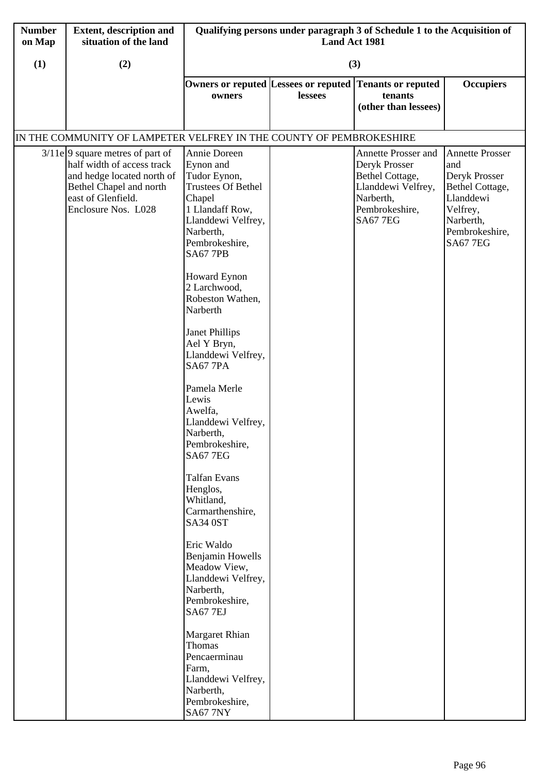| (1)<br>(3)<br>(2)<br>Owners or reputed Lessees or reputed Tenants or reputed<br><b>Occupiers</b><br>tenants<br>lessees<br>owners                                                                                                                                                                                                                                                                                                                                                                                                                                                                                                                                                                                                                                                                                                                                                                                                                                                                                                                                                                                                                                                                                                        |  |
|-----------------------------------------------------------------------------------------------------------------------------------------------------------------------------------------------------------------------------------------------------------------------------------------------------------------------------------------------------------------------------------------------------------------------------------------------------------------------------------------------------------------------------------------------------------------------------------------------------------------------------------------------------------------------------------------------------------------------------------------------------------------------------------------------------------------------------------------------------------------------------------------------------------------------------------------------------------------------------------------------------------------------------------------------------------------------------------------------------------------------------------------------------------------------------------------------------------------------------------------|--|
|                                                                                                                                                                                                                                                                                                                                                                                                                                                                                                                                                                                                                                                                                                                                                                                                                                                                                                                                                                                                                                                                                                                                                                                                                                         |  |
| (other than lessees)                                                                                                                                                                                                                                                                                                                                                                                                                                                                                                                                                                                                                                                                                                                                                                                                                                                                                                                                                                                                                                                                                                                                                                                                                    |  |
| IN THE COMMUNITY OF LAMPETER VELFREY IN THE COUNTY OF PEMBROKESHIRE                                                                                                                                                                                                                                                                                                                                                                                                                                                                                                                                                                                                                                                                                                                                                                                                                                                                                                                                                                                                                                                                                                                                                                     |  |
| $3/11e$ 9 square metres of part of<br>Annie Doreen<br>Annette Prosser<br>Annette Prosser and<br>half width of access track<br>Eynon and<br>Deryk Prosser<br>and<br>and hedge located north of<br>Tudor Eynon,<br>Bethel Cottage,<br>Deryk Prosser<br><b>Trustees Of Bethel</b><br>Llanddewi Velfrey,<br>Bethel Chapel and north<br>Bethel Cottage,<br>east of Glenfield.<br>Chapel<br>Narberth,<br>Llanddewi<br>1 Llandaff Row,<br>Enclosure Nos. L028<br>Pembrokeshire,<br>Velfrey,<br>Narberth,<br>Llanddewi Velfrey,<br><b>SA67 7EG</b><br>Narberth,<br>Pembrokeshire,<br>Pembrokeshire,<br><b>SA67 7EG</b><br><b>SA67 7PB</b><br><b>Howard Eynon</b><br>2 Larchwood,<br>Robeston Wathen,<br>Narberth<br><b>Janet Phillips</b><br>Ael Y Bryn,<br>Llanddewi Velfrey,<br><b>SA67 7PA</b><br>Pamela Merle<br>Lewis<br>Awelfa,<br>Llanddewi Velfrey,<br>Narberth,<br>Pembrokeshire,<br><b>SA67 7EG</b><br><b>Talfan Evans</b><br>Henglos,<br>Whitland,<br>Carmarthenshire,<br>SA34 0ST<br>Eric Waldo<br><b>Benjamin Howells</b><br>Meadow View,<br>Llanddewi Velfrey,<br>Narberth,<br>Pembrokeshire,<br><b>SA67 7EJ</b><br><b>Margaret Rhian</b><br>Thomas<br>Pencaerminau<br>Farm,<br>Llanddewi Velfrey,<br>Narberth,<br>Pembrokeshire, |  |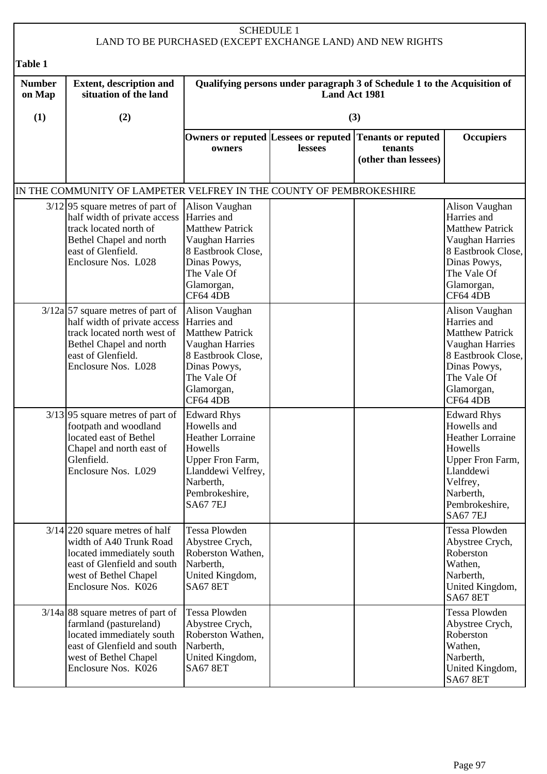|                         |                                                                                                                                                                                         |                                                                                                                                                             | <b>SCHEDULE 1</b> | LAND TO BE PURCHASED (EXCEPT EXCHANGE LAND) AND NEW RIGHTS   |                                                                                                                                                                        |  |
|-------------------------|-----------------------------------------------------------------------------------------------------------------------------------------------------------------------------------------|-------------------------------------------------------------------------------------------------------------------------------------------------------------|-------------------|--------------------------------------------------------------|------------------------------------------------------------------------------------------------------------------------------------------------------------------------|--|
| <b>Table 1</b>          |                                                                                                                                                                                         |                                                                                                                                                             |                   |                                                              |                                                                                                                                                                        |  |
| <b>Number</b><br>on Map | <b>Extent, description and</b><br>situation of the land                                                                                                                                 | Qualifying persons under paragraph 3 of Schedule 1 to the Acquisition of<br><b>Land Act 1981</b>                                                            |                   |                                                              |                                                                                                                                                                        |  |
| (1)                     | (2)                                                                                                                                                                                     |                                                                                                                                                             |                   | (3)                                                          |                                                                                                                                                                        |  |
|                         |                                                                                                                                                                                         | Owners or reputed Lessees or reputed<br>owners                                                                                                              | lessees           | <b>Tenants or reputed</b><br>tenants<br>(other than lessees) | <b>Occupiers</b>                                                                                                                                                       |  |
|                         | IN THE COMMUNITY OF LAMPETER VELFREY IN THE COUNTY OF PEMBROKESHIRE                                                                                                                     |                                                                                                                                                             |                   |                                                              |                                                                                                                                                                        |  |
|                         | $3/12$ 95 square metres of part of<br>half width of private access<br>track located north of<br>Bethel Chapel and north<br>east of Glenfield.<br>Enclosure Nos. L028                    | Alison Vaughan<br>Harries and<br><b>Matthew Patrick</b><br>Vaughan Harries<br>8 Eastbrook Close,<br>Dinas Powys,<br>The Vale Of<br>Glamorgan,<br>CF64 4DB   |                   |                                                              | Alison Vaughan<br>Harries and<br><b>Matthew Patrick</b><br>Vaughan Harries<br>8 Eastbrook Close,<br>Dinas Powys,<br>The Vale Of<br>Glamorgan,<br>CF64 4DB              |  |
|                         | $3/12a$ 57 square metres of part of<br>half width of private access  Harries and<br>track located north west of<br>Bethel Chapel and north<br>east of Glenfield.<br>Enclosure Nos. L028 | Alison Vaughan<br><b>Matthew Patrick</b><br>Vaughan Harries<br>8 Eastbrook Close,<br>Dinas Powys,<br>The Vale Of<br>Glamorgan,<br>CF64 4DB                  |                   |                                                              | Alison Vaughan<br>Harries and<br><b>Matthew Patrick</b><br>Vaughan Harries<br>8 Eastbrook Close,<br>Dinas Powys,<br>The Vale Of<br>Glamorgan,<br>CF64 4DB              |  |
|                         | $3/13$ 95 square metres of part of<br>footpath and woodland<br>located east of Bethel<br>Chapel and north east of<br>Glenfield.<br>Enclosure Nos. L029                                  | <b>Edward Rhys</b><br>Howells and<br><b>Heather Lorraine</b><br>Howells<br>Upper Fron Farm,<br>Llanddewi Velfrey,<br>Narberth,<br>Pembrokeshire,<br>SA677EJ |                   |                                                              | <b>Edward Rhys</b><br>Howells and<br><b>Heather Lorraine</b><br>Howells<br>Upper Fron Farm,<br>Llanddewi<br>Velfrey,<br>Narberth,<br>Pembrokeshire,<br><b>SA67 7EJ</b> |  |
|                         | $3/14$ 220 square metres of half<br>width of A40 Trunk Road<br>located immediately south<br>east of Glenfield and south<br>west of Bethel Chapel<br>Enclosure Nos. K026                 | Tessa Plowden<br>Abystree Crych,<br>Roberston Wathen,<br>Narberth,<br>United Kingdom,<br><b>SA67 8ET</b>                                                    |                   |                                                              | Tessa Plowden<br>Abystree Crych,<br>Roberston<br>Wathen,<br>Narberth,<br>United Kingdom,<br><b>SA67 8ET</b>                                                            |  |
|                         | $3/14a$ 88 square metres of part of<br>farmland (pastureland)<br>located immediately south<br>east of Glenfield and south<br>west of Bethel Chapel<br>Enclosure Nos. K026               | Tessa Plowden<br>Abystree Crych,<br>Roberston Wathen,<br>Narberth,<br>United Kingdom,<br><b>SA67 8ET</b>                                                    |                   |                                                              | Tessa Plowden<br>Abystree Crych,<br>Roberston<br>Wathen,<br>Narberth,<br>United Kingdom,<br>SA67 8ET                                                                   |  |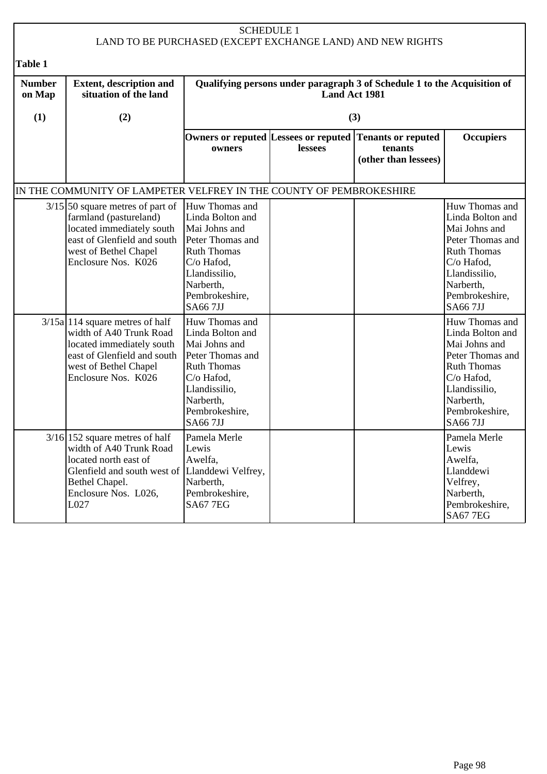| <b>SCHEDULE 1</b><br>LAND TO BE PURCHASED (EXCEPT EXCHANGE LAND) AND NEW RIGHTS |                                                                                                                                                                                                                                          |                                                                                                                                                                                                                     |               |                                                                                            |                                                                                                                                                                                                                     |
|---------------------------------------------------------------------------------|------------------------------------------------------------------------------------------------------------------------------------------------------------------------------------------------------------------------------------------|---------------------------------------------------------------------------------------------------------------------------------------------------------------------------------------------------------------------|---------------|--------------------------------------------------------------------------------------------|---------------------------------------------------------------------------------------------------------------------------------------------------------------------------------------------------------------------|
| Table 1                                                                         |                                                                                                                                                                                                                                          |                                                                                                                                                                                                                     |               |                                                                                            |                                                                                                                                                                                                                     |
| <b>Number</b><br>on Map                                                         | <b>Extent, description and</b><br>situation of the land                                                                                                                                                                                  |                                                                                                                                                                                                                     | Land Act 1981 | Qualifying persons under paragraph 3 of Schedule 1 to the Acquisition of                   |                                                                                                                                                                                                                     |
| (1)                                                                             | (2)                                                                                                                                                                                                                                      |                                                                                                                                                                                                                     |               | (3)                                                                                        |                                                                                                                                                                                                                     |
|                                                                                 |                                                                                                                                                                                                                                          | owners                                                                                                                                                                                                              | lessees       | Owners or reputed Lessees or reputed Tenants or reputed<br>tenants<br>(other than lessees) | <b>Occupiers</b>                                                                                                                                                                                                    |
|                                                                                 | IN THE COMMUNITY OF LAMPETER VELFREY IN THE COUNTY OF PEMBROKESHIRE                                                                                                                                                                      |                                                                                                                                                                                                                     |               |                                                                                            |                                                                                                                                                                                                                     |
|                                                                                 | $3/15$ 50 square metres of part of<br>farmland (pastureland)<br>located immediately south<br>east of Glenfield and south<br>west of Bethel Chapel<br>Enclosure Nos. K026<br>$3/15a$ 114 square metres of half<br>width of A40 Trunk Road | Huw Thomas and<br>Linda Bolton and<br>Mai Johns and<br>Peter Thomas and<br><b>Ruth Thomas</b><br>C/o Hafod,<br>Llandissilio,<br>Narberth,<br>Pembrokeshire,<br><b>SA667JJ</b><br>Huw Thomas and<br>Linda Bolton and |               |                                                                                            | Huw Thomas and<br>Linda Bolton and<br>Mai Johns and<br>Peter Thomas and<br><b>Ruth Thomas</b><br>C/o Hafod,<br>Llandissilio,<br>Narberth,<br>Pembrokeshire,<br><b>SA667JJ</b><br>Huw Thomas and<br>Linda Bolton and |
|                                                                                 | located immediately south<br>east of Glenfield and south<br>west of Bethel Chapel<br>Enclosure Nos. K026                                                                                                                                 | Mai Johns and<br>Peter Thomas and<br><b>Ruth Thomas</b><br>C/o Hafod,<br>Llandissilio,<br>Narberth,<br>Pembrokeshire,<br><b>SA667JJ</b>                                                                             |               |                                                                                            | Mai Johns and<br>Peter Thomas and<br><b>Ruth Thomas</b><br>C/o Hafod,<br>Llandissilio,<br>Narberth,<br>Pembrokeshire,<br><b>SA667JJ</b>                                                                             |
|                                                                                 | $3/16$ 152 square metres of half<br>width of A40 Trunk Road<br>located north east of<br>Glenfield and south west of Llanddewi Velfrey,<br>Bethel Chapel.<br>Enclosure Nos. L026,<br>L027                                                 | Pamela Merle<br>Lewis<br>Awelfa,<br>Narberth,<br>Pembrokeshire,<br><b>SA67 7EG</b>                                                                                                                                  |               |                                                                                            | Pamela Merle<br>Lewis<br>Awelfa,<br>Llanddewi<br>Velfrey,<br>Narberth,<br>Pembrokeshire,<br><b>SA67 7EG</b>                                                                                                         |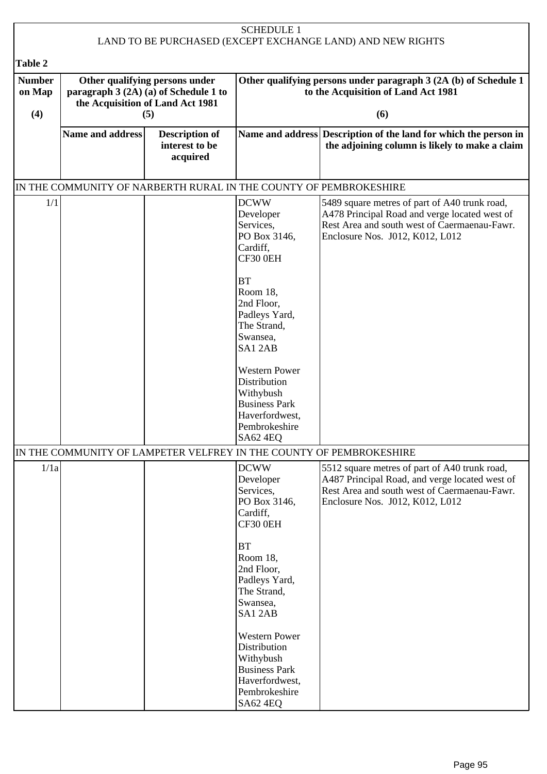| <b>SCHEDULE 1</b><br>LAND TO BE PURCHASED (EXCEPT EXCHANGE LAND) AND NEW RIGHTS |                                                                                                                    |                                                                   |                                                                                                                                                                                                                                                                                            |                                                                                                                                                                                    |  |
|---------------------------------------------------------------------------------|--------------------------------------------------------------------------------------------------------------------|-------------------------------------------------------------------|--------------------------------------------------------------------------------------------------------------------------------------------------------------------------------------------------------------------------------------------------------------------------------------------|------------------------------------------------------------------------------------------------------------------------------------------------------------------------------------|--|
|                                                                                 |                                                                                                                    |                                                                   |                                                                                                                                                                                                                                                                                            |                                                                                                                                                                                    |  |
| <b>Table 2</b><br><b>Number</b><br>on Map<br>(4)                                | Other qualifying persons under<br>paragraph 3 (2A) (a) of Schedule 1 to<br>the Acquisition of Land Act 1981<br>(5) |                                                                   | Other qualifying persons under paragraph 3 (2A (b) of Schedule 1<br>to the Acquisition of Land Act 1981<br>(6)                                                                                                                                                                             |                                                                                                                                                                                    |  |
|                                                                                 | Name and address                                                                                                   | <b>Description of</b><br>interest to be<br>acquired               |                                                                                                                                                                                                                                                                                            | Name and address Description of the land for which the person in<br>the adjoining column is likely to make a claim                                                                 |  |
|                                                                                 |                                                                                                                    | IN THE COMMUNITY OF NARBERTH RURAL IN THE COUNTY OF PEMBROKESHIRE |                                                                                                                                                                                                                                                                                            |                                                                                                                                                                                    |  |
| 1/1                                                                             |                                                                                                                    |                                                                   | <b>DCWW</b><br>Developer<br>Services,<br>PO Box 3146,<br>Cardiff,<br>CF30 0EH<br><b>BT</b><br>Room 18,<br>2nd Floor,<br>Padleys Yard,<br>The Strand,<br>Swansea,<br>SA12AB<br><b>Western Power</b><br>Distribution<br>Withybush<br><b>Business Park</b><br>Haverfordwest,<br>Pembrokeshire | 5489 square metres of part of A40 trunk road,<br>A478 Principal Road and verge located west of<br>Rest Area and south west of Caermaenau-Fawr.<br>Enclosure Nos. J012, K012, L012  |  |
|                                                                                 |                                                                                                                    |                                                                   | SA62 4EQ                                                                                                                                                                                                                                                                                   | IN THE COMMUNITY OF LAMPETER VELFREY IN THE COUNTY OF PEMBROKESHIRE                                                                                                                |  |
| 1/1a                                                                            |                                                                                                                    |                                                                   | <b>DCWW</b><br>Developer<br>Services,<br>PO Box 3146,<br>Cardiff,<br>CF30 0EH<br>BT<br>Room 18,<br>2nd Floor,                                                                                                                                                                              | 5512 square metres of part of A40 trunk road,<br>A487 Principal Road, and verge located west of<br>Rest Area and south west of Caermaenau-Fawr.<br>Enclosure Nos. J012, K012, L012 |  |
|                                                                                 |                                                                                                                    |                                                                   | Padleys Yard,<br>The Strand,<br>Swansea,<br>SA12AB<br><b>Western Power</b><br>Distribution<br>Withybush<br><b>Business Park</b><br>Haverfordwest,<br>Pembrokeshire<br>SA62 4EQ                                                                                                             |                                                                                                                                                                                    |  |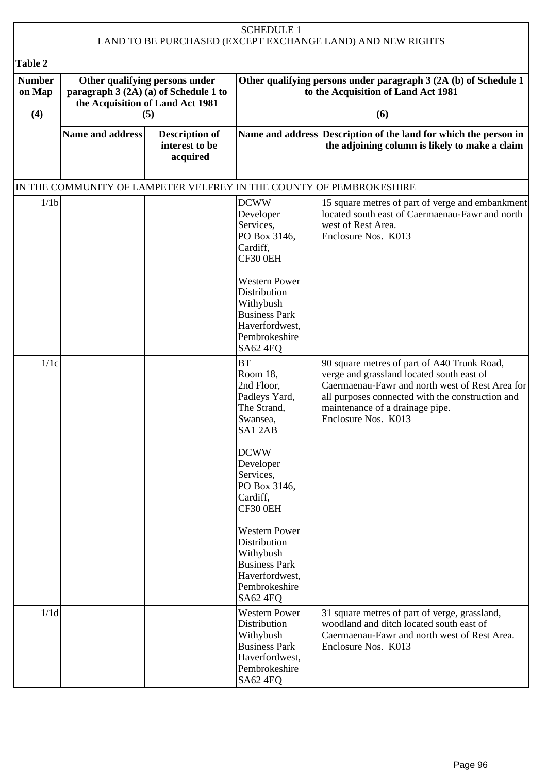| <b>SCHEDULE 1</b><br>LAND TO BE PURCHASED (EXCEPT EXCHANGE LAND) AND NEW RIGHTS |                         |                                                                                                                    |                                                                                                                                 |                                                                                                                                                                                                                                                           |  |
|---------------------------------------------------------------------------------|-------------------------|--------------------------------------------------------------------------------------------------------------------|---------------------------------------------------------------------------------------------------------------------------------|-----------------------------------------------------------------------------------------------------------------------------------------------------------------------------------------------------------------------------------------------------------|--|
| <b>Table 2</b>                                                                  |                         |                                                                                                                    |                                                                                                                                 |                                                                                                                                                                                                                                                           |  |
| <b>Number</b><br>on Map<br>(4)                                                  |                         | Other qualifying persons under<br>paragraph 3 (2A) (a) of Schedule 1 to<br>the Acquisition of Land Act 1981<br>(5) | Other qualifying persons under paragraph 3 (2A (b) of Schedule 1<br>to the Acquisition of Land Act 1981<br>(6)                  |                                                                                                                                                                                                                                                           |  |
|                                                                                 |                         |                                                                                                                    |                                                                                                                                 |                                                                                                                                                                                                                                                           |  |
|                                                                                 | <b>Name and address</b> | <b>Description of</b><br>interest to be<br>acquired                                                                |                                                                                                                                 | Name and address Description of the land for which the person in<br>the adjoining column is likely to make a claim                                                                                                                                        |  |
|                                                                                 |                         |                                                                                                                    |                                                                                                                                 | IN THE COMMUNITY OF LAMPETER VELFREY IN THE COUNTY OF PEMBROKESHIRE                                                                                                                                                                                       |  |
| 1/1 <sub>b</sub>                                                                |                         |                                                                                                                    | <b>DCWW</b><br>Developer<br>Services,<br>PO Box 3146,<br>Cardiff,<br>CF30 0EH                                                   | 15 square metres of part of verge and embankment<br>located south east of Caermaenau-Fawr and north<br>west of Rest Area.<br>Enclosure Nos. K013                                                                                                          |  |
|                                                                                 |                         |                                                                                                                    | <b>Western Power</b><br>Distribution<br>Withybush<br><b>Business Park</b><br>Haverfordwest,<br>Pembrokeshire<br>SA62 4EQ        |                                                                                                                                                                                                                                                           |  |
| 1/1c                                                                            |                         |                                                                                                                    | <b>BT</b><br>Room 18,<br>2nd Floor,<br>Padleys Yard,<br>The Strand,<br>Swansea,<br>SA12AB                                       | 90 square metres of part of A40 Trunk Road,<br>verge and grassland located south east of<br>Caermaenau-Fawr and north west of Rest Area for<br>all purposes connected with the construction and<br>maintenance of a drainage pipe.<br>Enclosure Nos. K013 |  |
|                                                                                 |                         |                                                                                                                    | <b>DCWW</b><br>Developer<br>Services,<br>PO Box 3146,<br>Cardiff,<br>CF30 0EH                                                   |                                                                                                                                                                                                                                                           |  |
|                                                                                 |                         |                                                                                                                    | <b>Western Power</b><br>Distribution<br>Withybush<br><b>Business Park</b><br>Haverfordwest,<br>Pembrokeshire<br>SA62 4EQ        |                                                                                                                                                                                                                                                           |  |
| 1/1d                                                                            |                         |                                                                                                                    | <b>Western Power</b><br>Distribution<br>Withybush<br><b>Business Park</b><br>Haverfordwest,<br>Pembrokeshire<br><b>SA62 4EQ</b> | 31 square metres of part of verge, grassland,<br>woodland and ditch located south east of<br>Caermaenau-Fawr and north west of Rest Area.<br>Enclosure Nos. K013                                                                                          |  |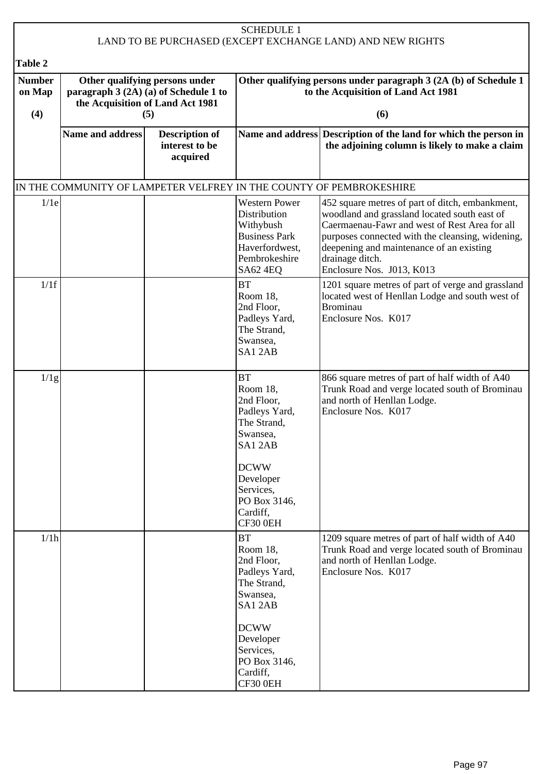| <b>SCHEDULE 1</b><br>LAND TO BE PURCHASED (EXCEPT EXCHANGE LAND) AND NEW RIGHTS |                                                                                                                    |                                                     |                                                                                                                                                                            |                                                                                                                                                                                                                                                                                                  |  |
|---------------------------------------------------------------------------------|--------------------------------------------------------------------------------------------------------------------|-----------------------------------------------------|----------------------------------------------------------------------------------------------------------------------------------------------------------------------------|--------------------------------------------------------------------------------------------------------------------------------------------------------------------------------------------------------------------------------------------------------------------------------------------------|--|
|                                                                                 |                                                                                                                    |                                                     |                                                                                                                                                                            |                                                                                                                                                                                                                                                                                                  |  |
| <b>Table 2</b><br><b>Number</b><br>on Map<br>(4)                                | Other qualifying persons under<br>paragraph 3 (2A) (a) of Schedule 1 to<br>the Acquisition of Land Act 1981<br>(5) |                                                     | Other qualifying persons under paragraph 3 (2A (b) of Schedule 1<br>to the Acquisition of Land Act 1981<br>(6)                                                             |                                                                                                                                                                                                                                                                                                  |  |
|                                                                                 | <b>Name and address</b>                                                                                            | <b>Description of</b><br>interest to be<br>acquired |                                                                                                                                                                            | Name and address Description of the land for which the person in<br>the adjoining column is likely to make a claim                                                                                                                                                                               |  |
|                                                                                 |                                                                                                                    |                                                     |                                                                                                                                                                            | IN THE COMMUNITY OF LAMPETER VELFREY IN THE COUNTY OF PEMBROKESHIRE                                                                                                                                                                                                                              |  |
| 1/1e                                                                            |                                                                                                                    |                                                     | <b>Western Power</b><br>Distribution<br>Withybush<br><b>Business Park</b><br>Haverfordwest,<br>Pembrokeshire<br><b>SA62 4EQ</b>                                            | 452 square metres of part of ditch, embankment,<br>woodland and grassland located south east of<br>Caermaenau-Fawr and west of Rest Area for all<br>purposes connected with the cleansing, widening,<br>deepening and maintenance of an existing<br>drainage ditch.<br>Enclosure Nos. J013, K013 |  |
| 1/1f                                                                            |                                                                                                                    |                                                     | <b>BT</b><br>Room 18,<br>2nd Floor,<br>Padleys Yard,<br>The Strand,<br>Swansea,<br>SA12AB                                                                                  | 1201 square metres of part of verge and grassland<br>located west of Henllan Lodge and south west of<br><b>Brominau</b><br>Enclosure Nos. K017                                                                                                                                                   |  |
| 1/1g                                                                            |                                                                                                                    |                                                     | <b>BT</b><br>Room 18,<br>2nd Floor,<br>Padleys Yard,<br>The Strand,<br>Swansea,<br>SA12AB<br><b>DCWW</b><br>Developer<br>Services,<br>PO Box 3146,<br>Cardiff,<br>CF30 0EH | 866 square metres of part of half width of A40<br>Trunk Road and verge located south of Brominau<br>and north of Henllan Lodge.<br>Enclosure Nos. K017                                                                                                                                           |  |
| 1/1h                                                                            |                                                                                                                    |                                                     | <b>BT</b><br>Room 18,<br>2nd Floor,<br>Padleys Yard,<br>The Strand,<br>Swansea,<br>SA12AB<br><b>DCWW</b><br>Developer<br>Services,<br>PO Box 3146,<br>Cardiff,<br>CF30 0EH | 1209 square metres of part of half width of A40<br>Trunk Road and verge located south of Brominau<br>and north of Henllan Lodge.<br>Enclosure Nos. K017                                                                                                                                          |  |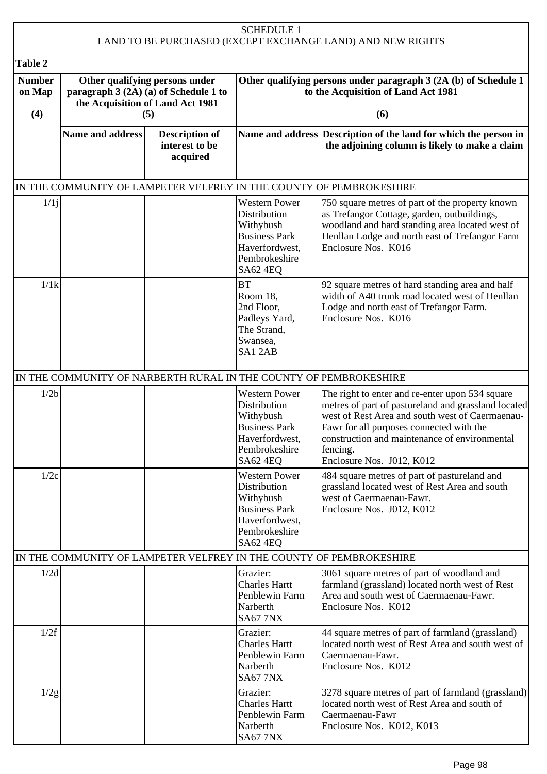| <b>SCHEDULE 1</b><br>LAND TO BE PURCHASED (EXCEPT EXCHANGE LAND) AND NEW RIGHTS |                                                                         |                                                                   |                                                                                                                                 |                                                                                                                                                                                                                                                                                                 |  |
|---------------------------------------------------------------------------------|-------------------------------------------------------------------------|-------------------------------------------------------------------|---------------------------------------------------------------------------------------------------------------------------------|-------------------------------------------------------------------------------------------------------------------------------------------------------------------------------------------------------------------------------------------------------------------------------------------------|--|
|                                                                                 |                                                                         |                                                                   |                                                                                                                                 |                                                                                                                                                                                                                                                                                                 |  |
| <b>Table 2</b>                                                                  |                                                                         |                                                                   |                                                                                                                                 |                                                                                                                                                                                                                                                                                                 |  |
| <b>Number</b><br>on Map                                                         | Other qualifying persons under<br>paragraph 3 (2A) (a) of Schedule 1 to |                                                                   |                                                                                                                                 | Other qualifying persons under paragraph 3 (2A (b) of Schedule 1<br>to the Acquisition of Land Act 1981                                                                                                                                                                                         |  |
| (4)                                                                             | the Acquisition of Land Act 1981<br>(5)                                 |                                                                   | (6)                                                                                                                             |                                                                                                                                                                                                                                                                                                 |  |
|                                                                                 | <b>Name and address</b>                                                 | <b>Description of</b><br>interest to be<br>acquired               |                                                                                                                                 | Name and address Description of the land for which the person in<br>the adjoining column is likely to make a claim                                                                                                                                                                              |  |
|                                                                                 |                                                                         |                                                                   |                                                                                                                                 | IN THE COMMUNITY OF LAMPETER VELFREY IN THE COUNTY OF PEMBROKESHIRE                                                                                                                                                                                                                             |  |
| 1/1j                                                                            |                                                                         |                                                                   | <b>Western Power</b><br>Distribution<br>Withybush<br><b>Business Park</b><br>Haverfordwest,<br>Pembrokeshire<br>SA62 4EQ        | 750 square metres of part of the property known<br>as Trefangor Cottage, garden, outbuildings,<br>woodland and hard standing area located west of<br>Henllan Lodge and north east of Trefangor Farm<br>Enclosure Nos. K016                                                                      |  |
| 1/1k                                                                            |                                                                         |                                                                   | <b>BT</b><br>Room 18,<br>2nd Floor,<br>Padleys Yard,<br>The Strand,<br>Swansea,<br>SA12AB                                       | 92 square metres of hard standing area and half<br>width of A40 trunk road located west of Henllan<br>Lodge and north east of Trefangor Farm.<br>Enclosure Nos. K016                                                                                                                            |  |
|                                                                                 |                                                                         | IN THE COMMUNITY OF NARBERTH RURAL IN THE COUNTY OF PEMBROKESHIRE |                                                                                                                                 |                                                                                                                                                                                                                                                                                                 |  |
| 1/2 <sub>b</sub>                                                                |                                                                         |                                                                   | <b>Western Power</b><br>Distribution<br>Withybush<br><b>Business Park</b><br>Haverfordwest,<br>Pembrokeshire<br><b>SA62 4EQ</b> | The right to enter and re-enter upon 534 square<br>metres of part of pastureland and grassland located<br>west of Rest Area and south west of Caermaenau-<br>Fawr for all purposes connected with the<br>construction and maintenance of environmental<br>fencing.<br>Enclosure Nos. J012, K012 |  |
| 1/2c                                                                            |                                                                         |                                                                   | <b>Western Power</b><br>Distribution<br>Withybush<br><b>Business Park</b><br>Haverfordwest,<br>Pembrokeshire<br>SA62 4EQ        | 484 square metres of part of pastureland and<br>grassland located west of Rest Area and south<br>west of Caermaenau-Fawr.<br>Enclosure Nos. J012, K012                                                                                                                                          |  |
|                                                                                 |                                                                         |                                                                   |                                                                                                                                 | IN THE COMMUNITY OF LAMPETER VELFREY IN THE COUNTY OF PEMBROKESHIRE                                                                                                                                                                                                                             |  |
| 1/2d                                                                            |                                                                         |                                                                   | Grazier:<br><b>Charles Hartt</b><br>Penblewin Farm<br>Narberth<br><b>SA67 7NX</b>                                               | 3061 square metres of part of woodland and<br>farmland (grassland) located north west of Rest<br>Area and south west of Caermaenau-Fawr.<br>Enclosure Nos. K012                                                                                                                                 |  |
| 1/2f                                                                            |                                                                         |                                                                   | Grazier:<br><b>Charles Hartt</b><br>Penblewin Farm<br>Narberth<br><b>SA67 7NX</b>                                               | 44 square metres of part of farmland (grassland)<br>located north west of Rest Area and south west of<br>Caermaenau-Fawr.<br>Enclosure Nos. K012                                                                                                                                                |  |
| 1/2g                                                                            |                                                                         |                                                                   | Grazier:<br><b>Charles Hartt</b><br>Penblewin Farm<br>Narberth<br><b>SA67 7NX</b>                                               | 3278 square metres of part of farmland (grassland)<br>located north west of Rest Area and south of<br>Caermaenau-Fawr<br>Enclosure Nos. K012, K013                                                                                                                                              |  |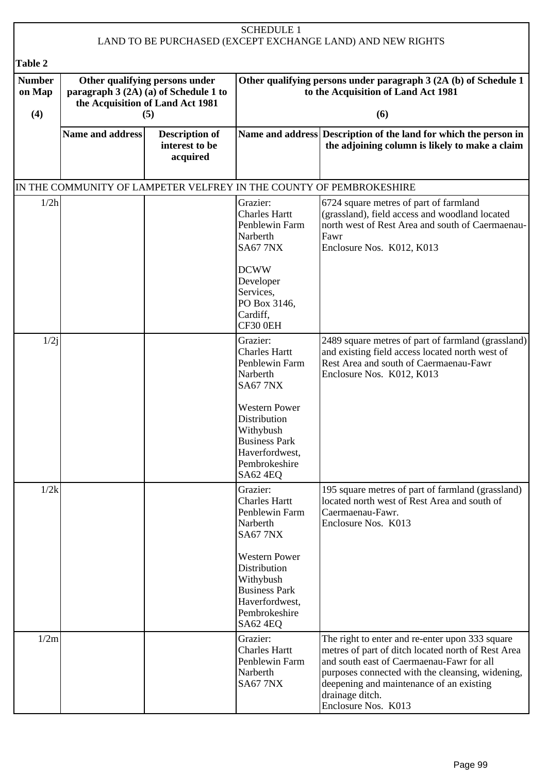| <b>SCHEDULE 1</b><br>LAND TO BE PURCHASED (EXCEPT EXCHANGE LAND) AND NEW RIGHTS |                                                                                                                    |                                                     |                                                                                                                                                        |                                                                                                                                                                                                                                                                                              |  |
|---------------------------------------------------------------------------------|--------------------------------------------------------------------------------------------------------------------|-----------------------------------------------------|--------------------------------------------------------------------------------------------------------------------------------------------------------|----------------------------------------------------------------------------------------------------------------------------------------------------------------------------------------------------------------------------------------------------------------------------------------------|--|
| <b>Table 2</b>                                                                  |                                                                                                                    |                                                     |                                                                                                                                                        |                                                                                                                                                                                                                                                                                              |  |
| <b>Number</b><br>on Map<br>(4)                                                  | Other qualifying persons under<br>paragraph 3 (2A) (a) of Schedule 1 to<br>the Acquisition of Land Act 1981<br>(5) |                                                     | Other qualifying persons under paragraph 3 (2A (b) of Schedule 1<br>to the Acquisition of Land Act 1981<br>(6)                                         |                                                                                                                                                                                                                                                                                              |  |
|                                                                                 | <b>Name and address</b>                                                                                            | <b>Description of</b><br>interest to be<br>acquired |                                                                                                                                                        | Name and address Description of the land for which the person in<br>the adjoining column is likely to make a claim                                                                                                                                                                           |  |
|                                                                                 |                                                                                                                    |                                                     | IN THE COMMUNITY OF LAMPETER VELFREY IN THE COUNTY OF PEMBROKESHIRE                                                                                    |                                                                                                                                                                                                                                                                                              |  |
| 1/2h                                                                            |                                                                                                                    |                                                     | Grazier:<br><b>Charles Hartt</b><br>Penblewin Farm<br>Narberth<br><b>SA67 7NX</b><br><b>DCWW</b><br>Developer<br>Services,<br>PO Box 3146,<br>Cardiff, | 6724 square metres of part of farmland<br>(grassland), field access and woodland located<br>north west of Rest Area and south of Caermaenau-<br>Fawr<br>Enclosure Nos. K012, K013                                                                                                            |  |
|                                                                                 |                                                                                                                    |                                                     | CF30 0EH                                                                                                                                               |                                                                                                                                                                                                                                                                                              |  |
| 1/2j                                                                            |                                                                                                                    |                                                     | Grazier:<br><b>Charles Hartt</b><br>Penblewin Farm<br>Narberth<br><b>SA67 7NX</b>                                                                      | 2489 square metres of part of farmland (grassland)<br>and existing field access located north west of<br>Rest Area and south of Caermaenau-Fawr<br>Enclosure Nos. K012, K013                                                                                                                 |  |
|                                                                                 |                                                                                                                    |                                                     | <b>Western Power</b><br>Distribution<br>Withybush<br><b>Business Park</b><br>Haverfordwest,<br>Pembrokeshire<br>SA62 4EQ                               |                                                                                                                                                                                                                                                                                              |  |
| 1/2k                                                                            |                                                                                                                    |                                                     | Grazier:<br><b>Charles Hartt</b><br>Penblewin Farm<br>Narberth<br><b>SA67 7NX</b>                                                                      | 195 square metres of part of farmland (grassland)<br>located north west of Rest Area and south of<br>Caermaenau-Fawr.<br>Enclosure Nos. K013                                                                                                                                                 |  |
|                                                                                 |                                                                                                                    |                                                     | <b>Western Power</b><br>Distribution<br>Withybush<br><b>Business Park</b><br>Haverfordwest,<br>Pembrokeshire<br>SA62 4EQ                               |                                                                                                                                                                                                                                                                                              |  |
| 1/2m                                                                            |                                                                                                                    |                                                     | Grazier:<br><b>Charles Hartt</b><br>Penblewin Farm<br>Narberth<br><b>SA67 7NX</b>                                                                      | The right to enter and re-enter upon 333 square<br>metres of part of ditch located north of Rest Area<br>and south east of Caermaenau-Fawr for all<br>purposes connected with the cleansing, widening,<br>deepening and maintenance of an existing<br>drainage ditch.<br>Enclosure Nos. K013 |  |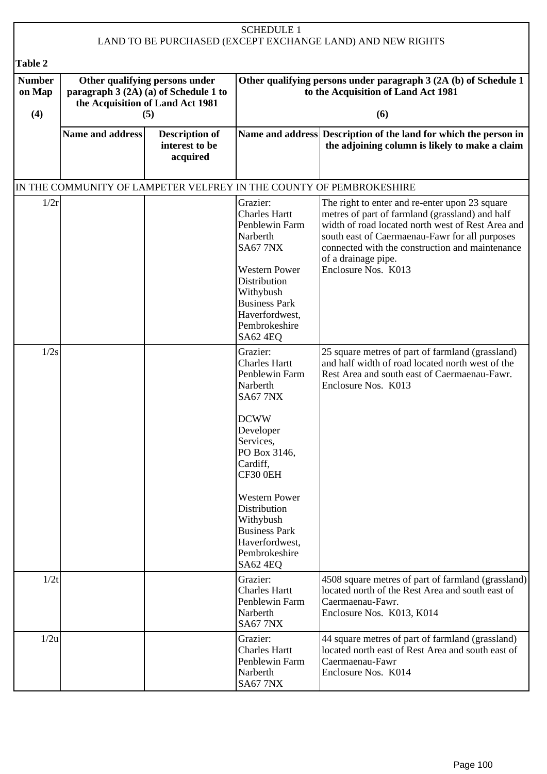| <b>SCHEDULE 1</b><br>LAND TO BE PURCHASED (EXCEPT EXCHANGE LAND) AND NEW RIGHTS |                                                                                                                    |                                                     |                                                                                                                                                                                                                                                                                                |                                                                                                                                                                                                                                                                                                           |  |
|---------------------------------------------------------------------------------|--------------------------------------------------------------------------------------------------------------------|-----------------------------------------------------|------------------------------------------------------------------------------------------------------------------------------------------------------------------------------------------------------------------------------------------------------------------------------------------------|-----------------------------------------------------------------------------------------------------------------------------------------------------------------------------------------------------------------------------------------------------------------------------------------------------------|--|
|                                                                                 |                                                                                                                    |                                                     |                                                                                                                                                                                                                                                                                                |                                                                                                                                                                                                                                                                                                           |  |
| <b>Table 2</b><br><b>Number</b><br>on Map<br>(4)                                | Other qualifying persons under<br>paragraph 3 (2A) (a) of Schedule 1 to<br>the Acquisition of Land Act 1981<br>(5) |                                                     | Other qualifying persons under paragraph 3 (2A (b) of Schedule 1<br>to the Acquisition of Land Act 1981<br>(6)                                                                                                                                                                                 |                                                                                                                                                                                                                                                                                                           |  |
|                                                                                 | <b>Name and address</b>                                                                                            | <b>Description of</b><br>interest to be<br>acquired |                                                                                                                                                                                                                                                                                                | Name and address Description of the land for which the person in<br>the adjoining column is likely to make a claim                                                                                                                                                                                        |  |
|                                                                                 |                                                                                                                    |                                                     |                                                                                                                                                                                                                                                                                                | IN THE COMMUNITY OF LAMPETER VELFREY IN THE COUNTY OF PEMBROKESHIRE                                                                                                                                                                                                                                       |  |
| 1/2r                                                                            |                                                                                                                    |                                                     | Grazier:<br><b>Charles Hartt</b><br>Penblewin Farm<br>Narberth<br><b>SA67 7NX</b><br><b>Western Power</b><br>Distribution<br>Withybush<br><b>Business Park</b><br>Haverfordwest,<br>Pembrokeshire<br>SA62 4EQ                                                                                  | The right to enter and re-enter upon 23 square<br>metres of part of farmland (grassland) and half<br>width of road located north west of Rest Area and<br>south east of Caermaenau-Fawr for all purposes<br>connected with the construction and maintenance<br>of a drainage pipe.<br>Enclosure Nos. K013 |  |
| 1/2s                                                                            |                                                                                                                    |                                                     | Grazier:<br><b>Charles Hartt</b><br>Penblewin Farm<br>Narberth<br><b>SA67 7NX</b><br><b>DCWW</b><br>Developer<br>Services,<br>PO Box 3146,<br>Cardiff,<br>CF30 0EH<br><b>Western Power</b><br>Distribution<br>Withybush<br><b>Business Park</b><br>Haverfordwest,<br>Pembrokeshire<br>SA62 4EQ | 25 square metres of part of farmland (grassland)<br>and half width of road located north west of the<br>Rest Area and south east of Caermaenau-Fawr.<br>Enclosure Nos. K013                                                                                                                               |  |
| 1/2t                                                                            |                                                                                                                    |                                                     | Grazier:<br><b>Charles Hartt</b><br>Penblewin Farm<br>Narberth<br><b>SA67 7NX</b>                                                                                                                                                                                                              | 4508 square metres of part of farmland (grassland)<br>located north of the Rest Area and south east of<br>Caermaenau-Fawr.<br>Enclosure Nos. K013, K014                                                                                                                                                   |  |
| 1/2u                                                                            |                                                                                                                    |                                                     | Grazier:<br><b>Charles Hartt</b><br>Penblewin Farm<br>Narberth<br><b>SA67 7NX</b>                                                                                                                                                                                                              | 44 square metres of part of farmland (grassland)<br>located north east of Rest Area and south east of<br>Caermaenau-Fawr<br>Enclosure Nos. K014                                                                                                                                                           |  |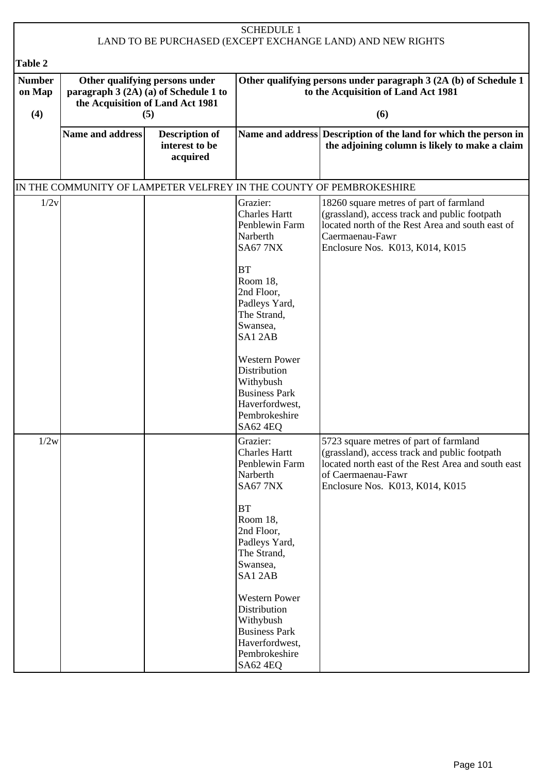| <b>SCHEDULE 1</b><br>LAND TO BE PURCHASED (EXCEPT EXCHANGE LAND) AND NEW RIGHTS |                  |                                                                                                             |                                                                                                                                                                         |                                                                                                                                                                                                        |  |
|---------------------------------------------------------------------------------|------------------|-------------------------------------------------------------------------------------------------------------|-------------------------------------------------------------------------------------------------------------------------------------------------------------------------|--------------------------------------------------------------------------------------------------------------------------------------------------------------------------------------------------------|--|
| Table 2                                                                         |                  |                                                                                                             |                                                                                                                                                                         |                                                                                                                                                                                                        |  |
| <b>Number</b><br>on Map                                                         |                  | Other qualifying persons under<br>paragraph 3 (2A) (a) of Schedule 1 to<br>the Acquisition of Land Act 1981 | Other qualifying persons under paragraph 3 (2A (b) of Schedule 1<br>to the Acquisition of Land Act 1981                                                                 |                                                                                                                                                                                                        |  |
| (4)                                                                             |                  | (5)                                                                                                         | (6)                                                                                                                                                                     |                                                                                                                                                                                                        |  |
|                                                                                 | Name and address | <b>Description of</b><br>interest to be<br>acquired                                                         |                                                                                                                                                                         | Name and address Description of the land for which the person in<br>the adjoining column is likely to make a claim                                                                                     |  |
|                                                                                 |                  |                                                                                                             |                                                                                                                                                                         | IN THE COMMUNITY OF LAMPETER VELFREY IN THE COUNTY OF PEMBROKESHIRE                                                                                                                                    |  |
| 1/2v                                                                            |                  |                                                                                                             | Grazier:<br><b>Charles Hartt</b><br>Penblewin Farm<br>Narberth<br><b>SA67 7NX</b>                                                                                       | 18260 square metres of part of farmland<br>(grassland), access track and public footpath<br>located north of the Rest Area and south east of<br>Caermaenau-Fawr<br>Enclosure Nos. K013, K014, K015     |  |
|                                                                                 |                  |                                                                                                             | BT<br>Room 18,<br>2nd Floor,<br>Padleys Yard,<br>The Strand,<br>Swansea,<br>SA12AB                                                                                      |                                                                                                                                                                                                        |  |
|                                                                                 |                  |                                                                                                             | <b>Western Power</b><br>Distribution<br>Withybush<br><b>Business Park</b><br>Haverfordwest,<br>Pembrokeshire<br><b>SA62 4EQ</b>                                         |                                                                                                                                                                                                        |  |
| 1/2w                                                                            |                  |                                                                                                             | Grazier:<br><b>Charles Hartt</b><br>Penblewin Farm<br>Narberth<br><b>SA67 7NX</b><br>BT<br>Room 18,<br>2nd Floor,<br>Padleys Yard,<br>The Strand,<br>Swansea,<br>SA12AB | 5723 square metres of part of farmland<br>(grassland), access track and public footpath<br>located north east of the Rest Area and south east<br>of Caermaenau-Fawr<br>Enclosure Nos. K013, K014, K015 |  |
|                                                                                 |                  |                                                                                                             | <b>Western Power</b><br>Distribution<br>Withybush<br><b>Business Park</b><br>Haverfordwest,<br>Pembrokeshire<br><b>SA62 4EQ</b>                                         |                                                                                                                                                                                                        |  |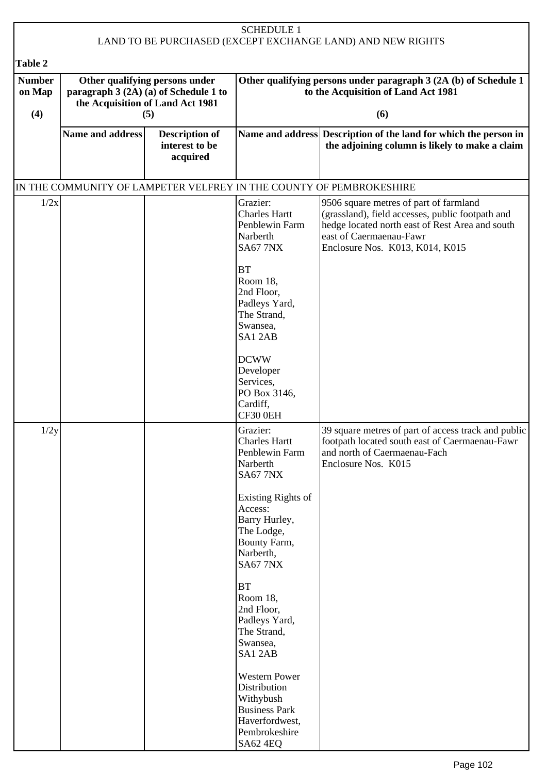| <b>SCHEDULE 1</b><br>LAND TO BE PURCHASED (EXCEPT EXCHANGE LAND) AND NEW RIGHTS |                                                                                                                    |                                                     |                                                                                                                                                                                                                                                                   |                                                                                                                                                                                                             |  |
|---------------------------------------------------------------------------------|--------------------------------------------------------------------------------------------------------------------|-----------------------------------------------------|-------------------------------------------------------------------------------------------------------------------------------------------------------------------------------------------------------------------------------------------------------------------|-------------------------------------------------------------------------------------------------------------------------------------------------------------------------------------------------------------|--|
| <b>Table 2</b>                                                                  |                                                                                                                    |                                                     |                                                                                                                                                                                                                                                                   |                                                                                                                                                                                                             |  |
| <b>Number</b><br>on Map<br>(4)                                                  | Other qualifying persons under<br>paragraph 3 (2A) (a) of Schedule 1 to<br>the Acquisition of Land Act 1981<br>(5) |                                                     | Other qualifying persons under paragraph 3 (2A (b) of Schedule 1<br>to the Acquisition of Land Act 1981<br>(6)                                                                                                                                                    |                                                                                                                                                                                                             |  |
|                                                                                 | Name and address                                                                                                   | <b>Description of</b><br>interest to be<br>acquired |                                                                                                                                                                                                                                                                   | Name and address Description of the land for which the person in<br>the adjoining column is likely to make a claim                                                                                          |  |
|                                                                                 |                                                                                                                    |                                                     | IN THE COMMUNITY OF LAMPETER VELFREY IN THE COUNTY OF PEMBROKESHIRE                                                                                                                                                                                               |                                                                                                                                                                                                             |  |
| 1/2x                                                                            |                                                                                                                    |                                                     | Grazier:<br><b>Charles Hartt</b><br>Penblewin Farm<br>Narberth<br><b>SA67 7NX</b><br><b>BT</b><br>Room 18.<br>2nd Floor,<br>Padleys Yard,<br>The Strand,<br>Swansea,<br>SA12AB                                                                                    | 9506 square metres of part of farmland<br>(grassland), field accesses, public footpath and<br>hedge located north east of Rest Area and south<br>east of Caermaenau-Fawr<br>Enclosure Nos. K013, K014, K015 |  |
|                                                                                 |                                                                                                                    |                                                     | <b>DCWW</b><br>Developer<br>Services,<br>PO Box 3146,<br>Cardiff,<br>CF30 0EH                                                                                                                                                                                     |                                                                                                                                                                                                             |  |
| 1/2y                                                                            |                                                                                                                    |                                                     | Grazier:<br><b>Charles Hartt</b><br>Penblewin Farm<br>Narberth<br><b>SA67 7NX</b><br>Existing Rights of<br>Access:<br>Barry Hurley,<br>The Lodge,<br>Bounty Farm,<br>Narberth,<br><b>SA67 7NX</b><br>BT<br>Room 18,<br>2nd Floor,<br>Padleys Yard,<br>The Strand, | 39 square metres of part of access track and public<br>footpath located south east of Caermaenau-Fawr<br>and north of Caermaenau-Fach<br>Enclosure Nos. K015                                                |  |
|                                                                                 |                                                                                                                    |                                                     | Swansea,<br>SA12AB<br><b>Western Power</b><br>Distribution<br>Withybush<br><b>Business Park</b><br>Haverfordwest,<br>Pembrokeshire<br><b>SA62 4EQ</b>                                                                                                             |                                                                                                                                                                                                             |  |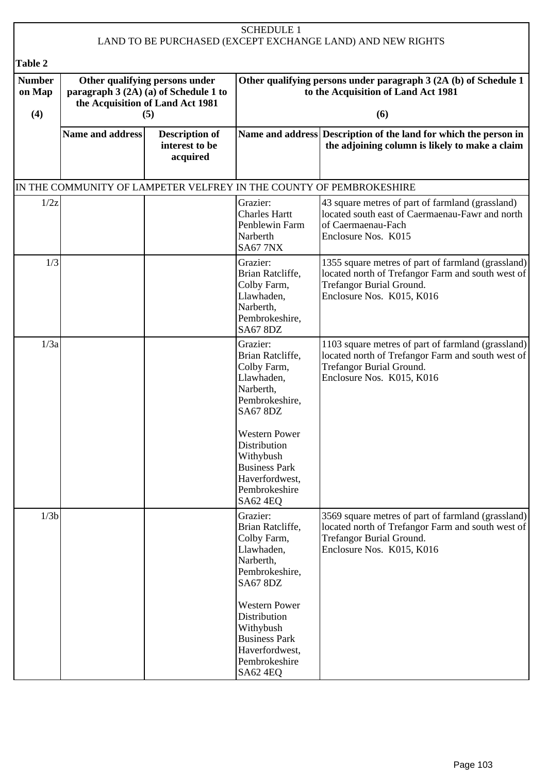|                         |                         |                                                                                                             | <b>SCHEDULE 1</b>                                                                                                        | LAND TO BE PURCHASED (EXCEPT EXCHANGE LAND) AND NEW RIGHTS                                                                                                              |  |
|-------------------------|-------------------------|-------------------------------------------------------------------------------------------------------------|--------------------------------------------------------------------------------------------------------------------------|-------------------------------------------------------------------------------------------------------------------------------------------------------------------------|--|
| Table 2                 |                         |                                                                                                             |                                                                                                                          |                                                                                                                                                                         |  |
| <b>Number</b><br>on Map |                         | Other qualifying persons under<br>paragraph 3 (2A) (a) of Schedule 1 to<br>the Acquisition of Land Act 1981 | Other qualifying persons under paragraph 3 (2A (b) of Schedule 1<br>to the Acquisition of Land Act 1981<br>(6)           |                                                                                                                                                                         |  |
| (4)                     |                         | (5)                                                                                                         |                                                                                                                          |                                                                                                                                                                         |  |
|                         | <b>Name and address</b> | <b>Description of</b><br>interest to be<br>acquired                                                         |                                                                                                                          | Name and address Description of the land for which the person in<br>the adjoining column is likely to make a claim                                                      |  |
|                         |                         |                                                                                                             |                                                                                                                          | IN THE COMMUNITY OF LAMPETER VELFREY IN THE COUNTY OF PEMBROKESHIRE                                                                                                     |  |
| 1/2z                    |                         |                                                                                                             | Grazier:<br><b>Charles Hartt</b><br>Penblewin Farm<br>Narberth<br><b>SA67 7NX</b>                                        | 43 square metres of part of farmland (grassland)<br>located south east of Caermaenau-Fawr and north<br>of Caermaenau-Fach<br>Enclosure Nos. K015                        |  |
| 1/3                     |                         |                                                                                                             | Grazier:<br>Brian Ratcliffe,<br>Colby Farm,<br>Llawhaden,<br>Narberth,<br>Pembrokeshire,<br><b>SA67 8DZ</b>              | 1355 square metres of part of farmland (grassland)<br>located north of Trefangor Farm and south west of<br><b>Trefangor Burial Ground.</b><br>Enclosure Nos. K015, K016 |  |
| 1/3a                    |                         |                                                                                                             | Grazier:<br>Brian Ratcliffe,<br>Colby Farm,<br>Llawhaden,<br>Narberth,<br>Pembrokeshire,<br><b>SA67 8DZ</b>              | 1103 square metres of part of farmland (grassland)<br>located north of Trefangor Farm and south west of<br><b>Trefangor Burial Ground.</b><br>Enclosure Nos. K015, K016 |  |
|                         |                         |                                                                                                             | <b>Western Power</b><br>Distribution<br>Withybush<br><b>Business Park</b><br>Haverfordwest,<br>Pembrokeshire<br>SA62 4EQ |                                                                                                                                                                         |  |
| 1/3 <sub>b</sub>        |                         |                                                                                                             | Grazier:<br>Brian Ratcliffe,<br>Colby Farm,<br>Llawhaden,<br>Narberth,<br>Pembrokeshire,<br><b>SA67 8DZ</b>              | 3569 square metres of part of farmland (grassland)<br>located north of Trefangor Farm and south west of<br><b>Trefangor Burial Ground.</b><br>Enclosure Nos. K015, K016 |  |
|                         |                         |                                                                                                             | <b>Western Power</b><br>Distribution<br>Withybush<br><b>Business Park</b><br>Haverfordwest,<br>Pembrokeshire<br>SA62 4EQ |                                                                                                                                                                         |  |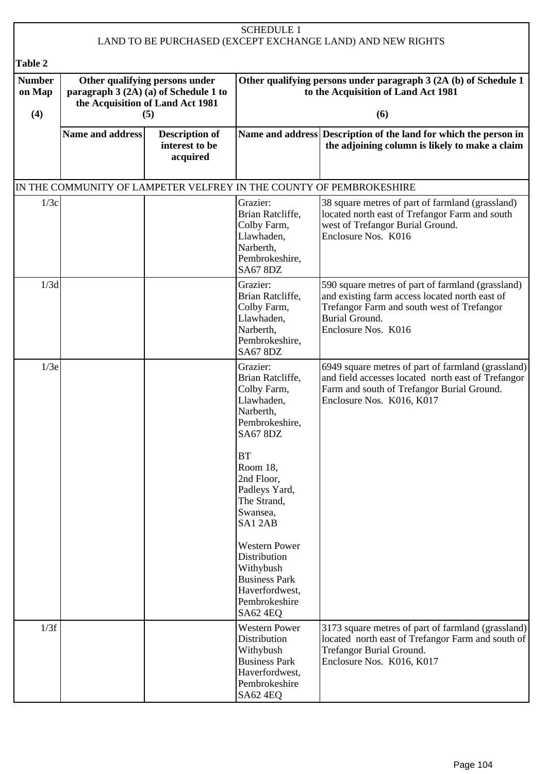|                                           |                                                                                                                    |                                                     | <b>SCHEDULE 1</b>                                                                                                               |                                                                                                                                                                                                   |
|-------------------------------------------|--------------------------------------------------------------------------------------------------------------------|-----------------------------------------------------|---------------------------------------------------------------------------------------------------------------------------------|---------------------------------------------------------------------------------------------------------------------------------------------------------------------------------------------------|
|                                           |                                                                                                                    |                                                     |                                                                                                                                 | LAND TO BE PURCHASED (EXCEPT EXCHANGE LAND) AND NEW RIGHTS                                                                                                                                        |
| Table 2<br><b>Number</b><br>on Map<br>(4) | Other qualifying persons under<br>paragraph 3 (2A) (a) of Schedule 1 to<br>the Acquisition of Land Act 1981<br>(5) |                                                     | Other qualifying persons under paragraph 3 (2A (b) of Schedule 1<br>to the Acquisition of Land Act 1981<br>(6)                  |                                                                                                                                                                                                   |
|                                           | <b>Name and address</b>                                                                                            | <b>Description of</b><br>interest to be<br>acquired |                                                                                                                                 | Name and address Description of the land for which the person in<br>the adjoining column is likely to make a claim                                                                                |
|                                           |                                                                                                                    |                                                     |                                                                                                                                 | IN THE COMMUNITY OF LAMPETER VELFREY IN THE COUNTY OF PEMBROKESHIRE                                                                                                                               |
| 1/3c                                      |                                                                                                                    |                                                     | Grazier:<br>Brian Ratcliffe,<br>Colby Farm,<br>Llawhaden,<br>Narberth,<br>Pembrokeshire,<br><b>SA67 8DZ</b>                     | 38 square metres of part of farmland (grassland)<br>located north east of Trefangor Farm and south<br>west of Trefangor Burial Ground.<br>Enclosure Nos. K016                                     |
| 1/3d                                      |                                                                                                                    |                                                     | Grazier:<br>Brian Ratcliffe,<br>Colby Farm,<br>Llawhaden,<br>Narberth,<br>Pembrokeshire,<br><b>SA67 8DZ</b>                     | 590 square metres of part of farmland (grassland)<br>and existing farm access located north east of<br>Trefangor Farm and south west of Trefangor<br><b>Burial Ground.</b><br>Enclosure Nos. K016 |
| 1/3e                                      |                                                                                                                    |                                                     | Grazier:<br>Brian Ratcliffe,<br>Colby Farm,<br>Llawhaden,<br>Narberth,<br>Pembrokeshire,<br><b>SA67 8DZ</b>                     | 6949 square metres of part of farmland (grassland)<br>and field accesses located north east of Trefangor<br>Farm and south of Trefangor Burial Ground.<br>Enclosure Nos. K016, K017               |
|                                           |                                                                                                                    |                                                     | <b>BT</b><br>Room 18,<br>2nd Floor,<br>Padleys Yard,<br>The Strand,<br>Swansea,<br>SA12AB                                       |                                                                                                                                                                                                   |
|                                           |                                                                                                                    |                                                     | <b>Western Power</b><br>Distribution<br>Withybush<br><b>Business Park</b><br>Haverfordwest,<br>Pembrokeshire<br>SA62 4EQ        |                                                                                                                                                                                                   |
| 1/3f                                      |                                                                                                                    |                                                     | <b>Western Power</b><br>Distribution<br>Withybush<br><b>Business Park</b><br>Haverfordwest,<br>Pembrokeshire<br><b>SA62 4EQ</b> | 3173 square metres of part of farmland (grassland)<br>located north east of Trefangor Farm and south of<br>Trefangor Burial Ground.<br>Enclosure Nos. K016, K017                                  |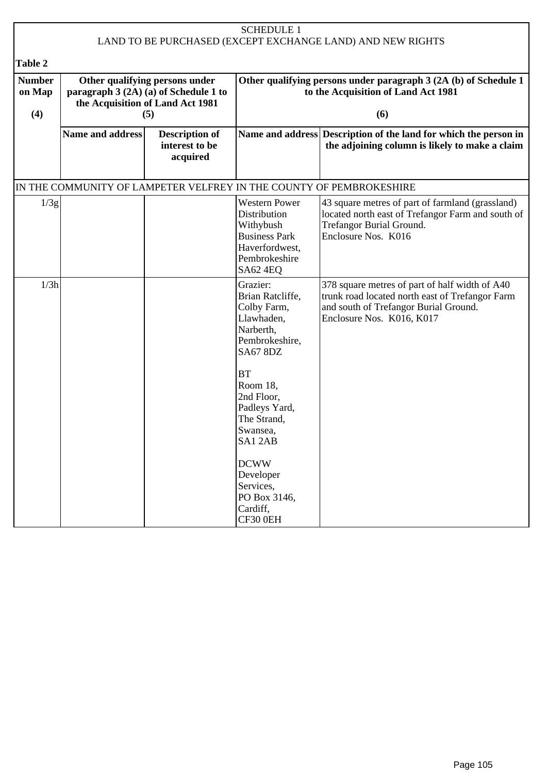| <b>SCHEDULE 1</b><br>LAND TO BE PURCHASED (EXCEPT EXCHANGE LAND) AND NEW RIGHTS |                                                                                                                    |                                                     |                                                                                                                                                                                                                         |                                                                                                                                                                         |
|---------------------------------------------------------------------------------|--------------------------------------------------------------------------------------------------------------------|-----------------------------------------------------|-------------------------------------------------------------------------------------------------------------------------------------------------------------------------------------------------------------------------|-------------------------------------------------------------------------------------------------------------------------------------------------------------------------|
| Table 2                                                                         |                                                                                                                    |                                                     |                                                                                                                                                                                                                         |                                                                                                                                                                         |
| <b>Number</b><br>on Map<br>(4)                                                  | Other qualifying persons under<br>paragraph 3 (2A) (a) of Schedule 1 to<br>the Acquisition of Land Act 1981<br>(5) |                                                     | Other qualifying persons under paragraph 3 (2A (b) of Schedule 1<br>to the Acquisition of Land Act 1981<br>(6)                                                                                                          |                                                                                                                                                                         |
|                                                                                 | Name and address                                                                                                   | <b>Description of</b><br>interest to be<br>acquired |                                                                                                                                                                                                                         | Name and address Description of the land for which the person in<br>the adjoining column is likely to make a claim                                                      |
|                                                                                 |                                                                                                                    |                                                     |                                                                                                                                                                                                                         | IN THE COMMUNITY OF LAMPETER VELFREY IN THE COUNTY OF PEMBROKESHIRE                                                                                                     |
| 1/3g                                                                            |                                                                                                                    |                                                     | <b>Western Power</b><br>Distribution<br>Withybush<br><b>Business Park</b><br>Haverfordwest,<br>Pembrokeshire<br>SA62 4EQ                                                                                                | 43 square metres of part of farmland (grassland)<br>located north east of Trefangor Farm and south of<br>Trefangor Burial Ground.<br>Enclosure Nos. K016                |
| 1/3h                                                                            |                                                                                                                    |                                                     | Grazier:<br>Brian Ratcliffe,<br>Colby Farm,<br>Llawhaden,<br>Narberth,<br>Pembrokeshire,<br><b>SA67 8DZ</b><br><b>BT</b><br>Room 18,<br>2nd Floor,<br>Padleys Yard,<br>The Strand,<br>Swansea,<br>SA12AB<br><b>DCWW</b> | 378 square metres of part of half width of A40<br>trunk road located north east of Trefangor Farm<br>and south of Trefangor Burial Ground.<br>Enclosure Nos. K016, K017 |
|                                                                                 |                                                                                                                    |                                                     | Developer<br>Services,<br>PO Box 3146,<br>Cardiff,<br>CF30 0EH                                                                                                                                                          |                                                                                                                                                                         |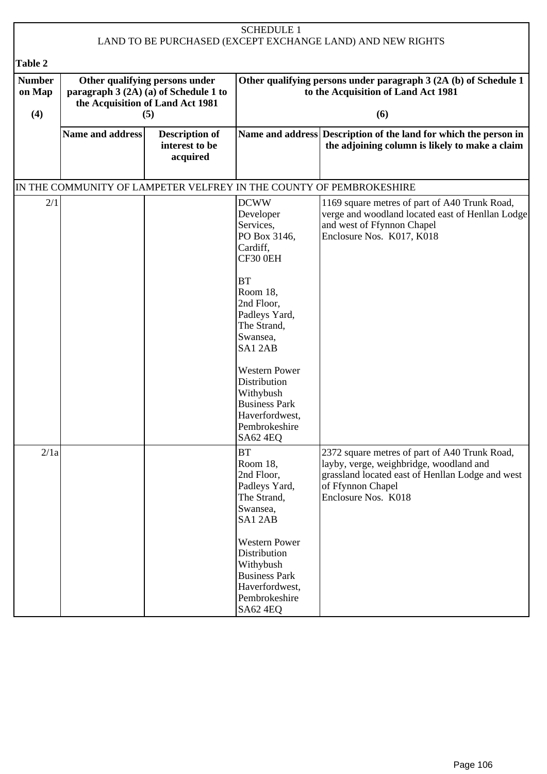| <b>SCHEDULE 1</b><br>LAND TO BE PURCHASED (EXCEPT EXCHANGE LAND) AND NEW RIGHTS |                  |                                                                                                             |                                                                                                                                 |                                                                                                                                                                                          |
|---------------------------------------------------------------------------------|------------------|-------------------------------------------------------------------------------------------------------------|---------------------------------------------------------------------------------------------------------------------------------|------------------------------------------------------------------------------------------------------------------------------------------------------------------------------------------|
|                                                                                 |                  |                                                                                                             |                                                                                                                                 |                                                                                                                                                                                          |
| Table 2                                                                         |                  |                                                                                                             |                                                                                                                                 |                                                                                                                                                                                          |
| <b>Number</b><br>on Map                                                         |                  | Other qualifying persons under<br>paragraph 3 (2A) (a) of Schedule 1 to<br>the Acquisition of Land Act 1981 |                                                                                                                                 | Other qualifying persons under paragraph 3 (2A (b) of Schedule 1<br>to the Acquisition of Land Act 1981                                                                                  |
| (4)                                                                             |                  | (5)                                                                                                         |                                                                                                                                 | (6)                                                                                                                                                                                      |
|                                                                                 | Name and address | <b>Description of</b><br>interest to be<br>acquired                                                         |                                                                                                                                 | Name and address Description of the land for which the person in<br>the adjoining column is likely to make a claim                                                                       |
|                                                                                 |                  |                                                                                                             |                                                                                                                                 | IN THE COMMUNITY OF LAMPETER VELFREY IN THE COUNTY OF PEMBROKESHIRE                                                                                                                      |
| 2/1                                                                             |                  |                                                                                                             | <b>DCWW</b><br>Developer<br>Services,<br>PO Box 3146,<br>Cardiff,<br>CF30 0EH                                                   | 1169 square metres of part of A40 Trunk Road,<br>verge and woodland located east of Henllan Lodge<br>and west of Ffynnon Chapel<br>Enclosure Nos. K017, K018                             |
|                                                                                 |                  |                                                                                                             | <b>BT</b><br>Room 18,<br>2nd Floor,<br>Padleys Yard,<br>The Strand,<br>Swansea,<br>SA12AB                                       |                                                                                                                                                                                          |
|                                                                                 |                  |                                                                                                             | <b>Western Power</b><br>Distribution<br>Withybush<br><b>Business Park</b><br>Haverfordwest,<br>Pembrokeshire<br>SA62 4EQ        |                                                                                                                                                                                          |
| 2/1a                                                                            |                  |                                                                                                             | <b>BT</b><br>Room 18,<br>2nd Floor,<br>Padleys Yard,<br>The Strand,<br>Swansea,<br>SA12AB                                       | 2372 square metres of part of A40 Trunk Road,<br>layby, verge, weighbridge, woodland and<br>grassland located east of Henllan Lodge and west<br>of Ffynnon Chapel<br>Enclosure Nos. K018 |
|                                                                                 |                  |                                                                                                             | <b>Western Power</b><br>Distribution<br>Withybush<br><b>Business Park</b><br>Haverfordwest,<br>Pembrokeshire<br><b>SA62 4EQ</b> |                                                                                                                                                                                          |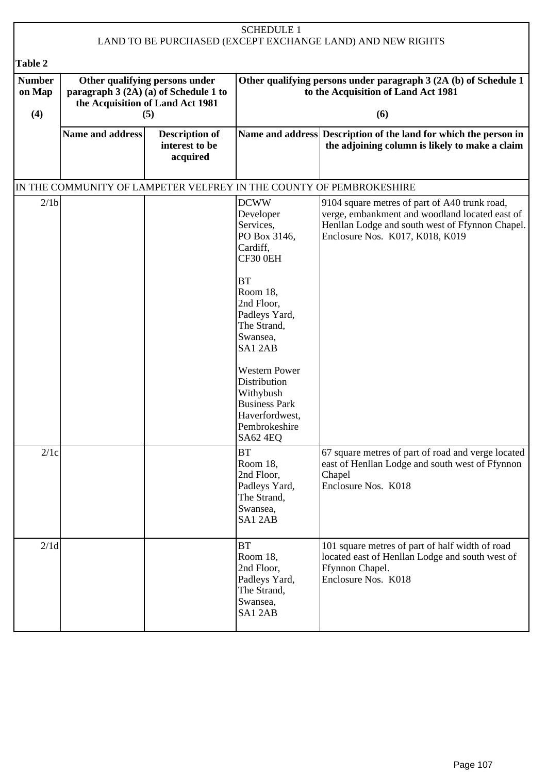| <b>SCHEDULE 1</b><br>LAND TO BE PURCHASED (EXCEPT EXCHANGE LAND) AND NEW RIGHTS |                  |                                                                                                             |                                                                                                                                                                                          |                                                                                                                                                                                       |
|---------------------------------------------------------------------------------|------------------|-------------------------------------------------------------------------------------------------------------|------------------------------------------------------------------------------------------------------------------------------------------------------------------------------------------|---------------------------------------------------------------------------------------------------------------------------------------------------------------------------------------|
| Table 2                                                                         |                  |                                                                                                             |                                                                                                                                                                                          |                                                                                                                                                                                       |
| <b>Number</b><br>on Map                                                         |                  | Other qualifying persons under<br>paragraph $3(2A)(a)$ of Schedule 1 to<br>the Acquisition of Land Act 1981 |                                                                                                                                                                                          | Other qualifying persons under paragraph 3 (2A (b) of Schedule 1<br>to the Acquisition of Land Act 1981                                                                               |
| (4)                                                                             |                  | (5)                                                                                                         |                                                                                                                                                                                          | (6)                                                                                                                                                                                   |
|                                                                                 | Name and address | <b>Description of</b><br>interest to be<br>acquired                                                         |                                                                                                                                                                                          | Name and address Description of the land for which the person in<br>the adjoining column is likely to make a claim                                                                    |
|                                                                                 |                  |                                                                                                             |                                                                                                                                                                                          | IN THE COMMUNITY OF LAMPETER VELFREY IN THE COUNTY OF PEMBROKESHIRE                                                                                                                   |
| 2/1 <sub>b</sub>                                                                |                  |                                                                                                             | <b>DCWW</b><br>Developer<br>Services,<br>PO Box 3146,<br>Cardiff,<br>CF30 0EH                                                                                                            | 9104 square metres of part of A40 trunk road,<br>verge, embankment and woodland located east of<br>Henllan Lodge and south west of Ffynnon Chapel.<br>Enclosure Nos. K017, K018, K019 |
|                                                                                 |                  |                                                                                                             | <b>BT</b><br>Room 18,<br>2nd Floor,<br>Padleys Yard,<br>The Strand,<br>Swansea,<br>SA12AB<br><b>Western Power</b><br>Distribution<br>Withybush<br><b>Business Park</b><br>Haverfordwest, |                                                                                                                                                                                       |
|                                                                                 |                  |                                                                                                             | Pembrokeshire<br>SA62 4EQ                                                                                                                                                                |                                                                                                                                                                                       |
| 2/1c                                                                            |                  |                                                                                                             | <b>BT</b><br>Room 18,<br>2nd Floor,<br>Padleys Yard,<br>The Strand,<br>Swansea,<br>SA12AB                                                                                                | 67 square metres of part of road and verge located<br>east of Henllan Lodge and south west of Ffynnon<br>Chapel<br>Enclosure Nos. K018                                                |
| 2/1d                                                                            |                  |                                                                                                             | BT<br>Room 18,<br>2nd Floor,<br>Padleys Yard,<br>The Strand,<br>Swansea,<br>SA12AB                                                                                                       | 101 square metres of part of half width of road<br>located east of Henllan Lodge and south west of<br>Ffynnon Chapel.<br>Enclosure Nos. K018                                          |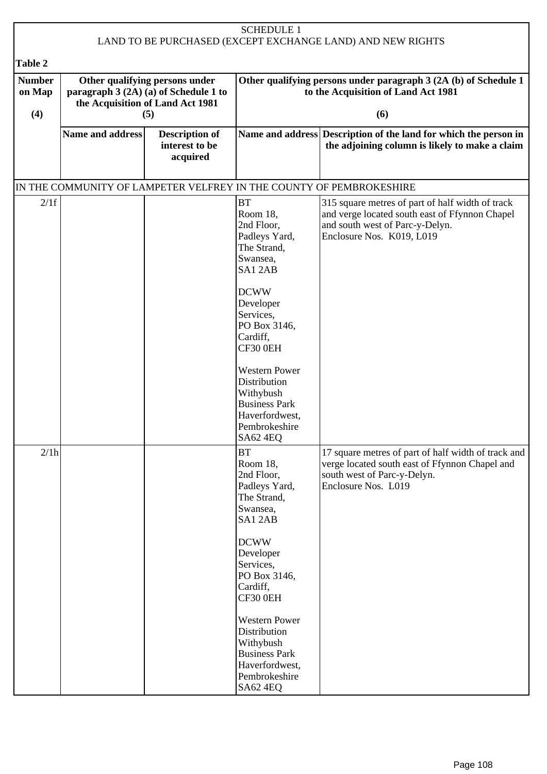| <b>SCHEDULE 1</b><br>LAND TO BE PURCHASED (EXCEPT EXCHANGE LAND) AND NEW RIGHTS |                                                                                                             |                                                     |                                                                                                                                                                                                                                                                           |                                                                                                                                                                    |  |
|---------------------------------------------------------------------------------|-------------------------------------------------------------------------------------------------------------|-----------------------------------------------------|---------------------------------------------------------------------------------------------------------------------------------------------------------------------------------------------------------------------------------------------------------------------------|--------------------------------------------------------------------------------------------------------------------------------------------------------------------|--|
| Table 2                                                                         |                                                                                                             |                                                     |                                                                                                                                                                                                                                                                           |                                                                                                                                                                    |  |
| <b>Number</b><br>on Map                                                         | Other qualifying persons under<br>paragraph 3 (2A) (a) of Schedule 1 to<br>the Acquisition of Land Act 1981 |                                                     | Other qualifying persons under paragraph 3 (2A (b) of Schedule 1<br>to the Acquisition of Land Act 1981                                                                                                                                                                   |                                                                                                                                                                    |  |
| (4)                                                                             |                                                                                                             | (5)                                                 |                                                                                                                                                                                                                                                                           | (6)                                                                                                                                                                |  |
|                                                                                 | <b>Name and address</b>                                                                                     | <b>Description of</b><br>interest to be<br>acquired |                                                                                                                                                                                                                                                                           | Name and address Description of the land for which the person in<br>the adjoining column is likely to make a claim                                                 |  |
|                                                                                 |                                                                                                             |                                                     |                                                                                                                                                                                                                                                                           | IN THE COMMUNITY OF LAMPETER VELFREY IN THE COUNTY OF PEMBROKESHIRE                                                                                                |  |
| 2/1f                                                                            |                                                                                                             |                                                     | <b>BT</b><br>Room 18,<br>2nd Floor,<br>Padleys Yard,<br>The Strand,<br>Swansea,<br>SA12AB<br><b>DCWW</b><br>Developer<br>Services,<br>PO Box 3146,<br>Cardiff,<br>CF30 0EH<br><b>Western Power</b><br>Distribution<br>Withybush<br><b>Business Park</b><br>Haverfordwest, | 315 square metres of part of half width of track<br>and verge located south east of Ffynnon Chapel<br>and south west of Parc-y-Delyn.<br>Enclosure Nos. K019, L019 |  |
|                                                                                 |                                                                                                             |                                                     | Pembrokeshire<br>SA62 4EQ                                                                                                                                                                                                                                                 |                                                                                                                                                                    |  |
| 2/1h                                                                            |                                                                                                             |                                                     | <b>BT</b><br>Room 18,<br>2nd Floor,<br>Padleys Yard,<br>The Strand,<br>Swansea,<br>SA12AB                                                                                                                                                                                 | 17 square metres of part of half width of track and<br>verge located south east of Ffynnon Chapel and<br>south west of Parc-y-Delyn.<br>Enclosure Nos. L019        |  |
|                                                                                 |                                                                                                             |                                                     | <b>DCWW</b><br>Developer<br>Services,<br>PO Box 3146,<br>Cardiff,<br>CF30 0EH                                                                                                                                                                                             |                                                                                                                                                                    |  |
|                                                                                 |                                                                                                             |                                                     | <b>Western Power</b><br>Distribution<br>Withybush<br><b>Business Park</b><br>Haverfordwest,<br>Pembrokeshire<br>SA62 4EQ                                                                                                                                                  |                                                                                                                                                                    |  |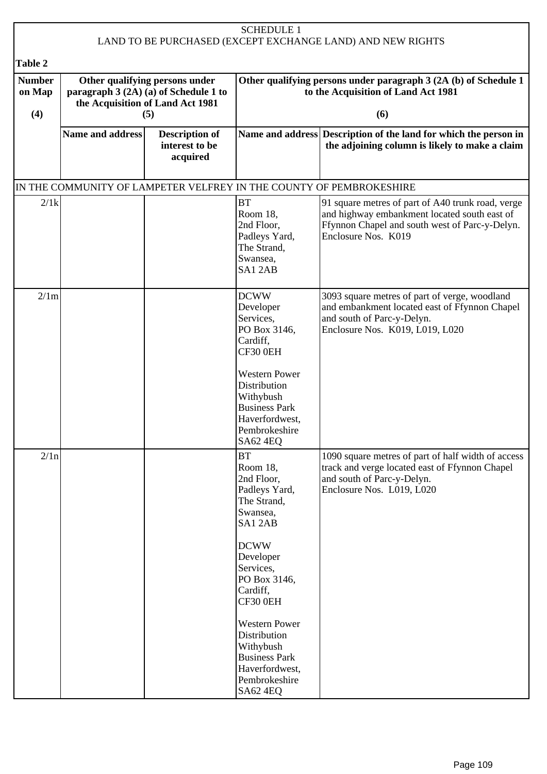| <b>SCHEDULE 1</b><br>LAND TO BE PURCHASED (EXCEPT EXCHANGE LAND) AND NEW RIGHTS |                                                                                                                    |                                                     |                                                                                                                                                                                                                                                                                                                |                                                                                                                                                                            |  |  |
|---------------------------------------------------------------------------------|--------------------------------------------------------------------------------------------------------------------|-----------------------------------------------------|----------------------------------------------------------------------------------------------------------------------------------------------------------------------------------------------------------------------------------------------------------------------------------------------------------------|----------------------------------------------------------------------------------------------------------------------------------------------------------------------------|--|--|
| Table 2                                                                         |                                                                                                                    |                                                     |                                                                                                                                                                                                                                                                                                                |                                                                                                                                                                            |  |  |
| <b>Number</b><br>on Map<br>(4)                                                  | Other qualifying persons under<br>paragraph 3 (2A) (a) of Schedule 1 to<br>the Acquisition of Land Act 1981<br>(5) |                                                     |                                                                                                                                                                                                                                                                                                                | Other qualifying persons under paragraph 3 (2A (b) of Schedule 1<br>to the Acquisition of Land Act 1981<br>(6)                                                             |  |  |
|                                                                                 | <b>Name and address</b>                                                                                            | <b>Description of</b><br>interest to be<br>acquired |                                                                                                                                                                                                                                                                                                                | Name and address Description of the land for which the person in<br>the adjoining column is likely to make a claim                                                         |  |  |
|                                                                                 |                                                                                                                    |                                                     |                                                                                                                                                                                                                                                                                                                | IN THE COMMUNITY OF LAMPETER VELFREY IN THE COUNTY OF PEMBROKESHIRE                                                                                                        |  |  |
| 2/1k                                                                            |                                                                                                                    |                                                     | <b>BT</b><br>Room 18,<br>2nd Floor,<br>Padleys Yard,<br>The Strand,<br>Swansea,<br>SA12AB                                                                                                                                                                                                                      | 91 square metres of part of A40 trunk road, verge<br>and highway embankment located south east of<br>Ffynnon Chapel and south west of Parc-y-Delyn.<br>Enclosure Nos. K019 |  |  |
| 2/1m                                                                            |                                                                                                                    |                                                     | <b>DCWW</b><br>Developer<br>Services,<br>PO Box 3146,<br>Cardiff,<br>CF30 0EH<br><b>Western Power</b><br>Distribution<br>Withybush<br><b>Business Park</b><br>Haverfordwest,<br>Pembrokeshire<br><b>SA62 4EQ</b>                                                                                               | 3093 square metres of part of verge, woodland<br>and embankment located east of Ffynnon Chapel<br>and south of Parc-y-Delyn.<br>Enclosure Nos. K019, L019, L020            |  |  |
| 2/1n                                                                            |                                                                                                                    |                                                     | <b>BT</b><br>Room 18.<br>2nd Floor,<br>Padleys Yard,<br>The Strand,<br>Swansea,<br>SA1 2AB<br><b>DCWW</b><br>Developer<br>Services,<br>PO Box 3146,<br>Cardiff,<br>CF30 0EH<br><b>Western Power</b><br>Distribution<br>Withybush<br><b>Business Park</b><br>Haverfordwest,<br>Pembrokeshire<br><b>SA62 4EQ</b> | 1090 square metres of part of half width of access<br>track and verge located east of Ffynnon Chapel<br>and south of Parc-y-Delyn.<br>Enclosure Nos. L019, L020            |  |  |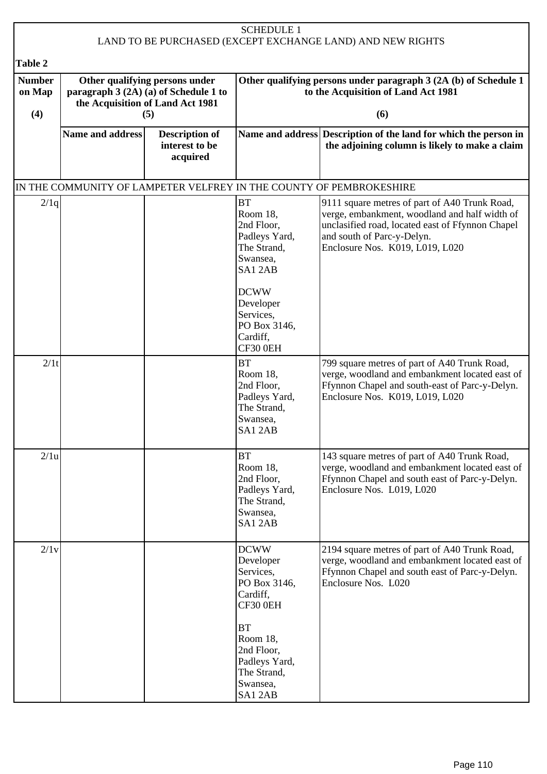| <b>SCHEDULE 1</b><br>LAND TO BE PURCHASED (EXCEPT EXCHANGE LAND) AND NEW RIGHTS |                                                                                                                    |                                                     |                                                                                            |                                                                                                                                                                                                                     |  |  |
|---------------------------------------------------------------------------------|--------------------------------------------------------------------------------------------------------------------|-----------------------------------------------------|--------------------------------------------------------------------------------------------|---------------------------------------------------------------------------------------------------------------------------------------------------------------------------------------------------------------------|--|--|
|                                                                                 |                                                                                                                    |                                                     |                                                                                            |                                                                                                                                                                                                                     |  |  |
| <b>Table 2</b><br><b>Number</b><br>on Map<br>(4)                                | Other qualifying persons under<br>paragraph 3 (2A) (a) of Schedule 1 to<br>the Acquisition of Land Act 1981<br>(5) |                                                     |                                                                                            | Other qualifying persons under paragraph 3 (2A (b) of Schedule 1<br>to the Acquisition of Land Act 1981<br>(6)                                                                                                      |  |  |
|                                                                                 | <b>Name and address</b>                                                                                            | <b>Description of</b><br>interest to be<br>acquired |                                                                                            | Name and address Description of the land for which the person in<br>the adjoining column is likely to make a claim                                                                                                  |  |  |
|                                                                                 |                                                                                                                    |                                                     |                                                                                            | IN THE COMMUNITY OF LAMPETER VELFREY IN THE COUNTY OF PEMBROKESHIRE                                                                                                                                                 |  |  |
| 2/1q                                                                            |                                                                                                                    |                                                     | <b>BT</b><br>Room 18.<br>2nd Floor,<br>Padleys Yard,<br>The Strand,<br>Swansea,<br>SA12AB  | 9111 square metres of part of A40 Trunk Road,<br>verge, embankment, woodland and half width of<br>unclasified road, located east of Ffynnon Chapel<br>and south of Parc-y-Delyn.<br>Enclosure Nos. K019, L019, L020 |  |  |
|                                                                                 |                                                                                                                    |                                                     | <b>DCWW</b><br>Developer<br>Services,<br>PO Box 3146,<br>Cardiff,<br>CF30 0EH              |                                                                                                                                                                                                                     |  |  |
| 2/1t                                                                            |                                                                                                                    |                                                     | <b>BT</b><br>Room 18,<br>2nd Floor,<br>Padleys Yard,<br>The Strand,<br>Swansea,<br>SA1 2AB | 799 square metres of part of A40 Trunk Road,<br>verge, woodland and embankment located east of<br>Ffynnon Chapel and south-east of Parc-y-Delyn.<br>Enclosure Nos. K019, L019, L020                                 |  |  |
| 2/1u                                                                            |                                                                                                                    |                                                     | <b>BT</b><br>Room 18,<br>2nd Floor,<br>Padleys Yard,<br>The Strand,<br>Swansea,<br>SA12AB  | 143 square metres of part of A40 Trunk Road,<br>verge, woodland and embankment located east of<br>Ffynnon Chapel and south east of Parc-y-Delyn.<br>Enclosure Nos. L019, L020                                       |  |  |
| 2/1v                                                                            |                                                                                                                    |                                                     | <b>DCWW</b><br>Developer<br>Services,<br>PO Box 3146,<br>Cardiff,<br>CF30 0EH              | 2194 square metres of part of A40 Trunk Road,<br>verge, woodland and embankment located east of<br>Ffynnon Chapel and south east of Parc-y-Delyn.<br>Enclosure Nos. L020                                            |  |  |
|                                                                                 |                                                                                                                    |                                                     | <b>BT</b><br>Room 18,<br>2nd Floor,<br>Padleys Yard,<br>The Strand,<br>Swansea,<br>SA12AB  |                                                                                                                                                                                                                     |  |  |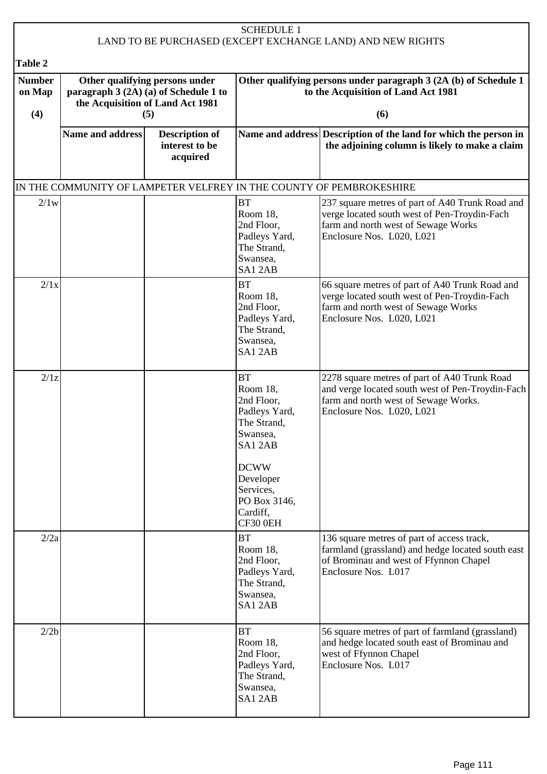| <b>SCHEDULE 1</b><br>LAND TO BE PURCHASED (EXCEPT EXCHANGE LAND) AND NEW RIGHTS |                                                                                                                    |                                                     |                                                                                                                                                                            |                                                                                                                                                                       |  |  |
|---------------------------------------------------------------------------------|--------------------------------------------------------------------------------------------------------------------|-----------------------------------------------------|----------------------------------------------------------------------------------------------------------------------------------------------------------------------------|-----------------------------------------------------------------------------------------------------------------------------------------------------------------------|--|--|
| <b>Table 2</b>                                                                  |                                                                                                                    |                                                     |                                                                                                                                                                            |                                                                                                                                                                       |  |  |
| <b>Number</b><br>on Map<br>(4)                                                  | Other qualifying persons under<br>paragraph 3 (2A) (a) of Schedule 1 to<br>the Acquisition of Land Act 1981<br>(5) |                                                     |                                                                                                                                                                            | Other qualifying persons under paragraph 3 (2A (b) of Schedule 1<br>to the Acquisition of Land Act 1981<br>(6)                                                        |  |  |
|                                                                                 | <b>Name and address</b>                                                                                            | <b>Description of</b><br>interest to be<br>acquired |                                                                                                                                                                            | Name and address Description of the land for which the person in<br>the adjoining column is likely to make a claim                                                    |  |  |
|                                                                                 |                                                                                                                    |                                                     |                                                                                                                                                                            | IN THE COMMUNITY OF LAMPETER VELFREY IN THE COUNTY OF PEMBROKESHIRE                                                                                                   |  |  |
| 2/1w                                                                            |                                                                                                                    |                                                     | <b>BT</b><br>Room 18,<br>2nd Floor,<br>Padleys Yard,<br>The Strand,<br>Swansea,<br>SA12AB                                                                                  | 237 square metres of part of A40 Trunk Road and<br>verge located south west of Pen-Troydin-Fach<br>farm and north west of Sewage Works<br>Enclosure Nos. L020, L021   |  |  |
| 2/1x                                                                            |                                                                                                                    |                                                     | <b>BT</b><br>Room 18,<br>2nd Floor,<br>Padleys Yard,<br>The Strand,<br>Swansea,<br>SA12AB                                                                                  | 66 square metres of part of A40 Trunk Road and<br>verge located south west of Pen-Troydin-Fach<br>farm and north west of Sewage Works<br>Enclosure Nos. L020, L021    |  |  |
| 2/1z                                                                            |                                                                                                                    |                                                     | <b>BT</b><br>Room 18,<br>2nd Floor,<br>Padleys Yard,<br>The Strand,<br>Swansea,<br>SA12AB<br><b>DCWW</b><br>Developer<br>Services,<br>PO Box 3146,<br>Cardiff,<br>CF30 0EH | 2278 square metres of part of A40 Trunk Road<br>and verge located south west of Pen-Troydin-Fach<br>farm and north west of Sewage Works.<br>Enclosure Nos. L020, L021 |  |  |
| 2/2a                                                                            |                                                                                                                    |                                                     | <b>BT</b><br>Room 18,<br>2nd Floor,<br>Padleys Yard,<br>The Strand,<br>Swansea,<br>SA12AB                                                                                  | 136 square metres of part of access track,<br>farmland (grassland) and hedge located south east<br>of Brominau and west of Ffynnon Chapel<br>Enclosure Nos. L017      |  |  |
| 2/2b                                                                            |                                                                                                                    |                                                     | <b>BT</b><br>Room 18,<br>2nd Floor,<br>Padleys Yard,<br>The Strand,<br>Swansea,<br>SA12AB                                                                                  | 56 square metres of part of farmland (grassland)<br>and hedge located south east of Brominau and<br>west of Ffynnon Chapel<br>Enclosure Nos. L017                     |  |  |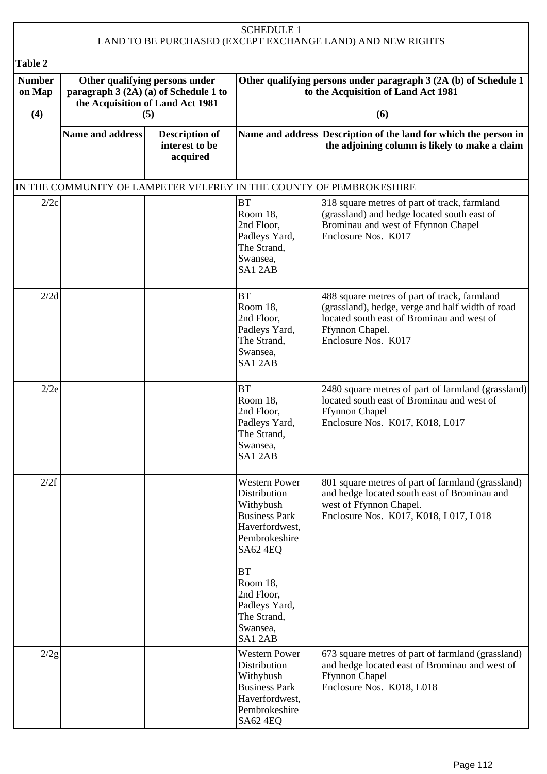| <b>SCHEDULE 1</b><br>LAND TO BE PURCHASED (EXCEPT EXCHANGE LAND) AND NEW RIGHTS |                                                                                                                    |                                                     |                                                                                                                                                                                                                              |                                                                                                                                                                                          |  |  |
|---------------------------------------------------------------------------------|--------------------------------------------------------------------------------------------------------------------|-----------------------------------------------------|------------------------------------------------------------------------------------------------------------------------------------------------------------------------------------------------------------------------------|------------------------------------------------------------------------------------------------------------------------------------------------------------------------------------------|--|--|
| Table 2                                                                         |                                                                                                                    |                                                     |                                                                                                                                                                                                                              |                                                                                                                                                                                          |  |  |
| <b>Number</b><br>on Map<br>(4)                                                  | Other qualifying persons under<br>paragraph 3 (2A) (a) of Schedule 1 to<br>the Acquisition of Land Act 1981<br>(5) |                                                     |                                                                                                                                                                                                                              | Other qualifying persons under paragraph 3 (2A (b) of Schedule 1<br>to the Acquisition of Land Act 1981<br>(6)                                                                           |  |  |
|                                                                                 | <b>Name and address</b>                                                                                            | <b>Description of</b><br>interest to be<br>acquired |                                                                                                                                                                                                                              | Name and address Description of the land for which the person in<br>the adjoining column is likely to make a claim                                                                       |  |  |
|                                                                                 |                                                                                                                    |                                                     |                                                                                                                                                                                                                              | IN THE COMMUNITY OF LAMPETER VELFREY IN THE COUNTY OF PEMBROKESHIRE                                                                                                                      |  |  |
| 2/2c                                                                            |                                                                                                                    |                                                     | <b>BT</b><br>Room 18.<br>2nd Floor,<br>Padleys Yard,<br>The Strand,<br>Swansea,<br>SA12AB                                                                                                                                    | 318 square metres of part of track, farmland<br>(grassland) and hedge located south east of<br>Brominau and west of Ffynnon Chapel<br>Enclosure Nos. K017                                |  |  |
| 2/2d                                                                            |                                                                                                                    |                                                     | <b>BT</b><br>Room 18,<br>2nd Floor,<br>Padleys Yard,<br>The Strand,<br>Swansea,<br>SA12AB                                                                                                                                    | 488 square metres of part of track, farmland<br>(grassland), hedge, verge and half width of road<br>located south east of Brominau and west of<br>Ffynnon Chapel.<br>Enclosure Nos. K017 |  |  |
| 2/2e                                                                            |                                                                                                                    |                                                     | <b>BT</b><br>Room 18,<br>2nd Floor,<br>Padleys Yard,<br>The Strand.<br>Swansea,<br>SA12AB                                                                                                                                    | 2480 square metres of part of farmland (grassland)<br>located south east of Brominau and west of<br><b>Ffynnon Chapel</b><br>Enclosure Nos. K017, K018, L017                             |  |  |
| 2/2f                                                                            |                                                                                                                    |                                                     | <b>Western Power</b><br>Distribution<br>Withybush<br><b>Business Park</b><br>Haverfordwest,<br>Pembrokeshire<br><b>SA62 4EQ</b><br><b>BT</b><br>Room 18,<br>2nd Floor,<br>Padleys Yard,<br>The Strand,<br>Swansea,<br>SA12AB | 801 square metres of part of farmland (grassland)<br>and hedge located south east of Brominau and<br>west of Ffynnon Chapel.<br>Enclosure Nos. K017, K018, L017, L018                    |  |  |
| 2/2g                                                                            |                                                                                                                    |                                                     | <b>Western Power</b><br>Distribution<br>Withybush<br><b>Business Park</b><br>Haverfordwest,<br>Pembrokeshire<br><b>SA62 4EQ</b>                                                                                              | 673 square metres of part of farmland (grassland)<br>and hedge located east of Brominau and west of<br><b>Ffynnon Chapel</b><br>Enclosure Nos. K018, L018                                |  |  |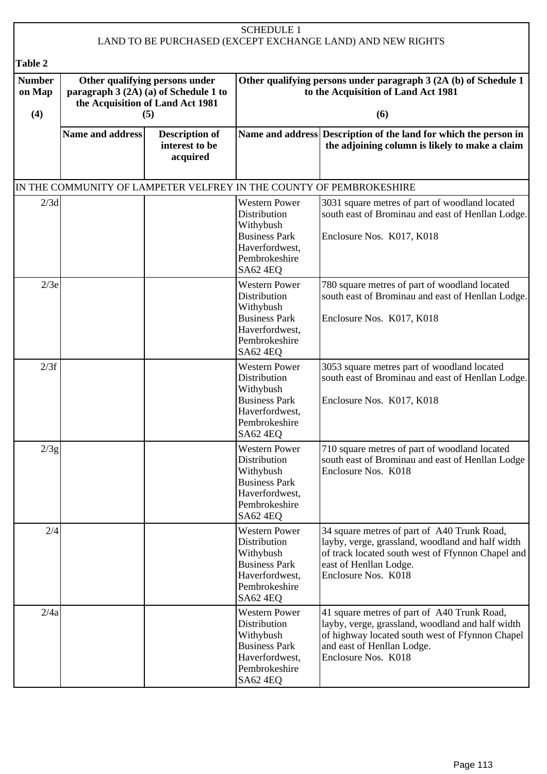| <b>SCHEDULE 1</b><br>LAND TO BE PURCHASED (EXCEPT EXCHANGE LAND) AND NEW RIGHTS |                                                                                                                    |                                                     |                                                                                                                                 |                                                                                                                                                                                                         |  |  |
|---------------------------------------------------------------------------------|--------------------------------------------------------------------------------------------------------------------|-----------------------------------------------------|---------------------------------------------------------------------------------------------------------------------------------|---------------------------------------------------------------------------------------------------------------------------------------------------------------------------------------------------------|--|--|
|                                                                                 |                                                                                                                    |                                                     |                                                                                                                                 |                                                                                                                                                                                                         |  |  |
| Table 2<br><b>Number</b><br>on Map<br>(4)                                       | Other qualifying persons under<br>paragraph 3 (2A) (a) of Schedule 1 to<br>the Acquisition of Land Act 1981<br>(5) |                                                     |                                                                                                                                 | Other qualifying persons under paragraph 3 (2A (b) of Schedule 1<br>to the Acquisition of Land Act 1981<br>(6)                                                                                          |  |  |
|                                                                                 | <b>Name and address</b>                                                                                            | <b>Description of</b><br>interest to be<br>acquired |                                                                                                                                 | Name and address Description of the land for which the person in<br>the adjoining column is likely to make a claim                                                                                      |  |  |
|                                                                                 |                                                                                                                    |                                                     |                                                                                                                                 | IN THE COMMUNITY OF LAMPETER VELFREY IN THE COUNTY OF PEMBROKESHIRE                                                                                                                                     |  |  |
| 2/3d                                                                            |                                                                                                                    |                                                     | <b>Western Power</b><br>Distribution<br>Withybush<br><b>Business Park</b><br>Haverfordwest,<br>Pembrokeshire<br>SA62 4EQ        | 3031 square metres of part of woodland located<br>south east of Brominau and east of Henllan Lodge.<br>Enclosure Nos. K017, K018                                                                        |  |  |
| 2/3e                                                                            |                                                                                                                    |                                                     | <b>Western Power</b><br>Distribution<br>Withybush<br><b>Business Park</b><br>Haverfordwest,<br>Pembrokeshire<br>SA62 4EQ        | 780 square metres of part of woodland located<br>south east of Brominau and east of Henllan Lodge.<br>Enclosure Nos. K017, K018                                                                         |  |  |
| 2/3f                                                                            |                                                                                                                    |                                                     | <b>Western Power</b><br>Distribution<br>Withybush<br><b>Business Park</b><br>Haverfordwest,<br>Pembrokeshire<br>SA62 4EQ        | 3053 square metres part of woodland located<br>south east of Brominau and east of Henllan Lodge.<br>Enclosure Nos. K017, K018                                                                           |  |  |
| 2/3g                                                                            |                                                                                                                    |                                                     | <b>Western Power</b><br>Distribution<br>Withybush<br><b>Business Park</b><br>Haverfordwest,<br>Pembrokeshire<br><b>SA62 4EQ</b> | 710 square metres of part of woodland located<br>south east of Brominau and east of Henllan Lodge<br>Enclosure Nos. K018                                                                                |  |  |
| 2/4                                                                             |                                                                                                                    |                                                     | <b>Western Power</b><br>Distribution<br>Withybush<br><b>Business Park</b><br>Haverfordwest,<br>Pembrokeshire<br>SA62 4EQ        | 34 square metres of part of A40 Trunk Road,<br>layby, verge, grassland, woodland and half width<br>of track located south west of Ffynnon Chapel and<br>east of Henllan Lodge.<br>Enclosure Nos. K018   |  |  |
| 2/4a                                                                            |                                                                                                                    |                                                     | <b>Western Power</b><br>Distribution<br>Withybush<br><b>Business Park</b><br>Haverfordwest,<br>Pembrokeshire<br><b>SA62 4EQ</b> | 41 square metres of part of A40 Trunk Road,<br>layby, verge, grassland, woodland and half width<br>of highway located south west of Ffynnon Chapel<br>and east of Henllan Lodge.<br>Enclosure Nos. K018 |  |  |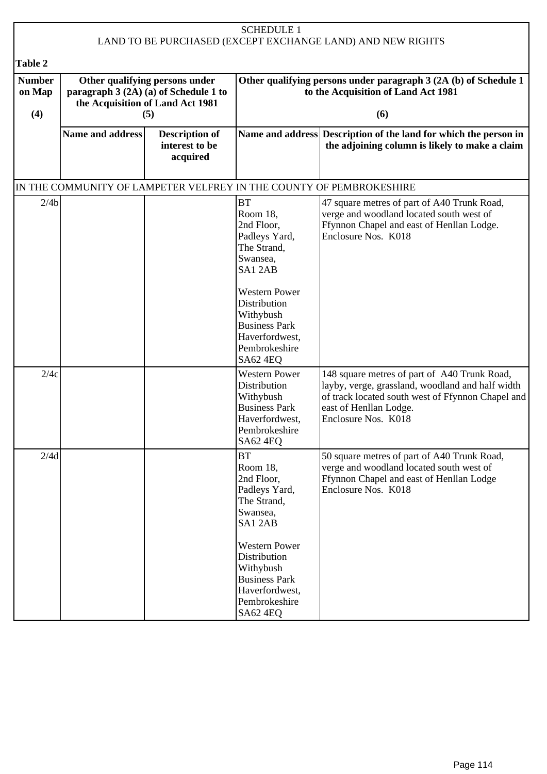| <b>SCHEDULE 1</b><br>LAND TO BE PURCHASED (EXCEPT EXCHANGE LAND) AND NEW RIGHTS |                  |                                                                                                             |                                                                                                                                                                                                                              |                                                                                                                                                                                                        |
|---------------------------------------------------------------------------------|------------------|-------------------------------------------------------------------------------------------------------------|------------------------------------------------------------------------------------------------------------------------------------------------------------------------------------------------------------------------------|--------------------------------------------------------------------------------------------------------------------------------------------------------------------------------------------------------|
|                                                                                 |                  |                                                                                                             |                                                                                                                                                                                                                              |                                                                                                                                                                                                        |
| Table 2                                                                         |                  |                                                                                                             |                                                                                                                                                                                                                              |                                                                                                                                                                                                        |
| <b>Number</b><br>on Map                                                         |                  | Other qualifying persons under<br>paragraph 3 (2A) (a) of Schedule 1 to<br>the Acquisition of Land Act 1981 |                                                                                                                                                                                                                              | Other qualifying persons under paragraph 3 (2A (b) of Schedule 1<br>to the Acquisition of Land Act 1981                                                                                                |
| (4)                                                                             |                  | (5)                                                                                                         |                                                                                                                                                                                                                              | (6)                                                                                                                                                                                                    |
|                                                                                 | Name and address | <b>Description of</b><br>interest to be<br>acquired                                                         |                                                                                                                                                                                                                              | Name and address Description of the land for which the person in<br>the adjoining column is likely to make a claim                                                                                     |
|                                                                                 |                  |                                                                                                             |                                                                                                                                                                                                                              | IN THE COMMUNITY OF LAMPETER VELFREY IN THE COUNTY OF PEMBROKESHIRE                                                                                                                                    |
| 2/4b                                                                            |                  |                                                                                                             | <b>BT</b><br>Room 18.<br>2nd Floor,<br>Padleys Yard,<br>The Strand,<br>Swansea,<br>SA12AB<br><b>Western Power</b><br>Distribution<br>Withybush                                                                               | 47 square metres of part of A40 Trunk Road,<br>verge and woodland located south west of<br>Ffynnon Chapel and east of Henllan Lodge.<br>Enclosure Nos. K018                                            |
|                                                                                 |                  |                                                                                                             | <b>Business Park</b><br>Haverfordwest,<br>Pembrokeshire<br>SA62 4EQ                                                                                                                                                          |                                                                                                                                                                                                        |
| 2/4c                                                                            |                  |                                                                                                             | <b>Western Power</b><br>Distribution<br>Withybush<br><b>Business Park</b><br>Haverfordwest,<br>Pembrokeshire<br><b>SA62 4EQ</b>                                                                                              | 148 square metres of part of A40 Trunk Road,<br>layby, verge, grassland, woodland and half width<br>of track located south west of Ffynnon Chapel and<br>east of Henllan Lodge.<br>Enclosure Nos. K018 |
| 2/4d                                                                            |                  |                                                                                                             | <b>BT</b><br>Room 18,<br>2nd Floor,<br>Padleys Yard,<br>The Strand,<br>Swansea,<br>SA12AB<br><b>Western Power</b><br>Distribution<br>Withybush<br><b>Business Park</b><br>Haverfordwest,<br>Pembrokeshire<br><b>SA62 4EQ</b> | 50 square metres of part of A40 Trunk Road,<br>verge and woodland located south west of<br>Ffynnon Chapel and east of Henllan Lodge<br>Enclosure Nos. K018                                             |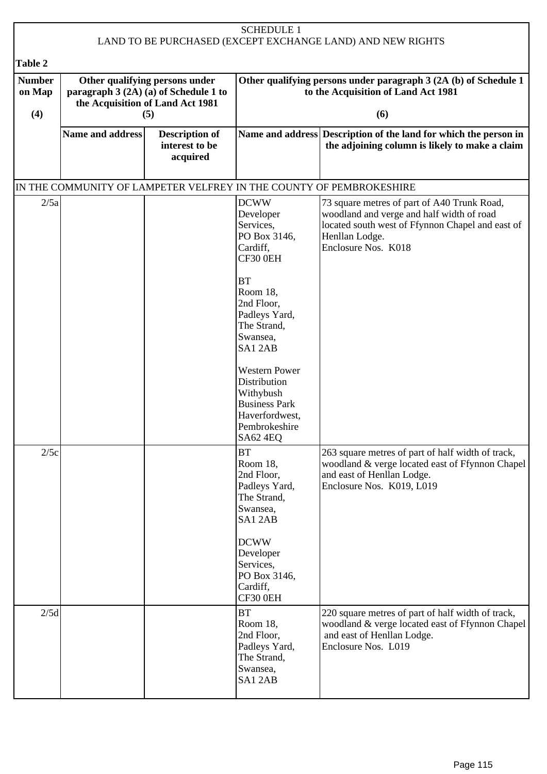| <b>SCHEDULE 1</b><br>LAND TO BE PURCHASED (EXCEPT EXCHANGE LAND) AND NEW RIGHTS |                         |                                                                                                                    |                                                                                                                                                                            |                                                                                                                                                                                       |  |  |
|---------------------------------------------------------------------------------|-------------------------|--------------------------------------------------------------------------------------------------------------------|----------------------------------------------------------------------------------------------------------------------------------------------------------------------------|---------------------------------------------------------------------------------------------------------------------------------------------------------------------------------------|--|--|
| Table 2                                                                         |                         |                                                                                                                    |                                                                                                                                                                            |                                                                                                                                                                                       |  |  |
| <b>Number</b><br>on Map<br>(4)                                                  |                         | Other qualifying persons under<br>paragraph 3 (2A) (a) of Schedule 1 to<br>the Acquisition of Land Act 1981<br>(5) |                                                                                                                                                                            | Other qualifying persons under paragraph 3 (2A (b) of Schedule 1<br>to the Acquisition of Land Act 1981<br>(6)                                                                        |  |  |
|                                                                                 | <b>Name and address</b> | <b>Description of</b><br>interest to be<br>acquired                                                                |                                                                                                                                                                            | Name and address Description of the land for which the person in<br>the adjoining column is likely to make a claim                                                                    |  |  |
|                                                                                 |                         |                                                                                                                    |                                                                                                                                                                            | IN THE COMMUNITY OF LAMPETER VELFREY IN THE COUNTY OF PEMBROKESHIRE                                                                                                                   |  |  |
| 2/5a                                                                            |                         |                                                                                                                    | <b>DCWW</b><br>Developer<br>Services,<br>PO Box 3146,<br>Cardiff,<br>CF30 0EH<br><b>BT</b><br>Room 18,<br>2nd Floor,<br>Padleys Yard,<br>The Strand,<br>Swansea,<br>SA12AB | 73 square metres of part of A40 Trunk Road,<br>woodland and verge and half width of road<br>located south west of Ffynnon Chapel and east of<br>Henllan Lodge.<br>Enclosure Nos. K018 |  |  |
|                                                                                 |                         |                                                                                                                    | <b>Western Power</b><br>Distribution<br>Withybush<br><b>Business Park</b><br>Haverfordwest,<br>Pembrokeshire<br>SA62 4EQ                                                   |                                                                                                                                                                                       |  |  |
| 2/5c                                                                            |                         |                                                                                                                    | <b>BT</b><br>Room 18,<br>2nd Floor,<br>Padleys Yard,<br>The Strand,<br>Swansea,<br>SA12AB<br><b>DCWW</b><br>Developer<br>Services,                                         | 263 square metres of part of half width of track,<br>woodland & verge located east of Ffynnon Chapel<br>and east of Henllan Lodge.<br>Enclosure Nos. K019, L019                       |  |  |
|                                                                                 |                         |                                                                                                                    | PO Box 3146,<br>Cardiff,<br>CF30 0EH                                                                                                                                       |                                                                                                                                                                                       |  |  |
| 2/5d                                                                            |                         |                                                                                                                    | BT<br>Room 18,<br>2nd Floor,<br>Padleys Yard,<br>The Strand,<br>Swansea,<br>SA12AB                                                                                         | 220 square metres of part of half width of track,<br>woodland & verge located east of Ffynnon Chapel<br>and east of Henllan Lodge.<br>Enclosure Nos. L019                             |  |  |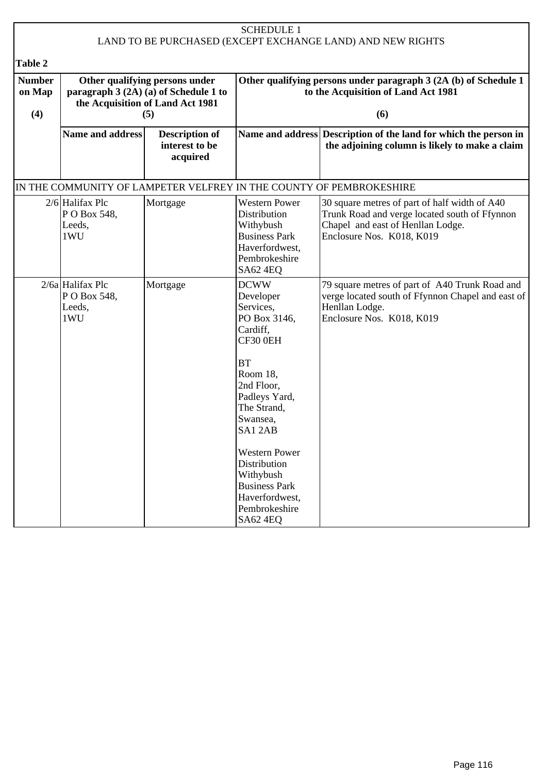| <b>SCHEDULE 1</b><br>LAND TO BE PURCHASED (EXCEPT EXCHANGE LAND) AND NEW RIGHTS |                                                                                                                    |                                                     |                                                                                                                                                                                                                                                                                                               |                                                                                                                                                                  |  |
|---------------------------------------------------------------------------------|--------------------------------------------------------------------------------------------------------------------|-----------------------------------------------------|---------------------------------------------------------------------------------------------------------------------------------------------------------------------------------------------------------------------------------------------------------------------------------------------------------------|------------------------------------------------------------------------------------------------------------------------------------------------------------------|--|
| Table 2                                                                         |                                                                                                                    |                                                     |                                                                                                                                                                                                                                                                                                               |                                                                                                                                                                  |  |
| <b>Number</b><br>on Map<br>(4)                                                  | Other qualifying persons under<br>paragraph 3 (2A) (a) of Schedule 1 to<br>the Acquisition of Land Act 1981<br>(5) |                                                     | Other qualifying persons under paragraph 3 (2A (b) of Schedule 1<br>to the Acquisition of Land Act 1981<br>(6)                                                                                                                                                                                                |                                                                                                                                                                  |  |
|                                                                                 | <b>Name and address</b>                                                                                            | <b>Description of</b><br>interest to be<br>acquired |                                                                                                                                                                                                                                                                                                               | Name and address Description of the land for which the person in<br>the adjoining column is likely to make a claim                                               |  |
|                                                                                 | IN THE COMMUNITY OF LAMPETER VELFREY IN THE COUNTY OF PEMBROKESHIRE                                                |                                                     |                                                                                                                                                                                                                                                                                                               |                                                                                                                                                                  |  |
|                                                                                 | $2/6$ Halifax Plc<br>PO Box 548,<br>Leeds,<br>1WU                                                                  | Mortgage                                            | <b>Western Power</b><br>Distribution<br>Withybush<br><b>Business Park</b><br>Haverfordwest,<br>Pembrokeshire<br><b>SA62 4EQ</b>                                                                                                                                                                               | 30 square metres of part of half width of A40<br>Trunk Road and verge located south of Ffynnon<br>Chapel and east of Henllan Lodge.<br>Enclosure Nos. K018, K019 |  |
|                                                                                 | $2/6a$ Halifax Plc<br>PO Box 548,<br>Leeds,<br>1WU                                                                 | Mortgage                                            | <b>DCWW</b><br>Developer<br>Services,<br>PO Box 3146,<br>Cardiff,<br>CF30 0EH<br><b>BT</b><br>Room 18,<br>2nd Floor,<br>Padleys Yard,<br>The Strand,<br>Swansea,<br>SA12AB<br><b>Western Power</b><br>Distribution<br>Withybush<br><b>Business Park</b><br>Haverfordwest,<br>Pembrokeshire<br><b>SA62 4EQ</b> | 79 square metres of part of A40 Trunk Road and<br>verge located south of Ffynnon Chapel and east of<br>Henllan Lodge.<br>Enclosure Nos. K018, K019               |  |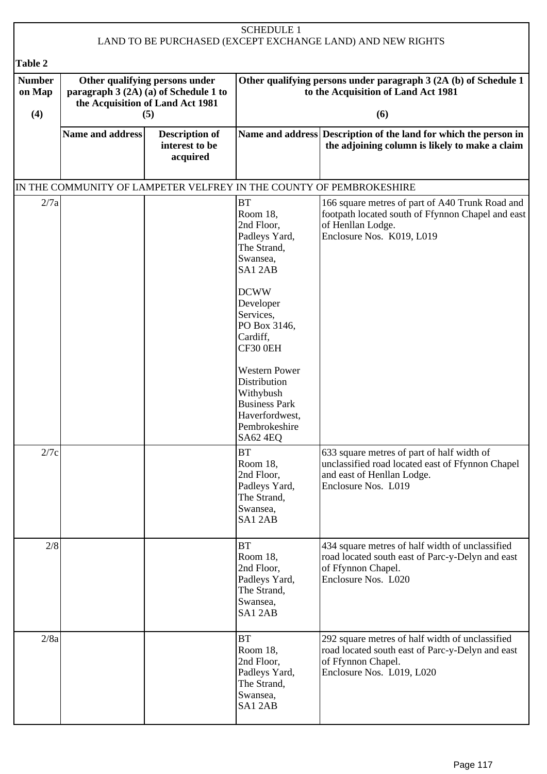| <b>SCHEDULE 1</b><br>LAND TO BE PURCHASED (EXCEPT EXCHANGE LAND) AND NEW RIGHTS |                                                                                                                    |                                                     |                                                                                                                                                                                                                                                                                                        |                                                                                                                                                        |  |
|---------------------------------------------------------------------------------|--------------------------------------------------------------------------------------------------------------------|-----------------------------------------------------|--------------------------------------------------------------------------------------------------------------------------------------------------------------------------------------------------------------------------------------------------------------------------------------------------------|--------------------------------------------------------------------------------------------------------------------------------------------------------|--|
| Table 2                                                                         |                                                                                                                    |                                                     |                                                                                                                                                                                                                                                                                                        |                                                                                                                                                        |  |
| <b>Number</b><br>on Map<br>(4)                                                  | Other qualifying persons under<br>paragraph 3 (2A) (a) of Schedule 1 to<br>the Acquisition of Land Act 1981<br>(5) |                                                     |                                                                                                                                                                                                                                                                                                        | Other qualifying persons under paragraph 3 (2A (b) of Schedule 1<br>to the Acquisition of Land Act 1981<br>(6)                                         |  |
|                                                                                 | Name and address                                                                                                   | <b>Description of</b><br>interest to be<br>acquired |                                                                                                                                                                                                                                                                                                        | Name and address Description of the land for which the person in<br>the adjoining column is likely to make a claim                                     |  |
|                                                                                 |                                                                                                                    |                                                     |                                                                                                                                                                                                                                                                                                        | IN THE COMMUNITY OF LAMPETER VELFREY IN THE COUNTY OF PEMBROKESHIRE                                                                                    |  |
| 2/7a                                                                            |                                                                                                                    |                                                     | <b>BT</b><br>Room 18.<br>2nd Floor,<br>Padleys Yard,<br>The Strand,<br>Swansea,<br>SA12AB<br><b>DCWW</b><br>Developer<br>Services,<br>PO Box 3146,<br>Cardiff,<br>CF30 0EH<br><b>Western Power</b><br>Distribution<br>Withybush<br><b>Business Park</b><br>Haverfordwest,<br>Pembrokeshire<br>SA62 4EQ | 166 square metres of part of A40 Trunk Road and<br>footpath located south of Ffynnon Chapel and east<br>of Henllan Lodge.<br>Enclosure Nos. K019, L019 |  |
| 2/7c                                                                            |                                                                                                                    |                                                     | <b>BT</b><br>Room 18,<br>2nd Floor,<br>Padleys Yard,<br>The Strand,<br>Swansea,<br>SA12AB                                                                                                                                                                                                              | 633 square metres of part of half width of<br>unclassified road located east of Ffynnon Chapel<br>and east of Henllan Lodge.<br>Enclosure Nos. L019    |  |
| 2/8                                                                             |                                                                                                                    |                                                     | <b>BT</b><br>Room 18,<br>2nd Floor,<br>Padleys Yard,<br>The Strand,<br>Swansea,<br>SA12AB                                                                                                                                                                                                              | 434 square metres of half width of unclassified<br>road located south east of Parc-y-Delyn and east<br>of Ffynnon Chapel.<br>Enclosure Nos. L020       |  |
| 2/8a                                                                            |                                                                                                                    |                                                     | <b>BT</b><br>Room 18,<br>2nd Floor,<br>Padleys Yard,<br>The Strand,<br>Swansea,<br>SA12AB                                                                                                                                                                                                              | 292 square metres of half width of unclassified<br>road located south east of Parc-y-Delyn and east<br>of Ffynnon Chapel.<br>Enclosure Nos. L019, L020 |  |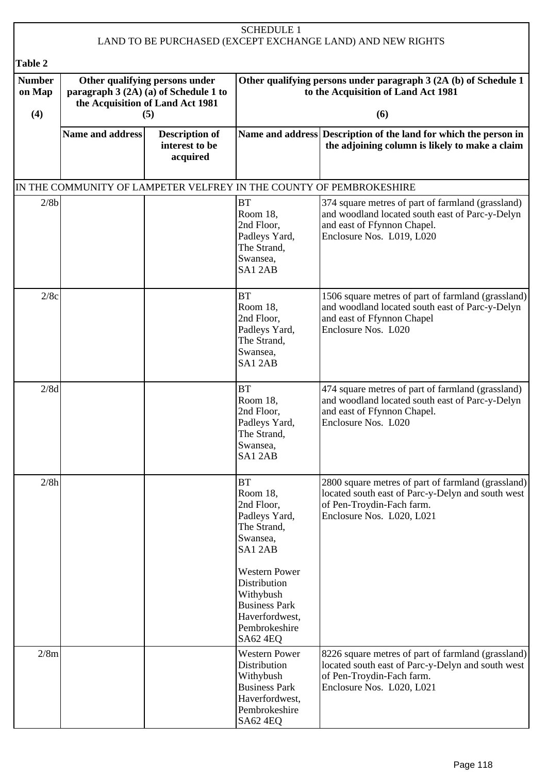| <b>SCHEDULE 1</b><br>LAND TO BE PURCHASED (EXCEPT EXCHANGE LAND) AND NEW RIGHTS |                                                                                                             |                            |                                                                                                                                                                                                                       |                                                                                                                                                                   |
|---------------------------------------------------------------------------------|-------------------------------------------------------------------------------------------------------------|----------------------------|-----------------------------------------------------------------------------------------------------------------------------------------------------------------------------------------------------------------------|-------------------------------------------------------------------------------------------------------------------------------------------------------------------|
|                                                                                 |                                                                                                             |                            |                                                                                                                                                                                                                       |                                                                                                                                                                   |
| Table 2<br><b>Number</b>                                                        |                                                                                                             |                            |                                                                                                                                                                                                                       | Other qualifying persons under paragraph 3 (2A (b) of Schedule 1                                                                                                  |
| on Map                                                                          | Other qualifying persons under<br>paragraph 3 (2A) (a) of Schedule 1 to<br>the Acquisition of Land Act 1981 |                            |                                                                                                                                                                                                                       | to the Acquisition of Land Act 1981                                                                                                                               |
| (4)                                                                             | (5)                                                                                                         |                            |                                                                                                                                                                                                                       | (6)                                                                                                                                                               |
|                                                                                 | <b>Name and address</b>                                                                                     | <b>Description of</b>      |                                                                                                                                                                                                                       | Name and address Description of the land for which the person in                                                                                                  |
|                                                                                 |                                                                                                             | interest to be<br>acquired |                                                                                                                                                                                                                       | the adjoining column is likely to make a claim                                                                                                                    |
|                                                                                 |                                                                                                             |                            |                                                                                                                                                                                                                       | IN THE COMMUNITY OF LAMPETER VELFREY IN THE COUNTY OF PEMBROKESHIRE                                                                                               |
| 2/8b                                                                            |                                                                                                             |                            | <b>BT</b><br>Room 18,<br>2nd Floor,<br>Padleys Yard,<br>The Strand,<br>Swansea.<br>SA12AB                                                                                                                             | 374 square metres of part of farmland (grassland)<br>and woodland located south east of Parc-y-Delyn<br>and east of Ffynnon Chapel.<br>Enclosure Nos. L019, L020  |
| 2/8c                                                                            |                                                                                                             |                            | <b>BT</b><br>Room 18,<br>2nd Floor,<br>Padleys Yard,<br>The Strand,<br>Swansea,<br>SA12AB                                                                                                                             | 1506 square metres of part of farmland (grassland)<br>and woodland located south east of Parc-y-Delyn<br>and east of Ffynnon Chapel<br>Enclosure Nos. L020        |
| 2/8d                                                                            |                                                                                                             |                            | <b>BT</b><br>Room 18,<br>2nd Floor,<br>Padleys Yard,<br>The Strand.<br>Swansea,<br>SA12AB                                                                                                                             | 474 square metres of part of farmland (grassland)<br>and woodland located south east of Parc-y-Delyn<br>and east of Ffynnon Chapel.<br>Enclosure Nos. L020        |
| 2/8h                                                                            |                                                                                                             |                            | <b>BT</b><br>Room 18,<br>2nd Floor,<br>Padleys Yard,<br>The Strand,<br>Swansea,<br>SA12AB<br><b>Western Power</b><br>Distribution<br>Withybush<br><b>Business Park</b><br>Haverfordwest,<br>Pembrokeshire<br>SA62 4EQ | 2800 square metres of part of farmland (grassland)<br>located south east of Parc-y-Delyn and south west<br>of Pen-Troydin-Fach farm.<br>Enclosure Nos. L020, L021 |
| 2/8m                                                                            |                                                                                                             |                            | <b>Western Power</b><br>Distribution<br>Withybush<br><b>Business Park</b><br>Haverfordwest,<br>Pembrokeshire<br>SA62 4EQ                                                                                              | 8226 square metres of part of farmland (grassland)<br>located south east of Parc-y-Delyn and south west<br>of Pen-Troydin-Fach farm.<br>Enclosure Nos. L020, L021 |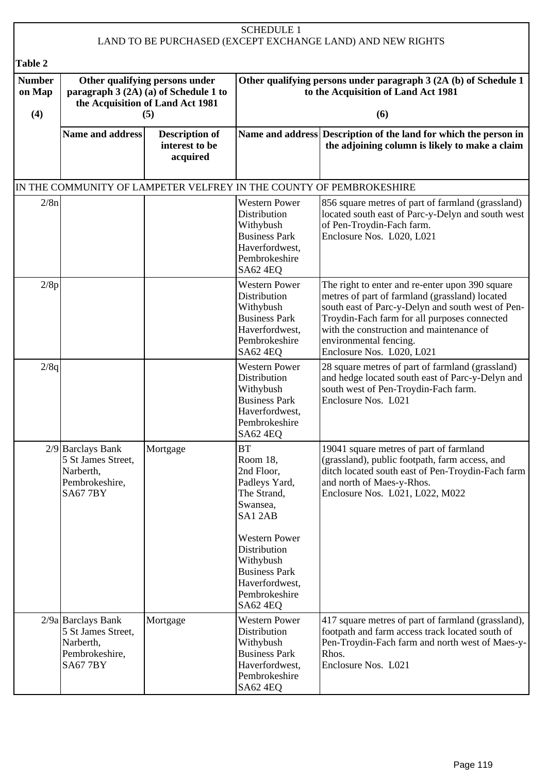| <b>SCHEDULE 1</b><br>LAND TO BE PURCHASED (EXCEPT EXCHANGE LAND) AND NEW RIGHTS |                                                                                                                    |                                                     |                                                                                                                                 |                                                                                                                                                                                                                                                                                                           |
|---------------------------------------------------------------------------------|--------------------------------------------------------------------------------------------------------------------|-----------------------------------------------------|---------------------------------------------------------------------------------------------------------------------------------|-----------------------------------------------------------------------------------------------------------------------------------------------------------------------------------------------------------------------------------------------------------------------------------------------------------|
|                                                                                 |                                                                                                                    |                                                     |                                                                                                                                 |                                                                                                                                                                                                                                                                                                           |
| Table 2<br><b>Number</b><br>on Map<br>(4)                                       | Other qualifying persons under<br>paragraph 3 (2A) (a) of Schedule 1 to<br>the Acquisition of Land Act 1981<br>(5) |                                                     | Other qualifying persons under paragraph 3 (2A (b) of Schedule 1<br>to the Acquisition of Land Act 1981<br>(6)                  |                                                                                                                                                                                                                                                                                                           |
|                                                                                 | <b>Name and address</b>                                                                                            | <b>Description of</b><br>interest to be<br>acquired |                                                                                                                                 | Name and address Description of the land for which the person in<br>the adjoining column is likely to make a claim                                                                                                                                                                                        |
|                                                                                 |                                                                                                                    |                                                     |                                                                                                                                 | IN THE COMMUNITY OF LAMPETER VELFREY IN THE COUNTY OF PEMBROKESHIRE                                                                                                                                                                                                                                       |
| 2/8n                                                                            |                                                                                                                    |                                                     | <b>Western Power</b><br><b>Distribution</b><br>Withybush<br><b>Business Park</b><br>Haverfordwest,<br>Pembrokeshire<br>SA62 4EQ | 856 square metres of part of farmland (grassland)<br>located south east of Parc-y-Delyn and south west<br>of Pen-Troydin-Fach farm.<br>Enclosure Nos. L020, L021                                                                                                                                          |
| 2/8p                                                                            |                                                                                                                    |                                                     | <b>Western Power</b><br>Distribution<br>Withybush<br><b>Business Park</b><br>Haverfordwest,<br>Pembrokeshire<br>SA62 4EQ        | The right to enter and re-enter upon 390 square<br>metres of part of farmland (grassland) located<br>south east of Parc-y-Delyn and south west of Pen-<br>Troydin-Fach farm for all purposes connected<br>with the construction and maintenance of<br>environmental fencing.<br>Enclosure Nos. L020, L021 |
| 2/8q                                                                            |                                                                                                                    |                                                     | <b>Western Power</b><br>Distribution<br>Withybush<br><b>Business Park</b><br>Haverfordwest,<br>Pembrokeshire<br>SA62 4EQ        | 28 square metres of part of farmland (grassland)<br>and hedge located south east of Parc-y-Delyn and<br>south west of Pen-Troydin-Fach farm.<br>Enclosure Nos. L021                                                                                                                                       |
|                                                                                 | $2/9$ Barclays Bank<br>5 St James Street,<br>Narberth,<br>Pembrokeshire,<br><b>SA677BY</b>                         | Mortgage                                            | BT<br>Room 18.<br>2nd Floor,<br>Padleys Yard,<br>The Strand,<br>Swansea,<br>SA12AB                                              | 19041 square metres of part of farmland<br>(grassland), public footpath, farm access, and<br>ditch located south east of Pen-Troydin-Fach farm<br>and north of Maes-y-Rhos.<br>Enclosure Nos. L021, L022, M022                                                                                            |
|                                                                                 |                                                                                                                    |                                                     | <b>Western Power</b><br>Distribution<br>Withybush<br><b>Business Park</b><br>Haverfordwest,<br>Pembrokeshire<br><b>SA62 4EQ</b> |                                                                                                                                                                                                                                                                                                           |
|                                                                                 | $2/9a$ Barclays Bank<br>5 St James Street,<br>Narberth,<br>Pembrokeshire,<br><b>SA677BY</b>                        | Mortgage                                            | <b>Western Power</b><br>Distribution<br>Withybush<br><b>Business Park</b><br>Haverfordwest,<br>Pembrokeshire<br>SA62 4EQ        | 417 square metres of part of farmland (grassland),<br>footpath and farm access track located south of<br>Pen-Troydin-Fach farm and north west of Maes-y-<br>Rhos.<br>Enclosure Nos. L021                                                                                                                  |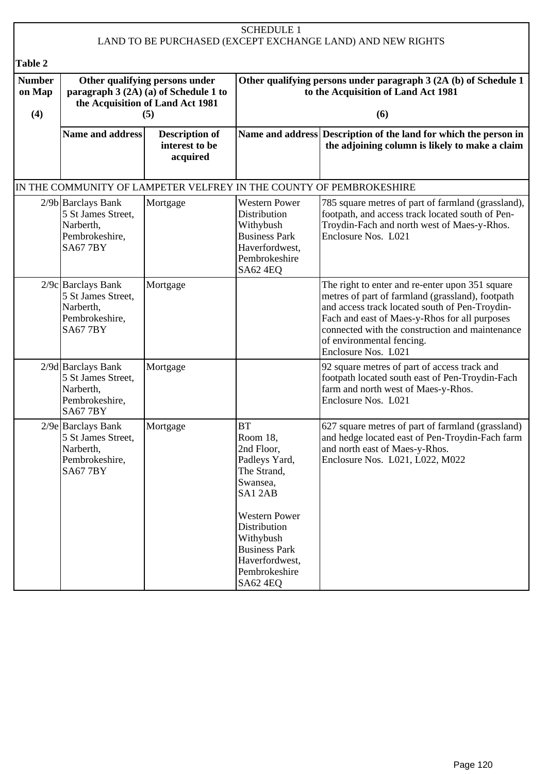| <b>SCHEDULE 1</b><br>LAND TO BE PURCHASED (EXCEPT EXCHANGE LAND) AND NEW RIGHTS |                                                                                                             |                                                     |                                                                                                                                                                                                                              |                                                                                                                                                                                                                                                                                                               |
|---------------------------------------------------------------------------------|-------------------------------------------------------------------------------------------------------------|-----------------------------------------------------|------------------------------------------------------------------------------------------------------------------------------------------------------------------------------------------------------------------------------|---------------------------------------------------------------------------------------------------------------------------------------------------------------------------------------------------------------------------------------------------------------------------------------------------------------|
| Table 2                                                                         |                                                                                                             |                                                     |                                                                                                                                                                                                                              |                                                                                                                                                                                                                                                                                                               |
| <b>Number</b><br>on Map                                                         | Other qualifying persons under<br>paragraph 3 (2A) (a) of Schedule 1 to<br>the Acquisition of Land Act 1981 |                                                     |                                                                                                                                                                                                                              | Other qualifying persons under paragraph 3 (2A (b) of Schedule 1<br>to the Acquisition of Land Act 1981                                                                                                                                                                                                       |
| (4)                                                                             | <b>Name and address</b>                                                                                     | (5)                                                 |                                                                                                                                                                                                                              | (6)                                                                                                                                                                                                                                                                                                           |
|                                                                                 |                                                                                                             | <b>Description of</b><br>interest to be<br>acquired |                                                                                                                                                                                                                              | Name and address Description of the land for which the person in<br>the adjoining column is likely to make a claim                                                                                                                                                                                            |
| IN THE COMMUNITY OF LAMPETER VELFREY IN THE COUNTY OF PEMBROKESHIRE             |                                                                                                             |                                                     |                                                                                                                                                                                                                              |                                                                                                                                                                                                                                                                                                               |
|                                                                                 | $2/9b$ Barclays Bank<br>5 St James Street,<br>Narberth,<br>Pembrokeshire,<br><b>SA677BY</b>                 | Mortgage                                            | <b>Western Power</b><br>Distribution<br>Withybush<br><b>Business Park</b><br>Haverfordwest,<br>Pembrokeshire<br><b>SA62 4EQ</b>                                                                                              | 785 square metres of part of farmland (grassland),<br>footpath, and access track located south of Pen-<br>Troydin-Fach and north west of Maes-y-Rhos.<br>Enclosure Nos. L021                                                                                                                                  |
|                                                                                 | $2/9c$ Barclays Bank<br>5 St James Street,<br>Narberth,<br>Pembrokeshire,<br><b>SA677BY</b>                 | Mortgage                                            |                                                                                                                                                                                                                              | The right to enter and re-enter upon 351 square<br>metres of part of farmland (grassland), footpath<br>and access track located south of Pen-Troydin-<br>Fach and east of Maes-y-Rhos for all purposes<br>connected with the construction and maintenance<br>of environmental fencing.<br>Enclosure Nos. L021 |
|                                                                                 | $2/9d$ Barclays Bank<br>5 St James Street,<br>Narberth,<br>Pembrokeshire,<br><b>SA677BY</b>                 | Mortgage                                            |                                                                                                                                                                                                                              | 92 square metres of part of access track and<br>footpath located south east of Pen-Troydin-Fach<br>farm and north west of Maes-y-Rhos.<br>Enclosure Nos. L021                                                                                                                                                 |
|                                                                                 | $2/9e$ Barclays Bank<br>5 St James Street,<br>Narberth,<br>Pembrokeshire,<br><b>SA677BY</b>                 | Mortgage                                            | <b>BT</b><br>Room 18,<br>2nd Floor,<br>Padleys Yard,<br>The Strand,<br>Swansea,<br>SA12AB<br><b>Western Power</b><br>Distribution<br>Withybush<br><b>Business Park</b><br>Haverfordwest,<br>Pembrokeshire<br><b>SA62 4EQ</b> | 627 square metres of part of farmland (grassland)<br>and hedge located east of Pen-Troydin-Fach farm<br>and north east of Maes-y-Rhos.<br>Enclosure Nos. L021, L022, M022                                                                                                                                     |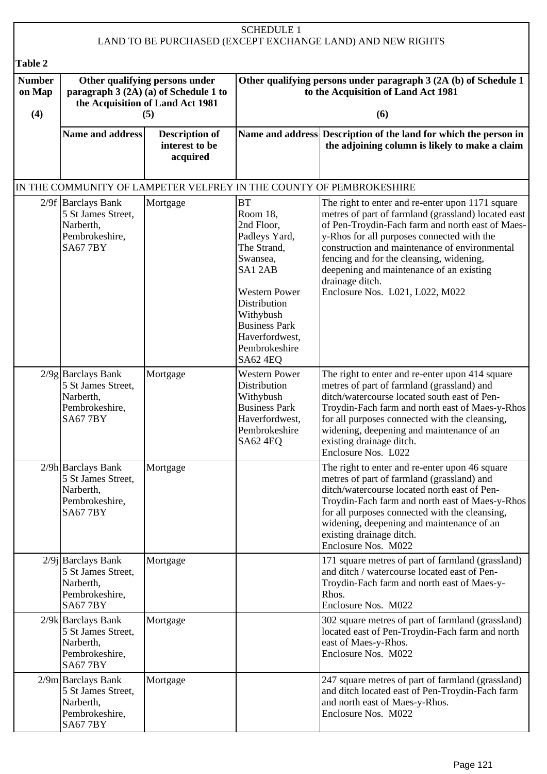| <b>SCHEDULE 1</b><br>LAND TO BE PURCHASED (EXCEPT EXCHANGE LAND) AND NEW RIGHTS |                                                                                              |                                                                                                                    |                                                                                                                                                                                                                              |                                                                                                                                                                                                                                                                                                                                                                                                          |  |  |
|---------------------------------------------------------------------------------|----------------------------------------------------------------------------------------------|--------------------------------------------------------------------------------------------------------------------|------------------------------------------------------------------------------------------------------------------------------------------------------------------------------------------------------------------------------|----------------------------------------------------------------------------------------------------------------------------------------------------------------------------------------------------------------------------------------------------------------------------------------------------------------------------------------------------------------------------------------------------------|--|--|
| Table 2                                                                         |                                                                                              |                                                                                                                    |                                                                                                                                                                                                                              |                                                                                                                                                                                                                                                                                                                                                                                                          |  |  |
| <b>Number</b><br>on Map<br>(4)                                                  |                                                                                              | Other qualifying persons under<br>paragraph 3 (2A) (a) of Schedule 1 to<br>the Acquisition of Land Act 1981<br>(5) |                                                                                                                                                                                                                              | Other qualifying persons under paragraph 3 (2A (b) of Schedule 1<br>to the Acquisition of Land Act 1981<br>(6)                                                                                                                                                                                                                                                                                           |  |  |
|                                                                                 | <b>Name and address</b>                                                                      | <b>Description of</b><br>interest to be<br>acquired                                                                |                                                                                                                                                                                                                              | Name and address Description of the land for which the person in<br>the adjoining column is likely to make a claim                                                                                                                                                                                                                                                                                       |  |  |
|                                                                                 |                                                                                              |                                                                                                                    |                                                                                                                                                                                                                              | IN THE COMMUNITY OF LAMPETER VELFREY IN THE COUNTY OF PEMBROKESHIRE                                                                                                                                                                                                                                                                                                                                      |  |  |
|                                                                                 | $2/9f$ Barclays Bank<br>5 St James Street,<br>Narberth,<br>Pembrokeshire,<br><b>SA677BY</b>  | Mortgage                                                                                                           | <b>BT</b><br>Room 18,<br>2nd Floor,<br>Padleys Yard,<br>The Strand,<br>Swansea,<br>SA12AB<br><b>Western Power</b><br>Distribution<br>Withybush<br><b>Business Park</b><br>Haverfordwest,<br>Pembrokeshire<br><b>SA62 4EQ</b> | The right to enter and re-enter upon 1171 square<br>metres of part of farmland (grassland) located east<br>of Pen-Troydin-Fach farm and north east of Maes-<br>y-Rhos for all purposes connected with the<br>construction and maintenance of environmental<br>fencing and for the cleansing, widening,<br>deepening and maintenance of an existing<br>drainage ditch.<br>Enclosure Nos. L021, L022, M022 |  |  |
|                                                                                 | 2/9g Barclays Bank<br>5 St James Street,<br>Narberth,<br>Pembrokeshire,<br><b>SA677BY</b>    | Mortgage                                                                                                           | <b>Western Power</b><br>Distribution<br>Withybush<br><b>Business Park</b><br>Haverfordwest,<br>Pembrokeshire<br>SA62 4EQ                                                                                                     | The right to enter and re-enter upon 414 square<br>metres of part of farmland (grassland) and<br>ditch/watercourse located south east of Pen-<br>Troydin-Fach farm and north east of Maes-y-Rhos<br>for all purposes connected with the cleansing,<br>widening, deepening and maintenance of an<br>existing drainage ditch.<br>Enclosure Nos. L022                                                       |  |  |
|                                                                                 | $2/9h$ Barclays Bank<br>5 St James Street,<br>Narberth,<br>Pembrokeshire,<br><b>SA677BY</b>  | Mortgage                                                                                                           |                                                                                                                                                                                                                              | The right to enter and re-enter upon 46 square<br>metres of part of farmland (grassland) and<br>ditch/watercourse located north east of Pen-<br>Troydin-Fach farm and north east of Maes-y-Rhos<br>for all purposes connected with the cleansing,<br>widening, deepening and maintenance of an<br>existing drainage ditch.<br>Enclosure Nos. M022                                                        |  |  |
|                                                                                 | $2/9j$ Barclays Bank<br>5 St James Street,<br>Narberth,<br>Pembrokeshire,<br><b>SA677BY</b>  | Mortgage                                                                                                           |                                                                                                                                                                                                                              | 171 square metres of part of farmland (grassland)<br>and ditch / watercourse located east of Pen-<br>Troydin-Fach farm and north east of Maes-y-<br>Rhos.<br>Enclosure Nos. M022                                                                                                                                                                                                                         |  |  |
|                                                                                 | $2/9k$ Barclays Bank<br>5 St James Street,<br>Narberth,<br>Pembrokeshire,<br><b>SA677BY</b>  | Mortgage                                                                                                           |                                                                                                                                                                                                                              | 302 square metres of part of farmland (grassland)<br>located east of Pen-Troydin-Fach farm and north<br>east of Maes-y-Rhos.<br>Enclosure Nos. M022                                                                                                                                                                                                                                                      |  |  |
|                                                                                 | $2/9m$ Barclays Bank<br>5 St James Street,<br>Narberth,<br>Pembrokeshire,<br><b>SA67 7BY</b> | Mortgage                                                                                                           |                                                                                                                                                                                                                              | 247 square metres of part of farmland (grassland)<br>and ditch located east of Pen-Troydin-Fach farm<br>and north east of Maes-y-Rhos.<br>Enclosure Nos. M022                                                                                                                                                                                                                                            |  |  |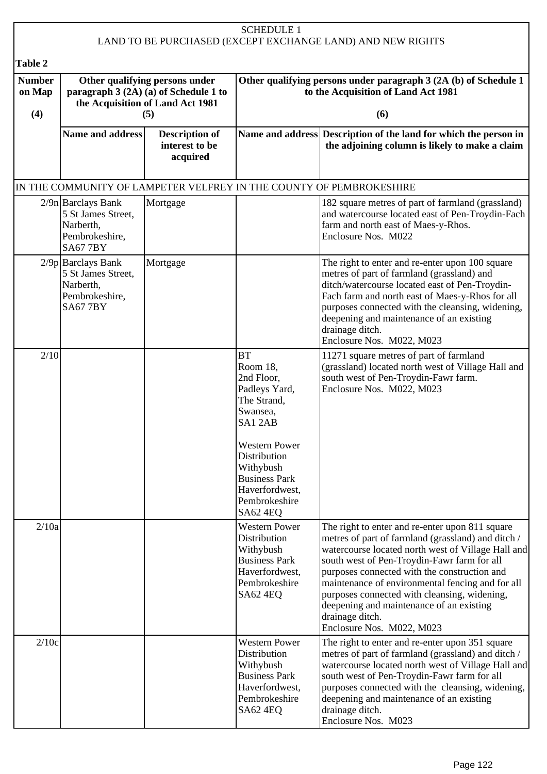|                                |                                                                                                                    |                                                     | <b>SCHEDULE 1</b>                                                                                                                                                                                                     | LAND TO BE PURCHASED (EXCEPT EXCHANGE LAND) AND NEW RIGHTS                                                                                                                                                                                                                                                                                                                                                                                                 |  |  |
|--------------------------------|--------------------------------------------------------------------------------------------------------------------|-----------------------------------------------------|-----------------------------------------------------------------------------------------------------------------------------------------------------------------------------------------------------------------------|------------------------------------------------------------------------------------------------------------------------------------------------------------------------------------------------------------------------------------------------------------------------------------------------------------------------------------------------------------------------------------------------------------------------------------------------------------|--|--|
| Table 2                        |                                                                                                                    |                                                     |                                                                                                                                                                                                                       |                                                                                                                                                                                                                                                                                                                                                                                                                                                            |  |  |
| <b>Number</b><br>on Map<br>(4) | Other qualifying persons under<br>paragraph 3 (2A) (a) of Schedule 1 to<br>the Acquisition of Land Act 1981<br>(5) |                                                     |                                                                                                                                                                                                                       | Other qualifying persons under paragraph 3 (2A (b) of Schedule 1<br>to the Acquisition of Land Act 1981<br>(6)                                                                                                                                                                                                                                                                                                                                             |  |  |
|                                | Name and address                                                                                                   | <b>Description of</b><br>interest to be<br>acquired |                                                                                                                                                                                                                       | Name and address Description of the land for which the person in<br>the adjoining column is likely to make a claim                                                                                                                                                                                                                                                                                                                                         |  |  |
|                                |                                                                                                                    |                                                     |                                                                                                                                                                                                                       | IN THE COMMUNITY OF LAMPETER VELFREY IN THE COUNTY OF PEMBROKESHIRE                                                                                                                                                                                                                                                                                                                                                                                        |  |  |
|                                | $2/9n$ Barclays Bank<br>5 St James Street,<br>Narberth,<br>Pembrokeshire,<br><b>SA677BY</b>                        | Mortgage                                            |                                                                                                                                                                                                                       | 182 square metres of part of farmland (grassland)<br>and watercourse located east of Pen-Troydin-Fach<br>farm and north east of Maes-y-Rhos.<br>Enclosure Nos. M022                                                                                                                                                                                                                                                                                        |  |  |
|                                | $2/9p$ Barclays Bank<br>5 St James Street,<br>Narberth,<br>Pembrokeshire,<br><b>SA677BY</b>                        | Mortgage                                            |                                                                                                                                                                                                                       | The right to enter and re-enter upon 100 square<br>metres of part of farmland (grassland) and<br>ditch/watercourse located east of Pen-Troydin-<br>Fach farm and north east of Maes-y-Rhos for all<br>purposes connected with the cleansing, widening,<br>deepening and maintenance of an existing<br>drainage ditch.<br>Enclosure Nos. M022, M023                                                                                                         |  |  |
| 2/10                           |                                                                                                                    |                                                     | <b>BT</b><br>Room 18,<br>2nd Floor,<br>Padleys Yard,<br>The Strand,<br>Swansea,<br>SA12AB<br><b>Western Power</b><br>Distribution<br>Withybush<br><b>Business Park</b><br>Haverfordwest,<br>Pembrokeshire<br>SA62 4EQ | 11271 square metres of part of farmland<br>(grassland) located north west of Village Hall and<br>south west of Pen-Troydin-Fawr farm.<br>Enclosure Nos. M022, M023                                                                                                                                                                                                                                                                                         |  |  |
| 2/10a                          |                                                                                                                    |                                                     | <b>Western Power</b><br>Distribution<br>Withybush<br><b>Business Park</b><br>Haverfordwest,<br>Pembrokeshire<br>SA62 4EQ                                                                                              | The right to enter and re-enter upon 811 square<br>metres of part of farmland (grassland) and ditch /<br>watercourse located north west of Village Hall and<br>south west of Pen-Troydin-Fawr farm for all<br>purposes connected with the construction and<br>maintenance of environmental fencing and for all<br>purposes connected with cleansing, widening,<br>deepening and maintenance of an existing<br>drainage ditch.<br>Enclosure Nos. M022, M023 |  |  |
| 2/10c                          |                                                                                                                    |                                                     | <b>Western Power</b><br>Distribution<br>Withybush<br><b>Business Park</b><br>Haverfordwest,<br>Pembrokeshire<br>SA62 4EQ                                                                                              | The right to enter and re-enter upon 351 square<br>metres of part of farmland (grassland) and ditch /<br>watercourse located north west of Village Hall and<br>south west of Pen-Troydin-Fawr farm for all<br>purposes connected with the cleansing, widening,<br>deepening and maintenance of an existing<br>drainage ditch.<br>Enclosure Nos. M023                                                                                                       |  |  |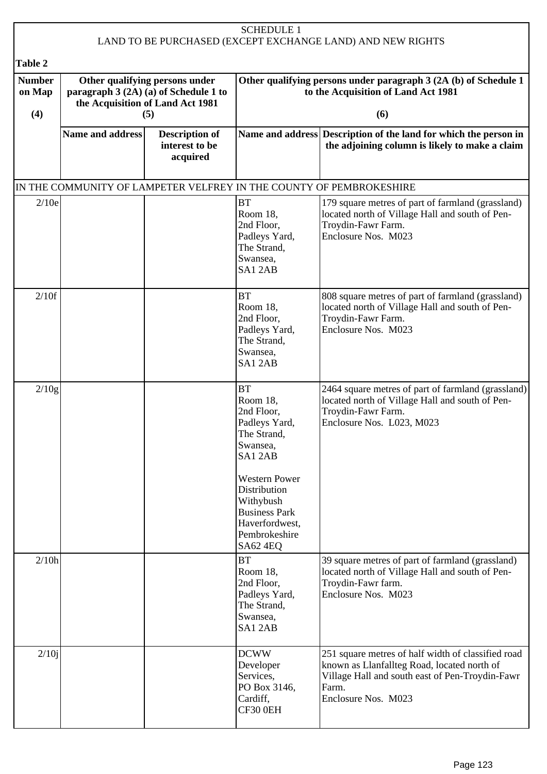| <b>SCHEDULE 1</b><br>LAND TO BE PURCHASED (EXCEPT EXCHANGE LAND) AND NEW RIGHTS |                                                                                                                    |                                                     |                                                                                                                                                                                                                              |                                                                                                                                                                                      |  |  |
|---------------------------------------------------------------------------------|--------------------------------------------------------------------------------------------------------------------|-----------------------------------------------------|------------------------------------------------------------------------------------------------------------------------------------------------------------------------------------------------------------------------------|--------------------------------------------------------------------------------------------------------------------------------------------------------------------------------------|--|--|
| Table 2                                                                         |                                                                                                                    |                                                     |                                                                                                                                                                                                                              |                                                                                                                                                                                      |  |  |
| <b>Number</b><br>on Map<br>(4)                                                  | Other qualifying persons under<br>paragraph 3 (2A) (a) of Schedule 1 to<br>the Acquisition of Land Act 1981<br>(5) |                                                     |                                                                                                                                                                                                                              | Other qualifying persons under paragraph 3 (2A (b) of Schedule 1<br>to the Acquisition of Land Act 1981<br>(6)                                                                       |  |  |
|                                                                                 | <b>Name and address</b>                                                                                            | <b>Description of</b><br>interest to be<br>acquired |                                                                                                                                                                                                                              | Name and address Description of the land for which the person in<br>the adjoining column is likely to make a claim                                                                   |  |  |
|                                                                                 |                                                                                                                    |                                                     |                                                                                                                                                                                                                              | IN THE COMMUNITY OF LAMPETER VELFREY IN THE COUNTY OF PEMBROKESHIRE                                                                                                                  |  |  |
| 2/10e                                                                           |                                                                                                                    |                                                     | <b>BT</b><br>Room 18,<br>2nd Floor,<br>Padleys Yard,<br>The Strand,<br>Swansea,<br>SA12AB                                                                                                                                    | 179 square metres of part of farmland (grassland)<br>located north of Village Hall and south of Pen-<br>Troydin-Fawr Farm.<br>Enclosure Nos. M023                                    |  |  |
| 2/10f                                                                           |                                                                                                                    |                                                     | <b>BT</b><br>Room 18,<br>2nd Floor,<br>Padleys Yard,<br>The Strand,<br>Swansea,<br>SA12AB                                                                                                                                    | 808 square metres of part of farmland (grassland)<br>located north of Village Hall and south of Pen-<br>Troydin-Fawr Farm.<br>Enclosure Nos. M023                                    |  |  |
| 2/10g                                                                           |                                                                                                                    |                                                     | <b>BT</b><br>Room 18,<br>2nd Floor,<br>Padleys Yard,<br>The Strand.<br>Swansea,<br>SA12AB<br><b>Western Power</b><br>Distribution<br>Withybush<br><b>Business Park</b><br>Haverfordwest,<br>Pembrokeshire<br><b>SA62 4EQ</b> | 2464 square metres of part of farmland (grassland)<br>located north of Village Hall and south of Pen-<br>Troydin-Fawr Farm.<br>Enclosure Nos. L023, M023                             |  |  |
| 2/10h                                                                           |                                                                                                                    |                                                     | <b>BT</b><br>Room 18,<br>2nd Floor,<br>Padleys Yard,<br>The Strand,<br>Swansea,<br>SA12AB                                                                                                                                    | 39 square metres of part of farmland (grassland)<br>located north of Village Hall and south of Pen-<br>Troydin-Fawr farm.<br>Enclosure Nos. M023                                     |  |  |
| 2/10j                                                                           |                                                                                                                    |                                                     | <b>DCWW</b><br>Developer<br>Services,<br>PO Box 3146,<br>Cardiff,<br>CF30 0EH                                                                                                                                                | 251 square metres of half width of classified road<br>known as Llanfallteg Road, located north of<br>Village Hall and south east of Pen-Troydin-Fawr<br>Farm.<br>Enclosure Nos. M023 |  |  |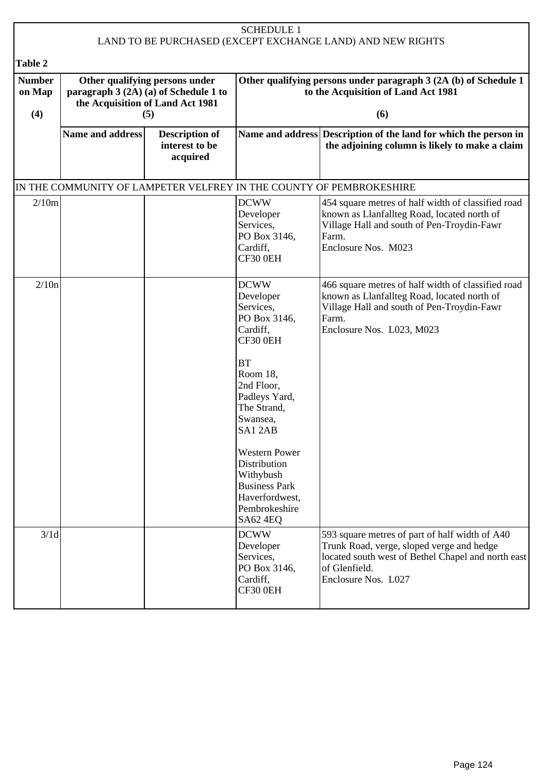| <b>SCHEDULE 1</b><br>LAND TO BE PURCHASED (EXCEPT EXCHANGE LAND) AND NEW RIGHTS |                         |                                                                                                             |                                                                                                                                                                                                                                                                                                               |                                                                                                                                                                                           |
|---------------------------------------------------------------------------------|-------------------------|-------------------------------------------------------------------------------------------------------------|---------------------------------------------------------------------------------------------------------------------------------------------------------------------------------------------------------------------------------------------------------------------------------------------------------------|-------------------------------------------------------------------------------------------------------------------------------------------------------------------------------------------|
| Table 2                                                                         |                         |                                                                                                             |                                                                                                                                                                                                                                                                                                               |                                                                                                                                                                                           |
| <b>Number</b><br>on Map                                                         |                         | Other qualifying persons under<br>paragraph 3 (2A) (a) of Schedule 1 to<br>the Acquisition of Land Act 1981 |                                                                                                                                                                                                                                                                                                               | Other qualifying persons under paragraph 3 (2A (b) of Schedule 1<br>to the Acquisition of Land Act 1981                                                                                   |
| (4)                                                                             |                         | (5)                                                                                                         |                                                                                                                                                                                                                                                                                                               | (6)                                                                                                                                                                                       |
|                                                                                 | <b>Name and address</b> | <b>Description of</b><br>interest to be<br>acquired                                                         |                                                                                                                                                                                                                                                                                                               | Name and address Description of the land for which the person in<br>the adjoining column is likely to make a claim                                                                        |
|                                                                                 |                         |                                                                                                             |                                                                                                                                                                                                                                                                                                               | IN THE COMMUNITY OF LAMPETER VELFREY IN THE COUNTY OF PEMBROKESHIRE                                                                                                                       |
| 2/10m                                                                           |                         |                                                                                                             | <b>DCWW</b><br>Developer<br>Services,<br>PO Box 3146,<br>Cardiff,<br>CF30 0EH                                                                                                                                                                                                                                 | 454 square metres of half width of classified road<br>known as Llanfallteg Road, located north of<br>Village Hall and south of Pen-Troydin-Fawr<br>Farm.<br>Enclosure Nos. M023           |
| 2/10n                                                                           |                         |                                                                                                             | <b>DCWW</b><br>Developer<br>Services,<br>PO Box 3146,<br>Cardiff,<br>CF30 0EH<br><b>BT</b><br>Room 18,<br>2nd Floor,<br>Padleys Yard,<br>The Strand,<br>Swansea,<br>SA12AB<br><b>Western Power</b><br>Distribution<br>Withybush<br><b>Business Park</b><br>Haverfordwest,<br>Pembrokeshire<br><b>SA62 4EQ</b> | 466 square metres of half width of classified road<br>known as Llanfallteg Road, located north of<br>Village Hall and south of Pen-Troydin-Fawr<br>Farm.<br>Enclosure Nos. L023, M023     |
| 3/1d                                                                            |                         |                                                                                                             | <b>DCWW</b><br>Developer<br>Services,<br>PO Box 3146,<br>Cardiff,<br>CF30 0EH                                                                                                                                                                                                                                 | 593 square metres of part of half width of A40<br>Trunk Road, verge, sloped verge and hedge<br>located south west of Bethel Chapel and north east<br>of Glenfield.<br>Enclosure Nos. L027 |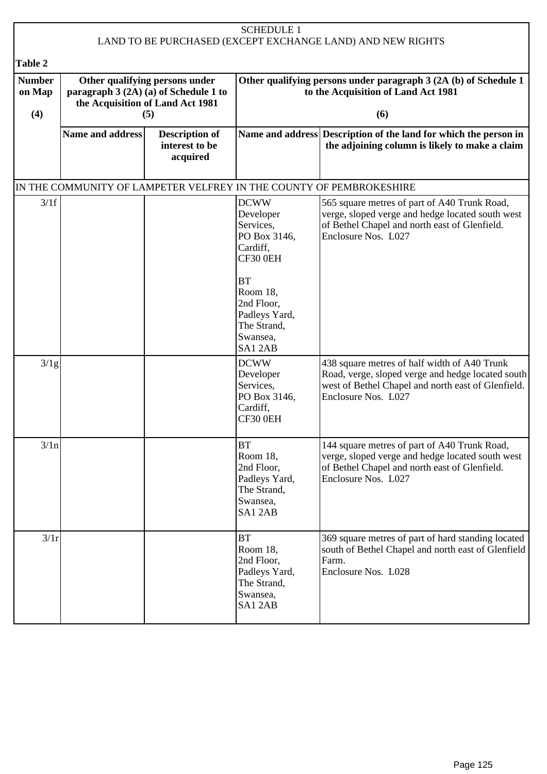| <b>SCHEDULE 1</b><br>LAND TO BE PURCHASED (EXCEPT EXCHANGE LAND) AND NEW RIGHTS |                                                                                                             |                                                     |                                                                                            |                                                                                                                                                                                |
|---------------------------------------------------------------------------------|-------------------------------------------------------------------------------------------------------------|-----------------------------------------------------|--------------------------------------------------------------------------------------------|--------------------------------------------------------------------------------------------------------------------------------------------------------------------------------|
|                                                                                 |                                                                                                             |                                                     |                                                                                            |                                                                                                                                                                                |
| Table 2<br><b>Number</b>                                                        |                                                                                                             |                                                     |                                                                                            | Other qualifying persons under paragraph 3 (2A (b) of Schedule 1                                                                                                               |
| on Map                                                                          | Other qualifying persons under<br>paragraph 3 (2A) (a) of Schedule 1 to<br>the Acquisition of Land Act 1981 |                                                     |                                                                                            | to the Acquisition of Land Act 1981                                                                                                                                            |
| (4)                                                                             |                                                                                                             | (5)                                                 |                                                                                            | (6)                                                                                                                                                                            |
|                                                                                 | <b>Name and address</b>                                                                                     | <b>Description of</b><br>interest to be<br>acquired |                                                                                            | Name and address Description of the land for which the person in<br>the adjoining column is likely to make a claim                                                             |
|                                                                                 |                                                                                                             |                                                     |                                                                                            | IN THE COMMUNITY OF LAMPETER VELFREY IN THE COUNTY OF PEMBROKESHIRE                                                                                                            |
| 3/1f                                                                            |                                                                                                             |                                                     | <b>DCWW</b><br>Developer<br>Services,<br>PO Box 3146,<br>Cardiff,<br>CF30 0EH<br><b>BT</b> | 565 square metres of part of A40 Trunk Road,<br>verge, sloped verge and hedge located south west<br>of Bethel Chapel and north east of Glenfield.<br>Enclosure Nos. L027       |
|                                                                                 |                                                                                                             |                                                     | Room 18,<br>2nd Floor,<br>Padleys Yard,<br>The Strand,<br>Swansea,<br>SA12AB               |                                                                                                                                                                                |
| 3/1g                                                                            |                                                                                                             |                                                     | <b>DCWW</b><br>Developer<br>Services,<br>PO Box 3146,<br>Cardiff,<br>CF30 0EH              | 438 square metres of half width of A40 Trunk<br>Road, verge, sloped verge and hedge located south<br>west of Bethel Chapel and north east of Glenfield.<br>Enclosure Nos. L027 |
| 3/1n                                                                            |                                                                                                             |                                                     | <b>BT</b><br>Room 18,<br>2nd Floor,<br>Padleys Yard,<br>The Strand,<br>Swansea,<br>SA12AB  | 144 square metres of part of A40 Trunk Road,<br>verge, sloped verge and hedge located south west<br>of Bethel Chapel and north east of Glenfield.<br>Enclosure Nos. L027       |
| 3/1r                                                                            |                                                                                                             |                                                     | <b>BT</b><br>Room 18,<br>2nd Floor,<br>Padleys Yard,<br>The Strand,<br>Swansea,<br>SA12AB  | 369 square metres of part of hard standing located<br>south of Bethel Chapel and north east of Glenfield<br>Farm.<br>Enclosure Nos. L028                                       |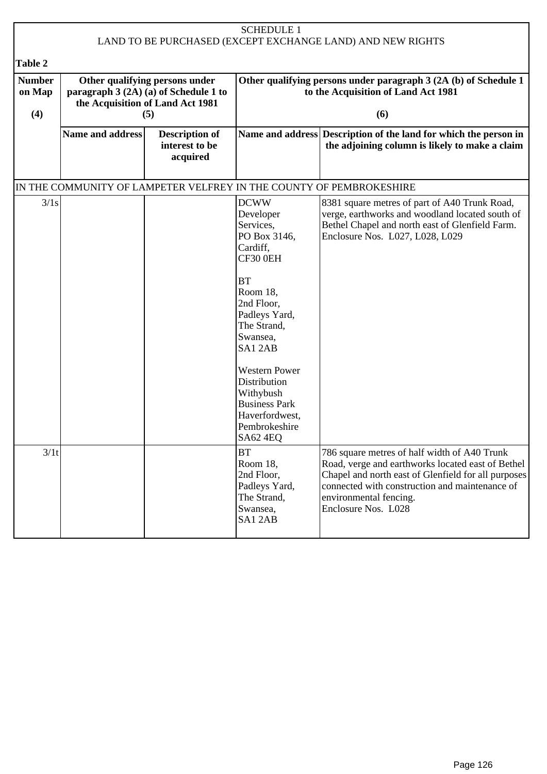| <b>SCHEDULE 1</b><br>LAND TO BE PURCHASED (EXCEPT EXCHANGE LAND) AND NEW RIGHTS |                                                                                                                    |                                                     |                                                                                                                                                                                                                                                                                                       |                                                                                                                                                                                                                                                             |  |
|---------------------------------------------------------------------------------|--------------------------------------------------------------------------------------------------------------------|-----------------------------------------------------|-------------------------------------------------------------------------------------------------------------------------------------------------------------------------------------------------------------------------------------------------------------------------------------------------------|-------------------------------------------------------------------------------------------------------------------------------------------------------------------------------------------------------------------------------------------------------------|--|
| Table 2                                                                         |                                                                                                                    |                                                     |                                                                                                                                                                                                                                                                                                       |                                                                                                                                                                                                                                                             |  |
| <b>Number</b><br>on Map<br>(4)                                                  | Other qualifying persons under<br>paragraph 3 (2A) (a) of Schedule 1 to<br>the Acquisition of Land Act 1981<br>(5) |                                                     |                                                                                                                                                                                                                                                                                                       | Other qualifying persons under paragraph 3 (2A (b) of Schedule 1<br>to the Acquisition of Land Act 1981<br>(6)                                                                                                                                              |  |
|                                                                                 | Name and address                                                                                                   | <b>Description of</b><br>interest to be<br>acquired |                                                                                                                                                                                                                                                                                                       | Name and address Description of the land for which the person in<br>the adjoining column is likely to make a claim                                                                                                                                          |  |
|                                                                                 |                                                                                                                    |                                                     |                                                                                                                                                                                                                                                                                                       | IN THE COMMUNITY OF LAMPETER VELFREY IN THE COUNTY OF PEMBROKESHIRE                                                                                                                                                                                         |  |
| 3/1s                                                                            |                                                                                                                    |                                                     | <b>DCWW</b><br>Developer<br>Services,<br>PO Box 3146,<br>Cardiff,<br>CF30 0EH<br><b>BT</b><br>Room 18,<br>2nd Floor,<br>Padleys Yard,<br>The Strand,<br>Swansea,<br>SA12AB<br><b>Western Power</b><br>Distribution<br>Withybush<br><b>Business Park</b><br>Haverfordwest,<br>Pembrokeshire<br>SA624EQ | 8381 square metres of part of A40 Trunk Road,<br>verge, earthworks and woodland located south of<br>Bethel Chapel and north east of Glenfield Farm.<br>Enclosure Nos. L027, L028, L029                                                                      |  |
| 3/1t                                                                            |                                                                                                                    |                                                     | <b>BT</b><br>Room 18,<br>2nd Floor,<br>Padleys Yard,<br>The Strand,<br>Swansea,<br>SA12AB                                                                                                                                                                                                             | 786 square metres of half width of A40 Trunk<br>Road, verge and earthworks located east of Bethel<br>Chapel and north east of Glenfield for all purposes<br>connected with construction and maintenance of<br>environmental fencing.<br>Enclosure Nos. L028 |  |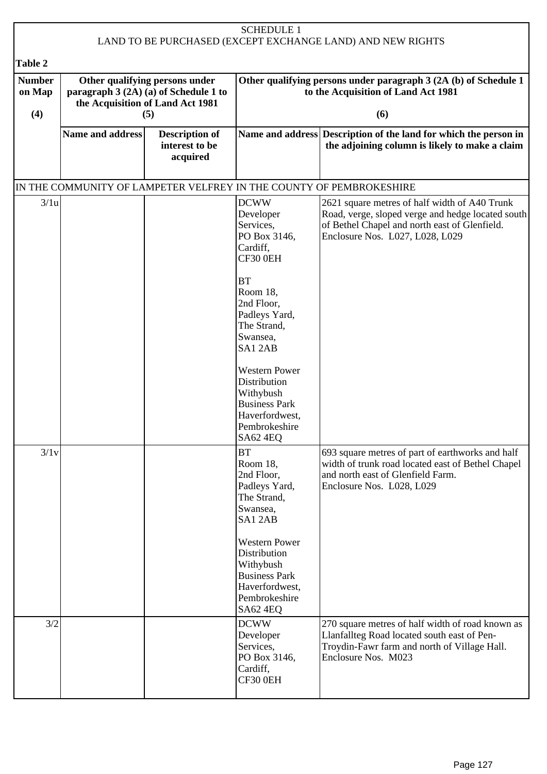|                                |                                                                                                                    |                                                     | <b>SCHEDULE 1</b>                                                                                                                                                                                                  |                                                                                                                                                                                        |  |
|--------------------------------|--------------------------------------------------------------------------------------------------------------------|-----------------------------------------------------|--------------------------------------------------------------------------------------------------------------------------------------------------------------------------------------------------------------------|----------------------------------------------------------------------------------------------------------------------------------------------------------------------------------------|--|
| Table 2                        |                                                                                                                    |                                                     |                                                                                                                                                                                                                    | LAND TO BE PURCHASED (EXCEPT EXCHANGE LAND) AND NEW RIGHTS                                                                                                                             |  |
| <b>Number</b><br>on Map<br>(4) | Other qualifying persons under<br>paragraph 3 (2A) (a) of Schedule 1 to<br>the Acquisition of Land Act 1981<br>(5) |                                                     | Other qualifying persons under paragraph 3 (2A (b) of Schedule 1<br>to the Acquisition of Land Act 1981<br>(6)                                                                                                     |                                                                                                                                                                                        |  |
|                                | Name and address                                                                                                   | <b>Description of</b><br>interest to be<br>acquired |                                                                                                                                                                                                                    | Name and address Description of the land for which the person in<br>the adjoining column is likely to make a claim                                                                     |  |
|                                |                                                                                                                    |                                                     |                                                                                                                                                                                                                    | IN THE COMMUNITY OF LAMPETER VELFREY IN THE COUNTY OF PEMBROKESHIRE                                                                                                                    |  |
| 3/1u                           |                                                                                                                    |                                                     | <b>DCWW</b><br>Developer<br>Services,<br>PO Box 3146,<br>Cardiff,<br>CF30 0EH<br><b>BT</b><br>Room 18,<br>2nd Floor,<br>Padleys Yard,<br>The Strand,<br>Swansea,<br>SA12AB<br><b>Western Power</b><br>Distribution | 2621 square metres of half width of A40 Trunk<br>Road, verge, sloped verge and hedge located south<br>of Bethel Chapel and north east of Glenfield.<br>Enclosure Nos. L027, L028, L029 |  |
|                                |                                                                                                                    |                                                     | Withybush<br><b>Business Park</b><br>Haverfordwest,<br>Pembrokeshire<br><b>SA62 4EQ</b>                                                                                                                            |                                                                                                                                                                                        |  |
| 3/1v                           |                                                                                                                    |                                                     | <b>BT</b><br>Room 18,<br>2nd Floor,<br>Padleys Yard,<br>The Strand,<br>Swansea,<br>SA12AB<br><b>Western Power</b>                                                                                                  | 693 square metres of part of earthworks and half<br>width of trunk road located east of Bethel Chapel<br>and north east of Glenfield Farm.<br>Enclosure Nos. L028, L029                |  |
|                                |                                                                                                                    |                                                     | Distribution<br>Withybush<br><b>Business Park</b><br>Haverfordwest,<br>Pembrokeshire<br>SA62 4EQ                                                                                                                   |                                                                                                                                                                                        |  |
| 3/2                            |                                                                                                                    |                                                     | <b>DCWW</b><br>Developer<br>Services,<br>PO Box 3146,<br>Cardiff,<br>CF30 0EH                                                                                                                                      | 270 square metres of half width of road known as<br>Llanfallteg Road located south east of Pen-<br>Troydin-Fawr farm and north of Village Hall.<br>Enclosure Nos. M023                 |  |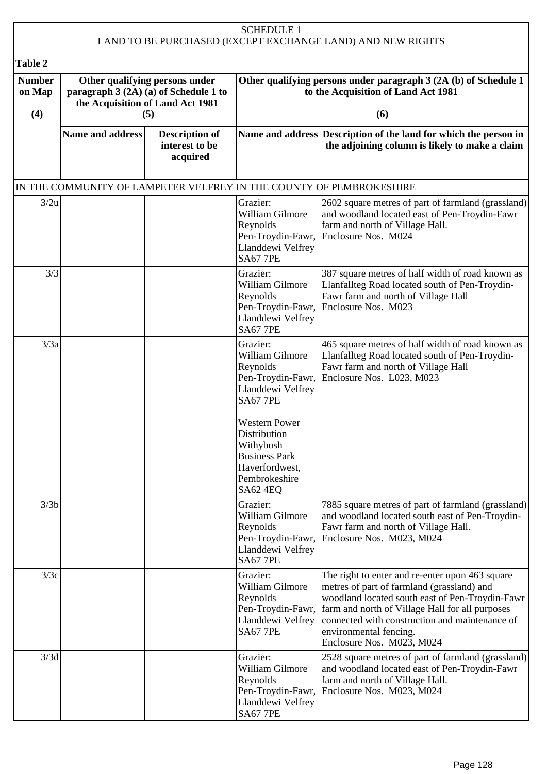|                                |                                                                                                                    |                                                     | <b>SCHEDULE 1</b>                                                                                                                                                                                                                       | LAND TO BE PURCHASED (EXCEPT EXCHANGE LAND) AND NEW RIGHTS                                                                                                                                                                                                                                                   |
|--------------------------------|--------------------------------------------------------------------------------------------------------------------|-----------------------------------------------------|-----------------------------------------------------------------------------------------------------------------------------------------------------------------------------------------------------------------------------------------|--------------------------------------------------------------------------------------------------------------------------------------------------------------------------------------------------------------------------------------------------------------------------------------------------------------|
| Table 2                        |                                                                                                                    |                                                     |                                                                                                                                                                                                                                         |                                                                                                                                                                                                                                                                                                              |
| <b>Number</b><br>on Map<br>(4) | Other qualifying persons under<br>paragraph 3 (2A) (a) of Schedule 1 to<br>the Acquisition of Land Act 1981<br>(5) |                                                     | Other qualifying persons under paragraph 3 (2A (b) of Schedule 1<br>to the Acquisition of Land Act 1981<br>(6)                                                                                                                          |                                                                                                                                                                                                                                                                                                              |
|                                | <b>Name and address</b>                                                                                            | <b>Description of</b><br>interest to be<br>acquired |                                                                                                                                                                                                                                         | Name and address Description of the land for which the person in<br>the adjoining column is likely to make a claim                                                                                                                                                                                           |
|                                |                                                                                                                    |                                                     |                                                                                                                                                                                                                                         | IN THE COMMUNITY OF LAMPETER VELFREY IN THE COUNTY OF PEMBROKESHIRE                                                                                                                                                                                                                                          |
| 3/2u                           |                                                                                                                    |                                                     | Grazier:<br>William Gilmore<br>Reynolds<br>Pen-Troydin-Fawr,<br>Llanddewi Velfrey<br><b>SA67 7PE</b>                                                                                                                                    | 2602 square metres of part of farmland (grassland)<br>and woodland located east of Pen-Troydin-Fawr<br>farm and north of Village Hall.<br>Enclosure Nos. M024                                                                                                                                                |
| 3/3                            |                                                                                                                    |                                                     | Grazier:<br>William Gilmore<br>Reynolds<br>Pen-Troydin-Fawr,<br>Llanddewi Velfrey<br><b>SA67 7PE</b>                                                                                                                                    | 387 square metres of half width of road known as<br>Llanfallteg Road located south of Pen-Troydin-<br>Fawr farm and north of Village Hall<br>Enclosure Nos. M023                                                                                                                                             |
| 3/3a                           |                                                                                                                    |                                                     | Grazier:<br>William Gilmore<br>Reynolds<br>Pen-Troydin-Fawr,<br>Llanddewi Velfrey<br><b>SA67 7PE</b><br><b>Western Power</b><br>Distribution<br>Withybush<br><b>Business Park</b><br>Haverfordwest,<br>Pembrokeshire<br><b>SA62 4EQ</b> | 465 square metres of half width of road known as<br>Llanfallteg Road located south of Pen-Troydin-<br>Fawr farm and north of Village Hall<br>Enclosure Nos. L023, M023                                                                                                                                       |
| 3/3b                           |                                                                                                                    |                                                     | Grazier:<br>William Gilmore<br>Reynolds<br>Pen-Troydin-Fawr,<br>Llanddewi Velfrey<br><b>SA67 7PE</b>                                                                                                                                    | 7885 square metres of part of farmland (grassland)<br>and woodland located south east of Pen-Troydin-<br>Fawr farm and north of Village Hall.<br>Enclosure Nos. M023, M024                                                                                                                                   |
| 3/3c                           |                                                                                                                    |                                                     | Grazier:<br>William Gilmore<br>Reynolds<br>Pen-Troydin-Fawr,<br>Llanddewi Velfrey<br><b>SA67 7PE</b>                                                                                                                                    | The right to enter and re-enter upon 463 square<br>metres of part of farmland (grassland) and<br>woodland located south east of Pen-Troydin-Fawr<br>farm and north of Village Hall for all purposes<br>connected with construction and maintenance of<br>environmental fencing.<br>Enclosure Nos. M023, M024 |
| 3/3d                           |                                                                                                                    |                                                     | Grazier:<br>William Gilmore<br>Reynolds<br>Pen-Troydin-Fawr,<br>Llanddewi Velfrey<br><b>SA67 7PE</b>                                                                                                                                    | 2528 square metres of part of farmland (grassland)<br>and woodland located east of Pen-Troydin-Fawr<br>farm and north of Village Hall.<br>Enclosure Nos. M023, M024                                                                                                                                          |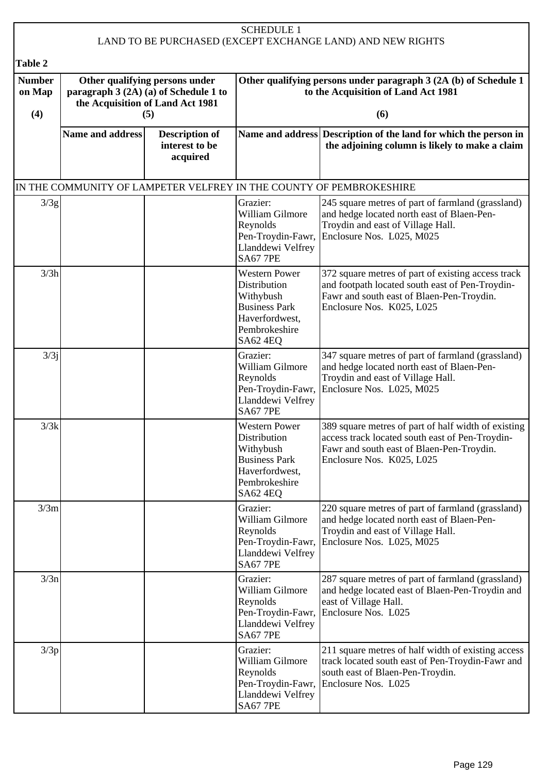| <b>SCHEDULE 1</b><br>LAND TO BE PURCHASED (EXCEPT EXCHANGE LAND) AND NEW RIGHTS |                                                                                                                    |                                                     |                                                                                                                                 |                                                                                                                                                                                  |  |  |
|---------------------------------------------------------------------------------|--------------------------------------------------------------------------------------------------------------------|-----------------------------------------------------|---------------------------------------------------------------------------------------------------------------------------------|----------------------------------------------------------------------------------------------------------------------------------------------------------------------------------|--|--|
| Table 2                                                                         |                                                                                                                    |                                                     |                                                                                                                                 |                                                                                                                                                                                  |  |  |
| <b>Number</b><br>on Map<br>(4)                                                  | Other qualifying persons under<br>paragraph 3 (2A) (a) of Schedule 1 to<br>the Acquisition of Land Act 1981<br>(5) |                                                     |                                                                                                                                 | Other qualifying persons under paragraph 3 (2A (b) of Schedule 1<br>to the Acquisition of Land Act 1981<br>(6)                                                                   |  |  |
|                                                                                 | <b>Name and address</b>                                                                                            | <b>Description of</b><br>interest to be<br>acquired |                                                                                                                                 | Name and address Description of the land for which the person in<br>the adjoining column is likely to make a claim                                                               |  |  |
|                                                                                 |                                                                                                                    |                                                     |                                                                                                                                 | IN THE COMMUNITY OF LAMPETER VELFREY IN THE COUNTY OF PEMBROKESHIRE                                                                                                              |  |  |
| 3/3g                                                                            |                                                                                                                    |                                                     | Grazier:<br>William Gilmore<br>Reynolds<br>Pen-Troydin-Fawr,<br>Llanddewi Velfrey<br><b>SA67 7PE</b>                            | 245 square metres of part of farmland (grassland)<br>and hedge located north east of Blaen-Pen-<br>Troydin and east of Village Hall.<br>Enclosure Nos. L025, M025                |  |  |
| 3/3h                                                                            |                                                                                                                    |                                                     | <b>Western Power</b><br>Distribution<br>Withybush<br><b>Business Park</b><br>Haverfordwest,<br>Pembrokeshire<br>SA62 4EQ        | 372 square metres of part of existing access track<br>and footpath located south east of Pen-Troydin-<br>Fawr and south east of Blaen-Pen-Troydin.<br>Enclosure Nos. K025, L025  |  |  |
| 3/3j                                                                            |                                                                                                                    |                                                     | Grazier:<br>William Gilmore<br>Reynolds<br>Pen-Troydin-Fawr,<br>Llanddewi Velfrey<br><b>SA67 7PE</b>                            | 347 square metres of part of farmland (grassland)<br>and hedge located north east of Blaen-Pen-<br>Troydin and east of Village Hall.<br>Enclosure Nos. L025, M025                |  |  |
| 3/3k                                                                            |                                                                                                                    |                                                     | <b>Western Power</b><br>Distribution<br>Withybush<br><b>Business Park</b><br>Haverfordwest,<br>Pembrokeshire<br><b>SA62 4EQ</b> | 389 square metres of part of half width of existing<br>access track located south east of Pen-Troydin-<br>Fawr and south east of Blaen-Pen-Troydin.<br>Enclosure Nos. K025, L025 |  |  |
| 3/3m                                                                            |                                                                                                                    |                                                     | Grazier:<br>William Gilmore<br>Reynolds<br>Pen-Troydin-Fawr,<br>Llanddewi Velfrey<br><b>SA67 7PE</b>                            | 220 square metres of part of farmland (grassland)<br>and hedge located north east of Blaen-Pen-<br>Troydin and east of Village Hall.<br>Enclosure Nos. L025, M025                |  |  |
| 3/3n                                                                            |                                                                                                                    |                                                     | Grazier:<br>William Gilmore<br>Reynolds<br>Llanddewi Velfrey<br><b>SA67 7PE</b>                                                 | 287 square metres of part of farmland (grassland)<br>and hedge located east of Blaen-Pen-Troydin and<br>east of Village Hall.<br>Pen-Troydin-Fawr, Enclosure Nos. L025           |  |  |
| 3/3p                                                                            |                                                                                                                    |                                                     | Grazier:<br>William Gilmore<br>Reynolds<br>Pen-Troydin-Fawr,<br>Llanddewi Velfrey<br><b>SA67 7PE</b>                            | 211 square metres of half width of existing access<br>track located south east of Pen-Troydin-Fawr and<br>south east of Blaen-Pen-Troydin.<br>Enclosure Nos. L025                |  |  |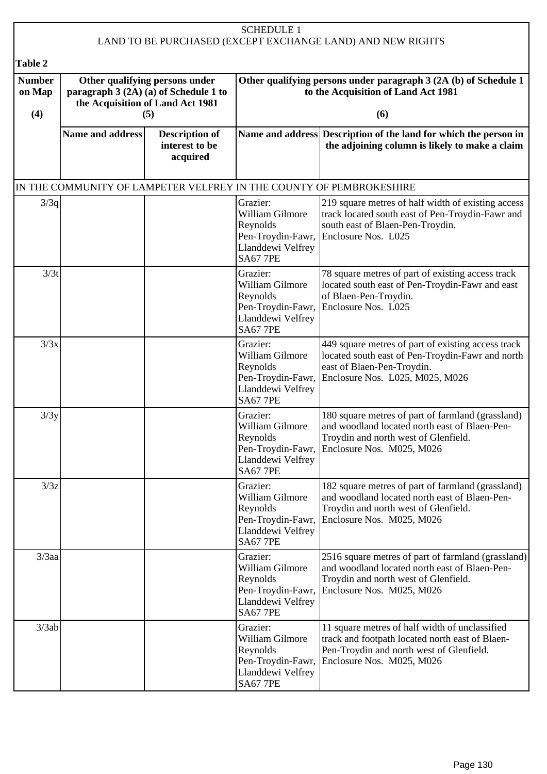|                                |                                                                                                                    |                                                     | <b>SCHEDULE 1</b>                                                                                    | LAND TO BE PURCHASED (EXCEPT EXCHANGE LAND) AND NEW RIGHTS                                                                                                                 |
|--------------------------------|--------------------------------------------------------------------------------------------------------------------|-----------------------------------------------------|------------------------------------------------------------------------------------------------------|----------------------------------------------------------------------------------------------------------------------------------------------------------------------------|
| Table 2                        |                                                                                                                    |                                                     |                                                                                                      |                                                                                                                                                                            |
| <b>Number</b><br>on Map<br>(4) | Other qualifying persons under<br>paragraph 3 (2A) (a) of Schedule 1 to<br>the Acquisition of Land Act 1981<br>(5) |                                                     |                                                                                                      | Other qualifying persons under paragraph 3 (2A (b) of Schedule 1<br>to the Acquisition of Land Act 1981<br>(6)                                                             |
|                                | <b>Name and address</b>                                                                                            | <b>Description of</b><br>interest to be<br>acquired |                                                                                                      | Name and address Description of the land for which the person in<br>the adjoining column is likely to make a claim                                                         |
|                                |                                                                                                                    |                                                     |                                                                                                      | IN THE COMMUNITY OF LAMPETER VELFREY IN THE COUNTY OF PEMBROKESHIRE                                                                                                        |
| 3/3q                           |                                                                                                                    |                                                     | Grazier:<br>William Gilmore<br>Reynolds<br>Pen-Troydin-Fawr,<br>Llanddewi Velfrey<br><b>SA67 7PE</b> | 219 square metres of half width of existing access<br>track located south east of Pen-Troydin-Fawr and<br>south east of Blaen-Pen-Troydin.<br>Enclosure Nos. L025          |
| 3/3t                           |                                                                                                                    |                                                     | Grazier:<br>William Gilmore<br>Reynolds<br>Pen-Troydin-Fawr,<br>Llanddewi Velfrey<br><b>SA67 7PE</b> | 78 square metres of part of existing access track<br>located south east of Pen-Troydin-Fawr and east<br>of Blaen-Pen-Troydin.<br>Enclosure Nos. L025                       |
| 3/3x                           |                                                                                                                    |                                                     | Grazier:<br>William Gilmore<br>Reynolds<br>Pen-Troydin-Fawr,<br>Llanddewi Velfrey<br><b>SA67 7PE</b> | 449 square metres of part of existing access track<br>located south east of Pen-Troydin-Fawr and north<br>east of Blaen-Pen-Troydin.<br>Enclosure Nos. L025, M025, M026    |
| 3/3y                           |                                                                                                                    |                                                     | Grazier:<br>William Gilmore<br>Reynolds<br>Pen-Troydin-Fawr,<br>Llanddewi Velfrey<br><b>SA67 7PE</b> | 180 square metres of part of farmland (grassland)<br>and woodland located north east of Blaen-Pen-<br>Troydin and north west of Glenfield.<br>Enclosure Nos. M025, M026    |
| 3/3z                           |                                                                                                                    |                                                     | Grazier:<br>William Gilmore<br>Reynolds<br>Pen-Troydin-Fawr,<br>Llanddewi Velfrey<br><b>SA67 7PE</b> | 182 square metres of part of farmland (grassland)<br>and woodland located north east of Blaen-Pen-<br>Troydin and north west of Glenfield.<br>Enclosure Nos. M025, M026    |
| $3/3$ aa                       |                                                                                                                    |                                                     | Grazier:<br>William Gilmore<br>Reynolds<br>Pen-Troydin-Fawr,<br>Llanddewi Velfrey<br><b>SA67 7PE</b> | 2516 square metres of part of farmland (grassland)<br>and woodland located north east of Blaen-Pen-<br>Troydin and north west of Glenfield.<br>Enclosure Nos. M025, M026   |
| 3/3ab                          |                                                                                                                    |                                                     | Grazier:<br>William Gilmore<br>Reynolds<br>Pen-Troydin-Fawr,<br>Llanddewi Velfrey<br><b>SA67 7PE</b> | 11 square metres of half width of unclassified<br>track and footpath located north east of Blaen-<br>Pen-Troydin and north west of Glenfield.<br>Enclosure Nos. M025, M026 |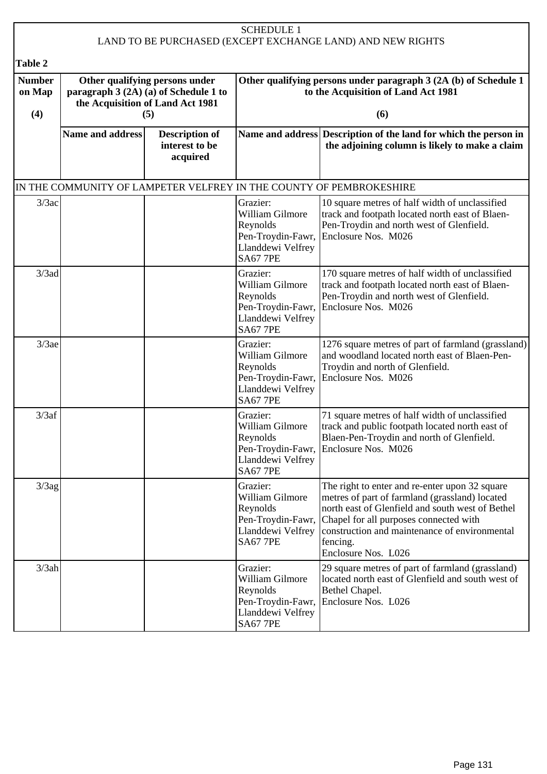| <b>SCHEDULE 1</b><br>LAND TO BE PURCHASED (EXCEPT EXCHANGE LAND) AND NEW RIGHTS |                         |                                                                                                                    |                                                                                                      |                                                                                                                                                                                                                                                                                    |
|---------------------------------------------------------------------------------|-------------------------|--------------------------------------------------------------------------------------------------------------------|------------------------------------------------------------------------------------------------------|------------------------------------------------------------------------------------------------------------------------------------------------------------------------------------------------------------------------------------------------------------------------------------|
| Table 2                                                                         |                         |                                                                                                                    |                                                                                                      |                                                                                                                                                                                                                                                                                    |
| <b>Number</b><br>on Map<br>(4)                                                  |                         | Other qualifying persons under<br>paragraph 3 (2A) (a) of Schedule 1 to<br>the Acquisition of Land Act 1981<br>(5) |                                                                                                      | Other qualifying persons under paragraph 3 (2A (b) of Schedule 1<br>to the Acquisition of Land Act 1981<br>(6)                                                                                                                                                                     |
|                                                                                 | <b>Name and address</b> | <b>Description of</b><br>interest to be<br>acquired                                                                |                                                                                                      | Name and address Description of the land for which the person in<br>the adjoining column is likely to make a claim                                                                                                                                                                 |
|                                                                                 |                         |                                                                                                                    |                                                                                                      | IN THE COMMUNITY OF LAMPETER VELFREY IN THE COUNTY OF PEMBROKESHIRE                                                                                                                                                                                                                |
| 3/3ac                                                                           |                         |                                                                                                                    | Grazier:<br>William Gilmore<br>Reynolds<br>Pen-Troydin-Fawr,<br>Llanddewi Velfrey<br><b>SA67 7PE</b> | 10 square metres of half width of unclassified<br>track and footpath located north east of Blaen-<br>Pen-Troydin and north west of Glenfield.<br>Enclosure Nos. M026                                                                                                               |
| $3/3$ ad                                                                        |                         |                                                                                                                    | Grazier:<br>William Gilmore<br>Reynolds<br>Pen-Troydin-Fawr,<br>Llanddewi Velfrey<br><b>SA67 7PE</b> | 170 square metres of half width of unclassified<br>track and footpath located north east of Blaen-<br>Pen-Troydin and north west of Glenfield.<br>Enclosure Nos. M026                                                                                                              |
| $3/3$ ae                                                                        |                         |                                                                                                                    | Grazier:<br>William Gilmore<br>Reynolds<br>Pen-Troydin-Fawr,<br>Llanddewi Velfrey<br><b>SA67 7PE</b> | 1276 square metres of part of farmland (grassland)<br>and woodland located north east of Blaen-Pen-<br>Troydin and north of Glenfield.<br>Enclosure Nos. M026                                                                                                                      |
| 3/3af                                                                           |                         |                                                                                                                    | Grazier:<br>William Gilmore<br>Reynolds<br>Pen-Troydin-Fawr,<br>Llanddewi Velfrey<br><b>SA67 7PE</b> | 71 square metres of half width of unclassified<br>track and public footpath located north east of<br>Blaen-Pen-Troydin and north of Glenfield.<br>Enclosure Nos. M026                                                                                                              |
| $3/3$ ag                                                                        |                         |                                                                                                                    | Grazier:<br>William Gilmore<br>Reynolds<br>Pen-Troydin-Fawr,<br>Llanddewi Velfrey<br><b>SA67 7PE</b> | The right to enter and re-enter upon 32 square<br>metres of part of farmland (grassland) located<br>north east of Glenfield and south west of Bethel<br>Chapel for all purposes connected with<br>construction and maintenance of environmental<br>fencing.<br>Enclosure Nos. L026 |
| 3/3ah                                                                           |                         |                                                                                                                    | Grazier:<br>William Gilmore<br>Reynolds<br>Llanddewi Velfrey<br><b>SA67 7PE</b>                      | 29 square metres of part of farmland (grassland)<br>located north east of Glenfield and south west of<br>Bethel Chapel.<br>Pen-Troydin-Fawr, Enclosure Nos. L026                                                                                                                   |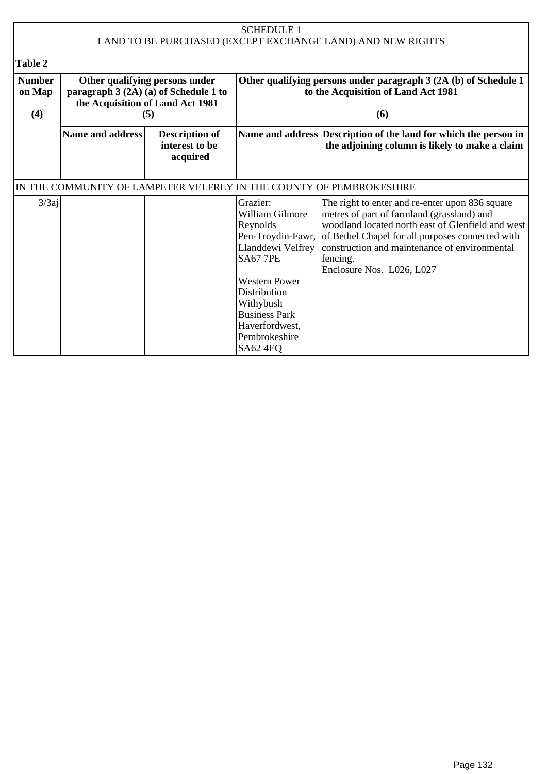|                                | <b>SCHEDULE 1</b><br>LAND TO BE PURCHASED (EXCEPT EXCHANGE LAND) AND NEW RIGHTS                                    |                                                     |                                                                                                                          |                                                                                                                                                                                                                                                                                                  |  |
|--------------------------------|--------------------------------------------------------------------------------------------------------------------|-----------------------------------------------------|--------------------------------------------------------------------------------------------------------------------------|--------------------------------------------------------------------------------------------------------------------------------------------------------------------------------------------------------------------------------------------------------------------------------------------------|--|
| <b>Table 2</b>                 |                                                                                                                    |                                                     |                                                                                                                          |                                                                                                                                                                                                                                                                                                  |  |
| <b>Number</b><br>on Map<br>(4) | Other qualifying persons under<br>paragraph 3 (2A) (a) of Schedule 1 to<br>the Acquisition of Land Act 1981<br>(5) |                                                     | Other qualifying persons under paragraph 3 (2A (b) of Schedule 1<br>to the Acquisition of Land Act 1981<br>(6)           |                                                                                                                                                                                                                                                                                                  |  |
|                                | Name and address                                                                                                   | <b>Description of</b><br>interest to be<br>acquired |                                                                                                                          | Name and address Description of the land for which the person in<br>the adjoining column is likely to make a claim                                                                                                                                                                               |  |
|                                |                                                                                                                    |                                                     |                                                                                                                          | IN THE COMMUNITY OF LAMPETER VELFREY IN THE COUNTY OF PEMBROKESHIRE                                                                                                                                                                                                                              |  |
| $3/3$ aj                       |                                                                                                                    |                                                     | Grazier:<br>William Gilmore<br>Reynolds<br>Pen-Troydin-Fawr,<br>Llanddewi Velfrey<br><b>SA67 7PE</b>                     | The right to enter and re-enter upon 836 square<br>metres of part of farmland (grassland) and<br>woodland located north east of Glenfield and west<br>of Bethel Chapel for all purposes connected with<br>construction and maintenance of environmental<br>fencing.<br>Enclosure Nos. L026, L027 |  |
|                                |                                                                                                                    |                                                     | <b>Western Power</b><br>Distribution<br>Withybush<br><b>Business Park</b><br>Haverfordwest,<br>Pembrokeshire<br>SA62 4EQ |                                                                                                                                                                                                                                                                                                  |  |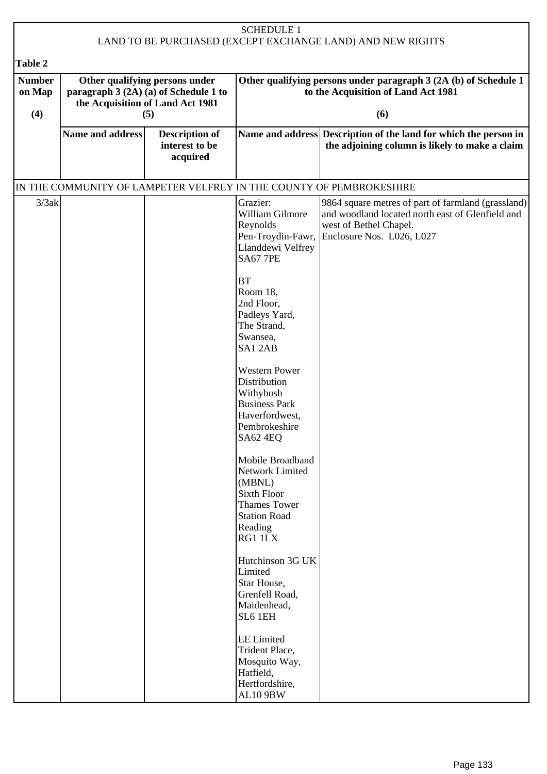| <b>SCHEDULE 1</b><br>LAND TO BE PURCHASED (EXCEPT EXCHANGE LAND) AND NEW RIGHTS |                                                                                                                    |                                                     |                                                                                                                                                                                                                                                                                                                                                                                                                                                                                                                                                                    |                                                                                                                                                               |  |
|---------------------------------------------------------------------------------|--------------------------------------------------------------------------------------------------------------------|-----------------------------------------------------|--------------------------------------------------------------------------------------------------------------------------------------------------------------------------------------------------------------------------------------------------------------------------------------------------------------------------------------------------------------------------------------------------------------------------------------------------------------------------------------------------------------------------------------------------------------------|---------------------------------------------------------------------------------------------------------------------------------------------------------------|--|
| <b>Table 2</b>                                                                  |                                                                                                                    |                                                     |                                                                                                                                                                                                                                                                                                                                                                                                                                                                                                                                                                    |                                                                                                                                                               |  |
| <b>Number</b><br>on Map<br>(4)                                                  | Other qualifying persons under<br>paragraph 3 (2A) (a) of Schedule 1 to<br>the Acquisition of Land Act 1981<br>(5) |                                                     |                                                                                                                                                                                                                                                                                                                                                                                                                                                                                                                                                                    | Other qualifying persons under paragraph 3 (2A (b) of Schedule 1<br>to the Acquisition of Land Act 1981<br>(6)                                                |  |
|                                                                                 | Name and address                                                                                                   | <b>Description of</b><br>interest to be<br>acquired |                                                                                                                                                                                                                                                                                                                                                                                                                                                                                                                                                                    | Name and address Description of the land for which the person in<br>the adjoining column is likely to make a claim                                            |  |
|                                                                                 |                                                                                                                    |                                                     |                                                                                                                                                                                                                                                                                                                                                                                                                                                                                                                                                                    | IN THE COMMUNITY OF LAMPETER VELFREY IN THE COUNTY OF PEMBROKESHIRE                                                                                           |  |
| 3/3ak                                                                           |                                                                                                                    |                                                     | Grazier:<br>William Gilmore<br>Reynolds<br>Pen-Troydin-Fawr,<br>Llanddewi Velfrey<br><b>SA67 7PE</b><br><b>BT</b><br>Room 18.<br>2nd Floor,<br>Padleys Yard,<br>The Strand,<br>Swansea,<br>SA12AB<br><b>Western Power</b><br>Distribution<br>Withybush<br><b>Business Park</b><br>Haverfordwest,<br>Pembrokeshire<br>SA62 4EQ<br>Mobile Broadband<br>Network Limited<br>(MBNL)<br><b>Sixth Floor</b><br><b>Thames Tower</b><br><b>Station Road</b><br>Reading<br>RG1 1LX<br>Hutchinson 3G UK<br>Limited<br>Star House,<br>Grenfell Road,<br>Maidenhead,<br>SL6 1EH | 9864 square metres of part of farmland (grassland)<br>and woodland located north east of Glenfield and<br>west of Bethel Chapel.<br>Enclosure Nos. L026, L027 |  |
|                                                                                 |                                                                                                                    |                                                     | <b>EE</b> Limited<br>Trident Place,<br>Mosquito Way,<br>Hatfield,<br>Hertfordshire,<br>AL10 9BW                                                                                                                                                                                                                                                                                                                                                                                                                                                                    |                                                                                                                                                               |  |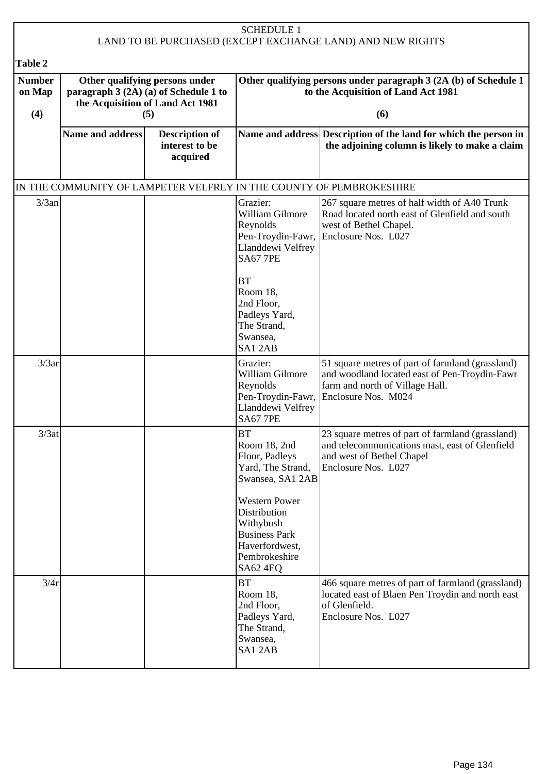| <b>SCHEDULE 1</b><br>LAND TO BE PURCHASED (EXCEPT EXCHANGE LAND) AND NEW RIGHTS |                                                                                                             |                                                     |                                                                                                                                                                                                                  |                                                                                                                                                             |  |
|---------------------------------------------------------------------------------|-------------------------------------------------------------------------------------------------------------|-----------------------------------------------------|------------------------------------------------------------------------------------------------------------------------------------------------------------------------------------------------------------------|-------------------------------------------------------------------------------------------------------------------------------------------------------------|--|
| Table 2                                                                         |                                                                                                             |                                                     |                                                                                                                                                                                                                  |                                                                                                                                                             |  |
| <b>Number</b><br>on Map                                                         | Other qualifying persons under<br>paragraph 3 (2A) (a) of Schedule 1 to<br>the Acquisition of Land Act 1981 |                                                     | Other qualifying persons under paragraph 3 (2A (b) of Schedule 1<br>to the Acquisition of Land Act 1981                                                                                                          |                                                                                                                                                             |  |
| (4)                                                                             |                                                                                                             | (5)                                                 |                                                                                                                                                                                                                  | (6)                                                                                                                                                         |  |
|                                                                                 | <b>Name and address</b>                                                                                     | <b>Description of</b><br>interest to be<br>acquired |                                                                                                                                                                                                                  | Name and address Description of the land for which the person in<br>the adjoining column is likely to make a claim                                          |  |
|                                                                                 | IN THE COMMUNITY OF LAMPETER VELFREY IN THE COUNTY OF PEMBROKESHIRE                                         |                                                     |                                                                                                                                                                                                                  |                                                                                                                                                             |  |
| 3/3an                                                                           |                                                                                                             |                                                     | Grazier:<br>William Gilmore<br>Reynolds<br>Pen-Troydin-Fawr,<br>Llanddewi Velfrey<br><b>SA67 7PE</b>                                                                                                             | 267 square metres of half width of A40 Trunk<br>Road located north east of Glenfield and south<br>west of Bethel Chapel.<br>Enclosure Nos. L027             |  |
|                                                                                 |                                                                                                             |                                                     | <b>BT</b><br>Room 18,<br>2nd Floor,<br>Padleys Yard,<br>The Strand,<br>Swansea,<br>SA12AB                                                                                                                        |                                                                                                                                                             |  |
| 3/3ar                                                                           |                                                                                                             |                                                     | Grazier:<br>William Gilmore<br>Reynolds<br>Pen-Troydin-Fawr,<br>Llanddewi Velfrey<br><b>SA67 7PE</b>                                                                                                             | 51 square metres of part of farmland (grassland)<br>and woodland located east of Pen-Troydin-Fawr<br>farm and north of Village Hall.<br>Enclosure Nos. M024 |  |
| 3/3at                                                                           |                                                                                                             |                                                     | <b>BT</b><br>Room 18, 2nd<br>Floor, Padleys<br>Yard, The Strand,<br>Swansea, SA1 2AB<br><b>Western Power</b><br>Distribution<br>Withybush<br><b>Business Park</b><br>Haverfordwest,<br>Pembrokeshire<br>SA62 4EQ | 23 square metres of part of farmland (grassland)<br>and telecommunications mast, east of Glenfield<br>and west of Bethel Chapel<br>Enclosure Nos. L027      |  |
| 3/4r                                                                            |                                                                                                             |                                                     | <b>BT</b><br>Room 18,<br>2nd Floor,<br>Padleys Yard,<br>The Strand,<br>Swansea,<br>SA12AB                                                                                                                        | 466 square metres of part of farmland (grassland)<br>located east of Blaen Pen Troydin and north east<br>of Glenfield.<br>Enclosure Nos. L027               |  |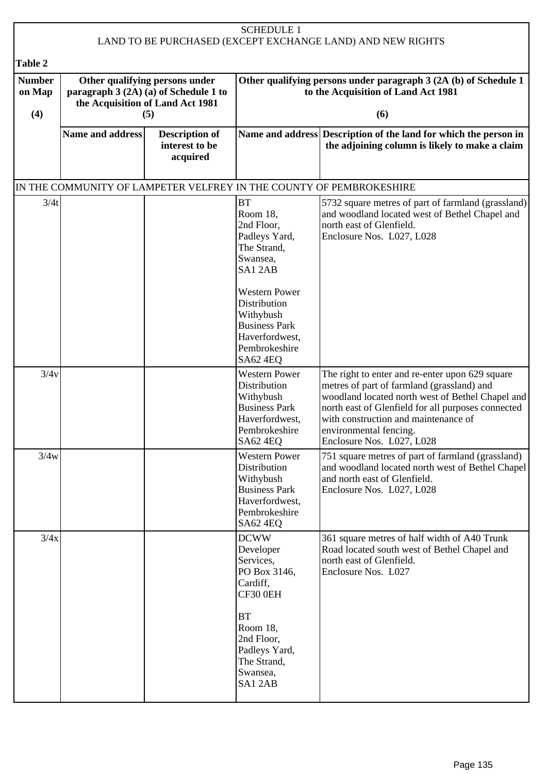| <b>SCHEDULE 1</b><br>LAND TO BE PURCHASED (EXCEPT EXCHANGE LAND) AND NEW RIGHTS |                                                                                                                    |                                                     |                                                                                                                                                                            |                                                                                                                                                                                                                                                                                                        |  |  |
|---------------------------------------------------------------------------------|--------------------------------------------------------------------------------------------------------------------|-----------------------------------------------------|----------------------------------------------------------------------------------------------------------------------------------------------------------------------------|--------------------------------------------------------------------------------------------------------------------------------------------------------------------------------------------------------------------------------------------------------------------------------------------------------|--|--|
| <b>Table 2</b>                                                                  |                                                                                                                    |                                                     |                                                                                                                                                                            |                                                                                                                                                                                                                                                                                                        |  |  |
| <b>Number</b><br>on Map<br>(4)                                                  | Other qualifying persons under<br>paragraph $3(2A)(a)$ of Schedule 1 to<br>the Acquisition of Land Act 1981<br>(5) |                                                     |                                                                                                                                                                            | Other qualifying persons under paragraph 3 (2A (b) of Schedule 1<br>to the Acquisition of Land Act 1981<br>(6)                                                                                                                                                                                         |  |  |
|                                                                                 | <b>Name and address</b>                                                                                            | <b>Description of</b><br>interest to be<br>acquired |                                                                                                                                                                            | Name and address Description of the land for which the person in<br>the adjoining column is likely to make a claim                                                                                                                                                                                     |  |  |
|                                                                                 |                                                                                                                    |                                                     |                                                                                                                                                                            | IN THE COMMUNITY OF LAMPETER VELFREY IN THE COUNTY OF PEMBROKESHIRE                                                                                                                                                                                                                                    |  |  |
| 3/4t                                                                            |                                                                                                                    |                                                     | <b>BT</b><br>Room 18,<br>2nd Floor,<br>Padleys Yard,<br>The Strand,<br>Swansea,<br>SA12AB<br><b>Western Power</b><br>Distribution<br>Withybush<br><b>Business Park</b>     | 5732 square metres of part of farmland (grassland)<br>and woodland located west of Bethel Chapel and<br>north east of Glenfield.<br>Enclosure Nos. L027, L028                                                                                                                                          |  |  |
|                                                                                 |                                                                                                                    |                                                     | Haverfordwest,<br>Pembrokeshire<br>SA62 4EQ                                                                                                                                |                                                                                                                                                                                                                                                                                                        |  |  |
| 3/4v                                                                            |                                                                                                                    |                                                     | <b>Western Power</b><br>Distribution<br>Withybush<br><b>Business Park</b><br>Haverfordwest,<br>Pembrokeshire<br>SA62 4EQ                                                   | The right to enter and re-enter upon 629 square<br>metres of part of farmland (grassland) and<br>woodland located north west of Bethel Chapel and<br>north east of Glenfield for all purposes connected<br>with construction and maintenance of<br>environmental fencing.<br>Enclosure Nos. L027, L028 |  |  |
| 3/4w                                                                            |                                                                                                                    |                                                     | <b>Western Power</b><br>Distribution<br>Withybush<br><b>Business Park</b><br>Haverfordwest,<br>Pembrokeshire<br>SA62 4EQ                                                   | 751 square metres of part of farmland (grassland)<br>and woodland located north west of Bethel Chapel<br>and north east of Glenfield.<br>Enclosure Nos. L027, L028                                                                                                                                     |  |  |
| 3/4x                                                                            |                                                                                                                    |                                                     | <b>DCWW</b><br>Developer<br>Services,<br>PO Box 3146,<br>Cardiff,<br>CF30 0EH<br><b>BT</b><br>Room 18,<br>2nd Floor,<br>Padleys Yard,<br>The Strand,<br>Swansea,<br>SA12AB | 361 square metres of half width of A40 Trunk<br>Road located south west of Bethel Chapel and<br>north east of Glenfield.<br>Enclosure Nos. L027                                                                                                                                                        |  |  |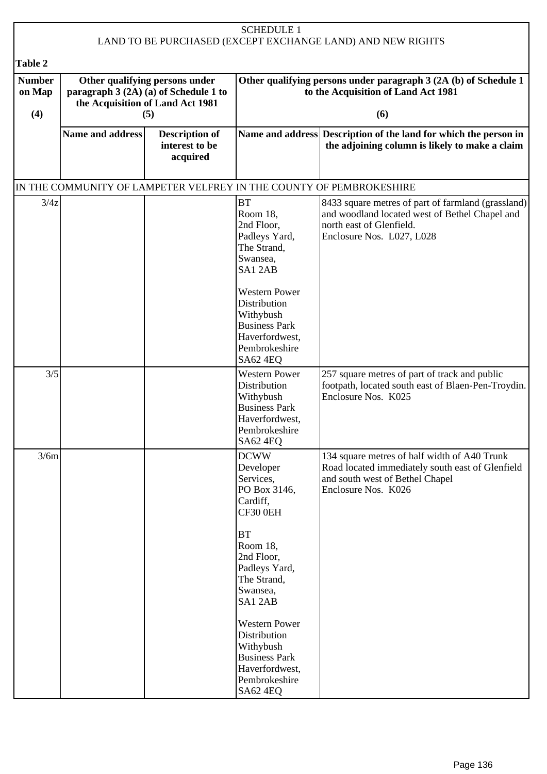| <b>SCHEDULE 1</b><br>LAND TO BE PURCHASED (EXCEPT EXCHANGE LAND) AND NEW RIGHTS |                                                                                                                    |                                                     |                                                                                                                                                                        |                                                                                                                                                               |  |
|---------------------------------------------------------------------------------|--------------------------------------------------------------------------------------------------------------------|-----------------------------------------------------|------------------------------------------------------------------------------------------------------------------------------------------------------------------------|---------------------------------------------------------------------------------------------------------------------------------------------------------------|--|
| Table 2                                                                         |                                                                                                                    |                                                     |                                                                                                                                                                        |                                                                                                                                                               |  |
| <b>Number</b><br>on Map<br>(4)                                                  | Other qualifying persons under<br>paragraph 3 (2A) (a) of Schedule 1 to<br>the Acquisition of Land Act 1981<br>(5) |                                                     | Other qualifying persons under paragraph 3 (2A (b) of Schedule 1<br>to the Acquisition of Land Act 1981<br>(6)                                                         |                                                                                                                                                               |  |
|                                                                                 | <b>Name and address</b>                                                                                            | <b>Description of</b><br>interest to be<br>acquired |                                                                                                                                                                        | Name and address Description of the land for which the person in<br>the adjoining column is likely to make a claim                                            |  |
|                                                                                 |                                                                                                                    |                                                     |                                                                                                                                                                        | IN THE COMMUNITY OF LAMPETER VELFREY IN THE COUNTY OF PEMBROKESHIRE                                                                                           |  |
| 3/4z                                                                            |                                                                                                                    |                                                     | <b>BT</b><br>Room 18,<br>2nd Floor,<br>Padleys Yard,<br>The Strand,<br>Swansea,<br>SA12AB<br><b>Western Power</b><br>Distribution<br>Withybush<br><b>Business Park</b> | 8433 square metres of part of farmland (grassland)<br>and woodland located west of Bethel Chapel and<br>north east of Glenfield.<br>Enclosure Nos. L027, L028 |  |
|                                                                                 |                                                                                                                    |                                                     | Haverfordwest,<br>Pembrokeshire<br>SA62 4EQ                                                                                                                            |                                                                                                                                                               |  |
| 3/5                                                                             |                                                                                                                    |                                                     | <b>Western Power</b><br><b>Distribution</b><br>Withybush<br><b>Business Park</b><br>Haverfordwest,<br>Pembrokeshire<br>SA62 4EQ                                        | 257 square metres of part of track and public<br>footpath, located south east of Blaen-Pen-Troydin.<br>Enclosure Nos. K025                                    |  |
| 3/6m                                                                            |                                                                                                                    |                                                     | <b>DCWW</b><br>Developer<br>Services,<br>PO Box 3146,<br>Cardiff,<br>CF30 0EH<br>BT<br>Room 18,<br>2nd Floor,<br>Padleys Yard,<br>The Strand,                          | 134 square metres of half width of A40 Trunk<br>Road located immediately south east of Glenfield<br>and south west of Bethel Chapel<br>Enclosure Nos. K026    |  |
|                                                                                 |                                                                                                                    |                                                     | Swansea,<br>SA12AB<br><b>Western Power</b><br>Distribution<br>Withybush<br><b>Business Park</b><br>Haverfordwest,<br>Pembrokeshire<br><b>SA62 4EQ</b>                  |                                                                                                                                                               |  |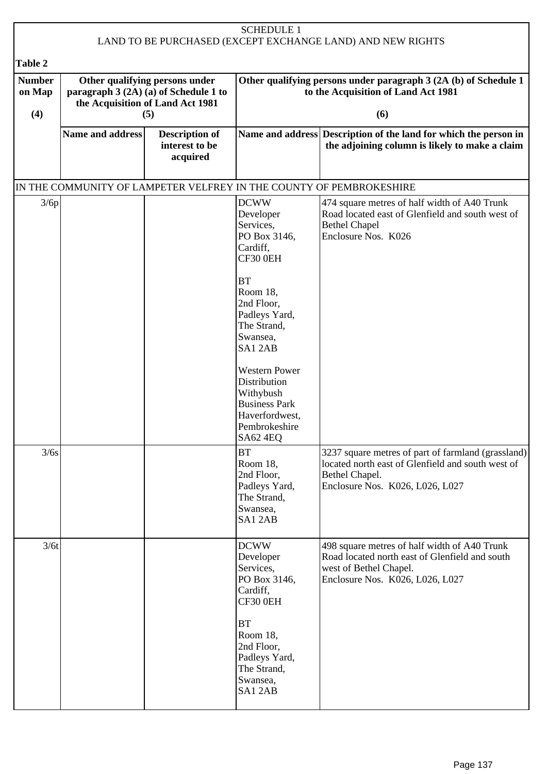| <b>SCHEDULE 1</b><br>LAND TO BE PURCHASED (EXCEPT EXCHANGE LAND) AND NEW RIGHTS |                                                                                                                    |                                                     |                                                                                                                          |                                                                                                                                                              |  |  |
|---------------------------------------------------------------------------------|--------------------------------------------------------------------------------------------------------------------|-----------------------------------------------------|--------------------------------------------------------------------------------------------------------------------------|--------------------------------------------------------------------------------------------------------------------------------------------------------------|--|--|
| Table 2                                                                         |                                                                                                                    |                                                     |                                                                                                                          |                                                                                                                                                              |  |  |
| <b>Number</b><br>on Map<br>(4)                                                  | Other qualifying persons under<br>paragraph $3(2A)(a)$ of Schedule 1 to<br>the Acquisition of Land Act 1981<br>(5) |                                                     |                                                                                                                          | Other qualifying persons under paragraph 3 (2A (b) of Schedule 1<br>to the Acquisition of Land Act 1981<br>(6)                                               |  |  |
|                                                                                 | <b>Name and address</b>                                                                                            | <b>Description of</b><br>interest to be<br>acquired |                                                                                                                          | Name and address Description of the land for which the person in<br>the adjoining column is likely to make a claim                                           |  |  |
|                                                                                 |                                                                                                                    |                                                     |                                                                                                                          | IN THE COMMUNITY OF LAMPETER VELFREY IN THE COUNTY OF PEMBROKESHIRE                                                                                          |  |  |
| 3/6p                                                                            |                                                                                                                    |                                                     | <b>DCWW</b><br>Developer<br>Services,<br>PO Box 3146,<br>Cardiff,<br>CF30 0EH<br><b>BT</b>                               | 474 square metres of half width of A40 Trunk<br>Road located east of Glenfield and south west of<br><b>Bethel Chapel</b><br>Enclosure Nos. K026              |  |  |
|                                                                                 |                                                                                                                    |                                                     | Room 18,<br>2nd Floor,<br>Padleys Yard,<br>The Strand,<br>Swansea,<br>SA12AB                                             |                                                                                                                                                              |  |  |
|                                                                                 |                                                                                                                    |                                                     | <b>Western Power</b><br>Distribution<br>Withybush<br><b>Business Park</b><br>Haverfordwest,<br>Pembrokeshire<br>SA62 4EQ |                                                                                                                                                              |  |  |
| 3/6s                                                                            |                                                                                                                    |                                                     | <b>BT</b><br>Room 18,<br>2nd Floor,<br>Padleys Yard,<br>The Strand,<br>Swansea,<br>SA12AB                                | 3237 square metres of part of farmland (grassland)<br>located north east of Glenfield and south west of<br>Bethel Chapel.<br>Enclosure Nos. K026, L026, L027 |  |  |
| 3/6t                                                                            |                                                                                                                    |                                                     | <b>DCWW</b><br>Developer<br>Services,<br>PO Box 3146,<br>Cardiff,<br>CF30 0EH                                            | 498 square metres of half width of A40 Trunk<br>Road located north east of Glenfield and south<br>west of Bethel Chapel.<br>Enclosure Nos. K026, L026, L027  |  |  |
|                                                                                 |                                                                                                                    |                                                     | <b>BT</b><br>Room 18,<br>2nd Floor,<br>Padleys Yard,<br>The Strand,<br>Swansea,<br>SA12AB                                |                                                                                                                                                              |  |  |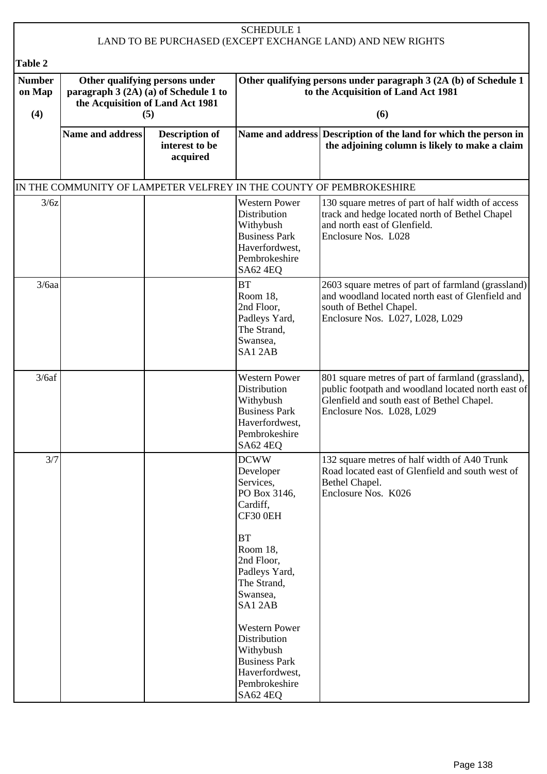| <b>SCHEDULE 1</b>                                                                                           |                                                     |                                                                                                                                                                                                                                                                           |                                                                                                                                                                                     |
|-------------------------------------------------------------------------------------------------------------|-----------------------------------------------------|---------------------------------------------------------------------------------------------------------------------------------------------------------------------------------------------------------------------------------------------------------------------------|-------------------------------------------------------------------------------------------------------------------------------------------------------------------------------------|
|                                                                                                             |                                                     |                                                                                                                                                                                                                                                                           |                                                                                                                                                                                     |
| Other qualifying persons under<br>paragraph 3 (2A) (a) of Schedule 1 to<br>the Acquisition of Land Act 1981 |                                                     |                                                                                                                                                                                                                                                                           | Other qualifying persons under paragraph 3 (2A (b) of Schedule 1<br>to the Acquisition of Land Act 1981<br>(6)                                                                      |
| <b>Name and address</b>                                                                                     | <b>Description of</b><br>interest to be<br>acquired |                                                                                                                                                                                                                                                                           | Name and address Description of the land for which the person in<br>the adjoining column is likely to make a claim                                                                  |
|                                                                                                             |                                                     |                                                                                                                                                                                                                                                                           |                                                                                                                                                                                     |
| 3/6z                                                                                                        |                                                     | <b>Western Power</b><br>Distribution<br>Withybush<br><b>Business Park</b><br>Haverfordwest,<br>Pembrokeshire<br>SA62 4EQ                                                                                                                                                  | 130 square metres of part of half width of access<br>track and hedge located north of Bethel Chapel<br>and north east of Glenfield.<br>Enclosure Nos. L028                          |
| $3/6$ aa                                                                                                    |                                                     | <b>BT</b><br>Room 18,<br>2nd Floor,<br>Padleys Yard,<br>The Strand,<br>Swansea,<br>SA12AB                                                                                                                                                                                 | 2603 square metres of part of farmland (grassland)<br>and woodland located north east of Glenfield and<br>south of Bethel Chapel.<br>Enclosure Nos. L027, L028, L029                |
|                                                                                                             |                                                     | <b>Western Power</b><br>Distribution<br>Withybush<br><b>Business Park</b><br>Haverfordwest,<br>Pembrokeshire<br><b>SA62 4EQ</b>                                                                                                                                           | 801 square metres of part of farmland (grassland),<br>public footpath and woodland located north east of<br>Glenfield and south east of Bethel Chapel.<br>Enclosure Nos. L028, L029 |
| 3/7                                                                                                         |                                                     | <b>DCWW</b><br>Developer<br>Services,<br>PO Box 3146,<br>Cardiff,<br>CF30 0EH<br><b>BT</b><br>Room 18,<br>2nd Floor,<br>Padleys Yard,<br>The Strand,<br>Swansea,<br>SA12AB<br><b>Western Power</b><br>Distribution<br>Withybush<br><b>Business Park</b><br>Haverfordwest, | 132 square metres of half width of A40 Trunk<br>Road located east of Glenfield and south west of<br>Bethel Chapel.<br>Enclosure Nos. K026                                           |
|                                                                                                             |                                                     | (5)                                                                                                                                                                                                                                                                       | LAND TO BE PURCHASED (EXCEPT EXCHANGE LAND) AND NEW RIGHTS<br>IN THE COMMUNITY OF LAMPETER VELFREY IN THE COUNTY OF PEMBROKESHIRE<br>Pembrokeshire<br><b>SA62 4EQ</b>               |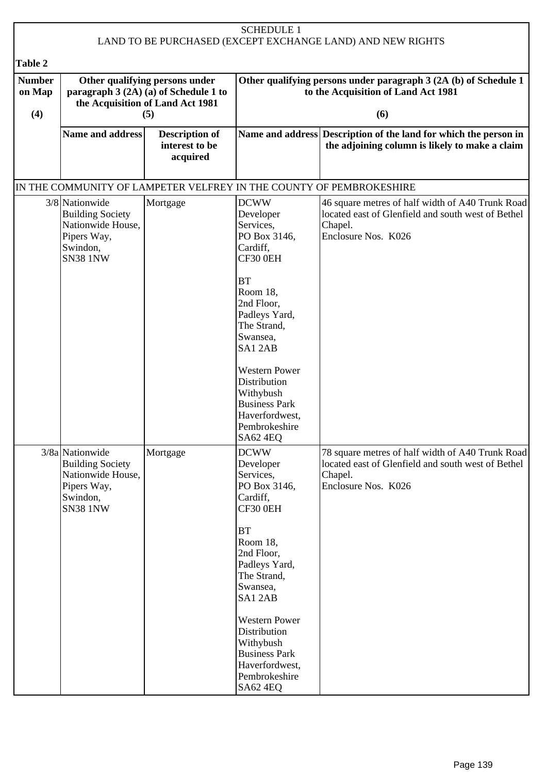| <b>SCHEDULE 1</b><br>LAND TO BE PURCHASED (EXCEPT EXCHANGE LAND) AND NEW RIGHTS |                                                                                                               |                                                     |                                                                                                                                                                                                                                                   |                                                                                                                                          |
|---------------------------------------------------------------------------------|---------------------------------------------------------------------------------------------------------------|-----------------------------------------------------|---------------------------------------------------------------------------------------------------------------------------------------------------------------------------------------------------------------------------------------------------|------------------------------------------------------------------------------------------------------------------------------------------|
|                                                                                 |                                                                                                               |                                                     |                                                                                                                                                                                                                                                   |                                                                                                                                          |
| Table 2                                                                         |                                                                                                               |                                                     |                                                                                                                                                                                                                                                   |                                                                                                                                          |
| <b>Number</b><br>on Map                                                         | Other qualifying persons under<br>paragraph 3 (2A) (a) of Schedule 1 to<br>the Acquisition of Land Act 1981   |                                                     |                                                                                                                                                                                                                                                   | Other qualifying persons under paragraph 3 (2A (b) of Schedule 1<br>to the Acquisition of Land Act 1981                                  |
| (4)                                                                             |                                                                                                               | (5)                                                 |                                                                                                                                                                                                                                                   | (6)                                                                                                                                      |
|                                                                                 | Name and address                                                                                              | <b>Description of</b><br>interest to be<br>acquired |                                                                                                                                                                                                                                                   | Name and address Description of the land for which the person in<br>the adjoining column is likely to make a claim                       |
|                                                                                 |                                                                                                               |                                                     |                                                                                                                                                                                                                                                   | IN THE COMMUNITY OF LAMPETER VELFREY IN THE COUNTY OF PEMBROKESHIRE                                                                      |
|                                                                                 | 3/8 Nationwide<br><b>Building Society</b><br>Nationwide House,<br>Pipers Way,<br>Swindon,<br><b>SN38 1NW</b>  | Mortgage                                            | <b>DCWW</b><br>Developer<br>Services,<br>PO Box 3146,<br>Cardiff,<br>CF30 0EH<br><b>BT</b><br>Room 18,<br>2nd Floor,<br>Padleys Yard,<br>The Strand,<br>Swansea,<br>SA12AB<br><b>Western Power</b><br>Distribution<br>Withybush                   | 46 square metres of half width of A40 Trunk Road<br>located east of Glenfield and south west of Bethel<br>Chapel.<br>Enclosure Nos. K026 |
|                                                                                 | 3/8a Nationwide<br><b>Building Society</b><br>Nationwide House,<br>Pipers Way,<br>Swindon,<br><b>SN38 1NW</b> | Mortgage                                            | <b>Business Park</b><br>Haverfordwest,<br>Pembrokeshire<br>SA62 4EQ<br><b>DCWW</b><br>Developer<br>Services,<br>PO Box 3146,<br>Cardiff,<br>CF30 0EH<br><b>BT</b><br>Room 18,<br>2nd Floor,<br>Padleys Yard,<br>The Strand,<br>Swansea,<br>SA12AB | 78 square metres of half width of A40 Trunk Road<br>located east of Glenfield and south west of Bethel<br>Chapel.<br>Enclosure Nos. K026 |
|                                                                                 |                                                                                                               |                                                     | <b>Western Power</b><br>Distribution<br>Withybush<br><b>Business Park</b><br>Haverfordwest,<br>Pembrokeshire<br><b>SA62 4EQ</b>                                                                                                                   |                                                                                                                                          |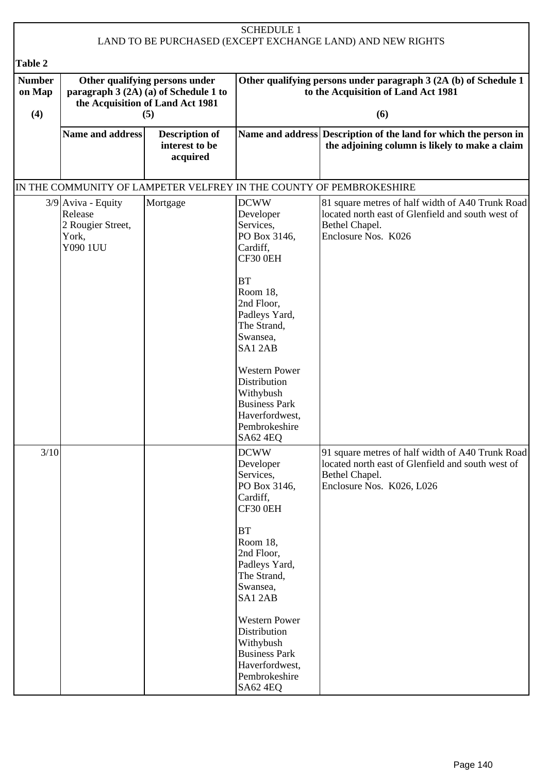| <b>SCHEDULE 1</b>                                                   |                                                                                                                    |                                                     |                                                                                                                                                                                                                                                                                                                    |                                                                                                                                                      |  |  |
|---------------------------------------------------------------------|--------------------------------------------------------------------------------------------------------------------|-----------------------------------------------------|--------------------------------------------------------------------------------------------------------------------------------------------------------------------------------------------------------------------------------------------------------------------------------------------------------------------|------------------------------------------------------------------------------------------------------------------------------------------------------|--|--|
|                                                                     |                                                                                                                    |                                                     |                                                                                                                                                                                                                                                                                                                    | LAND TO BE PURCHASED (EXCEPT EXCHANGE LAND) AND NEW RIGHTS                                                                                           |  |  |
| Table 2                                                             |                                                                                                                    |                                                     |                                                                                                                                                                                                                                                                                                                    |                                                                                                                                                      |  |  |
| <b>Number</b><br>on Map                                             | Other qualifying persons under<br>paragraph 3 (2A) (a) of Schedule 1 to<br>the Acquisition of Land Act 1981<br>(5) |                                                     | Other qualifying persons under paragraph 3 (2A (b) of Schedule 1<br>to the Acquisition of Land Act 1981                                                                                                                                                                                                            |                                                                                                                                                      |  |  |
| (4)                                                                 |                                                                                                                    |                                                     | (6)                                                                                                                                                                                                                                                                                                                |                                                                                                                                                      |  |  |
|                                                                     | Name and address                                                                                                   | <b>Description of</b><br>interest to be<br>acquired |                                                                                                                                                                                                                                                                                                                    | Name and address Description of the land for which the person in<br>the adjoining column is likely to make a claim                                   |  |  |
| IN THE COMMUNITY OF LAMPETER VELFREY IN THE COUNTY OF PEMBROKESHIRE |                                                                                                                    |                                                     |                                                                                                                                                                                                                                                                                                                    |                                                                                                                                                      |  |  |
|                                                                     | $3/9$ Aviva - Equity<br>Release<br>2 Rougier Street,<br>York,<br>Y090 1UU                                          | Mortgage                                            | <b>DCWW</b><br>Developer<br>Services,<br>PO Box 3146,<br>Cardiff,<br>CF30 0EH<br><b>BT</b><br>Room 18,<br>2nd Floor,<br>Padleys Yard,<br>The Strand,<br>Swansea,<br>SA12AB<br><b>Western Power</b><br>Distribution<br>Withybush<br><b>Business Park</b><br>Haverfordwest,<br>Pembrokeshire                         | 81 square metres of half width of A40 Trunk Road<br>located north east of Glenfield and south west of<br>Bethel Chapel.<br>Enclosure Nos. K026       |  |  |
| 3/10                                                                |                                                                                                                    |                                                     | SA62 4EQ<br><b>DCWW</b><br>Developer<br>Services,<br>PO Box 3146,<br>Cardiff,<br>CF30 0EH<br><b>BT</b><br>Room 18,<br>2nd Floor,<br>Padleys Yard,<br>The Strand,<br>Swansea,<br>SA12AB<br><b>Western Power</b><br>Distribution<br>Withybush<br><b>Business Park</b><br>Haverfordwest,<br>Pembrokeshire<br>SA62 4EQ | 91 square metres of half width of A40 Trunk Road<br>located north east of Glenfield and south west of<br>Bethel Chapel.<br>Enclosure Nos. K026, L026 |  |  |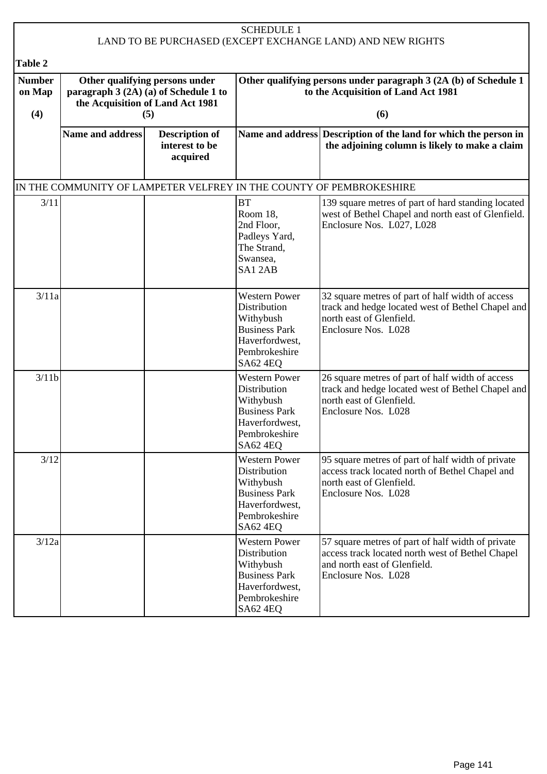| <b>SCHEDULE 1</b><br>LAND TO BE PURCHASED (EXCEPT EXCHANGE LAND) AND NEW RIGHTS |                                                                                                                           |                                                     |                                                                                                                                 |                                                                                                                                                              |  |  |  |
|---------------------------------------------------------------------------------|---------------------------------------------------------------------------------------------------------------------------|-----------------------------------------------------|---------------------------------------------------------------------------------------------------------------------------------|--------------------------------------------------------------------------------------------------------------------------------------------------------------|--|--|--|
|                                                                                 |                                                                                                                           |                                                     |                                                                                                                                 |                                                                                                                                                              |  |  |  |
| Table 2<br><b>Number</b><br>on Map                                              | Other qualifying persons under<br>paragraph 3 (2A) (a) of Schedule 1 to<br>the Acquisition of Land Act 1981<br>(4)<br>(5) |                                                     | Other qualifying persons under paragraph 3 (2A (b) of Schedule 1<br>to the Acquisition of Land Act 1981                         |                                                                                                                                                              |  |  |  |
|                                                                                 |                                                                                                                           |                                                     | (6)                                                                                                                             |                                                                                                                                                              |  |  |  |
|                                                                                 | <b>Name and address</b>                                                                                                   | <b>Description of</b><br>interest to be<br>acquired |                                                                                                                                 | Name and address Description of the land for which the person in<br>the adjoining column is likely to make a claim                                           |  |  |  |
|                                                                                 |                                                                                                                           |                                                     |                                                                                                                                 | IN THE COMMUNITY OF LAMPETER VELFREY IN THE COUNTY OF PEMBROKESHIRE                                                                                          |  |  |  |
| 3/11                                                                            |                                                                                                                           |                                                     | <b>BT</b><br>Room 18,<br>2nd Floor,<br>Padleys Yard,<br>The Strand,<br>Swansea,<br>SA12AB                                       | 139 square metres of part of hard standing located<br>west of Bethel Chapel and north east of Glenfield.<br>Enclosure Nos. L027, L028                        |  |  |  |
| 3/11a                                                                           |                                                                                                                           |                                                     | <b>Western Power</b><br>Distribution<br>Withybush<br><b>Business Park</b><br>Haverfordwest,<br>Pembrokeshire<br>SA62 4EQ        | 32 square metres of part of half width of access<br>track and hedge located west of Bethel Chapel and<br>north east of Glenfield.<br>Enclosure Nos. L028     |  |  |  |
| 3/11b                                                                           |                                                                                                                           |                                                     | <b>Western Power</b><br>Distribution<br>Withybush<br><b>Business Park</b><br>Haverfordwest,<br>Pembrokeshire<br><b>SA62 4EQ</b> | 26 square metres of part of half width of access<br>track and hedge located west of Bethel Chapel and<br>north east of Glenfield.<br>Enclosure Nos. L028     |  |  |  |
| 3/12                                                                            |                                                                                                                           |                                                     | <b>Western Power</b><br>Distribution<br>Withybush<br><b>Business Park</b><br>Haverfordwest,<br>Pembrokeshire<br>SA62 4EQ        | 95 square metres of part of half width of private<br>access track located north of Bethel Chapel and<br>north east of Glenfield.<br>Enclosure Nos. L028      |  |  |  |
| 3/12a                                                                           |                                                                                                                           |                                                     | <b>Western Power</b><br>Distribution<br>Withybush<br><b>Business Park</b><br>Haverfordwest,<br>Pembrokeshire<br><b>SA62 4EQ</b> | 57 square metres of part of half width of private<br>access track located north west of Bethel Chapel<br>and north east of Glenfield.<br>Enclosure Nos. L028 |  |  |  |